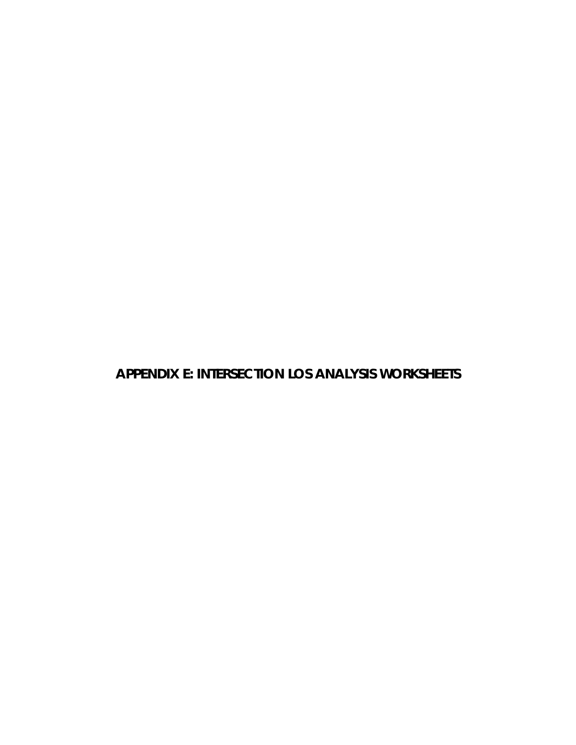**APPENDIX E: INTERSECTION LOS ANALYSIS WORKSHEETS**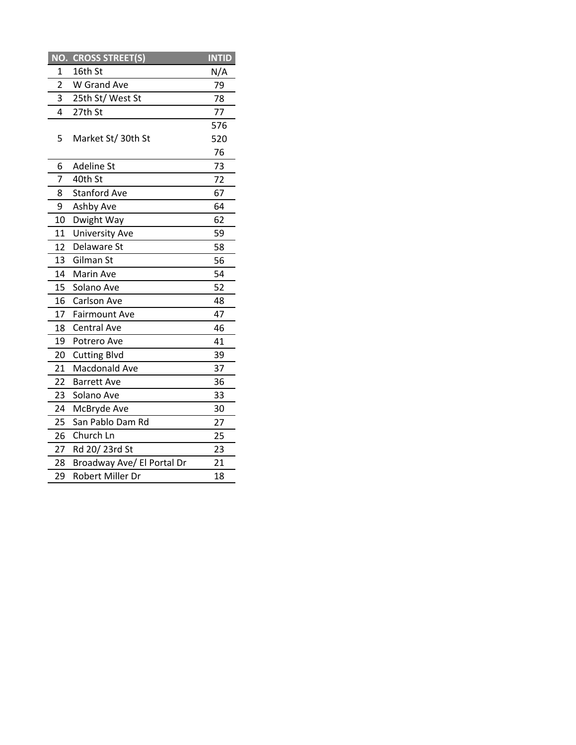| NO.            | <b>CROSS STREET(S)</b>     | <b>INTID</b> |
|----------------|----------------------------|--------------|
| 1              | 16th St                    | N/A          |
| $\overline{2}$ | W Grand Ave                | 79           |
| 3              | 25th St/West St            | 78           |
| 4              | 27th St                    | 77           |
|                |                            | 576          |
| 5              | Market St/ 30th St         | 520          |
|                |                            | 76           |
| 6              | Adeline St                 | 73           |
| $\overline{7}$ | 40th St                    | 72           |
| 8              | <b>Stanford Ave</b>        | 67           |
| 9              | Ashby Ave                  | 64           |
| 10             | Dwight Way                 | 62           |
| 11             | <b>University Ave</b>      | 59           |
| 12             | Delaware St                | 58           |
| 13             | Gilman St                  | 56           |
| 14             | Marin Ave                  | 54           |
| 15             | Solano Ave                 | 52           |
| 16             | <b>Carlson Ave</b>         | 48           |
| 17             | <b>Fairmount Ave</b>       | 47           |
| 18             | <b>Central Ave</b>         | 46           |
| 19             | Potrero Ave                | 41           |
| 20             | <b>Cutting Blvd</b>        | 39           |
| 21             | Macdonald Ave              | 37           |
| 22             | <b>Barrett Ave</b>         | 36           |
| 23             | Solano Ave                 | 33           |
| 24             | McBryde Ave                | 30           |
| 25             | San Pablo Dam Rd           | 27           |
| 26             | Church Ln                  | 25           |
| 27             | Rd 20/23rd St              | 23           |
| 28             | Broadway Ave/ El Portal Dr | 21           |
| 29             | Robert Miller Dr           | 18           |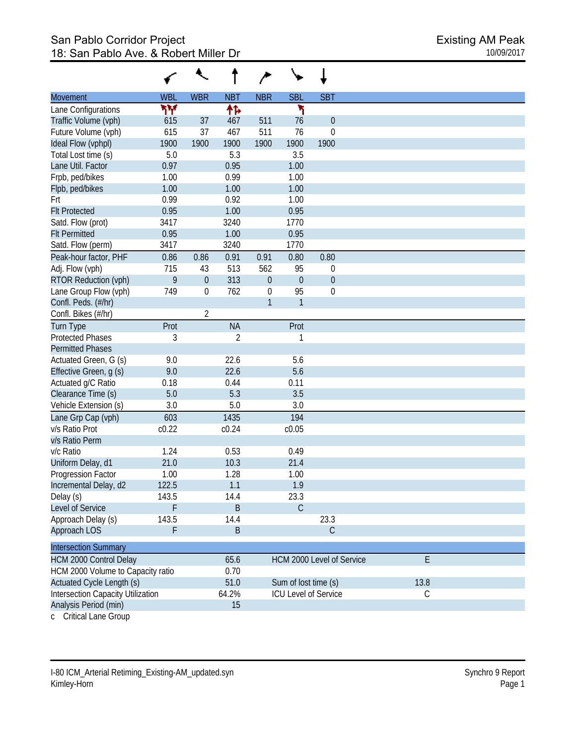| Movement                                 | <b>WBL</b> | <b>WBR</b>       | <b>NBT</b>  | <b>NBR</b>       | <b>SBL</b>           | <b>SBT</b>                |      |             |
|------------------------------------------|------------|------------------|-------------|------------------|----------------------|---------------------------|------|-------------|
| Lane Configurations                      | ۲Υ         |                  | ቶኈ          |                  | ۲                    |                           |      |             |
| Traffic Volume (vph)                     | 615        | 37               | 467         | 511              | 76                   | $\theta$                  |      |             |
| Future Volume (vph)                      | 615        | 37               | 467         | 511              | 76                   | 0                         |      |             |
| Ideal Flow (vphpl)                       | 1900       | 1900             | 1900        | 1900             | 1900                 | 1900                      |      |             |
| Total Lost time (s)                      | 5.0        |                  | 5.3         |                  | 3.5                  |                           |      |             |
| Lane Util. Factor                        | 0.97       |                  | 0.95        |                  | 1.00                 |                           |      |             |
| Frpb, ped/bikes                          | 1.00       |                  | 0.99        |                  | 1.00                 |                           |      |             |
| Flpb, ped/bikes                          | 1.00       |                  | 1.00        |                  | 1.00                 |                           |      |             |
| Frt                                      | 0.99       |                  | 0.92        |                  | 1.00                 |                           |      |             |
| <b>Flt Protected</b>                     | 0.95       |                  | 1.00        |                  | 0.95                 |                           |      |             |
| Satd. Flow (prot)                        | 3417       |                  | 3240        |                  | 1770                 |                           |      |             |
| <b>Flt Permitted</b>                     | 0.95       |                  | 1.00        |                  | 0.95                 |                           |      |             |
| Satd. Flow (perm)                        | 3417       |                  | 3240        |                  | 1770                 |                           |      |             |
| Peak-hour factor, PHF                    | 0.86       | 0.86             | 0.91        | 0.91             | 0.80                 | 0.80                      |      |             |
| Adj. Flow (vph)                          | 715        | 43               | 513         | 562              | 95                   | $\mathbf 0$               |      |             |
| RTOR Reduction (vph)                     | 9          | $\boldsymbol{0}$ | 313         | $\theta$         | $\theta$             | $\boldsymbol{0}$          |      |             |
| Lane Group Flow (vph)                    | 749        | 0                | 762         | $\boldsymbol{0}$ | 95                   | $\boldsymbol{0}$          |      |             |
| Confl. Peds. (#/hr)                      |            |                  |             | $\mathbf{1}$     | $\mathbf{1}$         |                           |      |             |
| Confl. Bikes (#/hr)                      |            | $\overline{2}$   |             |                  |                      |                           |      |             |
| <b>Turn Type</b>                         | Prot       |                  | <b>NA</b>   |                  | Prot                 |                           |      |             |
| <b>Protected Phases</b>                  | 3          |                  | 2           |                  | 1                    |                           |      |             |
| <b>Permitted Phases</b>                  |            |                  |             |                  |                      |                           |      |             |
| Actuated Green, G (s)                    | 9.0        |                  | 22.6        |                  | 5.6                  |                           |      |             |
| Effective Green, g (s)                   | 9.0        |                  | 22.6        |                  | 5.6                  |                           |      |             |
| Actuated g/C Ratio                       | 0.18       |                  | 0.44        |                  | 0.11                 |                           |      |             |
| Clearance Time (s)                       | 5.0        |                  | 5.3         |                  | 3.5                  |                           |      |             |
| Vehicle Extension (s)                    | 3.0        |                  | 5.0         |                  | 3.0                  |                           |      |             |
| Lane Grp Cap (vph)                       | 603        |                  | 1435        |                  | 194                  |                           |      |             |
| v/s Ratio Prot                           | c0.22      |                  | c0.24       |                  | c0.05                |                           |      |             |
| v/s Ratio Perm                           |            |                  |             |                  |                      |                           |      |             |
| v/c Ratio                                | 1.24       |                  | 0.53        |                  | 0.49                 |                           |      |             |
| Uniform Delay, d1                        | 21.0       |                  | 10.3        |                  | 21.4                 |                           |      |             |
| Progression Factor                       | 1.00       |                  | 1.28        |                  | 1.00                 |                           |      |             |
| Incremental Delay, d2                    | 122.5      |                  | 1.1         |                  | 1.9                  |                           |      |             |
| Delay (s)                                | 143.5      |                  | 14.4        |                  | 23.3                 |                           |      |             |
| Level of Service                         | F          |                  | $\mathsf B$ |                  | $\mathsf C$          |                           |      |             |
| Approach Delay (s)                       | 143.5      |                  | 14.4        |                  |                      | 23.3                      |      |             |
| Approach LOS                             | F          |                  | B           |                  |                      | $\mathsf C$               |      |             |
| <b>Intersection Summary</b>              |            |                  |             |                  |                      |                           |      |             |
| <b>HCM 2000 Control Delay</b>            |            |                  | 65.6        |                  |                      | HCM 2000 Level of Service |      | E           |
| HCM 2000 Volume to Capacity ratio        |            |                  | 0.70        |                  |                      |                           |      |             |
| Actuated Cycle Length (s)                |            |                  | 51.0        |                  | Sum of lost time (s) |                           | 13.8 |             |
| <b>Intersection Capacity Utilization</b> |            |                  | 64.2%       |                  | ICU Level of Service |                           |      | $\mathsf C$ |
| Analysis Period (min)                    |            |                  | 15          |                  |                      |                           |      |             |

c Critical Lane Group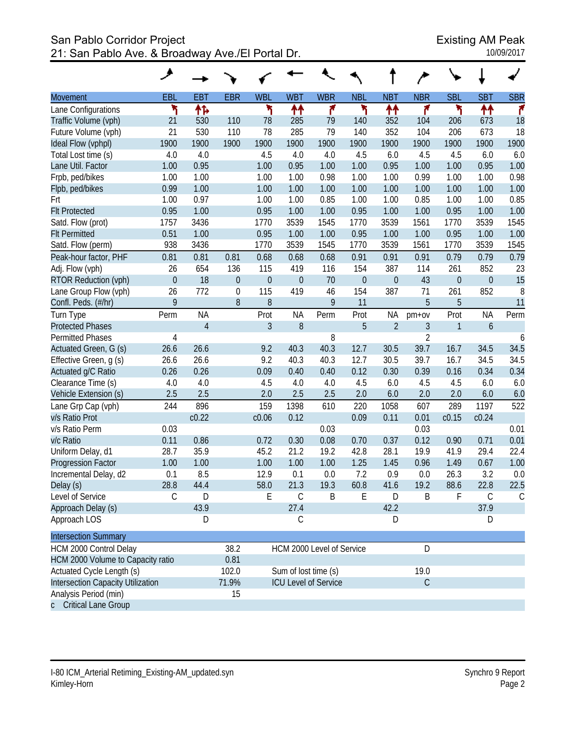# San Pablo Corridor Project Existing AM Peak 21: San Pablo Ave. & Broadway Ave./El Portal Dr.

|                                   | ◢                |                |                      |                |               |                             |                  |                |                |                  |                  |            |
|-----------------------------------|------------------|----------------|----------------------|----------------|---------------|-----------------------------|------------------|----------------|----------------|------------------|------------------|------------|
| <b>Movement</b>                   | EBL              | <b>EBT</b>     | <b>EBR</b>           | <b>WBL</b>     | <b>WBT</b>    | <b>WBR</b>                  | <b>NBL</b>       | <b>NBT</b>     | <b>NBR</b>     | <b>SBL</b>       | <b>SBT</b>       | <b>SBR</b> |
| Lane Configurations               | ۲                | 怍              |                      | ۲              | ቶቶ            | ۴                           | ۲                | ↟↟             | ۴              | ۲                | ₩                | ۴          |
| Traffic Volume (vph)              | 21               | 530            | 110                  | 78             | 285           | 79                          | 140              | 352            | 104            | 206              | 673              | 18         |
| Future Volume (vph)               | 21               | 530            | 110                  | 78             | 285           | 79                          | 140              | 352            | 104            | 206              | 673              | 18         |
| Ideal Flow (vphpl)                | 1900             | 1900           | 1900                 | 1900           | 1900          | 1900                        | 1900             | 1900           | 1900           | 1900             | 1900             | 1900       |
| Total Lost time (s)               | 4.0              | 4.0            |                      | 4.5            | 4.0           | 4.0                         | 4.5              | 6.0            | 4.5            | 4.5              | 6.0              | 6.0        |
| Lane Util. Factor                 | 1.00             | 0.95           |                      | 1.00           | 0.95          | 1.00                        | 1.00             | 0.95           | 1.00           | 1.00             | 0.95             | 1.00       |
| Frpb, ped/bikes                   | 1.00             | 1.00           |                      | 1.00           | 1.00          | 0.98                        | 1.00             | 1.00           | 0.99           | 1.00             | 1.00             | 0.98       |
| Flpb, ped/bikes                   | 0.99             | 1.00           |                      | 1.00           | 1.00          | 1.00                        | 1.00             | 1.00           | 1.00           | 1.00             | 1.00             | 1.00       |
| Frt                               | 1.00             | 0.97           |                      | 1.00           | 1.00          | 0.85                        | 1.00             | 1.00           | 0.85           | 1.00             | 1.00             | 0.85       |
| <b>Flt Protected</b>              | 0.95             | 1.00           |                      | 0.95           | 1.00          | 1.00                        | 0.95             | 1.00           | 1.00           | 0.95             | 1.00             | 1.00       |
| Satd. Flow (prot)                 | 1757             | 3436           |                      | 1770           | 3539          | 1545                        | 1770             | 3539           | 1561           | 1770             | 3539             | 1545       |
| <b>Flt Permitted</b>              | 0.51             | 1.00           |                      | 0.95           | 1.00          | 1.00                        | 0.95             | 1.00           | 1.00           | 0.95             | 1.00             | 1.00       |
| Satd. Flow (perm)                 | 938              | 3436           |                      | 1770           | 3539          | 1545                        | 1770             | 3539           | 1561           | 1770             | 3539             | 1545       |
| Peak-hour factor, PHF             | 0.81             | 0.81           | 0.81                 | 0.68           | 0.68          | 0.68                        | 0.91             | 0.91           | 0.91           | 0.79             | 0.79             | 0.79       |
| Adj. Flow (vph)                   | 26               | 654            | 136                  | 115            | 419           | 116                         | 154              | 387            | 114            | 261              | 852              | 23         |
| RTOR Reduction (vph)              | $\boldsymbol{0}$ | 18             | $\mathbf 0$          | $\mathbf{0}$   | $\mathbf{0}$  | 70                          | $\boldsymbol{0}$ | $\mathbf 0$    | 43             | $\boldsymbol{0}$ | $\boldsymbol{0}$ | 15         |
| Lane Group Flow (vph)             | 26               | 772            | $\mathbf 0$          | 115            | 419           | 46                          | 154              | 387            | 71             | 261              | 852              | 8          |
| Confl. Peds. (#/hr)               | 9                |                | 8                    | 8              |               | 9                           | 11               |                | 5              | 5                |                  | 11         |
| Turn Type                         | Perm             | <b>NA</b>      |                      | Prot           | <b>NA</b>     | Perm                        | Prot             | ΝA             | pm+ov          | Prot             | <b>NA</b>        | Perm       |
| <b>Protected Phases</b>           |                  | $\overline{4}$ |                      | $\mathfrak{Z}$ | 8             |                             | 5                | $\overline{2}$ | $\mathfrak{Z}$ | 1                | $\boldsymbol{6}$ |            |
| <b>Permitted Phases</b>           | 4                |                |                      |                |               | 8                           |                  |                | $\overline{2}$ |                  |                  | 6          |
| Actuated Green, G (s)             | 26.6             | 26.6           |                      | 9.2            | 40.3          | 40.3                        | 12.7             | 30.5           | 39.7           | 16.7             | 34.5             | 34.5       |
| Effective Green, g (s)            | 26.6             | 26.6           |                      | 9.2            | 40.3          | 40.3                        | 12.7             | 30.5           | 39.7           | 16.7             | 34.5             | 34.5       |
| Actuated g/C Ratio                | 0.26             | 0.26           |                      | 0.09           | 0.40          | 0.40                        | 0.12             | 0.30           | 0.39           | 0.16             | 0.34             | 0.34       |
| Clearance Time (s)                | 4.0              | 4.0            |                      | 4.5            | 4.0           | 4.0                         | 4.5              | 6.0            | 4.5            | 4.5              | 6.0              | 6.0        |
| Vehicle Extension (s)             | 2.5              | 2.5            |                      | 2.0            | 2.5           | 2.5                         | 2.0              | 6.0            | 2.0            | 2.0              | 6.0              | 6.0        |
| Lane Grp Cap (vph)                | 244              | 896            |                      | 159            | 1398          | 610                         | 220              | 1058           | 607            | 289              | 1197             | 522        |
| v/s Ratio Prot                    |                  | c0.22          |                      | c0.06          | 0.12          |                             | 0.09             | 0.11           | 0.01           | c0.15            | c0.24            |            |
| v/s Ratio Perm                    | 0.03             |                |                      |                |               | 0.03                        |                  |                | 0.03           |                  |                  | 0.01       |
| v/c Ratio                         | 0.11             | 0.86           |                      | 0.72           | 0.30          | 0.08                        | 0.70             | 0.37           | 0.12           | 0.90             | 0.71             | 0.01       |
| Uniform Delay, d1                 | 28.7             | 35.9           |                      | 45.2           | 21.2          | 19.2                        | 42.8             | 28.1           | 19.9           | 41.9             | 29.4             | 22.4       |
| Progression Factor                | 1.00             | 1.00           |                      | 1.00           | 1.00          | 1.00                        | 1.25             | 1.45           | 0.96           | 1.49             | 0.67             | 1.00       |
| Incremental Delay, d2             | 0.1              | 8.5            |                      | 12.9           | 0.1           | 0.0                         | 7.2              | 0.9            | 0.0            | 26.3             | 3.2              | 0.0        |
| Delay (s)                         | 28.8             | 44.4           |                      | 58.0           | 21.3          | 19.3                        | 60.8             | 41.6           | 19.2           | 88.6             | 22.8             | 22.5       |
| Level of Service                  | $\mathsf C$      | D              |                      | E              | $\mathcal{C}$ | B                           | E                | D              | B              | F                | $\mathsf C$      | С          |
| Approach Delay (s)                |                  | 43.9           |                      |                | 27.4          |                             |                  | 42.2           |                |                  | 37.9             |            |
| Approach LOS                      |                  | D              |                      |                | C             |                             |                  | D              |                |                  | D                |            |
| <b>Intersection Summary</b>       |                  |                |                      |                |               |                             |                  |                |                |                  |                  |            |
| HCM 2000 Control Delay            |                  |                | 38.2                 |                |               | HCM 2000 Level of Service   |                  |                | D              |                  |                  |            |
| HCM 2000 Volume to Capacity ratio |                  | 0.81           |                      |                |               |                             |                  |                |                |                  |                  |            |
| Actuated Cycle Length (s)         |                  | 102.0          | Sum of lost time (s) |                |               |                             |                  | 19.0           |                |                  |                  |            |
| Intersection Capacity Utilization |                  |                | 71.9%                |                |               | <b>ICU Level of Service</b> |                  |                | $\mathsf C$    |                  |                  |            |
| Analysis Period (min)             |                  |                | 15                   |                |               |                             |                  |                |                |                  |                  |            |
| Critical Lang Crour               |                  |                |                      |                |               |                             |                  |                |                |                  |                  |            |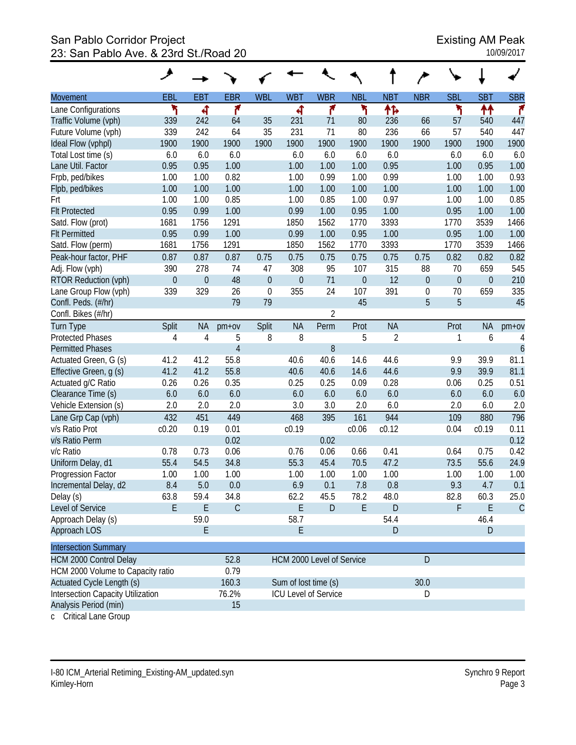# San Pablo Corridor Project<br>23: San Pablo Ave. & 23rd St./Road 20<br>23: San Pablo Ave. & 23rd St./Road 20 23: San Pablo Ave. & 23rd St./Road 20

|                                   | حر       |             |                |                           |                      |                             |                  |                |             |                  |             |                  |
|-----------------------------------|----------|-------------|----------------|---------------------------|----------------------|-----------------------------|------------------|----------------|-------------|------------------|-------------|------------------|
| Movement                          | EBL      | EBT         | <b>EBR</b>     | <b>WBL</b>                | <b>WBT</b>           | <b>WBR</b>                  | <b>NBL</b>       | <b>NBT</b>     | <b>NBR</b>  | <b>SBL</b>       | <b>SBT</b>  | <b>SBR</b>       |
| Lane Configurations               | ۲        | बी          | ۴              |                           | ৰ                    | ۴                           | ۲                | ተኈ             |             | ۲                | ↟↟          | ۴                |
| Traffic Volume (vph)              | 339      | 242         | 64             | 35                        | 231                  | 71                          | 80               | 236            | 66          | 57               | 540         | 447              |
| Future Volume (vph)               | 339      | 242         | 64             | 35                        | 231                  | 71                          | 80               | 236            | 66          | 57               | 540         | 447              |
| Ideal Flow (vphpl)                | 1900     | 1900        | 1900           | 1900                      | 1900                 | 1900                        | 1900             | 1900           | 1900        | 1900             | 1900        | 1900             |
| Total Lost time (s)               | 6.0      | 6.0         | 6.0            |                           | 6.0                  | 6.0                         | 6.0              | 6.0            |             | 6.0              | 6.0         | 6.0              |
| Lane Util. Factor                 | 0.95     | 0.95        | 1.00           |                           | 1.00                 | 1.00                        | 1.00             | 0.95           |             | 1.00             | 0.95        | 1.00             |
| Frpb, ped/bikes                   | 1.00     | 1.00        | 0.82           |                           | 1.00                 | 0.99                        | 1.00             | 0.99           |             | 1.00             | 1.00        | 0.93             |
| Flpb, ped/bikes                   | 1.00     | 1.00        | 1.00           |                           | 1.00                 | 1.00                        | 1.00             | 1.00           |             | 1.00             | 1.00        | 1.00             |
| Frt                               | 1.00     | 1.00        | 0.85           |                           | 1.00                 | 0.85                        | 1.00             | 0.97           |             | 1.00             | 1.00        | 0.85             |
| <b>Flt Protected</b>              | 0.95     | 0.99        | 1.00           |                           | 0.99                 | 1.00                        | 0.95             | 1.00           |             | 0.95             | 1.00        | 1.00             |
| Satd. Flow (prot)                 | 1681     | 1756        | 1291           |                           | 1850                 | 1562                        | 1770             | 3393           |             | 1770             | 3539        | 1466             |
| <b>Flt Permitted</b>              | 0.95     | 0.99        | 1.00           |                           | 0.99                 | 1.00                        | 0.95             | 1.00           |             | 0.95             | 1.00        | 1.00             |
| Satd. Flow (perm)                 | 1681     | 1756        | 1291           |                           | 1850                 | 1562                        | 1770             | 3393           |             | 1770             | 3539        | 1466             |
| Peak-hour factor, PHF             | 0.87     | 0.87        | 0.87           | 0.75                      | 0.75                 | 0.75                        | 0.75             | 0.75           | 0.75        | 0.82             | 0.82        | 0.82             |
| Adj. Flow (vph)                   | 390      | 278         | 74             | 47                        | 308                  | 95                          | 107              | 315            | 88          | 70               | 659         | 545              |
| <b>RTOR Reduction (vph)</b>       | $\theta$ | $\mathbf 0$ | 48             | $\theta$                  | $\theta$             | 71                          | $\boldsymbol{0}$ | 12             | $\theta$    | $\boldsymbol{0}$ | $\mathbf 0$ | 210              |
| Lane Group Flow (vph)             | 339      | 329         | 26             | $\mathbf 0$               | 355                  | 24                          | 107              | 391            | $\mathbf 0$ | 70               | 659         | 335              |
| Confl. Peds. (#/hr)               |          |             | 79             | 79                        |                      |                             | 45               |                | 5           | 5                |             | 45               |
| Confl. Bikes (#/hr)               |          |             |                |                           |                      | $\overline{2}$              |                  |                |             |                  |             |                  |
| <b>Turn Type</b>                  | Split    | <b>NA</b>   | $pm+ov$        | Split                     | <b>NA</b>            | Perm                        | Prot             | <b>NA</b>      |             | Prot             | <b>NA</b>   | $pm+ov$          |
| <b>Protected Phases</b>           | 4        | 4           | 5              | 8                         | 8                    |                             | 5                | $\overline{2}$ |             | 1                | 6           | 4                |
| <b>Permitted Phases</b>           |          |             | $\overline{4}$ |                           |                      | 8                           |                  |                |             |                  |             | $\boldsymbol{6}$ |
| Actuated Green, G (s)             | 41.2     | 41.2        | 55.8           |                           | 40.6                 | 40.6                        | 14.6             | 44.6           |             | 9.9              | 39.9        | 81.1             |
| Effective Green, g (s)            | 41.2     | 41.2        | 55.8           |                           | 40.6                 | 40.6                        | 14.6             | 44.6           |             | 9.9              | 39.9        | 81.1             |
| Actuated g/C Ratio                | 0.26     | 0.26        | 0.35           |                           | 0.25                 | 0.25                        | 0.09             | 0.28           |             | 0.06             | 0.25        | 0.51             |
| Clearance Time (s)                | 6.0      | 6.0         | 6.0            |                           | 6.0                  | 6.0                         | 6.0              | 6.0            |             | 6.0              | 6.0         | 6.0              |
| Vehicle Extension (s)             | 2.0      | 2.0         | 2.0            |                           | 3.0                  | 3.0                         | 2.0              | 6.0            |             | 2.0              | 6.0         | 2.0              |
| Lane Grp Cap (vph)                | 432      | 451         | 449            |                           | 468                  | 395                         | 161              | 944            |             | 109              | 880         | 796              |
| v/s Ratio Prot                    | c0.20    | 0.19        | 0.01           |                           | c0.19                |                             | c0.06            | c0.12          |             | 0.04             | c0.19       | 0.11             |
| v/s Ratio Perm                    |          |             | 0.02           |                           |                      | 0.02                        |                  |                |             |                  |             | 0.12             |
| v/c Ratio                         | 0.78     | 0.73        | 0.06           |                           | 0.76                 | 0.06                        | 0.66             | 0.41           |             | 0.64             | 0.75        | 0.42             |
| Uniform Delay, d1                 | 55.4     | 54.5        | 34.8           |                           | 55.3                 | 45.4                        | 70.5             | 47.2           |             | 73.5             | 55.6        | 24.9             |
| Progression Factor                | 1.00     | 1.00        | 1.00           |                           | 1.00                 | 1.00                        | 1.00             | 1.00           |             | 1.00             | 1.00        | 1.00             |
| Incremental Delay, d2             | 8.4      | 5.0         | 0.0            |                           | 6.9                  | 0.1                         | 7.8              | 0.8            |             | 9.3              | 4.7         | 0.1              |
| Delay (s)                         | 63.8     | 59.4        | 34.8           |                           | 62.2                 | 45.5                        | 78.2             | 48.0           |             | 82.8             | 60.3        | 25.0             |
| Level of Service                  | E.       | E           | $\mathsf C$    |                           | E                    | $\mathsf D$                 | E                | D              |             | F                | E           | $\mathsf{C}$     |
| Approach Delay (s)                |          | 59.0        |                |                           | 58.7                 |                             |                  | 54.4           |             |                  | 46.4        |                  |
| Approach LOS                      |          | Е           |                |                           | E                    |                             |                  | D              |             |                  | D           |                  |
|                                   |          |             |                |                           |                      |                             |                  |                |             |                  |             |                  |
| <b>Intersection Summary</b>       |          |             |                |                           |                      |                             |                  |                |             |                  |             |                  |
| 52.8<br>HCM 2000 Control Delay    |          |             |                | HCM 2000 Level of Service |                      |                             | D                |                |             |                  |             |                  |
| HCM 2000 Volume to Capacity ratio |          |             | 0.79           |                           |                      |                             |                  |                |             |                  |             |                  |
| Actuated Cycle Length (s)         |          |             | 160.3          |                           | Sum of lost time (s) |                             |                  |                | 30.0        |                  |             |                  |
| Intersection Capacity Utilization |          |             | 76.2%          |                           |                      | <b>ICU Level of Service</b> |                  |                | D           |                  |             |                  |
| Analysis Period (min)             |          |             | 15             |                           |                      |                             |                  |                |             |                  |             |                  |

c Critical Lane Group

I-80 ICM\_Arterial Retiming\_Existing-AM\_updated.syn Synchro 9 Report<br>1 Synchro 9 Report<br>1 Page 3 Kimley-Horn Page 3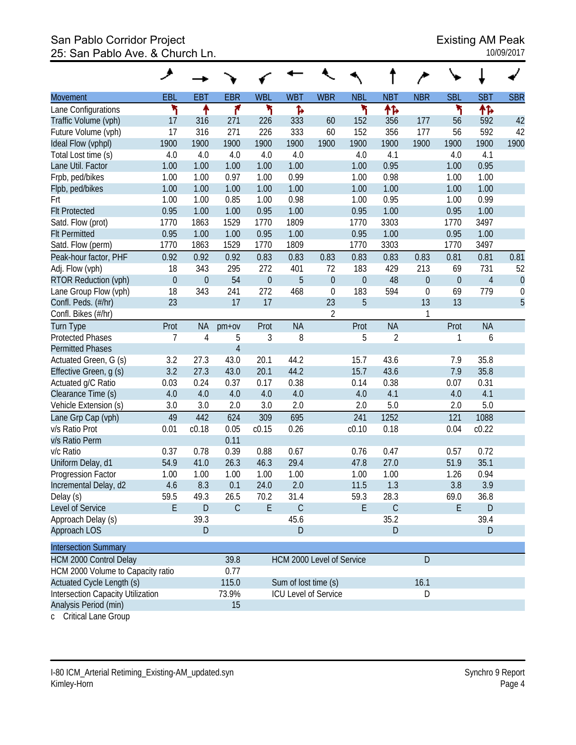# San Pablo Corridor Project<br>
25: San Pablo Ave. & Church Ln.<br>
25: San Pablo Ave. & Church Ln. 25: San Pablo Ave. & Church Ln.

|                                           | عر          |                  |                |                  |                             |                  |                  |                |                  |                  |                |                  |
|-------------------------------------------|-------------|------------------|----------------|------------------|-----------------------------|------------------|------------------|----------------|------------------|------------------|----------------|------------------|
| <b>Movement</b>                           | EBL         | <b>EBT</b>       | <b>EBR</b>     | <b>WBL</b>       | <b>WBT</b>                  | <b>WBR</b>       | <b>NBL</b>       | <b>NBT</b>     | <b>NBR</b>       | <b>SBL</b>       | <b>SBT</b>     | <b>SBR</b>       |
| Lane Configurations                       | ኻ           | ↟                | ۴              | ۲                | Ъ                           |                  | ۲                | 怍              |                  | ۲                | 怍              |                  |
| Traffic Volume (vph)                      | 17          | 316              | 271            | 226              | 333                         | 60               | 152              | 356            | 177              | 56               | 592            | 42               |
| Future Volume (vph)                       | 17          | 316              | 271            | 226              | 333                         | 60               | 152              | 356            | 177              | 56               | 592            | 42               |
| Ideal Flow (vphpl)                        | 1900        | 1900             | 1900           | 1900             | 1900                        | 1900             | 1900             | 1900           | 1900             | 1900             | 1900           | 1900             |
| Total Lost time (s)                       | 4.0         | 4.0              | 4.0            | 4.0              | 4.0                         |                  | 4.0              | 4.1            |                  | 4.0              | 4.1            |                  |
| Lane Util. Factor                         | 1.00        | 1.00             | 1.00           | 1.00             | 1.00                        |                  | 1.00             | 0.95           |                  | 1.00             | 0.95           |                  |
| Frpb, ped/bikes                           | 1.00        | 1.00             | 0.97           | 1.00             | 0.99                        |                  | 1.00             | 0.98           |                  | 1.00             | 1.00           |                  |
| Flpb, ped/bikes                           | 1.00        | 1.00             | 1.00           | 1.00             | 1.00                        |                  | 1.00             | 1.00           |                  | 1.00             | 1.00           |                  |
| Frt                                       | 1.00        | 1.00             | 0.85           | 1.00             | 0.98                        |                  | 1.00             | 0.95           |                  | 1.00             | 0.99           |                  |
| <b>Flt Protected</b>                      | 0.95        | 1.00             | 1.00           | 0.95             | 1.00                        |                  | 0.95             | 1.00           |                  | 0.95             | 1.00           |                  |
| Satd. Flow (prot)                         | 1770        | 1863             | 1529           | 1770             | 1809                        |                  | 1770             | 3303           |                  | 1770             | 3497           |                  |
| <b>Flt Permitted</b>                      | 0.95        | 1.00             | 1.00           | 0.95             | 1.00                        |                  | 0.95             | 1.00           |                  | 0.95             | 1.00           |                  |
| Satd. Flow (perm)                         | 1770        | 1863             | 1529           | 1770             | 1809                        |                  | 1770             | 3303           |                  | 1770             | 3497           |                  |
| Peak-hour factor, PHF                     | 0.92        | 0.92             | 0.92           | 0.83             | 0.83                        | 0.83             | 0.83             | 0.83           | 0.83             | 0.81             | 0.81           | 0.81             |
| Adj. Flow (vph)                           | 18          | 343              | 295            | 272              | 401                         | 72               | 183              | 429            | 213              | 69               | 731            | 52               |
| RTOR Reduction (vph)                      | $\mathbf 0$ | $\boldsymbol{0}$ | 54             | $\boldsymbol{0}$ | 5                           | $\boldsymbol{0}$ | $\boldsymbol{0}$ | 48             | $\boldsymbol{0}$ | $\boldsymbol{0}$ | $\overline{4}$ | $\theta$         |
| Lane Group Flow (vph)                     | 18          | 343              | 241            | 272              | 468                         | $\mathbf 0$      | 183              | 594            | $\mathbf 0$      | 69               | 779            | $\boldsymbol{0}$ |
| Confl. Peds. (#/hr)                       | 23          |                  | 17             | 17               |                             | 23               | 5                |                | 13               | 13               |                | 5                |
| Confl. Bikes (#/hr)                       |             |                  |                |                  |                             | $\overline{2}$   |                  |                | 1                |                  |                |                  |
| <b>Turn Type</b>                          | Prot        | <b>NA</b>        | $pm+ov$        | Prot             | <b>NA</b>                   |                  | Prot             | <b>NA</b>      |                  | Prot             | <b>NA</b>      |                  |
| <b>Protected Phases</b>                   | 7           | $\overline{4}$   | 5              | 3                | 8                           |                  | 5                | $\overline{2}$ |                  | 1                | 6              |                  |
| <b>Permitted Phases</b>                   |             |                  | $\overline{4}$ |                  |                             |                  |                  |                |                  |                  |                |                  |
| Actuated Green, G (s)                     | 3.2         | 27.3             | 43.0           | 20.1             | 44.2                        |                  | 15.7             | 43.6           |                  | 7.9              | 35.8           |                  |
| Effective Green, g (s)                    | 3.2         | 27.3             | 43.0           | 20.1             | 44.2                        |                  | 15.7             | 43.6           |                  | 7.9              | 35.8           |                  |
| Actuated g/C Ratio                        | 0.03        | 0.24             | 0.37           | 0.17             | 0.38                        |                  | 0.14             | 0.38           |                  | 0.07             | 0.31           |                  |
| Clearance Time (s)                        | 4.0         | 4.0              | 4.0            | 4.0              | 4.0                         |                  | 4.0              | 4.1            |                  | 4.0              | 4.1            |                  |
| Vehicle Extension (s)                     | 3.0         | 3.0              | 2.0            | 3.0              | 2.0                         |                  | 2.0              | 5.0            |                  | 2.0              | 5.0            |                  |
| Lane Grp Cap (vph)                        | 49          | 442              | 624            | 309              | 695                         |                  | 241              | 1252           |                  | 121              | 1088           |                  |
| v/s Ratio Prot                            | 0.01        | c0.18            | 0.05           | c0.15            | 0.26                        |                  | c0.10            | 0.18           |                  | 0.04             | c0.22          |                  |
| v/s Ratio Perm                            |             |                  | 0.11           |                  |                             |                  |                  |                |                  |                  |                |                  |
| v/c Ratio                                 | 0.37        | 0.78             | 0.39           | 0.88             | 0.67                        |                  | 0.76             | 0.47           |                  | 0.57             | 0.72           |                  |
| Uniform Delay, d1                         | 54.9        | 41.0             | 26.3           | 46.3             | 29.4                        |                  | 47.8             | 27.0           |                  | 51.9             | 35.1           |                  |
| <b>Progression Factor</b>                 | 1.00        | 1.00             | 1.00           | 1.00             | 1.00                        |                  | 1.00             | 1.00           |                  | 1.26             | 0.94           |                  |
| Incremental Delay, d2                     | 4.6         | 8.3              | 0.1            | 24.0             | 2.0                         |                  | $11.5$           | 1.3            |                  | 3.8              | 3.9            |                  |
| Delay (s)                                 | 59.5        | 49.3             | 26.5           | 70.2             | 31.4                        |                  | 59.3             | 28.3           |                  | 69.0             | 36.8           |                  |
| Level of Service                          | E.          | $\mathsf D$      | $\mathsf C$    | E                | $\mathsf C$                 |                  | E                | $\mathsf C$    |                  | E                | D              |                  |
| Approach Delay (s)                        |             | 39.3             |                |                  | 45.6                        |                  |                  | 35.2           |                  |                  | 39.4           |                  |
| Approach LOS                              |             | $\mathsf D$      |                |                  | D                           |                  |                  | D              |                  |                  | D              |                  |
|                                           |             |                  |                |                  |                             |                  |                  |                |                  |                  |                |                  |
| <b>Intersection Summary</b>               |             |                  |                |                  |                             |                  |                  |                |                  |                  |                |                  |
| HCM 2000 Control Delay<br>39.8            |             |                  |                |                  | HCM 2000 Level of Service   |                  |                  |                | D                |                  |                |                  |
| HCM 2000 Volume to Capacity ratio<br>0.77 |             |                  |                |                  |                             |                  |                  |                |                  |                  |                |                  |
| 115.0<br>Actuated Cycle Length (s)        |             |                  |                |                  | Sum of lost time (s)        |                  |                  |                | 16.1             |                  |                |                  |
| Intersection Capacity Utilization         |             |                  | 73.9%          |                  | <b>ICU Level of Service</b> |                  |                  |                | D                |                  |                |                  |
| Analysis Period (min)                     |             |                  | 15             |                  |                             |                  |                  |                |                  |                  |                |                  |

c Critical Lane Group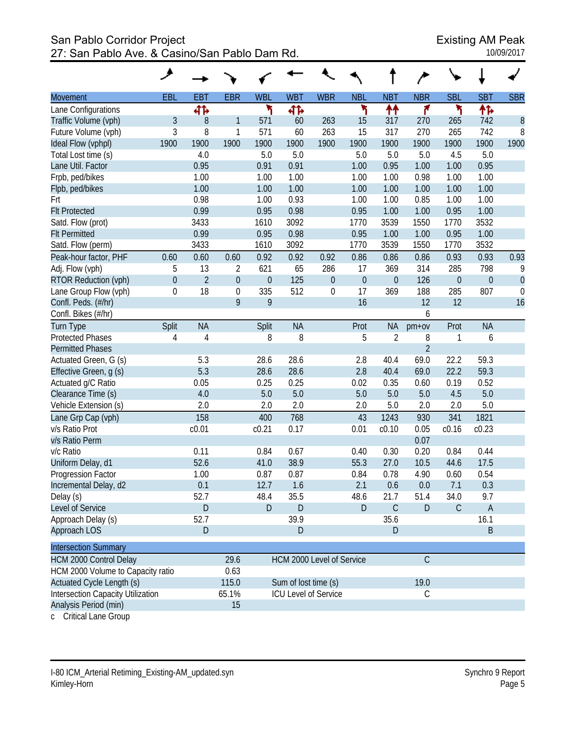# San Pablo Corridor Project<br>27: San Pablo Ave. & Casino/San Pablo Dam Rd. 27: San Pablo Ave. & Casino/San Pablo Dam Rd. 27: San Pablo Ave. & Casino/San Pablo Dam Rd.

|                                                             | ◢                |                 |                  |                      |            |                             |                  |                  |                |                  |                  |                  |
|-------------------------------------------------------------|------------------|-----------------|------------------|----------------------|------------|-----------------------------|------------------|------------------|----------------|------------------|------------------|------------------|
| Movement                                                    | EBL              | EB <sub>1</sub> | <b>EBR</b>       | <b>WBL</b>           | <b>WBT</b> | <b>WBR</b>                  | <b>NBL</b>       | <b>NBT</b>       | <b>NBR</b>     | <b>SBL</b>       | <b>SBT</b>       | <b>SBR</b>       |
| Lane Configurations                                         |                  | 41              |                  | ۲                    | बीर्क      |                             | ۲                | ↟↟               | ۴              | ۲                | 怍                |                  |
| Traffic Volume (vph)                                        | $\mathfrak{Z}$   | 8               | 1                | 571                  | 60         | 263                         | 15               | 317              | 270            | 265              | 742              | $\boldsymbol{8}$ |
| Future Volume (vph)                                         | $\mathfrak{Z}$   | 8               | $\mathbf{1}$     | 571                  | 60         | 263                         | 15               | 317              | 270            | 265              | 742              | 8                |
| Ideal Flow (vphpl)                                          | 1900             | 1900            | 1900             | 1900                 | 1900       | 1900                        | 1900             | 1900             | 1900           | 1900             | 1900             | 1900             |
| Total Lost time (s)                                         |                  | 4.0             |                  | 5.0                  | 5.0        |                             | 5.0              | 5.0              | 5.0            | 4.5              | 5.0              |                  |
| Lane Util. Factor                                           |                  | 0.95            |                  | 0.91                 | 0.91       |                             | 1.00             | 0.95             | 1.00           | 1.00             | 0.95             |                  |
| Frpb, ped/bikes                                             |                  | 1.00            |                  | 1.00                 | 1.00       |                             | 1.00             | 1.00             | 0.98           | 1.00             | 1.00             |                  |
| Flpb, ped/bikes                                             |                  | 1.00            |                  | 1.00                 | 1.00       |                             | 1.00             | 1.00             | 1.00           | 1.00             | 1.00             |                  |
| Frt                                                         |                  | 0.98            |                  | 1.00                 | 0.93       |                             | 1.00             | 1.00             | 0.85           | 1.00             | 1.00             |                  |
| <b>Flt Protected</b>                                        |                  | 0.99            |                  | 0.95                 | 0.98       |                             | 0.95             | 1.00             | 1.00           | 0.95             | 1.00             |                  |
| Satd. Flow (prot)                                           |                  | 3433            |                  | 1610                 | 3092       |                             | 1770             | 3539             | 1550           | 1770             | 3532             |                  |
| <b>Flt Permitted</b>                                        |                  | 0.99            |                  | 0.95                 | 0.98       |                             | 0.95             | 1.00             | 1.00           | 0.95             | 1.00             |                  |
| Satd. Flow (perm)                                           |                  | 3433            |                  | 1610                 | 3092       |                             | 1770             | 3539             | 1550           | 1770             | 3532             |                  |
| Peak-hour factor, PHF                                       | 0.60             | 0.60            | 0.60             | 0.92                 | 0.92       | 0.92                        | 0.86             | 0.86             | 0.86           | 0.93             | 0.93             | 0.93             |
| Adj. Flow (vph)                                             | 5                | 13              | $\overline{2}$   | 621                  | 65         | 286                         | 17               | 369              | 314            | 285              | 798              | 9                |
| RTOR Reduction (vph)                                        | $\boldsymbol{0}$ | $\overline{2}$  | $\boldsymbol{0}$ | $\boldsymbol{0}$     | 125        | $\boldsymbol{0}$            | $\boldsymbol{0}$ | $\boldsymbol{0}$ | 126            | $\boldsymbol{0}$ | $\boldsymbol{0}$ | $\overline{0}$   |
| Lane Group Flow (vph)                                       | $\boldsymbol{0}$ | 18              | $\boldsymbol{0}$ | 335                  | 512        | $\boldsymbol{0}$            | 17               | 369              | 188            | 285              | 807              | $\mathbf 0$      |
| Confl. Peds. (#/hr)                                         |                  |                 | 9                | 9                    |            |                             | 16               |                  | 12             | 12               |                  | 16               |
| Confl. Bikes (#/hr)                                         |                  |                 |                  |                      |            |                             |                  |                  | 6              |                  |                  |                  |
| Turn Type                                                   | Split            | <b>NA</b>       |                  | Split                | <b>NA</b>  |                             | Prot             | <b>NA</b>        | $pm+ov$        | Prot             | <b>NA</b>        |                  |
| <b>Protected Phases</b>                                     | 4                | $\overline{4}$  |                  | 8                    | 8          |                             | 5                | $\overline{2}$   | 8              | 1                | 6                |                  |
| <b>Permitted Phases</b>                                     |                  |                 |                  |                      |            |                             |                  |                  | $\overline{2}$ |                  |                  |                  |
| Actuated Green, G (s)                                       |                  | 5.3             |                  | 28.6                 | 28.6       |                             | 2.8              | 40.4             | 69.0           | 22.2             | 59.3             |                  |
| Effective Green, g (s)                                      |                  | 5.3             |                  | 28.6                 | 28.6       |                             | 2.8              | 40.4             | 69.0           | 22.2             | 59.3             |                  |
| Actuated g/C Ratio                                          |                  | 0.05            |                  | 0.25                 | 0.25       |                             | 0.02             | 0.35             | 0.60           | 0.19             | 0.52             |                  |
| Clearance Time (s)                                          |                  | 4.0             |                  | 5.0                  | 5.0        |                             | 5.0              | 5.0              | 5.0            | 4.5              | 5.0              |                  |
| Vehicle Extension (s)                                       |                  | 2.0             |                  | 2.0                  | 2.0        |                             | 2.0              | 5.0              | 2.0            | 2.0              | 5.0              |                  |
| Lane Grp Cap (vph)                                          |                  | 158             |                  | 400                  | 768        |                             | 43               | 1243             | 930            | 341              | 1821             |                  |
| v/s Ratio Prot                                              |                  | c0.01           |                  | c0.21                | 0.17       |                             | 0.01             | c0.10            | 0.05           | c0.16            | c0.23            |                  |
| v/s Ratio Perm                                              |                  |                 |                  |                      |            |                             |                  |                  | 0.07           |                  |                  |                  |
| v/c Ratio                                                   |                  | 0.11            |                  | 0.84                 | 0.67       |                             | 0.40             | 0.30             | 0.20           | 0.84             | 0.44             |                  |
| Uniform Delay, d1                                           |                  | 52.6            |                  | 41.0                 | 38.9       |                             | 55.3             | 27.0             | 10.5           | 44.6             | 17.5             |                  |
| Progression Factor                                          |                  | 1.00            |                  | 0.87                 | 0.87       |                             | 0.84             | 0.78             | 4.90           | 0.60             | 0.54             |                  |
| Incremental Delay, d2                                       |                  | 0.1             |                  | 12.7                 | 1.6        |                             | 2.1              | 0.6              | 0.0            | 7.1              | 0.3              |                  |
| Delay (s)                                                   |                  | 52.7            |                  | 48.4                 | 35.5       |                             | 48.6             | 21.7             | 51.4           | 34.0             | 9.7              |                  |
| Level of Service                                            |                  | D               |                  | D                    | D          |                             | D                | $\mathsf C$      | D              | $\mathsf C$      | $\mathsf{A}$     |                  |
| Approach Delay (s)                                          |                  | 52.7            |                  |                      | 39.9       |                             |                  | 35.6             |                |                  | 16.1             |                  |
| Approach LOS                                                |                  | D               |                  |                      | D          |                             |                  | D                |                |                  | B                |                  |
| <b>Intersection Summary</b>                                 |                  |                 |                  |                      |            |                             |                  |                  |                |                  |                  |                  |
|                                                             |                  |                 | 29.6             |                      |            | HCM 2000 Level of Service   |                  |                  | $\mathsf C$    |                  |                  |                  |
| HCM 2000 Control Delay<br>HCM 2000 Volume to Capacity ratio |                  |                 | 0.63             |                      |            |                             |                  |                  |                |                  |                  |                  |
| Actuated Cycle Length (s)                                   |                  |                 | 115.0            | Sum of lost time (s) |            |                             |                  |                  | 19.0           |                  |                  |                  |
| <b>Intersection Capacity Utilization</b>                    |                  |                 | 65.1%            |                      |            | <b>ICU Level of Service</b> |                  |                  | $\mathsf C$    |                  |                  |                  |
| Analysis Period (min)                                       |                  |                 | 15               |                      |            |                             |                  |                  |                |                  |                  |                  |
|                                                             |                  |                 |                  |                      |            |                             |                  |                  |                |                  |                  |                  |

c Critical Lane Group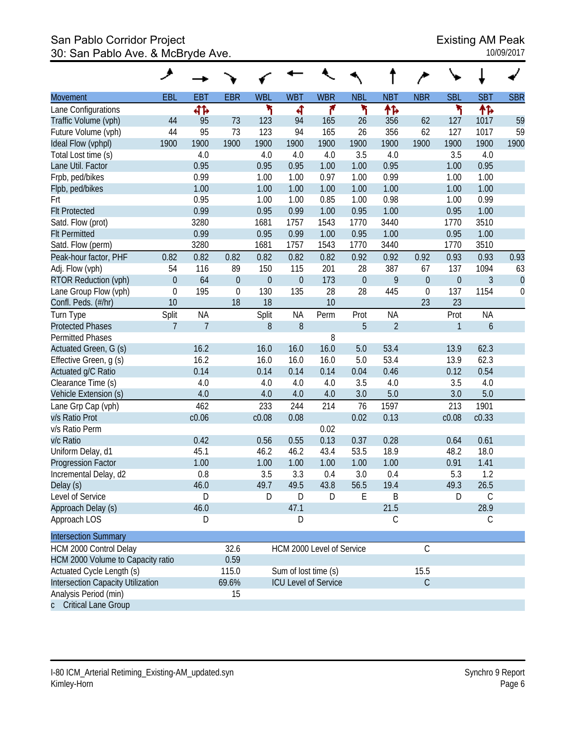# San Pablo Corridor Project<br>30: San Pablo Ave. & McBryde Ave.<br>10/09/2017 30: San Pablo Ave. & McBryde Ave.

|                                          | ◢                |                |                  |            |                      |                             |                  |                |                  |                  |                  |            |
|------------------------------------------|------------------|----------------|------------------|------------|----------------------|-----------------------------|------------------|----------------|------------------|------------------|------------------|------------|
| Movement                                 | EBL              | <b>EBT</b>     | <b>EBR</b>       | <b>WBL</b> | <b>WBT</b>           | <b>WBR</b>                  | <b>NBL</b>       | <b>NBT</b>     | <b>NBR</b>       | <b>SBL</b>       | <b>SBT</b>       | <b>SBR</b> |
| Lane Configurations                      |                  | 412            |                  | ۲          | 4                    | ۴                           | ۲                | 怍              |                  | ۲                | 怍                |            |
| Traffic Volume (vph)                     | 44               | 95             | 73               | 123        | 94                   | 165                         | 26               | 356            | 62               | 127              | 1017             | 59         |
| Future Volume (vph)                      | 44               | 95             | 73               | 123        | 94                   | 165                         | 26               | 356            | 62               | 127              | 1017             | 59         |
| Ideal Flow (vphpl)                       | 1900             | 1900           | 1900             | 1900       | 1900                 | 1900                        | 1900             | 1900           | 1900             | 1900             | 1900             | 1900       |
| Total Lost time (s)                      |                  | 4.0            |                  | 4.0        | 4.0                  | 4.0                         | 3.5              | 4.0            |                  | 3.5              | 4.0              |            |
| Lane Util. Factor                        |                  | 0.95           |                  | 0.95       | 0.95                 | 1.00                        | 1.00             | 0.95           |                  | 1.00             | 0.95             |            |
| Frpb, ped/bikes                          |                  | 0.99           |                  | 1.00       | 1.00                 | 0.97                        | 1.00             | 0.99           |                  | 1.00             | 1.00             |            |
| Flpb, ped/bikes                          |                  | 1.00           |                  | 1.00       | 1.00                 | 1.00                        | 1.00             | 1.00           |                  | 1.00             | 1.00             |            |
| Frt                                      |                  | 0.95           |                  | 1.00       | 1.00                 | 0.85                        | 1.00             | 0.98           |                  | 1.00             | 0.99             |            |
| <b>Flt Protected</b>                     |                  | 0.99           |                  | 0.95       | 0.99                 | 1.00                        | 0.95             | 1.00           |                  | 0.95             | 1.00             |            |
| Satd. Flow (prot)                        |                  | 3280           |                  | 1681       | 1757                 | 1543                        | 1770             | 3440           |                  | 1770             | 3510             |            |
| <b>Flt Permitted</b>                     |                  | 0.99           |                  | 0.95       | 0.99                 | 1.00                        | 0.95             | 1.00           |                  | 0.95             | 1.00             |            |
| Satd. Flow (perm)                        |                  | 3280           |                  | 1681       | 1757                 | 1543                        | 1770             | 3440           |                  | 1770             | 3510             |            |
| Peak-hour factor, PHF                    | 0.82             | 0.82           | 0.82             | 0.82       | 0.82                 | 0.82                        | 0.92             | 0.92           | 0.92             | 0.93             | 0.93             | 0.93       |
| Adj. Flow (vph)                          | 54               | 116            | 89               | 150        | 115                  | 201                         | 28               | 387            | 67               | 137              | 1094             | 63         |
| <b>RTOR Reduction (vph)</b>              | $\boldsymbol{0}$ | 64             | $\boldsymbol{0}$ | $\theta$   | $\boldsymbol{0}$     | 173                         | $\boldsymbol{0}$ | 9              | $\mathbf 0$      | $\boldsymbol{0}$ | 3                | $\theta$   |
| Lane Group Flow (vph)                    | $\mathbf 0$      | 195            | $\overline{0}$   | 130        | 135                  | 28                          | 28               | 445            | $\boldsymbol{0}$ | 137              | 1154             | 0          |
| Confl. Peds. (#/hr)                      | 10               |                | 18               | 18         |                      | 10                          |                  |                | 23               | 23               |                  |            |
| Turn Type                                | Split            | <b>NA</b>      |                  | Split      | NA                   | Perm                        | Prot             | <b>NA</b>      |                  | Prot             | <b>NA</b>        |            |
| <b>Protected Phases</b>                  | $\overline{7}$   | $\overline{7}$ |                  | 8          | $\boldsymbol{8}$     |                             | 5                | $\overline{2}$ |                  | $\mathbf{1}$     | $\boldsymbol{6}$ |            |
| <b>Permitted Phases</b>                  |                  |                |                  |            |                      | 8                           |                  |                |                  |                  |                  |            |
| Actuated Green, G (s)                    |                  | 16.2           |                  | 16.0       | 16.0                 | 16.0                        | 5.0              | 53.4           |                  | 13.9             | 62.3             |            |
| Effective Green, g (s)                   |                  | 16.2           |                  | 16.0       | 16.0                 | 16.0                        | 5.0              | 53.4           |                  | 13.9             | 62.3             |            |
| Actuated g/C Ratio                       |                  | 0.14           |                  | 0.14       | 0.14                 | 0.14                        | 0.04             | 0.46           |                  | 0.12             | 0.54             |            |
| Clearance Time (s)                       |                  | 4.0            |                  | 4.0        | 4.0                  | 4.0                         | 3.5              | 4.0            |                  | 3.5              | 4.0              |            |
| Vehicle Extension (s)                    |                  | 4.0            |                  | 4.0        | 4.0                  | 4.0                         | 3.0              | 5.0            |                  | 3.0              | 5.0              |            |
| Lane Grp Cap (vph)                       |                  | 462            |                  | 233        | 244                  | 214                         | 76               | 1597           |                  | 213              | 1901             |            |
| v/s Ratio Prot                           |                  | c0.06          |                  | c0.08      | 0.08                 |                             | 0.02             | 0.13           |                  | c0.08            | c0.33            |            |
| v/s Ratio Perm                           |                  |                |                  |            |                      | 0.02                        |                  |                |                  |                  |                  |            |
| v/c Ratio                                |                  | 0.42           |                  | 0.56       | 0.55                 | 0.13                        | 0.37             | 0.28           |                  | 0.64             | 0.61             |            |
| Uniform Delay, d1                        |                  | 45.1           |                  | 46.2       | 46.2                 | 43.4                        | 53.5             | 18.9           |                  | 48.2             | 18.0             |            |
| Progression Factor                       |                  | 1.00           |                  | 1.00       | 1.00                 | 1.00                        | 1.00             | 1.00           |                  | 0.91             | 1.41             |            |
| Incremental Delay, d2                    |                  | 0.8            |                  | 3.5        | 3.3                  | 0.4                         | 3.0              | 0.4            |                  | 5.3              | 1.2              |            |
| Delay (s)                                |                  | 46.0           |                  | 49.7       | 49.5                 | 43.8                        | 56.5             | 19.4           |                  | 49.3             | 26.5             |            |
| Level of Service                         |                  | D              |                  | D          | D                    | D                           | Е                | B              |                  | D                | $\mathsf{C}$     |            |
| Approach Delay (s)                       |                  | 46.0           |                  |            | 47.1                 |                             |                  | 21.5           |                  |                  | 28.9             |            |
| Approach LOS                             |                  | D              |                  |            | D                    |                             |                  | $\mathsf C$    |                  |                  | C                |            |
| <b>Intersection Summary</b>              |                  |                |                  |            |                      |                             |                  |                |                  |                  |                  |            |
| HCM 2000 Control Delay                   |                  |                | 32.6             |            |                      | HCM 2000 Level of Service   |                  |                | $\mathsf C$      |                  |                  |            |
| HCM 2000 Volume to Capacity ratio        |                  |                | 0.59             |            |                      |                             |                  |                |                  |                  |                  |            |
| Actuated Cycle Length (s)                |                  |                | 115.0            |            | Sum of lost time (s) |                             |                  |                | 15.5             |                  |                  |            |
| <b>Intersection Capacity Utilization</b> |                  |                | 69.6%            |            |                      | <b>ICU Level of Service</b> |                  |                | $\mathsf C$      |                  |                  |            |
| Analysis Period (min)                    |                  |                | 15               |            |                      |                             |                  |                |                  |                  |                  |            |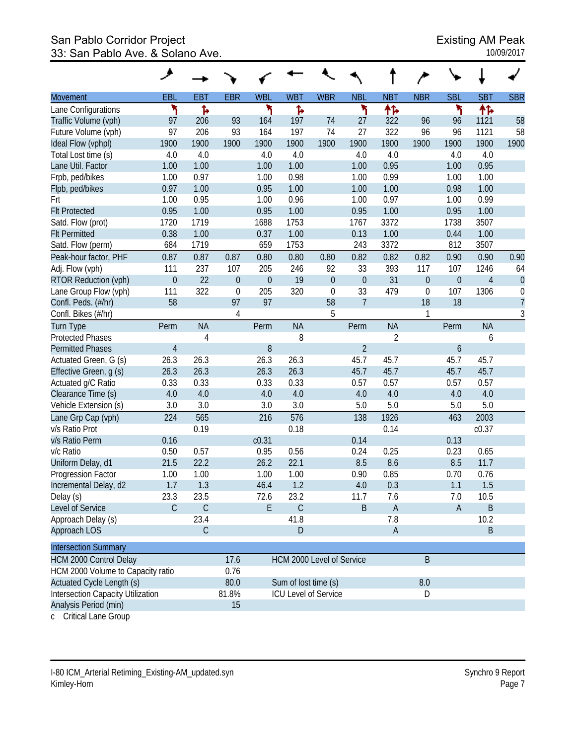# San Pablo Corridor Project<br>33: San Pablo Ave. & Solano Ave.<br>33: San Pablo Ave. & Solano Ave. 33: San Pablo Ave. & Solano Ave.

|                                                                                                                                                                                                                                                                                                         | عر               |             |                               |                  |                                                                                  |                        |                  |                |                  |                  |                |                  |
|---------------------------------------------------------------------------------------------------------------------------------------------------------------------------------------------------------------------------------------------------------------------------------------------------------|------------------|-------------|-------------------------------|------------------|----------------------------------------------------------------------------------|------------------------|------------------|----------------|------------------|------------------|----------------|------------------|
| <b>Movement</b>                                                                                                                                                                                                                                                                                         | EBL              | EBT         | <b>EBR</b>                    | <b>WBL</b>       | <b>WBT</b>                                                                       | <b>WBR</b>             | <b>NBL</b>       | <b>NBT</b>     | <b>NBR</b>       | <b>SBL</b>       | <b>SBT</b>     | <b>SBR</b>       |
| Lane Configurations                                                                                                                                                                                                                                                                                     | ۲                | ħ           |                               | ۲                | Ъ                                                                                |                        | ۲                | 怍              |                  | ۲                | 怍              |                  |
| Traffic Volume (vph)                                                                                                                                                                                                                                                                                    | 97               | 206         | 93                            | 164              | 197                                                                              | 74                     | 27               | 322            | 96               | 96               | 1121           | 58               |
| Future Volume (vph)                                                                                                                                                                                                                                                                                     | 97               | 206         | 93                            | 164              | 197                                                                              | 74                     | 27               | 322            | 96               | 96               | 1121           | 58               |
| Ideal Flow (vphpl)                                                                                                                                                                                                                                                                                      | 1900             | 1900        | 1900                          | 1900             | 1900                                                                             | 1900                   | 1900             | 1900           | 1900             | 1900             | 1900           | 1900             |
| Total Lost time (s)                                                                                                                                                                                                                                                                                     | 4.0              | 4.0         |                               | 4.0              | 4.0                                                                              |                        | 4.0              | 4.0            |                  | 4.0              | 4.0            |                  |
| Lane Util. Factor                                                                                                                                                                                                                                                                                       | 1.00             | 1.00        |                               | 1.00             | 1.00                                                                             |                        | 1.00             | 0.95           |                  | 1.00             | 0.95           |                  |
| Frpb, ped/bikes                                                                                                                                                                                                                                                                                         | 1.00             | 0.97        |                               | 1.00             | 0.98                                                                             |                        | 1.00             | 0.99           |                  | 1.00             | 1.00           |                  |
| Flpb, ped/bikes                                                                                                                                                                                                                                                                                         | 0.97             | 1.00        |                               | 0.95             | 1.00                                                                             |                        | 1.00             | 1.00           |                  | 0.98             | 1.00           |                  |
| Frt                                                                                                                                                                                                                                                                                                     | 1.00             | 0.95        |                               | 1.00             | 0.96                                                                             |                        | 1.00             | 0.97           |                  | 1.00             | 0.99           |                  |
| <b>Flt Protected</b>                                                                                                                                                                                                                                                                                    | 0.95             | 1.00        |                               | 0.95             | 1.00                                                                             |                        | 0.95             | 1.00           |                  | 0.95             | 1.00           |                  |
| Satd. Flow (prot)                                                                                                                                                                                                                                                                                       | 1720             | 1719        |                               | 1688             | 1753                                                                             |                        | 1767             | 3372           |                  | 1738             | 3507           |                  |
| <b>Flt Permitted</b>                                                                                                                                                                                                                                                                                    | 0.38             | 1.00        |                               | 0.37             | 1.00                                                                             |                        | 0.13             | 1.00           |                  | 0.44             | 1.00           |                  |
| Satd. Flow (perm)                                                                                                                                                                                                                                                                                       | 684              | 1719        |                               | 659              | 1753                                                                             |                        | 243              | 3372           |                  | 812              | 3507           |                  |
| Peak-hour factor, PHF                                                                                                                                                                                                                                                                                   | 0.87             | 0.87        | 0.87                          | 0.80             | 0.80                                                                             | 0.80                   | 0.82             | 0.82           | 0.82             | 0.90             | 0.90           | 0.90             |
|                                                                                                                                                                                                                                                                                                         | 111              | 237         | 107                           | 205              | 246                                                                              | 92                     | 33               | 393            | 117              | 107              | 1246           | 64               |
|                                                                                                                                                                                                                                                                                                         |                  | 22          | $\theta$                      |                  | 19                                                                               |                        |                  | 31             | $\boldsymbol{0}$ |                  | $\overline{4}$ | $\theta$         |
|                                                                                                                                                                                                                                                                                                         | 111              | 322         | $\boldsymbol{0}$              | 205              | 320                                                                              | $\mathbf 0$            | 33               | 479            | $\boldsymbol{0}$ | 107              | 1306           | $\boldsymbol{0}$ |
|                                                                                                                                                                                                                                                                                                         | 58               |             | 97                            | 97               |                                                                                  |                        | $\overline{7}$   |                | 18               | 18               |                | $\overline{7}$   |
| Confl. Bikes (#/hr)                                                                                                                                                                                                                                                                                     |                  |             | $\overline{4}$                |                  |                                                                                  | 5                      |                  |                | 1                |                  |                | 3                |
|                                                                                                                                                                                                                                                                                                         | Perm             | <b>NA</b>   |                               | Perm             | <b>NA</b>                                                                        |                        | Perm             | <b>NA</b>      |                  | Perm             | <b>NA</b>      |                  |
| <b>Protected Phases</b>                                                                                                                                                                                                                                                                                 |                  | 4           |                               |                  | 8                                                                                |                        |                  | $\overline{2}$ |                  |                  | 6              |                  |
| <b>Permitted Phases</b>                                                                                                                                                                                                                                                                                 | 4                |             |                               | 8                |                                                                                  |                        | $\overline{2}$   |                |                  | 6                |                |                  |
| Actuated Green, G (s)                                                                                                                                                                                                                                                                                   | 26.3             | 26.3        |                               | 26.3             | 26.3                                                                             |                        | 45.7             | 45.7           |                  | 45.7             | 45.7           |                  |
| Effective Green, g (s)                                                                                                                                                                                                                                                                                  | 26.3             | 26.3        |                               | 26.3             | 26.3                                                                             |                        | 45.7             | 45.7           |                  | 45.7             | 45.7           |                  |
| Actuated g/C Ratio                                                                                                                                                                                                                                                                                      | 0.33             | 0.33        |                               | 0.33             | 0.33                                                                             |                        | 0.57             | 0.57           |                  | 0.57             | 0.57           |                  |
| Clearance Time (s)                                                                                                                                                                                                                                                                                      | 4.0              | 4.0         |                               | 4.0              | 4.0                                                                              |                        | 4.0              | 4.0            |                  | 4.0              | 4.0            |                  |
| Vehicle Extension (s)                                                                                                                                                                                                                                                                                   | 3.0              | 3.0         |                               | 3.0              | 3.0                                                                              |                        | 5.0              | 5.0            |                  | 5.0              | 5.0            |                  |
| Lane Grp Cap (vph)                                                                                                                                                                                                                                                                                      | 224              | 565         |                               | 216              | 576                                                                              |                        | 138              | 1926           |                  | 463              | 2003           |                  |
| v/s Ratio Prot                                                                                                                                                                                                                                                                                          |                  | 0.19        |                               |                  | 0.18                                                                             |                        |                  | 0.14           |                  |                  | c0.37          |                  |
| v/s Ratio Perm                                                                                                                                                                                                                                                                                          | 0.16             |             |                               | c0.31            |                                                                                  |                        | 0.14             |                |                  | 0.13             |                |                  |
| v/c Ratio                                                                                                                                                                                                                                                                                               | 0.50             | 0.57        |                               | 0.95             | 0.56                                                                             |                        | 0.24             | 0.25           |                  | 0.23             | 0.65           |                  |
|                                                                                                                                                                                                                                                                                                         | 21.5             | 22.2        |                               | 26.2             | 22.1                                                                             |                        | 8.5              | 8.6            |                  | 8.5              | 11.7           |                  |
| <b>Progression Factor</b>                                                                                                                                                                                                                                                                               | 1.00             | 1.00        |                               | 1.00             | 1.00                                                                             |                        | 0.90             | 0.85           |                  | 0.70             | 0.76           |                  |
| Incremental Delay, d2                                                                                                                                                                                                                                                                                   | 1.7              | 1.3         |                               | 46.4             | 1.2                                                                              |                        | $4.0\,$          | 0.3            |                  | 1.1              | 1.5            |                  |
| Delay (s)                                                                                                                                                                                                                                                                                               | 23.3             | 23.5        |                               | 72.6             | 23.2                                                                             |                        | 11.7             | 7.6            |                  | 7.0              | 10.5           |                  |
| Level of Service                                                                                                                                                                                                                                                                                        | $\mathcal{C}$    | $\mathsf C$ |                               | E                | $\mathsf C$                                                                      |                        | $\sf B$          | Α              |                  | $\mathsf A$      | B              |                  |
| Approach Delay (s)                                                                                                                                                                                                                                                                                      |                  | 23.4        |                               |                  | 41.8                                                                             |                        |                  | 7.8            |                  |                  | 10.2           |                  |
| Approach LOS                                                                                                                                                                                                                                                                                            |                  | $\mathsf C$ |                               |                  | $\mathsf{D}$                                                                     |                        |                  | $\mathsf A$    |                  |                  | B              |                  |
|                                                                                                                                                                                                                                                                                                         |                  |             |                               |                  |                                                                                  |                        |                  |                |                  |                  |                |                  |
|                                                                                                                                                                                                                                                                                                         |                  |             |                               |                  |                                                                                  |                        |                  |                |                  |                  |                |                  |
|                                                                                                                                                                                                                                                                                                         |                  |             |                               |                  |                                                                                  |                        |                  |                |                  |                  |                |                  |
|                                                                                                                                                                                                                                                                                                         |                  |             |                               |                  |                                                                                  |                        |                  |                |                  |                  |                |                  |
|                                                                                                                                                                                                                                                                                                         |                  |             |                               |                  |                                                                                  |                        |                  |                |                  |                  |                |                  |
| Analysis Period (min)                                                                                                                                                                                                                                                                                   |                  |             | 15                            |                  |                                                                                  |                        |                  |                |                  |                  |                |                  |
| Adj. Flow (vph)<br>RTOR Reduction (vph)<br>Lane Group Flow (vph)<br>Confl. Peds. (#/hr)<br><b>Turn Type</b><br>Uniform Delay, d1<br><b>Intersection Summary</b><br><b>HCM 2000 Control Delay</b><br>HCM 2000 Volume to Capacity ratio<br>Actuated Cycle Length (s)<br>Intersection Capacity Utilization | $\boldsymbol{0}$ |             | 17.6<br>0.76<br>80.0<br>81.8% | $\boldsymbol{0}$ | HCM 2000 Level of Service<br>Sum of lost time (s)<br><b>ICU Level of Service</b> | $\boldsymbol{0}$<br>58 | $\boldsymbol{0}$ |                | B<br>8.0<br>D    | $\boldsymbol{0}$ |                |                  |

c Critical Lane Group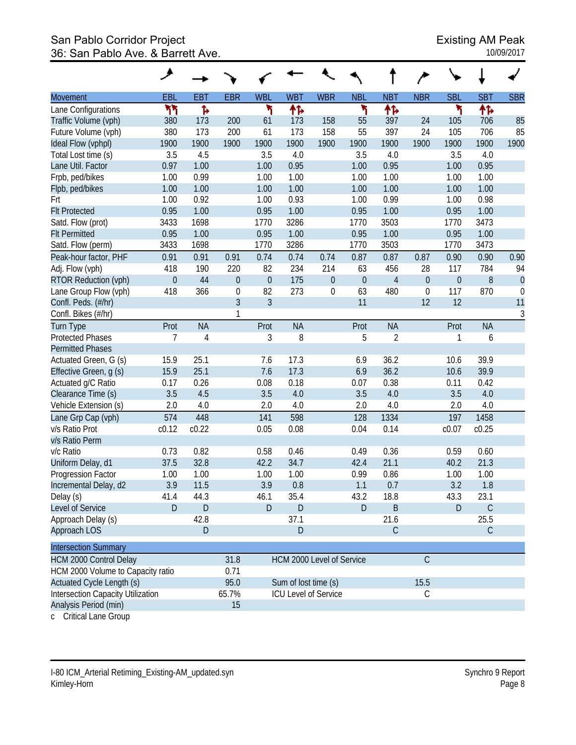# San Pablo Corridor Project<br>36: San Pablo Ave. & Barrett Ave.<br>10/09/2017 36: San Pablo Ave. & Barrett Ave.

|                                                   | ◢            |               |                  |                      |                           |                             |                  |                |                  |                  |             |             |
|---------------------------------------------------|--------------|---------------|------------------|----------------------|---------------------------|-----------------------------|------------------|----------------|------------------|------------------|-------------|-------------|
| <b>Movement</b>                                   | EBL          | EBT           | <b>EBR</b>       | <b>WBL</b>           | <b>WBT</b>                | <b>WBR</b>                  | <b>NBL</b>       | <b>NBT</b>     | <b>NBR</b>       | <b>SBL</b>       | <b>SBT</b>  | <b>SBR</b>  |
| Lane Configurations                               | ካካ           | ħ             |                  | ۲                    | ተኈ                        |                             | ۲                | ቶኈ             |                  | ۲                | 怍           |             |
| Traffic Volume (vph)                              | 380          | 173           | 200              | 61                   | 173                       | 158                         | 55               | 397            | 24               | 105              | 706         | 85          |
| Future Volume (vph)                               | 380          | 173           | 200              | 61                   | 173                       | 158                         | 55               | 397            | 24               | 105              | 706         | 85          |
| Ideal Flow (vphpl)                                | 1900         | 1900          | 1900             | 1900                 | 1900                      | 1900                        | 1900             | 1900           | 1900             | 1900             | 1900        | 1900        |
| Total Lost time (s)                               | 3.5          | 4.5           |                  | 3.5                  | 4.0                       |                             | 3.5              | 4.0            |                  | 3.5              | 4.0         |             |
| Lane Util. Factor                                 | 0.97         | 1.00          |                  | 1.00                 | 0.95                      |                             | 1.00             | 0.95           |                  | 1.00             | 0.95        |             |
| Frpb, ped/bikes                                   | 1.00         | 0.99          |                  | 1.00                 | 1.00                      |                             | 1.00             | 1.00           |                  | 1.00             | 1.00        |             |
| Flpb, ped/bikes                                   | 1.00         | 1.00          |                  | 1.00                 | 1.00                      |                             | 1.00             | 1.00           |                  | 1.00             | 1.00        |             |
| Frt                                               | 1.00         | 0.92          |                  | 1.00                 | 0.93                      |                             | 1.00             | 0.99           |                  | 1.00             | 0.98        |             |
| <b>Flt Protected</b>                              | 0.95         | 1.00          |                  | 0.95                 | 1.00                      |                             | 0.95             | 1.00           |                  | 0.95             | 1.00        |             |
| Satd. Flow (prot)                                 | 3433         | 1698          |                  | 1770                 | 3286                      |                             | 1770             | 3503           |                  | 1770             | 3473        |             |
| <b>Flt Permitted</b>                              | 0.95         | 1.00          |                  | 0.95                 | 1.00                      |                             | 0.95             | 1.00           |                  | 0.95             | 1.00        |             |
| Satd. Flow (perm)                                 | 3433         | 1698          |                  | 1770                 | 3286                      |                             | 1770             | 3503           |                  | 1770             | 3473        |             |
| Peak-hour factor, PHF                             | 0.91         | 0.91          | 0.91             | 0.74                 | 0.74                      | 0.74                        | 0.87             | 0.87           | 0.87             | 0.90             | 0.90        | 0.90        |
| Adj. Flow (vph)                                   | 418          | 190           | 220              | 82                   | 234                       | 214                         | 63               | 456            | 28               | 117              | 784         | 94          |
| RTOR Reduction (vph)                              | $\mathbf{0}$ | 44            | $\boldsymbol{0}$ | $\boldsymbol{0}$     | 175                       | $\mathbf 0$                 | $\boldsymbol{0}$ | $\overline{4}$ | $\boldsymbol{0}$ | $\boldsymbol{0}$ | $8\,$       | $\theta$    |
| Lane Group Flow (vph)                             | 418          | 366           | $\mathbf 0$      | 82                   | 273                       | $\boldsymbol{0}$            | 63               | 480            | $\mathbf 0$      | 117              | 870         | $\mathbf 0$ |
| Confl. Peds. (#/hr)                               |              |               | $\overline{3}$   | 3                    |                           |                             | 11               |                | 12               | 12               |             | 11          |
| Confl. Bikes (#/hr)                               |              |               | 1                |                      |                           |                             |                  |                |                  |                  |             | 3           |
| <b>Turn Type</b>                                  | Prot         | <b>NA</b>     |                  | Prot                 | <b>NA</b>                 |                             | Prot             | <b>NA</b>      |                  | Prot             | <b>NA</b>   |             |
| <b>Protected Phases</b>                           | 7            | 4             |                  | 3                    | 8                         |                             | 5                | $\overline{2}$ |                  | 1                | 6           |             |
| <b>Permitted Phases</b>                           |              |               |                  |                      |                           |                             |                  |                |                  |                  |             |             |
| Actuated Green, G (s)                             | 15.9         | 25.1          |                  | 7.6                  | 17.3                      |                             | 6.9              | 36.2           |                  | 10.6             | 39.9        |             |
| Effective Green, g (s)                            | 15.9         | 25.1          |                  | 7.6                  | 17.3                      |                             | 6.9              | 36.2           |                  | 10.6             | 39.9        |             |
| Actuated g/C Ratio                                | 0.17         | 0.26          |                  | 0.08                 | 0.18                      |                             | 0.07             | 0.38           |                  | 0.11             | 0.42        |             |
| Clearance Time (s)                                | 3.5          | 4.5           |                  | 3.5                  | 4.0                       |                             | 3.5              | 4.0            |                  | 3.5              | 4.0         |             |
| Vehicle Extension (s)                             | 2.0          | 4.0           |                  | 2.0                  | 4.0                       |                             | 2.0              | 4.0            |                  | 2.0              | 4.0         |             |
| Lane Grp Cap (vph)                                | 574          | 448           |                  | 141                  | 598                       |                             | 128              | 1334           |                  | 197              | 1458        |             |
| v/s Ratio Prot                                    | c0.12        | c0.22         |                  | 0.05                 | 0.08                      |                             | 0.04             | 0.14           |                  | c0.07            | c0.25       |             |
| v/s Ratio Perm                                    |              |               |                  |                      |                           |                             |                  |                |                  |                  |             |             |
| v/c Ratio                                         | 0.73         | 0.82          |                  | 0.58                 | 0.46                      |                             | 0.49             | 0.36           |                  | 0.59             | 0.60        |             |
| Uniform Delay, d1                                 | 37.5         | 32.8          |                  | 42.2                 | 34.7                      |                             | 42.4             | 21.1           |                  | 40.2             | 21.3        |             |
| Progression Factor                                | 1.00         | 1.00          |                  | 1.00                 | 1.00                      |                             | 0.99             | 0.86           |                  | 1.00             | 1.00        |             |
| Incremental Delay, d2                             | 3.9          | 11.5          |                  | 3.9                  | 0.8                       |                             | 1.1              | 0.7            |                  | 3.2              | 1.8         |             |
| Delay (s)                                         | 41.4         | 44.3          |                  | 46.1                 | 35.4                      |                             | 43.2             | 18.8           |                  | 43.3             | 23.1        |             |
| Level of Service                                  | D            | $\mathsf{D}%$ |                  | D                    | $\mathsf D$               |                             | D                | B              |                  | D                | $\mathsf C$ |             |
| Approach Delay (s)                                |              | 42.8          |                  |                      | 37.1                      |                             |                  | 21.6           |                  |                  | 25.5        |             |
| Approach LOS                                      |              | D             |                  |                      | D                         |                             |                  | $\mathsf C$    |                  |                  | $\mathsf C$ |             |
| <b>Intersection Summary</b>                       |              |               |                  |                      |                           |                             |                  |                |                  |                  |             |             |
| <b>HCM 2000 Control Delay</b>                     |              | 31.8          |                  |                      | HCM 2000 Level of Service |                             |                  | $\mathsf C$    |                  |                  |             |             |
| HCM 2000 Volume to Capacity ratio                 |              |               | 0.71             |                      |                           |                             |                  |                |                  |                  |             |             |
| Actuated Cycle Length (s)                         |              | 95.0          |                  | Sum of lost time (s) |                           |                             |                  | 15.5           |                  |                  |             |             |
| <b>Intersection Capacity Utilization</b><br>65.7% |              |               |                  |                      |                           | <b>ICU Level of Service</b> |                  |                | $\mathsf{C}$     |                  |             |             |
| Analysis Period (min)                             |              | 15            |                  |                      |                           |                             |                  |                |                  |                  |             |             |

c Critical Lane Group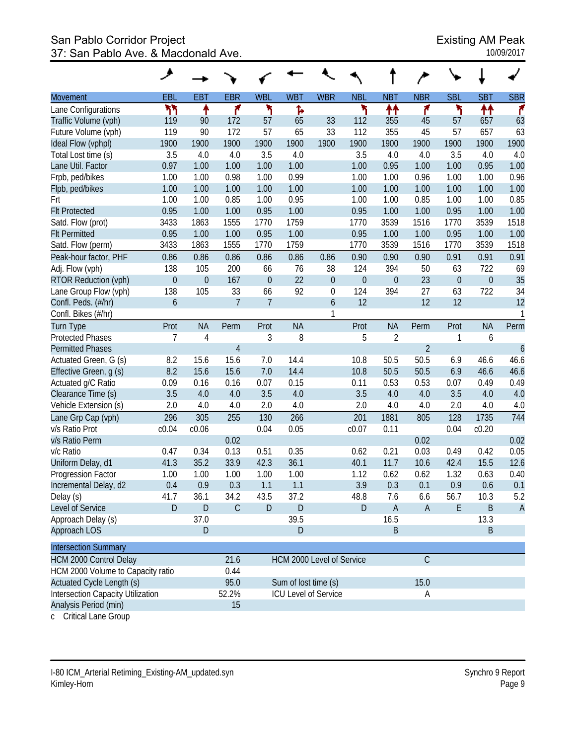# San Pablo Corridor Project<br>37: San Pablo Ave. & Macdonald Ave. 37: San Pablo Ave. & Macdonald Ave.

|                                             | خر                      |              |                      |                      |                             |                       |                         |                |                |                    |                         |                |
|---------------------------------------------|-------------------------|--------------|----------------------|----------------------|-----------------------------|-----------------------|-------------------------|----------------|----------------|--------------------|-------------------------|----------------|
| <b>Movement</b>                             | EBL                     | <b>EBT</b>   | <b>EBR</b>           | <b>WBL</b>           | <b>WBT</b>                  | <b>WBR</b>            | <b>NBL</b>              | <b>NBT</b>     | <b>NBR</b>     | <b>SBL</b>         | <b>SBT</b>              | <b>SBR</b>     |
| Lane Configurations                         | ካካ                      | ↟            | ۴                    | ۲                    | Ъ                           |                       | ۲                       | ↟↟             | ۴              | ۲                  | ↟↟                      | ۴              |
| Traffic Volume (vph)                        | 119                     | 90           | 172                  | 57                   | 65                          | 33                    | 112                     | 355            | 45             | 57                 | 657                     | 63             |
| Future Volume (vph)                         | 119                     | 90           | 172                  | 57                   | 65                          | 33                    | 112                     | 355            | 45             | 57                 | 657                     | 63             |
| Ideal Flow (vphpl)                          | 1900                    | 1900         | 1900                 | 1900                 | 1900                        | 1900                  | 1900                    | 1900           | 1900           | 1900               | 1900                    | 1900           |
| Total Lost time (s)                         | 3.5                     | 4.0          | 4.0                  | 3.5                  | 4.0                         |                       | 3.5                     | 4.0            | 4.0            | 3.5                | 4.0                     | 4.0            |
| Lane Util. Factor                           | 0.97                    | 1.00         | 1.00                 | 1.00                 | 1.00                        |                       | 1.00                    | 0.95           | 1.00           | 1.00               | 0.95                    | 1.00           |
| Frpb, ped/bikes                             | 1.00                    | 1.00         | 0.98                 | 1.00                 | 0.99                        |                       | 1.00                    | 1.00           | 0.96           | 1.00               | 1.00                    | 0.96           |
| Flpb, ped/bikes                             | 1.00                    | 1.00         | 1.00                 | 1.00                 | 1.00                        |                       | 1.00                    | 1.00           | 1.00           | 1.00               | 1.00                    | 1.00           |
| Frt                                         | 1.00                    | 1.00         | 0.85                 | 1.00                 | 0.95                        |                       | 1.00                    | 1.00           | 0.85           | 1.00               | 1.00                    | 0.85           |
| <b>Flt Protected</b>                        | 0.95                    | 1.00         | 1.00                 | 0.95                 | 1.00                        |                       | 0.95                    | 1.00           | 1.00           | 0.95               | 1.00                    | 1.00           |
| Satd. Flow (prot)                           | 3433                    | 1863         | 1555                 | 1770                 | 1759                        |                       | 1770                    | 3539           | 1516           | 1770               | 3539                    | 1518           |
| <b>Flt Permitted</b>                        | 0.95                    | 1.00<br>1863 | 1.00<br>1555         | 0.95<br>1770         | 1.00<br>1759                |                       | 0.95<br>1770            | 1.00<br>3539   | 1.00           | 0.95               | 1.00                    | 1.00           |
| Satd. Flow (perm)                           | 3433                    |              |                      |                      |                             |                       |                         |                | 1516           | 1770               | 3539                    | 1518           |
| Peak-hour factor, PHF                       | 0.86                    | 0.86         | 0.86                 | 0.86                 | 0.86                        | 0.86                  | 0.90                    | 0.90           | 0.90           | 0.91               | 0.91                    | 0.91           |
| Adj. Flow (vph)                             | 138                     | 105          | 200                  | 66                   | 76                          | 38                    | 124                     | 394            | 50             | 63                 | 722                     | 69             |
| RTOR Reduction (vph)                        | $\boldsymbol{0}$<br>138 | $\mathbf 0$  | 167                  | $\theta$             | 22<br>92                    | $\boldsymbol{0}$      | $\boldsymbol{0}$<br>124 | $\mathbf 0$    | 23<br>27       | $\mathbf{0}$<br>63 | $\boldsymbol{0}$<br>722 | 35             |
| Lane Group Flow (vph)                       | 6                       | 105          | 33<br>$\overline{7}$ | 66<br>$\overline{7}$ |                             | $\boldsymbol{0}$<br>6 | 12                      | 394            | 12             | 12                 |                         | 34<br>12       |
| Confl. Peds. (#/hr)<br>Confl. Bikes (#/hr)  |                         |              |                      |                      |                             | 1                     |                         |                |                |                    |                         | 1              |
|                                             |                         |              |                      |                      |                             |                       |                         |                |                |                    |                         |                |
| <b>Turn Type</b><br><b>Protected Phases</b> | Prot<br>7               | <b>NA</b>    | Perm                 | Prot                 | <b>NA</b><br>8              |                       | Prot                    | <b>NA</b>      | Perm           | Prot               | <b>NA</b>               | Perm           |
| <b>Permitted Phases</b>                     |                         | 4            | $\overline{4}$       | 3                    |                             |                       | 5                       | $\overline{2}$ | $\overline{2}$ | 1                  | 6                       |                |
| Actuated Green, G (s)                       | 8.2                     | 15.6         | 15.6                 | 7.0                  | 14.4                        |                       | 10.8                    | 50.5           | 50.5           | 6.9                | 46.6                    | 6<br>46.6      |
| Effective Green, g (s)                      | 8.2                     | 15.6         | 15.6                 | 7.0                  | 14.4                        |                       | 10.8                    | 50.5           | 50.5           | 6.9                | 46.6                    | 46.6           |
| Actuated g/C Ratio                          | 0.09                    | 0.16         | 0.16                 | 0.07                 | 0.15                        |                       | 0.11                    | 0.53           | 0.53           | 0.07               | 0.49                    | 0.49           |
| Clearance Time (s)                          | 3.5                     | 4.0          | 4.0                  | 3.5                  | 4.0                         |                       | 3.5                     | 4.0            | 4.0            | 3.5                | 4.0                     | 4.0            |
| Vehicle Extension (s)                       | 2.0                     | 4.0          | 4.0                  | 2.0                  | 4.0                         |                       | 2.0                     | 4.0            | 4.0            | 2.0                | 4.0                     | 4.0            |
| Lane Grp Cap (vph)                          | 296                     | 305          | 255                  | 130                  | 266                         |                       | 201                     | 1881           | 805            | 128                | 1735                    | 744            |
| v/s Ratio Prot                              | c0.04                   | c0.06        |                      | 0.04                 | 0.05                        |                       | c0.07                   | 0.11           |                | 0.04               | c0.20                   |                |
| v/s Ratio Perm                              |                         |              | 0.02                 |                      |                             |                       |                         |                | 0.02           |                    |                         | 0.02           |
| v/c Ratio                                   | 0.47                    | 0.34         | 0.13                 | 0.51                 | 0.35                        |                       | 0.62                    | 0.21           | 0.03           | 0.49               | 0.42                    | 0.05           |
| Uniform Delay, d1                           | 41.3                    | 35.2         | 33.9                 | 42.3                 | 36.1                        |                       | 40.1                    | 11.7           | 10.6           | 42.4               | 15.5                    | 12.6           |
| Progression Factor                          | 1.00                    | 1.00         | 1.00                 | 1.00                 | 1.00                        |                       | 1.12                    | 0.62           | 0.62           | 1.32               | 0.63                    | 0.40           |
| Incremental Delay, d2                       | 0.4                     | 0.9          | 0.3                  | 1.1                  | 1.1                         |                       | 3.9                     | 0.3            | 0.1            | 0.9                | 0.6                     | 0.1            |
| Delay (s)                                   | 41.7                    | 36.1         | 34.2                 | 43.5                 | 37.2                        |                       | 48.8                    | 7.6            | 6.6            | 56.7               | 10.3                    | 5.2            |
| Level of Service                            | D                       | $\mathsf D$  | $\mathsf C$          | $\mathsf D$          | $\mathsf D$                 |                       | D                       | $\mathsf A$    | $\mathsf{A}$   | $\mathsf E$        | $\sf B$                 | $\overline{A}$ |
| Approach Delay (s)                          |                         | 37.0         |                      |                      | 39.5                        |                       |                         | 16.5           |                |                    | 13.3                    |                |
| Approach LOS                                |                         | $\mathsf D$  |                      |                      | $\mathsf D$                 | $\sf B$               |                         |                | B              |                    |                         |                |
|                                             |                         |              |                      |                      |                             |                       |                         |                |                |                    |                         |                |
| <b>Intersection Summary</b>                 |                         |              |                      |                      |                             |                       |                         |                |                |                    |                         |                |
| <b>HCM 2000 Control Delay</b>               |                         |              | 21.6                 |                      | HCM 2000 Level of Service   |                       |                         |                | $\mathcal{C}$  |                    |                         |                |
| HCM 2000 Volume to Capacity ratio           |                         |              | 0.44                 |                      |                             |                       |                         |                |                |                    |                         |                |
| 95.0<br>Actuated Cycle Length (s)           |                         |              |                      | Sum of lost time (s) |                             |                       |                         | 15.0           |                |                    |                         |                |
| Intersection Capacity Utilization           |                         |              | 52.2%                |                      | <b>ICU Level of Service</b> |                       |                         |                | A              |                    |                         |                |
| Analysis Period (min)                       |                         |              | 15                   |                      |                             |                       |                         |                |                |                    |                         |                |

c Critical Lane Group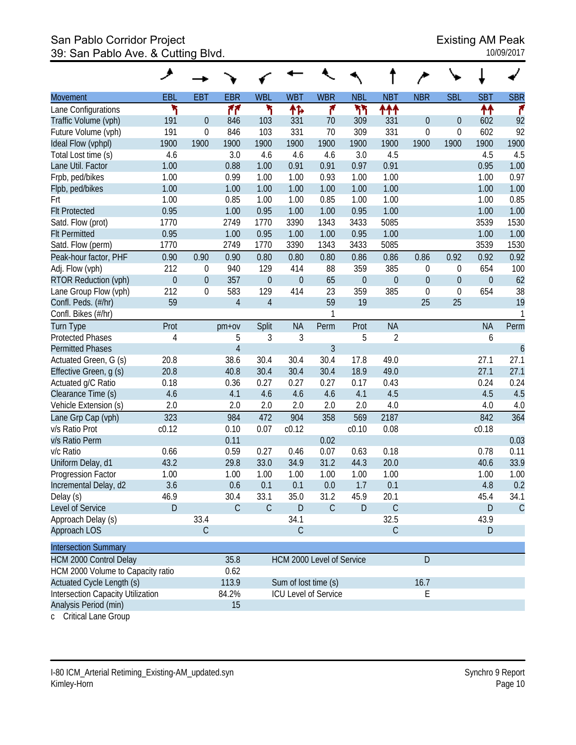# San Pablo Corridor Project **Existing AM Peak** 39: San Pablo Ave. & Cutting Blvd. 10/09/2017

|                                          | مر               |                  |                |                  |                             |                |                  |                |                  |                  |              |                  |
|------------------------------------------|------------------|------------------|----------------|------------------|-----------------------------|----------------|------------------|----------------|------------------|------------------|--------------|------------------|
| <b>Movement</b>                          | EBL              | EBT              | <b>EBR</b>     | <b>WBL</b>       | <b>WBT</b>                  | <b>WBR</b>     | <b>NBL</b>       | <b>NBT</b>     | <b>NBR</b>       | <b>SBL</b>       | <b>SBT</b>   | <b>SBR</b>       |
| Lane Configurations                      | ۲                |                  | 71             | ۲                | ተኈ                          | ۴              | ۲٢               | ተተተ            |                  |                  | ↟↟           | ۴                |
| Traffic Volume (vph)                     | 191              | $\boldsymbol{0}$ | 846            | 103              | 331                         | 70             | 309              | 331            | $\boldsymbol{0}$ | $\boldsymbol{0}$ | 602          | 92               |
| Future Volume (vph)                      | 191              | 0                | 846            | 103              | 331                         | 70             | 309              | 331            | $\mathbf 0$      | $\boldsymbol{0}$ | 602          | 92               |
| Ideal Flow (vphpl)                       | 1900             | 1900             | 1900           | 1900             | 1900                        | 1900           | 1900             | 1900           | 1900             | 1900             | 1900         | 1900             |
| Total Lost time (s)                      | 4.6              |                  | 3.0            | 4.6              | 4.6                         | 4.6            | 3.0              | 4.5            |                  |                  | 4.5          | 4.5              |
| Lane Util. Factor                        | 1.00             |                  | 0.88           | 1.00             | 0.91                        | 0.91           | 0.97             | 0.91           |                  |                  | 0.95         | 1.00             |
| Frpb, ped/bikes                          | 1.00             |                  | 0.99           | 1.00             | 1.00                        | 0.93           | 1.00             | 1.00           |                  |                  | 1.00         | 0.97             |
| Flpb, ped/bikes                          | 1.00             |                  | 1.00           | 1.00             | 1.00                        | 1.00           | 1.00             | 1.00           |                  |                  | 1.00         | 1.00             |
| Frt                                      | 1.00             |                  | 0.85           | 1.00             | 1.00                        | 0.85           | 1.00             | 1.00           |                  |                  | 1.00         | 0.85             |
| <b>Flt Protected</b>                     | 0.95             |                  | 1.00           | 0.95             | 1.00                        | 1.00           | 0.95             | 1.00           |                  |                  | 1.00         | 1.00             |
| Satd. Flow (prot)                        | 1770             |                  | 2749           | 1770             | 3390                        | 1343           | 3433             | 5085           |                  |                  | 3539         | 1530             |
| <b>Flt Permitted</b>                     | 0.95             |                  | 1.00           | 0.95             | 1.00                        | 1.00           | 0.95             | 1.00           |                  |                  | 1.00         | 1.00             |
| Satd. Flow (perm)                        | 1770             |                  | 2749           | 1770             | 3390                        | 1343           | 3433             | 5085           |                  |                  | 3539         | 1530             |
| Peak-hour factor, PHF                    | 0.90             | 0.90             | 0.90           | 0.80             | 0.80                        | 0.80           | 0.86             | 0.86           | 0.86             | 0.92             | 0.92         | 0.92             |
| Adj. Flow (vph)                          | 212              | $\boldsymbol{0}$ | 940            | 129              | 414                         | 88             | 359              | 385            | $\boldsymbol{0}$ | 0                | 654          | 100              |
| RTOR Reduction (vph)                     | $\boldsymbol{0}$ | $\boldsymbol{0}$ | 357            | $\boldsymbol{0}$ | $\mathbf{0}$                | 65             | $\boldsymbol{0}$ | $\mathbf 0$    | $\overline{0}$   | $\boldsymbol{0}$ | $\mathbf{0}$ | 62               |
| Lane Group Flow (vph)                    | 212              | $\boldsymbol{0}$ | 583            | 129              | 414                         | 23             | 359              | 385            | $\mathbf 0$      | $\boldsymbol{0}$ | 654          | 38               |
| Confl. Peds. (#/hr)                      | 59               |                  | $\overline{4}$ | $\overline{4}$   |                             | 59             | 19               |                | 25               | 25               |              | 19               |
| Confl. Bikes (#/hr)                      |                  |                  |                |                  |                             | 1              |                  |                |                  |                  |              | $\mathbf{1}$     |
| <b>Turn Type</b>                         | Prot             |                  | $pm+ov$        | Split            | <b>NA</b>                   | Perm           | Prot             | <b>NA</b>      |                  |                  | <b>NA</b>    | Perm             |
| <b>Protected Phases</b>                  | 4                |                  | 5              | 3                | 3                           |                | 5                | $\overline{2}$ |                  |                  | 6            |                  |
| <b>Permitted Phases</b>                  |                  |                  | $\overline{4}$ |                  |                             | $\mathfrak{Z}$ |                  |                |                  |                  |              | $\boldsymbol{6}$ |
| Actuated Green, G (s)                    | 20.8             |                  | 38.6           | 30.4             | 30.4                        | 30.4           | 17.8             | 49.0           |                  |                  | 27.1         | 27.1             |
| Effective Green, g (s)                   | 20.8             |                  | 40.8           | 30.4             | 30.4                        | 30.4           | 18.9             | 49.0           |                  |                  | 27.1         | 27.1             |
| Actuated g/C Ratio                       | 0.18             |                  | 0.36           | 0.27             | 0.27                        | 0.27           | 0.17             | 0.43           |                  |                  | 0.24         | 0.24             |
| Clearance Time (s)                       | 4.6              |                  | 4.1            | 4.6              | 4.6                         | 4.6            | 4.1              | 4.5            |                  |                  | 4.5          | 4.5              |
| Vehicle Extension (s)                    | 2.0              |                  | 2.0            | 2.0              | 2.0                         | 2.0            | 2.0              | 4.0            |                  |                  | 4.0          | 4.0              |
| Lane Grp Cap (vph)                       | 323              |                  | 984            | 472              | 904                         | 358            | 569              | 2187           |                  |                  | 842          | 364              |
| v/s Ratio Prot                           | c0.12            |                  | 0.10           | 0.07             | c0.12                       |                | c0.10            | 0.08           |                  |                  | c0.18        |                  |
| v/s Ratio Perm                           |                  |                  | 0.11           |                  |                             | 0.02           |                  |                |                  |                  |              | 0.03             |
| v/c Ratio                                | 0.66             |                  | 0.59           | 0.27             | 0.46                        | 0.07           | 0.63             | 0.18           |                  |                  | 0.78         | 0.11             |
| Uniform Delay, d1                        | 43.2             |                  | 29.8           | 33.0             | 34.9                        | 31.2           | 44.3             | 20.0           |                  |                  | 40.6         | 33.9             |
| Progression Factor                       | 1.00             |                  | 1.00           | 1.00             | 1.00                        | 1.00           | 1.00             | 1.00           |                  |                  | 1.00         | 1.00             |
| Incremental Delay, d2                    | 3.6              |                  | 0.6            | 0.1              | 0.1                         | 0.0            | 1.7              | 0.1            |                  |                  | $4.8\,$      | 0.2              |
| Delay (s)                                | 46.9             |                  | 30.4           | 33.1             | 35.0                        | 31.2           | 45.9             | 20.1           |                  |                  | 45.4         | 34.1             |
| Level of Service                         | D                |                  | $\mathsf C$    | $\mathsf C$      | $\mathsf D$                 | $\mathsf C$    | D                | $\mathsf C$    |                  |                  | $\mathsf D$  | $\mathsf{C}$     |
| Approach Delay (s)                       |                  | 33.4             |                |                  | 34.1                        |                |                  | 32.5           |                  |                  | 43.9         |                  |
| Approach LOS                             |                  | $\mathcal{C}$    |                |                  | $\mathsf C$                 |                |                  | $\mathsf C$    |                  |                  | D            |                  |
| <b>Intersection Summary</b>              |                  |                  |                |                  |                             |                |                  |                |                  |                  |              |                  |
| HCM 2000 Control Delay                   |                  |                  | 35.8           |                  | HCM 2000 Level of Service   |                |                  |                | D                |                  |              |                  |
| HCM 2000 Volume to Capacity ratio        |                  |                  | 0.62           |                  |                             |                |                  |                |                  |                  |              |                  |
| Actuated Cycle Length (s)                |                  |                  | 113.9          |                  | Sum of lost time (s)        |                |                  |                | 16.7             |                  |              |                  |
| <b>Intersection Capacity Utilization</b> |                  |                  | 84.2%          |                  | <b>ICU Level of Service</b> |                |                  |                | Ε                |                  |              |                  |
| Analysis Period (min)                    |                  |                  | 15             |                  |                             |                |                  |                |                  |                  |              |                  |

c Critical Lane Group

I-80 ICM\_Arterial Retiming\_Existing-AM\_updated.syn<br>Kimley-Horn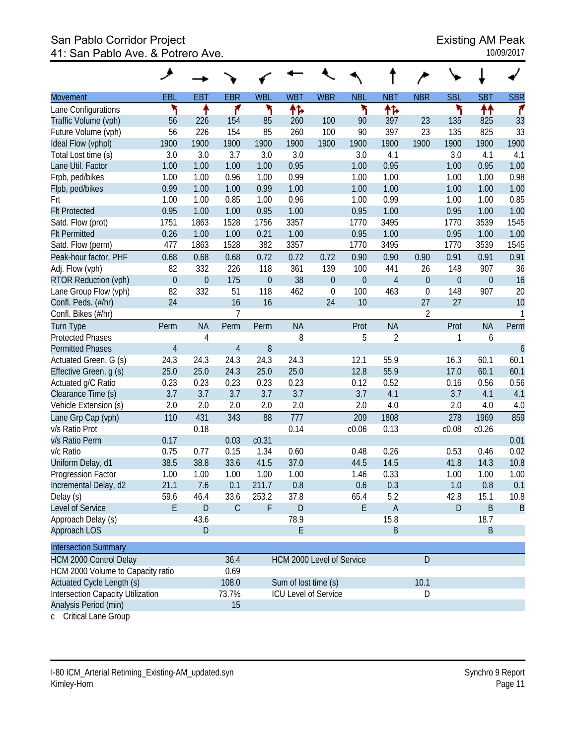# San Pablo Corridor Project<br>
41: San Pablo Ave. & Potrero Ave.<br>
41: San Pablo Ave. & Potrero Ave. 41: San Pablo Ave. & Potrero Ave.

|                                             | حر               |                      |                      |                           |                      |                             |                     |                    |                  |                  |                  |                        |
|---------------------------------------------|------------------|----------------------|----------------------|---------------------------|----------------------|-----------------------------|---------------------|--------------------|------------------|------------------|------------------|------------------------|
| <b>Movement</b>                             | EBL              | <b>EBT</b>           | <b>EBR</b>           | <b>WBL</b>                | <b>WBT</b>           | <b>WBR</b>                  | <b>NBL</b>          | <b>NBT</b>         | <b>NBR</b>       | <b>SBL</b>       | <b>SBT</b>       | <b>SBR</b>             |
| Lane Configurations                         | ۲                | ↟                    | ۴                    | ۲                         | 怍                    |                             | ۲                   | 怍                  |                  | ۳                | ↟↟               | ۴                      |
| Traffic Volume (vph)                        | 56               | 226                  | 154                  | 85                        | 260                  | 100                         | 90                  | 397                | 23               | 135              | 825              | 33                     |
| Future Volume (vph)                         | 56               | 226                  | 154                  | 85                        | 260                  | 100                         | 90                  | 397                | 23               | 135              | 825              | 33                     |
| Ideal Flow (vphpl)                          | 1900             | 1900                 | 1900                 | 1900                      | 1900                 | 1900                        | 1900                | 1900               | 1900             | 1900             | 1900             | 1900                   |
| Total Lost time (s)                         | 3.0              | 3.0                  | 3.7                  | 3.0                       | 3.0                  |                             | 3.0                 | 4.1                |                  | 3.0              | 4.1              | 4.1                    |
| Lane Util. Factor                           | 1.00             | 1.00                 | 1.00                 | 1.00                      | 0.95                 |                             | 1.00                | 0.95               |                  | 1.00             | 0.95             | 1.00                   |
| Frpb, ped/bikes                             | 1.00             | 1.00                 | 0.96                 | 1.00                      | 0.99                 |                             | 1.00                | 1.00               |                  | 1.00             | 1.00             | 0.98                   |
| Flpb, ped/bikes                             | 0.99             | 1.00                 | 1.00                 | 0.99                      | 1.00                 |                             | 1.00                | 1.00               |                  | 1.00             | 1.00             | 1.00                   |
| Frt                                         | 1.00             | 1.00                 | 0.85                 | 1.00                      | 0.96                 |                             | 1.00                | 0.99               |                  | 1.00             | 1.00             | 0.85                   |
| <b>Flt Protected</b>                        | 0.95             | 1.00                 | 1.00                 | 0.95                      | 1.00                 |                             | 0.95                | 1.00               |                  | 0.95             | 1.00             | 1.00                   |
| Satd. Flow (prot)                           | 1751             | 1863                 | 1528                 | 1756                      | 3357                 |                             | 1770                | 3495               |                  | 1770             | 3539             | 1545                   |
| <b>Flt Permitted</b>                        | 0.26             | 1.00                 | 1.00                 | 0.21                      | 1.00                 |                             | 0.95                | 1.00               |                  | 0.95             | 1.00             | 1.00                   |
| Satd. Flow (perm)                           | 477              | 1863                 | 1528                 | 382                       | 3357                 |                             | 1770                | 3495               |                  | 1770             | 3539             | 1545                   |
| Peak-hour factor, PHF                       | 0.68             | 0.68                 | 0.68                 | 0.72                      | 0.72                 | 0.72                        | 0.90                | 0.90               | 0.90             | 0.91             | 0.91             | 0.91                   |
| Adj. Flow (vph)                             | 82               | 332                  | 226                  | 118                       | 361                  | 139                         | 100                 | 441                | 26               | 148              | 907              | 36                     |
| <b>RTOR Reduction (vph)</b>                 | $\boldsymbol{0}$ | $\boldsymbol{0}$     | 175                  | $\boldsymbol{0}$          | 38                   | $\boldsymbol{0}$            | $\boldsymbol{0}$    | $\overline{4}$     | $\boldsymbol{0}$ | $\boldsymbol{0}$ | $\boldsymbol{0}$ | 16                     |
| Lane Group Flow (vph)                       | 82               | 332                  | 51                   | 118                       | 462                  | $\mathbf 0$                 | 100                 | 463                | $\mathbf 0$      | 148              | 907              | 20                     |
| Confl. Peds. (#/hr)                         | 24               |                      | 16                   | 16                        |                      | 24                          | 10                  |                    | 27               | 27               |                  | 10                     |
| Confl. Bikes (#/hr)                         |                  |                      | $\overline{7}$       |                           |                      |                             |                     |                    | $\overline{2}$   |                  |                  | 1                      |
| <b>Turn Type</b>                            | Perm             | <b>NA</b>            | Perm                 | Perm                      | <b>NA</b>            |                             | Prot                | <b>NA</b>          |                  | Prot             | <b>NA</b>        | Perm                   |
| <b>Protected Phases</b>                     |                  | 4                    |                      |                           | 8                    |                             | 5                   | $\overline{2}$     |                  | 1                | 6                |                        |
| <b>Permitted Phases</b>                     | $\sqrt{4}$       |                      | $\overline{4}$       | 8                         |                      |                             |                     |                    |                  |                  |                  | $\boldsymbol{6}$       |
| Actuated Green, G (s)                       | 24.3             | 24.3                 | 24.3                 | 24.3                      | 24.3                 |                             | 12.1                | 55.9               |                  | 16.3             | 60.1             | 60.1                   |
| Effective Green, g (s)                      | 25.0             | 25.0                 | 24.3                 | 25.0                      | 25.0                 |                             | 12.8                | 55.9               |                  | 17.0             | 60.1             | 60.1                   |
| Actuated g/C Ratio                          | 0.23             | 0.23                 | 0.23                 | 0.23                      | 0.23                 |                             | 0.12                | 0.52               |                  | 0.16             | 0.56             | 0.56                   |
| Clearance Time (s)                          | 3.7              | 3.7                  | 3.7                  | 3.7                       | 3.7                  |                             | 3.7                 | 4.1                |                  | 3.7              | 4.1              | 4.1                    |
| Vehicle Extension (s)                       | 2.0              | 2.0                  | 2.0                  | 2.0                       | 2.0                  |                             | 2.0                 | 4.0                |                  | 2.0              | 4.0              | 4.0                    |
| Lane Grp Cap (vph)                          | 110              | 431                  | 343                  | 88                        | 777                  |                             | 209                 | 1808               |                  | 278              | 1969             | 859                    |
| v/s Ratio Prot                              |                  | 0.18                 |                      |                           | 0.14                 |                             | c0.06               | 0.13               |                  | c0.08            | c0.26            |                        |
| v/s Ratio Perm                              | 0.17             |                      | 0.03                 | c0.31                     |                      |                             |                     |                    |                  |                  |                  | 0.01                   |
| v/c Ratio                                   | 0.75             | 0.77                 | 0.15                 | 1.34                      | 0.60                 |                             | 0.48                | 0.26               |                  | 0.53             | 0.46             | 0.02                   |
| Uniform Delay, d1                           | 38.5             | 38.8                 | 33.6                 | 41.5                      | 37.0                 |                             | 44.5                | 14.5               |                  | 41.8             | 14.3             | 10.8                   |
| Progression Factor<br>Incremental Delay, d2 | 1.00             | 1.00<br>7.6          | 1.00                 | 1.00                      | 1.00                 |                             | 1.46                | 0.33               |                  | 1.00             | 1.00             | 1.00                   |
|                                             | 21.1             |                      | 0.1                  | 211.7<br>253.2            | 0.8                  |                             | 0.6                 | 0.3                |                  | $1.0\,$          | 0.8<br>15.1      | 0.1                    |
| Delay (s)                                   | 59.6<br>E        | 46.4<br>$\mathsf{D}$ | 33.6<br>$\mathsf{C}$ | F                         | 37.8<br>${\sf D}$    |                             | 65.4<br>$\mathsf E$ | 5.2<br>$\mathsf A$ |                  | 42.8<br>D        | B                | 10.8<br>$\overline{B}$ |
| Level of Service<br>Approach Delay (s)      |                  | 43.6                 |                      |                           | 78.9                 |                             |                     | 15.8               |                  |                  | 18.7             |                        |
| Approach LOS                                |                  | D                    |                      |                           | E                    |                             |                     | $\sf B$            |                  |                  | B                |                        |
|                                             |                  |                      |                      |                           |                      |                             |                     |                    |                  |                  |                  |                        |
| <b>Intersection Summary</b>                 |                  |                      |                      |                           |                      |                             |                     |                    |                  |                  |                  |                        |
| <b>HCM 2000 Control Delay</b><br>36.4       |                  |                      |                      | HCM 2000 Level of Service |                      |                             |                     |                    | D                |                  |                  |                        |
| HCM 2000 Volume to Capacity ratio           |                  |                      | 0.69                 |                           |                      |                             |                     |                    |                  |                  |                  |                        |
| Actuated Cycle Length (s)                   |                  |                      | 108.0                |                           | Sum of lost time (s) |                             |                     |                    | 10.1<br>D        |                  |                  |                        |
| <b>Intersection Capacity Utilization</b>    | 73.7%            |                      |                      |                           |                      | <b>ICU Level of Service</b> |                     |                    |                  |                  |                  |                        |
| Analysis Period (min)                       | 15               |                      |                      |                           |                      |                             |                     |                    |                  |                  |                  |                        |

c Critical Lane Group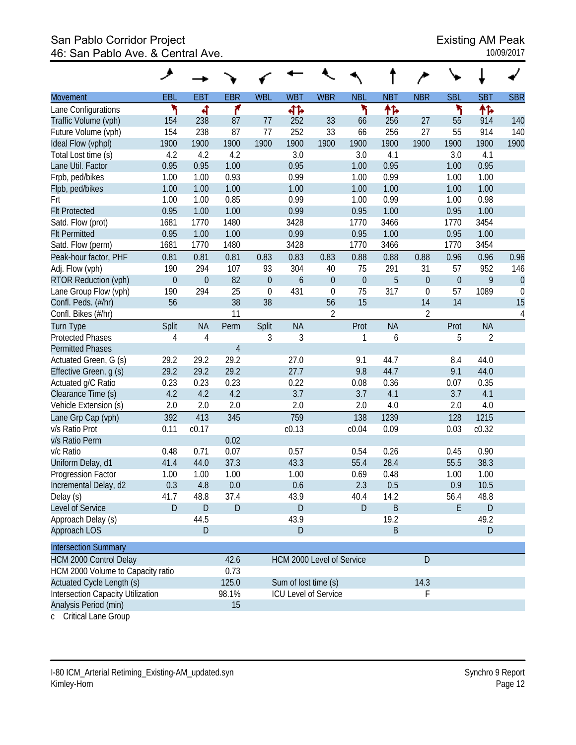# San Pablo Corridor Project<br>
46: San Pablo Ave. & Central Ave.<br>
46: San Pablo Ave. & Central Ave. 46: San Pablo Ave. & Central Ave.

|                                   | ↗                |                  |                |                  |                             |                |            |            |                  |                  |                |             |
|-----------------------------------|------------------|------------------|----------------|------------------|-----------------------------|----------------|------------|------------|------------------|------------------|----------------|-------------|
| <b>Movement</b>                   | <b>EBL</b>       | <b>EBT</b>       | <b>EBR</b>     | <b>WBL</b>       | <b>WBT</b>                  | <b>WBR</b>     | <b>NBL</b> | <b>NBT</b> | <b>NBR</b>       | <b>SBL</b>       | <b>SBT</b>     | <b>SBR</b>  |
| Lane Configurations               | ٦                | ৰ                | ۴              |                  | 412                         |                | ۲          | 怍          |                  | ۲                | 怍              |             |
| Traffic Volume (vph)              | 154              | 238              | 87             | 77               | 252                         | 33             | 66         | 256        | 27               | 55               | 914            | 140         |
| Future Volume (vph)               | 154              | 238              | 87             | 77               | 252                         | 33             | 66         | 256        | 27               | 55               | 914            | 140         |
| Ideal Flow (vphpl)                | 1900             | 1900             | 1900           | 1900             | 1900                        | 1900           | 1900       | 1900       | 1900             | 1900             | 1900           | 1900        |
| Total Lost time (s)               | 4.2              | 4.2              | 4.2            |                  | 3.0                         |                | 3.0        | 4.1        |                  | 3.0              | 4.1            |             |
| Lane Util. Factor                 | 0.95             | 0.95             | 1.00           |                  | 0.95                        |                | 1.00       | 0.95       |                  | 1.00             | 0.95           |             |
| Frpb, ped/bikes                   | 1.00             | 1.00             | 0.93           |                  | 0.99                        |                | 1.00       | 0.99       |                  | 1.00             | 1.00           |             |
| Flpb, ped/bikes                   | 1.00             | 1.00             | 1.00           |                  | 1.00                        |                | 1.00       | 1.00       |                  | 1.00             | 1.00           |             |
| Frt                               | 1.00             | 1.00             | 0.85           |                  | 0.99                        |                | 1.00       | 0.99       |                  | 1.00             | 0.98           |             |
| <b>Flt Protected</b>              | 0.95             | 1.00             | 1.00           |                  | 0.99                        |                | 0.95       | 1.00       |                  | 0.95             | 1.00           |             |
| Satd. Flow (prot)                 | 1681             | 1770             | 1480           |                  | 3428                        |                | 1770       | 3466       |                  | 1770             | 3454           |             |
| <b>Flt Permitted</b>              | 0.95             | 1.00             | 1.00           |                  | 0.99                        |                | 0.95       | 1.00       |                  | 0.95             | 1.00           |             |
| Satd. Flow (perm)                 | 1681             | 1770             | 1480           |                  | 3428                        |                | 1770       | 3466       |                  | 1770             | 3454           |             |
| Peak-hour factor, PHF             | 0.81             | 0.81             | 0.81           | 0.83             | 0.83                        | 0.83           | 0.88       | 0.88       | 0.88             | 0.96             | 0.96           | 0.96        |
| Adj. Flow (vph)                   | 190              | 294              | 107            | 93               | 304                         | 40             | 75         | 291        | 31               | 57               | 952            | 146         |
| RTOR Reduction (vph)              | $\boldsymbol{0}$ | $\boldsymbol{0}$ | 82             | $\boldsymbol{0}$ | $\boldsymbol{6}$            | $\theta$       | $\theta$   | 5          | $\boldsymbol{0}$ | $\boldsymbol{0}$ | 9              | $\theta$    |
| Lane Group Flow (vph)             | 190              | 294              | 25             | $\boldsymbol{0}$ | 431                         | $\mathbf 0$    | 75         | 317        | $\mathbf 0$      | 57               | 1089           | $\mathbf 0$ |
| Confl. Peds. (#/hr)               | 56               |                  | 38             | 38               |                             | 56             | 15         |            | 14               | 14               |                | 15          |
| Confl. Bikes (#/hr)               |                  |                  | 11             |                  |                             | $\overline{2}$ |            |            | 2                |                  |                | 4           |
| <b>Turn Type</b>                  | Split            | <b>NA</b>        | Perm           | Split            | <b>NA</b>                   |                | Prot       | <b>NA</b>  |                  | Prot             | <b>NA</b>      |             |
| <b>Protected Phases</b>           | 4                | 4                |                | 3                | 3                           |                | 1          | 6          |                  | 5                | $\overline{2}$ |             |
| <b>Permitted Phases</b>           |                  |                  | $\overline{4}$ |                  |                             |                |            |            |                  |                  |                |             |
| Actuated Green, G (s)             | 29.2             | 29.2             | 29.2           |                  | 27.0                        |                | 9.1        | 44.7       |                  | 8.4              | 44.0           |             |
| Effective Green, g (s)            | 29.2             | 29.2             | 29.2           |                  | 27.7                        |                | 9.8        | 44.7       |                  | 9.1              | 44.0           |             |
| Actuated g/C Ratio                | 0.23             | 0.23             | 0.23           |                  | 0.22                        |                | 0.08       | 0.36       |                  | 0.07             | 0.35           |             |
| Clearance Time (s)                | 4.2              | 4.2              | 4.2            |                  | 3.7                         |                | 3.7        | 4.1        |                  | 3.7              | 4.1            |             |
| Vehicle Extension (s)             | 2.0              | 2.0              | 2.0            |                  | 2.0                         |                | 2.0        | 4.0        |                  | 2.0              | 4.0            |             |
| Lane Grp Cap (vph)                | 392              | 413              | 345            |                  | 759                         |                | 138        | 1239       |                  | 128              | 1215           |             |
| v/s Ratio Prot                    | 0.11             | c0.17            |                |                  | c0.13                       |                | c0.04      | 0.09       |                  | 0.03             | c0.32          |             |
| v/s Ratio Perm                    |                  |                  | 0.02           |                  |                             |                |            |            |                  |                  |                |             |
| v/c Ratio                         | 0.48             | 0.71             | 0.07           |                  | 0.57                        |                | 0.54       | 0.26       |                  | 0.45             | 0.90           |             |
| Uniform Delay, d1                 | 41.4             | 44.0             | 37.3           |                  | 43.3                        |                | 55.4       | 28.4       |                  | 55.5             | 38.3           |             |
| Progression Factor                | 1.00             | 1.00             | 1.00           |                  | 1.00                        |                | 0.69       | 0.48       |                  | 1.00             | 1.00           |             |
| Incremental Delay, d2             | 0.3              | 4.8              | 0.0            |                  | $0.6\,$                     |                | 2.3        | 0.5        |                  | 0.9              | 10.5           |             |
| Delay (s)                         | 41.7             | 48.8             | 37.4           |                  | 43.9                        |                | 40.4       | 14.2       |                  | 56.4             | 48.8           |             |
| Level of Service                  | D                | $\mathsf D$      | D              |                  | D                           |                | D          | B          |                  | E                | D              |             |
| Approach Delay (s)                |                  | 44.5             |                |                  | 43.9                        |                |            | 19.2       |                  |                  | 49.2           |             |
| Approach LOS                      |                  | $\mathsf D$      |                |                  | $\mathsf D$                 |                |            | Β          |                  |                  | D              |             |
| <b>Intersection Summary</b>       |                  |                  |                |                  |                             |                |            |            |                  |                  |                |             |
| <b>HCM 2000 Control Delay</b>     |                  |                  | 42.6           |                  | HCM 2000 Level of Service   |                |            |            | D                |                  |                |             |
| HCM 2000 Volume to Capacity ratio | 0.73             |                  |                |                  |                             |                |            |            |                  |                  |                |             |
| Actuated Cycle Length (s)         |                  |                  | 125.0          |                  | Sum of lost time (s)        |                |            |            | 14.3             |                  |                |             |
| Intersection Capacity Utilization |                  |                  | 98.1%          |                  | <b>ICU Level of Service</b> |                |            |            | F                |                  |                |             |
| Analysis Period (min)             |                  |                  | 15             |                  |                             |                |            |            |                  |                  |                |             |

c Critical Lane Group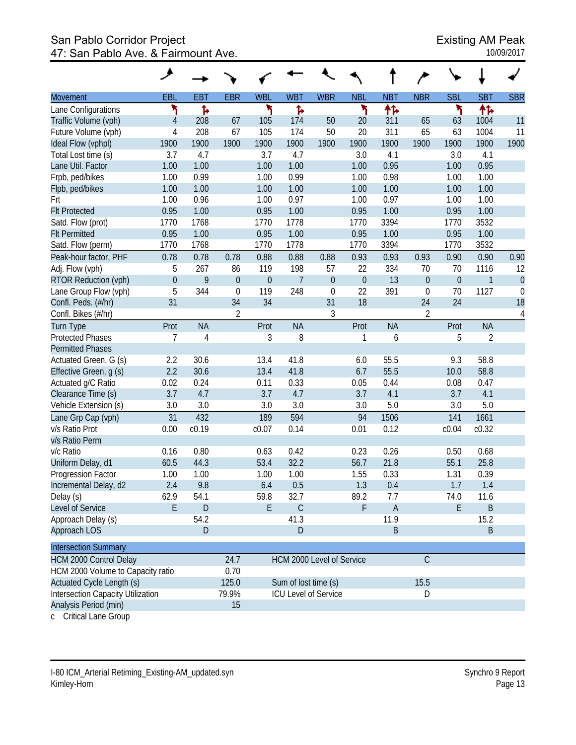# San Pablo Corridor Project<br>47: San Pablo Ave. & Fairmount Ave. 47: San Pablo Ave. & Fairmount Ave.

|                                   | عر               |            |                               |                           |                |                             |                  |             |                  |                  |              |                |
|-----------------------------------|------------------|------------|-------------------------------|---------------------------|----------------|-----------------------------|------------------|-------------|------------------|------------------|--------------|----------------|
| <b>Movement</b>                   | EBL              | <b>EBT</b> | <b>EBR</b>                    | <b>WBL</b>                | <b>WBT</b>     | <b>WBR</b>                  | <b>NBL</b>       | <b>NBT</b>  | <b>NBR</b>       | <b>SBL</b>       | <b>SBT</b>   | <b>SBR</b>     |
| Lane Configurations               | ኻ                | ħ          |                               | ۲                         | Ъ              |                             | ٦                | 怍           |                  | ۲                | ተኈ           |                |
| Traffic Volume (vph)              | $\overline{4}$   | 208        | 67                            | 105                       | 174            | 50                          | 20               | 311         | 65               | 63               | 1004         | 11             |
| Future Volume (vph)               | 4                | 208        | 67                            | 105                       | 174            | 50                          | 20               | 311         | 65               | 63               | 1004         | 11             |
| Ideal Flow (vphpl)                | 1900             | 1900       | 1900                          | 1900                      | 1900           | 1900                        | 1900             | 1900        | 1900             | 1900             | 1900         | 1900           |
| Total Lost time (s)               | 3.7              | 4.7        |                               | 3.7                       | 4.7            |                             | 3.0              | 4.1         |                  | 3.0              | 4.1          |                |
| Lane Util. Factor                 | 1.00             | 1.00       |                               | 1.00                      | 1.00           |                             | 1.00             | 0.95        |                  | 1.00             | 0.95         |                |
| Frpb, ped/bikes                   | 1.00             | 0.99       |                               | 1.00                      | 0.99           |                             | 1.00             | 0.98        |                  | 1.00             | 1.00         |                |
| Flpb, ped/bikes                   | 1.00             | 1.00       |                               | 1.00                      | 1.00           |                             | 1.00             | 1.00        |                  | 1.00             | 1.00         |                |
| Frt                               | 1.00             | 0.96       |                               | 1.00                      | 0.97           |                             | 1.00             | 0.97        |                  | 1.00             | 1.00         |                |
| <b>Flt Protected</b>              | 0.95             | 1.00       |                               | 0.95                      | 1.00           |                             | 0.95             | 1.00        |                  | 0.95             | 1.00         |                |
| Satd. Flow (prot)                 | 1770             | 1768       |                               | 1770                      | 1778           |                             | 1770             | 3394        |                  | 1770             | 3532         |                |
| <b>Flt Permitted</b>              | 0.95             | 1.00       |                               | 0.95                      | 1.00           |                             | 0.95             | 1.00        |                  | 0.95             | 1.00         |                |
| Satd. Flow (perm)                 | 1770             | 1768       |                               | 1770                      | 1778           |                             | 1770             | 3394        |                  | 1770             | 3532         |                |
| Peak-hour factor, PHF             | 0.78             | 0.78       | 0.78                          | 0.88                      | 0.88           | 0.88                        | 0.93             | 0.93        | 0.93             | 0.90             | 0.90         | 0.90           |
| Adj. Flow (vph)                   | 5                | 267        | 86                            | 119                       | 198            | 57                          | 22               | 334         | 70               | 70               | 1116         | 12             |
| RTOR Reduction (vph)              | $\boldsymbol{0}$ | 9          | $\theta$                      | $\boldsymbol{0}$          | $\overline{7}$ | $\boldsymbol{0}$            | $\boldsymbol{0}$ | 13          | $\boldsymbol{0}$ | $\boldsymbol{0}$ | $\mathbf{1}$ | $\overline{0}$ |
| Lane Group Flow (vph)             | 5                | 344        | $\mathbf 0$                   | 119                       | 248            | $\mathbf 0$                 | 22               | 391         | $\boldsymbol{0}$ | 70               | 1127         | $\mathbf 0$    |
| Confl. Peds. (#/hr)               | 31               |            | 34                            | 34                        |                | 31                          | 18               |             | 24               | 24               |              | 18             |
| Confl. Bikes (#/hr)               |                  |            | $\overline{2}$                |                           |                | $\mathfrak{Z}$              |                  |             | $\overline{2}$   |                  |              | 4              |
| <b>Turn Type</b>                  | Prot             | <b>NA</b>  |                               | Prot                      | <b>NA</b>      |                             | Prot             | <b>NA</b>   |                  | Prot             | <b>NA</b>    |                |
| <b>Protected Phases</b>           | 7                | 4          |                               | 3                         | 8              |                             | 1                | 6           |                  | 5                | 2            |                |
| <b>Permitted Phases</b>           |                  |            |                               |                           |                |                             |                  |             |                  |                  |              |                |
| Actuated Green, G (s)             | 2.2              | 30.6       |                               | 13.4                      | 41.8           |                             | 6.0              | 55.5        |                  | 9.3              | 58.8         |                |
| Effective Green, g (s)            | 2.2              | 30.6       |                               | 13.4                      | 41.8           |                             | 6.7              | 55.5        |                  | 10.0             | 58.8         |                |
| Actuated g/C Ratio                | 0.02             | 0.24       |                               | 0.11                      | 0.33           |                             | 0.05             | 0.44        |                  | 0.08             | 0.47         |                |
| Clearance Time (s)                | 3.7              | 4.7        |                               | 3.7                       | 4.7            |                             | 3.7              | 4.1         |                  | 3.7              | 4.1          |                |
| Vehicle Extension (s)             | 3.0              | 3.0        |                               | 3.0                       | 3.0            |                             | 3.0              | 5.0         |                  | 3.0              | 5.0          |                |
| Lane Grp Cap (vph)                | 31               | 432        |                               | 189                       | 594            |                             | 94               | 1506        |                  | 141              | 1661         |                |
| v/s Ratio Prot                    | 0.00             | c0.19      |                               | c0.07                     | 0.14           |                             | 0.01             | 0.12        |                  | c0.04            | c0.32        |                |
| v/s Ratio Perm                    |                  |            |                               |                           |                |                             |                  |             |                  |                  |              |                |
| v/c Ratio                         | 0.16             | 0.80       |                               | 0.63                      | 0.42           |                             | 0.23             | 0.26        |                  | 0.50             | 0.68         |                |
| Uniform Delay, d1                 | 60.5             | 44.3       |                               | 53.4                      | 32.2           |                             | 56.7             | 21.8        |                  | 55.1             | 25.8         |                |
| Progression Factor                | 1.00             | 1.00       |                               | 1.00                      | 1.00           |                             | 1.55             | 0.33        |                  | 1.31             | 0.39         |                |
| Incremental Delay, d2             | 2.4              | 9.8        |                               | 6.4                       | 0.5            |                             | 1.3              | 0.4         |                  | $1.7\,$          | $1.4$        |                |
| Delay (s)                         | 62.9             | 54.1       |                               | 59.8                      | 32.7           |                             | 89.2             | 7.7         |                  | 74.0             | 11.6         |                |
| Level of Service                  | E                | ${\sf D}$  |                               | E                         | $\mathsf C$    |                             | $\mathsf F$      | $\mathsf A$ |                  | E                | B            |                |
| Approach Delay (s)                |                  | 54.2       |                               |                           | 41.3           |                             |                  | 11.9        |                  |                  | 15.2         |                |
| Approach LOS                      |                  | ${\sf D}$  |                               |                           | $\mathsf D$    |                             |                  | B           |                  |                  | B            |                |
| <b>Intersection Summary</b>       |                  |            |                               |                           |                |                             |                  |             |                  |                  |              |                |
| <b>HCM 2000 Control Delay</b>     |                  |            | 24.7                          | HCM 2000 Level of Service |                |                             |                  |             | $\overline{C}$   |                  |              |                |
| HCM 2000 Volume to Capacity ratio |                  |            | 0.70                          |                           |                |                             |                  |             |                  |                  |              |                |
| Actuated Cycle Length (s)         |                  |            | 125.0<br>Sum of lost time (s) |                           |                |                             |                  |             | 15.5             |                  |              |                |
| Intersection Capacity Utilization |                  |            | 79.9%                         |                           |                | <b>ICU Level of Service</b> |                  |             | D                |                  |              |                |
| Analysis Period (min)             |                  |            | 15                            |                           |                |                             |                  |             |                  |                  |              |                |

c Critical Lane Group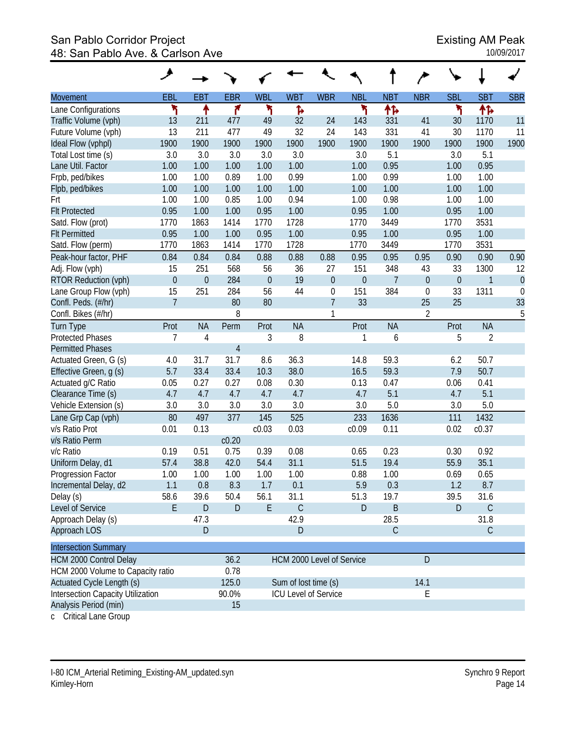# San Pablo Corridor Project<br>
48: San Pablo Ave. & Carlson Ave **Existing AM Peak**<br>
<sup>10/09/2017</sup> 48: San Pablo Ave. & Carlson Ave

|                                   | حر             |                  |                |              |                             |                  |                  |                |                  |                  |                |                |
|-----------------------------------|----------------|------------------|----------------|--------------|-----------------------------|------------------|------------------|----------------|------------------|------------------|----------------|----------------|
| <b>Movement</b>                   | EBL            | <b>EBT</b>       | <b>EBR</b>     | <b>WBL</b>   | <b>WBT</b>                  | <b>WBR</b>       | <b>NBL</b>       | <b>NBT</b>     | <b>NBR</b>       | <b>SBL</b>       | <b>SBT</b>     | <b>SBR</b>     |
| Lane Configurations               | ኻ              | ↟                | ۴              | ۲            | Ъ                           |                  | ۲                | 怍              |                  | ۲                | 怍              |                |
| Traffic Volume (vph)              | 13             | 211              | 477            | 49           | 32                          | 24               | 143              | 331            | 41               | 30               | 1170           | 11             |
| Future Volume (vph)               | 13             | 211              | 477            | 49           | 32                          | 24               | 143              | 331            | 41               | 30               | 1170           | 11             |
| Ideal Flow (vphpl)                | 1900           | 1900             | 1900           | 1900         | 1900                        | 1900             | 1900             | 1900           | 1900             | 1900             | 1900           | 1900           |
| Total Lost time (s)               | 3.0            | 3.0              | 3.0            | 3.0          | 3.0                         |                  | 3.0              | 5.1            |                  | 3.0              | 5.1            |                |
| Lane Util. Factor                 | 1.00           | 1.00             | 1.00           | 1.00         | 1.00                        |                  | 1.00             | 0.95           |                  | 1.00             | 0.95           |                |
| Frpb, ped/bikes                   | 1.00           | 1.00             | 0.89           | 1.00         | 0.99                        |                  | 1.00             | 0.99           |                  | 1.00             | 1.00           |                |
| Flpb, ped/bikes                   | 1.00           | 1.00             | 1.00           | 1.00         | 1.00                        |                  | 1.00             | 1.00           |                  | 1.00             | 1.00           |                |
| Frt                               | 1.00           | 1.00             | 0.85           | 1.00         | 0.94                        |                  | 1.00             | 0.98           |                  | 1.00             | 1.00           |                |
| <b>Flt Protected</b>              | 0.95           | 1.00             | 1.00           | 0.95         | 1.00                        |                  | 0.95             | 1.00           |                  | 0.95             | 1.00           |                |
| Satd. Flow (prot)                 | 1770           | 1863             | 1414           | 1770         | 1728                        |                  | 1770             | 3449           |                  | 1770             | 3531           |                |
| <b>Flt Permitted</b>              | 0.95           | 1.00             | 1.00           | 0.95         | 1.00                        |                  | 0.95             | 1.00           |                  | 0.95             | 1.00           |                |
| Satd. Flow (perm)                 | 1770           | 1863             | 1414           | 1770         | 1728                        |                  | 1770             | 3449           |                  | 1770             | 3531           |                |
| Peak-hour factor, PHF             | 0.84           | 0.84             | 0.84           | 0.88         | 0.88                        | 0.88             | 0.95             | 0.95           | 0.95             | 0.90             | 0.90           | 0.90           |
| Adj. Flow (vph)                   | 15             | 251              | 568            | 56           | 36                          | 27               | 151              | 348            | 43               | 33               | 1300           | 12             |
| RTOR Reduction (vph)              | $\mathbf 0$    | $\boldsymbol{0}$ | 284            | $\mathbf{0}$ | 19                          | $\boldsymbol{0}$ | $\boldsymbol{0}$ | $\overline{7}$ | $\boldsymbol{0}$ | $\boldsymbol{0}$ | $\mathbf{1}$   | $\overline{0}$ |
| Lane Group Flow (vph)             | 15             | 251              | 284            | 56           | 44                          | $\boldsymbol{0}$ | 151              | 384            | $\mathbf 0$      | 33               | 1311           | $\mathbf 0$    |
| Confl. Peds. (#/hr)               | $\overline{7}$ |                  | 80             | 80           |                             | $\overline{7}$   | 33               |                | 25               | 25               |                | 33             |
| Confl. Bikes (#/hr)               |                |                  | 8              |              |                             | 1                |                  |                | 2                |                  |                | 5              |
| <b>Turn Type</b>                  | Prot           | <b>NA</b>        | Perm           | Prot         | <b>NA</b>                   |                  | Prot             | <b>NA</b>      |                  | Prot             | <b>NA</b>      |                |
| <b>Protected Phases</b>           | $\overline{7}$ | 4                |                | 3            | 8                           |                  | 1                | 6              |                  | 5                | $\overline{2}$ |                |
| <b>Permitted Phases</b>           |                |                  | $\overline{4}$ |              |                             |                  |                  |                |                  |                  |                |                |
| Actuated Green, G (s)             | 4.0            | 31.7             | 31.7           | 8.6          | 36.3                        |                  | 14.8             | 59.3           |                  | 6.2              | 50.7           |                |
| Effective Green, g (s)            | 5.7            | 33.4             | 33.4           | 10.3         | 38.0                        |                  | 16.5             | 59.3           |                  | 7.9              | 50.7           |                |
| Actuated g/C Ratio                | 0.05           | 0.27             | 0.27           | 0.08         | 0.30                        |                  | 0.13             | 0.47           |                  | 0.06             | 0.41           |                |
| Clearance Time (s)                | 4.7            | 4.7              | 4.7            | 4.7          | 4.7                         |                  | 4.7              | 5.1            |                  | 4.7              | 5.1            |                |
| Vehicle Extension (s)             | 3.0            | 3.0              | 3.0            | 3.0          | 3.0                         |                  | 3.0              | 5.0            |                  | 3.0              | 5.0            |                |
| Lane Grp Cap (vph)                | 80             | 497              | 377            | 145          | 525                         |                  | 233              | 1636           |                  | 111              | 1432           |                |
| v/s Ratio Prot                    | 0.01           | 0.13             |                | c0.03        | 0.03                        |                  | c0.09            | 0.11           |                  | 0.02             | c0.37          |                |
| v/s Ratio Perm                    |                |                  | c0.20          |              |                             |                  |                  |                |                  |                  |                |                |
| v/c Ratio                         | 0.19           | 0.51             | 0.75           | 0.39         | 0.08                        |                  | 0.65             | 0.23           |                  | 0.30             | 0.92           |                |
| Uniform Delay, d1                 | 57.4           | 38.8             | 42.0           | 54.4         | 31.1                        |                  | 51.5             | 19.4           |                  | 55.9             | 35.1           |                |
| Progression Factor                | 1.00           | 1.00             | 1.00           | 1.00         | 1.00                        |                  | 0.88             | 1.00           |                  | 0.69             | 0.65           |                |
| Incremental Delay, d2             | 1.1            | 0.8              | 8.3            | 1.7          | 0.1                         |                  | 5.9              | 0.3            |                  | 1.2              | 8.7            |                |
| Delay (s)                         | 58.6           | 39.6             | 50.4           | 56.1         | 31.1                        |                  | 51.3             | 19.7           |                  | 39.5             | 31.6           |                |
| Level of Service                  | E.             | $\mathsf{D}%$    | D              | E            | $\mathsf C$                 |                  | D                | B              |                  | D                | $\mathsf C$    |                |
| Approach Delay (s)                |                | 47.3             |                |              | 42.9                        |                  |                  | 28.5           |                  |                  | 31.8           |                |
| Approach LOS                      |                | $\mathsf{D}%$    |                |              | D                           |                  |                  | $\mathsf C$    |                  |                  | $\mathsf{C}$   |                |
|                                   |                |                  |                |              |                             |                  |                  |                |                  |                  |                |                |
| <b>Intersection Summary</b>       |                |                  |                |              |                             |                  |                  |                |                  |                  |                |                |
| HCM 2000 Control Delay            |                |                  | 36.2           |              | HCM 2000 Level of Service   |                  |                  |                | D                |                  |                |                |
| HCM 2000 Volume to Capacity ratio |                |                  | 0.78           |              |                             |                  |                  |                |                  |                  |                |                |
| Actuated Cycle Length (s)         |                |                  | 125.0          |              | Sum of lost time (s)        |                  |                  |                | 14.1             |                  |                |                |
| Intersection Capacity Utilization |                |                  | 90.0%          |              | <b>ICU Level of Service</b> |                  |                  |                | E                |                  |                |                |
| Analysis Period (min)             |                |                  | 15             |              |                             |                  |                  |                |                  |                  |                |                |

c Critical Lane Group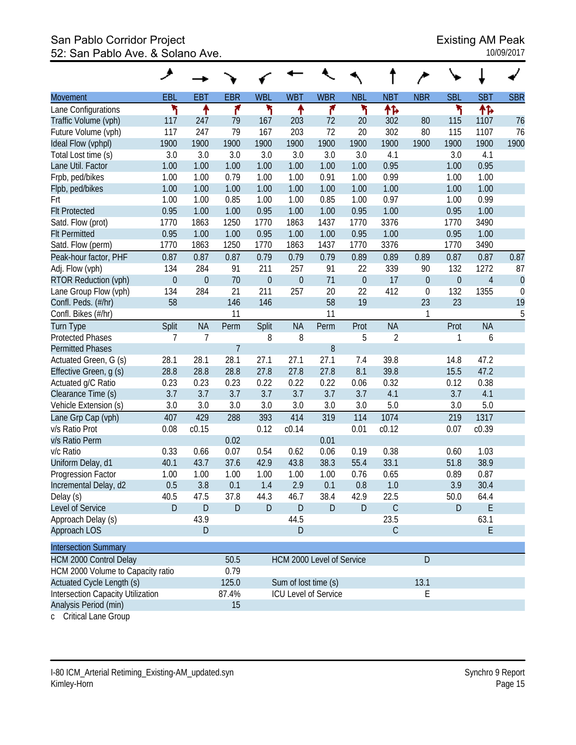#### San Pablo Corridor Project **Existing AM Peak** 52: San Pablo Ave. & Solano Ave. 10/09/2017

|                                          | عر               |                 |                |            |                      |                             |                  |                |                  |                  |                |                  |
|------------------------------------------|------------------|-----------------|----------------|------------|----------------------|-----------------------------|------------------|----------------|------------------|------------------|----------------|------------------|
| Movement                                 | EBL              | EB <sub>1</sub> | <b>EBR</b>     | <b>WBL</b> | <b>WBT</b>           | <b>WBR</b>                  | <b>NBL</b>       | <b>NBT</b>     | <b>NBR</b>       | <b>SBL</b>       | <b>SBT</b>     | <b>SBR</b>       |
| Lane Configurations                      | ۲                | ↟               | ۴              | ۲          | ↟                    | ۴                           | ۲                | 怍              |                  | ۲                | 怍              |                  |
| Traffic Volume (vph)                     | 117              | 247             | 79             | 167        | 203                  | 72                          | 20               | 302            | 80               | 115              | 1107           | 76               |
| Future Volume (vph)                      | 117              | 247             | 79             | 167        | 203                  | 72                          | 20               | 302            | 80               | 115              | 1107           | 76               |
| Ideal Flow (vphpl)                       | 1900             | 1900            | 1900           | 1900       | 1900                 | 1900                        | 1900             | 1900           | 1900             | 1900             | 1900           | 1900             |
| Total Lost time (s)                      | 3.0              | 3.0             | 3.0            | 3.0        | 3.0                  | 3.0                         | 3.0              | 4.1            |                  | 3.0              | 4.1            |                  |
| Lane Util. Factor                        | 1.00             | 1.00            | 1.00           | 1.00       | 1.00                 | 1.00                        | 1.00             | 0.95           |                  | 1.00             | 0.95           |                  |
| Frpb, ped/bikes                          | 1.00             | 1.00            | 0.79           | 1.00       | 1.00                 | 0.91                        | 1.00             | 0.99           |                  | 1.00             | 1.00           |                  |
| Flpb, ped/bikes                          | 1.00             | 1.00            | 1.00           | 1.00       | 1.00                 | 1.00                        | 1.00             | 1.00           |                  | 1.00             | 1.00           |                  |
| Frt                                      | 1.00             | 1.00            | 0.85           | 1.00       | 1.00                 | 0.85                        | 1.00             | 0.97           |                  | 1.00             | 0.99           |                  |
| <b>Flt Protected</b>                     | 0.95             | 1.00            | 1.00           | 0.95       | 1.00                 | 1.00                        | 0.95             | 1.00           |                  | 0.95             | 1.00           |                  |
| Satd. Flow (prot)                        | 1770             | 1863            | 1250           | 1770       | 1863                 | 1437                        | 1770             | 3376           |                  | 1770             | 3490           |                  |
| <b>Flt Permitted</b>                     | 0.95             | 1.00            | 1.00           | 0.95       | 1.00                 | 1.00                        | 0.95             | 1.00           |                  | 0.95             | 1.00           |                  |
| Satd. Flow (perm)                        | 1770             | 1863            | 1250           | 1770       | 1863                 | 1437                        | 1770             | 3376           |                  | 1770             | 3490           |                  |
| Peak-hour factor, PHF                    | 0.87             | 0.87            | 0.87           | 0.79       | 0.79                 | 0.79                        | 0.89             | 0.89           | 0.89             | 0.87             | 0.87           | 0.87             |
| Adj. Flow (vph)                          | 134              | 284             | 91             | 211        | 257                  | 91                          | 22               | 339            | 90               | 132              | 1272           | 87               |
| RTOR Reduction (vph)                     | $\boldsymbol{0}$ | $\mathbf 0$     | 70             | $\theta$   | $\mathbf{0}$         | 71                          | $\boldsymbol{0}$ | 17             | $\boldsymbol{0}$ | $\boldsymbol{0}$ | $\overline{4}$ | $\overline{0}$   |
| Lane Group Flow (vph)                    | 134              | 284             | 21             | 211        | 257                  | 20                          | 22               | 412            | $\boldsymbol{0}$ | 132              | 1355           | $\boldsymbol{0}$ |
| Confl. Peds. (#/hr)                      | 58               |                 | 146            | 146        |                      | 58                          | 19               |                | 23               | 23               |                | 19               |
| Confl. Bikes (#/hr)                      |                  |                 | 11             |            |                      | 11                          |                  |                | 1                |                  |                | 5                |
| Turn Type                                | Split            | <b>NA</b>       | Perm           | Split      | <b>NA</b>            | Perm                        | Prot             | <b>NA</b>      |                  | Prot             | <b>NA</b>      |                  |
| <b>Protected Phases</b>                  | $\overline{7}$   | 7               |                | 8          | 8                    |                             | 5                | $\overline{2}$ |                  | 1                | 6              |                  |
| <b>Permitted Phases</b>                  |                  |                 | $\overline{7}$ |            |                      | $8\,$                       |                  |                |                  |                  |                |                  |
| Actuated Green, G (s)                    | 28.1             | 28.1            | 28.1           | 27.1       | 27.1                 | 27.1                        | 7.4              | 39.8           |                  | 14.8             | 47.2           |                  |
| Effective Green, g (s)                   | 28.8             | 28.8            | 28.8           | 27.8       | 27.8                 | 27.8                        | 8.1              | 39.8           |                  | 15.5             | 47.2           |                  |
| Actuated g/C Ratio                       | 0.23             | 0.23            | 0.23           | 0.22       | 0.22                 | 0.22                        | 0.06             | 0.32           |                  | 0.12             | 0.38           |                  |
| Clearance Time (s)                       | 3.7              | 3.7             | 3.7            | 3.7        | 3.7                  | 3.7                         | 3.7              | 4.1            |                  | 3.7              | 4.1            |                  |
| Vehicle Extension (s)                    | 3.0              | 3.0             | 3.0            | 3.0        | 3.0                  | 3.0                         | 3.0              | 5.0            |                  | 3.0              | 5.0            |                  |
| Lane Grp Cap (vph)                       | 407              | 429             | 288            | 393        | 414                  | 319                         | 114              | 1074           |                  | 219              | 1317           |                  |
| v/s Ratio Prot                           | 0.08             | c0.15           |                | 0.12       | c0.14                |                             | 0.01             | c0.12          |                  | 0.07             | c0.39          |                  |
| v/s Ratio Perm                           |                  |                 | 0.02           |            |                      | 0.01                        |                  |                |                  |                  |                |                  |
| v/c Ratio                                | 0.33             | 0.66            | 0.07           | 0.54       | 0.62                 | 0.06                        | 0.19             | 0.38           |                  | 0.60             | 1.03           |                  |
| Uniform Delay, d1                        | 40.1             | 43.7            | 37.6           | 42.9       | 43.8                 | 38.3                        | 55.4             | 33.1           |                  | 51.8             | 38.9           |                  |
| Progression Factor                       | 1.00             | 1.00            | 1.00           | 1.00       | 1.00                 | 1.00                        | 0.76             | 0.65           |                  | 0.89             | 0.87           |                  |
| Incremental Delay, d2                    | 0.5              | 3.8             | 0.1            | 1.4        | 2.9                  | 0.1                         | 0.8              | 1.0            |                  | 3.9              | 30.4           |                  |
| Delay (s)                                | 40.5             | 47.5            | 37.8           | 44.3       | 46.7                 | 38.4                        | 42.9             | 22.5           |                  | 50.0             | 64.4           |                  |
| Level of Service                         | D                | $\mathsf D$     | D              | D          | $\mathsf{D}$         | D                           | D                | $\mathsf{C}$   |                  | D                | E              |                  |
| Approach Delay (s)                       |                  | 43.9            |                |            | 44.5                 |                             |                  | 23.5           |                  |                  | 63.1           |                  |
| Approach LOS                             |                  | D               |                |            | $\mathsf D$          |                             |                  | C              |                  |                  | E              |                  |
| <b>Intersection Summary</b>              |                  |                 |                |            |                      |                             |                  |                |                  |                  |                |                  |
| <b>HCM 2000 Control Delay</b>            |                  |                 | 50.5           |            |                      | HCM 2000 Level of Service   |                  |                | D                |                  |                |                  |
| HCM 2000 Volume to Capacity ratio        |                  | 0.79            |                |            |                      |                             |                  |                |                  |                  |                |                  |
| Actuated Cycle Length (s)                | 125.0            |                 |                |            | Sum of lost time (s) |                             |                  |                | 13.1             |                  |                |                  |
| <b>Intersection Capacity Utilization</b> |                  |                 | 87.4%          |            |                      | <b>ICU Level of Service</b> |                  |                | E                |                  |                |                  |
| Analysis Period (min)                    |                  |                 | 15             |            |                      |                             |                  |                |                  |                  |                |                  |

c Critical Lane Group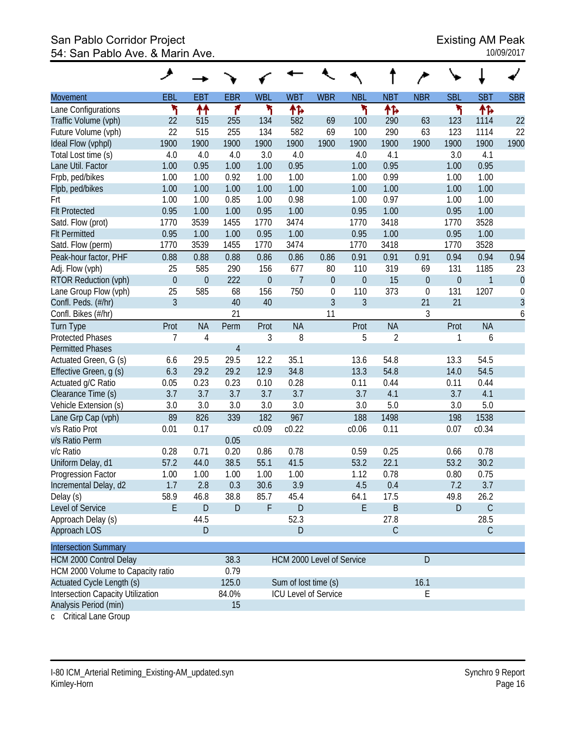#### San Pablo Corridor Project **Existing AM Peak** 54: San Pablo Ave. & Marin Ave. 10/09/2017

|                                   | ◢              |                  |                |                  |                             |                  |                  |                |                  |                  |              |                  |
|-----------------------------------|----------------|------------------|----------------|------------------|-----------------------------|------------------|------------------|----------------|------------------|------------------|--------------|------------------|
| Movement                          | EBL            | <b>EBT</b>       | <b>EBR</b>     | <b>WBL</b>       | <b>WBT</b>                  | <b>WBR</b>       | <b>NBL</b>       | <b>NBT</b>     | <b>NBR</b>       | <b>SBL</b>       | <b>SBT</b>   | <b>SBR</b>       |
| Lane Configurations               | ۲              | ↟↟               | ۴              | ۲                | 怍                           |                  | ۲                | 怍              |                  | ۲                | 怍            |                  |
| Traffic Volume (vph)              | 22             | 515              | 255            | 134              | 582                         | 69               | 100              | 290            | 63               | 123              | 1114         | 22               |
| Future Volume (vph)               | 22             | 515              | 255            | 134              | 582                         | 69               | 100              | 290            | 63               | 123              | 1114         | 22               |
| Ideal Flow (vphpl)                | 1900           | 1900             | 1900           | 1900             | 1900                        | 1900             | 1900             | 1900           | 1900             | 1900             | 1900         | 1900             |
| Total Lost time (s)               | 4.0            | 4.0              | 4.0            | 3.0              | 4.0                         |                  | 4.0              | 4.1            |                  | 3.0              | 4.1          |                  |
| Lane Util. Factor                 | 1.00           | 0.95             | 1.00           | 1.00             | 0.95                        |                  | 1.00             | 0.95           |                  | 1.00             | 0.95         |                  |
| Frpb, ped/bikes                   | 1.00           | 1.00             | 0.92           | 1.00             | 1.00                        |                  | 1.00             | 0.99           |                  | 1.00             | 1.00         |                  |
| Flpb, ped/bikes                   | 1.00           | 1.00             | 1.00           | 1.00             | 1.00                        |                  | 1.00             | 1.00           |                  | 1.00             | 1.00         |                  |
| Frt                               | 1.00           | 1.00             | 0.85           | 1.00             | 0.98                        |                  | 1.00             | 0.97           |                  | 1.00             | 1.00         |                  |
| <b>Flt Protected</b>              | 0.95           | 1.00             | 1.00           | 0.95             | 1.00                        |                  | 0.95             | 1.00           |                  | 0.95             | 1.00         |                  |
| Satd. Flow (prot)                 | 1770           | 3539             | 1455           | 1770             | 3474                        |                  | 1770             | 3418           |                  | 1770             | 3528         |                  |
| <b>Flt Permitted</b>              | 0.95           | 1.00             | 1.00           | 0.95             | 1.00                        |                  | 0.95             | 1.00           |                  | 0.95             | 1.00         |                  |
| Satd. Flow (perm)                 | 1770           | 3539             | 1455           | 1770             | 3474                        |                  | 1770             | 3418           |                  | 1770             | 3528         |                  |
| Peak-hour factor, PHF             | 0.88           | 0.88             | 0.88           | 0.86             | 0.86                        | 0.86             | 0.91             | 0.91           | 0.91             | 0.94             | 0.94         | 0.94             |
| Adj. Flow (vph)                   | 25             | 585              | 290            | 156              | 677                         | 80               | 110              | 319            | 69               | 131              | 1185         | 23               |
| RTOR Reduction (vph)              | $\mathbf{0}$   | $\boldsymbol{0}$ | 222            | $\boldsymbol{0}$ | $\overline{7}$              | $\mathbf 0$      | $\boldsymbol{0}$ | 15             | $\boldsymbol{0}$ | $\boldsymbol{0}$ | $\mathbf{1}$ | $\theta$         |
| Lane Group Flow (vph)             | 25             | 585              | 68             | 156              | 750                         | $\boldsymbol{0}$ | 110              | 373            | $\boldsymbol{0}$ | 131              | 1207         | $\boldsymbol{0}$ |
| Confl. Peds. (#/hr)               | $\overline{3}$ |                  | 40             | 40               |                             | 3                | $\overline{3}$   |                | 21               | 21               |              | 3                |
| Confl. Bikes (#/hr)               |                |                  | 21             |                  |                             | 11               |                  |                | 3                |                  |              | 6                |
| <b>Turn Type</b>                  | Prot           | <b>NA</b>        | Perm           | Prot             | <b>NA</b>                   |                  | Prot             | <b>NA</b>      |                  | Prot             | <b>NA</b>    |                  |
| <b>Protected Phases</b>           | 7              | $\overline{4}$   |                | 3                | 8                           |                  | 5                | $\overline{2}$ |                  | 1                | 6            |                  |
| <b>Permitted Phases</b>           |                |                  | $\overline{4}$ |                  |                             |                  |                  |                |                  |                  |              |                  |
| Actuated Green, G (s)             | 6.6            | 29.5             | 29.5           | 12.2             | 35.1                        |                  | 13.6             | 54.8           |                  | 13.3             | 54.5         |                  |
| Effective Green, g (s)            | 6.3            | 29.2             | 29.2           | 12.9             | 34.8                        |                  | 13.3             | 54.8           |                  | 14.0             | 54.5         |                  |
| Actuated g/C Ratio                | 0.05           | 0.23             | 0.23           | 0.10             | 0.28                        |                  | 0.11             | 0.44           |                  | 0.11             | 0.44         |                  |
| Clearance Time (s)                | 3.7            | 3.7              | 3.7            | 3.7              | 3.7                         |                  | 3.7              | 4.1            |                  | 3.7              | 4.1          |                  |
| Vehicle Extension (s)             | 3.0            | 3.0              | 3.0            | 3.0              | 3.0                         |                  | 3.0              | 5.0            |                  | 3.0              | 5.0          |                  |
| Lane Grp Cap (vph)                | 89             | 826              | 339            | 182              | 967                         |                  | 188              | 1498           |                  | 198              | 1538         |                  |
| v/s Ratio Prot                    | 0.01           | 0.17             |                | c0.09            | c0.22                       |                  | c0.06            | 0.11           |                  | 0.07             | c0.34        |                  |
| v/s Ratio Perm                    |                |                  | 0.05           |                  |                             |                  |                  |                |                  |                  |              |                  |
| v/c Ratio                         | 0.28           | 0.71             | 0.20           | 0.86             | 0.78                        |                  | 0.59             | 0.25           |                  | 0.66             | 0.78         |                  |
| Uniform Delay, d1                 | 57.2           | 44.0             | 38.5           | 55.1             | 41.5                        |                  | 53.2             | 22.1           |                  | 53.2             | 30.2         |                  |
| Progression Factor                | 1.00           | 1.00             | 1.00           | 1.00             | 1.00                        |                  | 1.12             | 0.78           |                  | 0.80             | 0.75         |                  |
| Incremental Delay, d2             | 1.7            | 2.8              | 0.3            | 30.6             | 3.9                         |                  | 4.5              | 0.4            |                  | 7.2              | 3.7          |                  |
| Delay (s)                         | 58.9           | 46.8             | 38.8           | 85.7             | 45.4                        |                  | 64.1             | 17.5           |                  | 49.8             | 26.2         |                  |
| Level of Service                  | E              | $\mathsf D$      | D              | F                | $\mathsf{D}$                |                  | $\mathsf E$      | B              |                  | D                | $\mathsf C$  |                  |
| Approach Delay (s)                |                | 44.5             |                |                  | 52.3                        |                  |                  | 27.8           |                  |                  | 28.5         |                  |
| Approach LOS                      |                | $\mathsf D$      |                |                  | $\mathsf D$                 |                  |                  | $\mathsf C$    |                  |                  | $\mathsf C$  |                  |
| <b>Intersection Summary</b>       |                |                  |                |                  |                             |                  |                  |                |                  |                  |              |                  |
| <b>HCM 2000 Control Delay</b>     |                |                  | 38.3           |                  | HCM 2000 Level of Service   |                  |                  |                | ${\sf D}$        |                  |              |                  |
| HCM 2000 Volume to Capacity ratio | 0.79           |                  |                |                  |                             |                  |                  |                |                  |                  |              |                  |
| Actuated Cycle Length (s)         | 125.0          |                  |                |                  | Sum of lost time (s)        |                  |                  |                | 16.1             |                  |              |                  |
| Intersection Capacity Utilization | 84.0%          |                  |                |                  | <b>ICU Level of Service</b> |                  |                  |                | Е                |                  |              |                  |
| Analysis Period (min)             |                |                  | 15             |                  |                             |                  |                  |                |                  |                  |              |                  |

c Critical Lane Group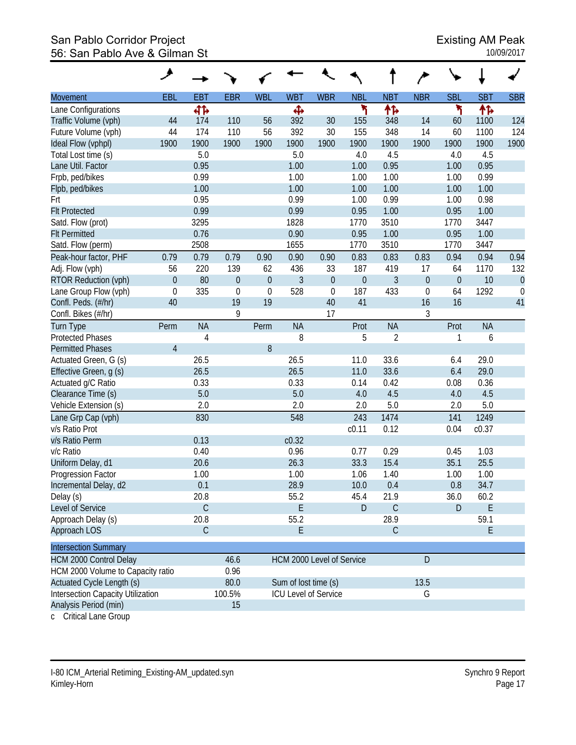# San Pablo Corridor Project<br>56: San Pablo Ave & Gilman St 56: San Pablo Ave & Gilman St

|                                   | ◢                |             |             |                  |                             |             |                  |                |                  |                  |            |                |
|-----------------------------------|------------------|-------------|-------------|------------------|-----------------------------|-------------|------------------|----------------|------------------|------------------|------------|----------------|
| <b>Movement</b>                   | <b>EBL</b>       | <b>EBT</b>  | <b>EBR</b>  | <b>WBL</b>       | <b>WBT</b>                  | <b>WBR</b>  | <b>NBL</b>       | <b>NBT</b>     | <b>NBR</b>       | <b>SBL</b>       | <b>SBT</b> | <b>SBR</b>     |
| Lane Configurations               |                  | 41          |             |                  | Ф                           |             | ۲                | 怍              |                  | ۲                | 怍          |                |
| Traffic Volume (vph)              | 44               | 174         | 110         | 56               | 392                         | 30          | 155              | 348            | 14               | 60               | 1100       | 124            |
| Future Volume (vph)               | 44               | 174         | 110         | 56               | 392                         | 30          | 155              | 348            | 14               | 60               | 1100       | 124            |
| Ideal Flow (vphpl)                | 1900             | 1900        | 1900        | 1900             | 1900                        | 1900        | 1900             | 1900           | 1900             | 1900             | 1900       | 1900           |
| Total Lost time (s)               |                  | 5.0         |             |                  | 5.0                         |             | 4.0              | 4.5            |                  | 4.0              | 4.5        |                |
| Lane Util. Factor                 |                  | 0.95        |             |                  | 1.00                        |             | 1.00             | 0.95           |                  | 1.00             | 0.95       |                |
| Frpb, ped/bikes                   |                  | 0.99        |             |                  | 1.00                        |             | 1.00             | 1.00           |                  | 1.00             | 0.99       |                |
| Flpb, ped/bikes                   |                  | 1.00        |             |                  | 1.00                        |             | 1.00             | 1.00           |                  | 1.00             | 1.00       |                |
| Frt                               |                  | 0.95        |             |                  | 0.99                        |             | 1.00             | 0.99           |                  | 1.00             | 0.98       |                |
| <b>Flt Protected</b>              |                  | 0.99        |             |                  | 0.99                        |             | 0.95             | 1.00           |                  | 0.95             | 1.00       |                |
| Satd. Flow (prot)                 |                  | 3295        |             |                  | 1828                        |             | 1770             | 3510           |                  | 1770             | 3447       |                |
| <b>Flt Permitted</b>              |                  | 0.76        |             |                  | 0.90                        |             | 0.95             | 1.00           |                  | 0.95             | 1.00       |                |
| Satd. Flow (perm)                 |                  | 2508        |             |                  | 1655                        |             | 1770             | 3510           |                  | 1770             | 3447       |                |
| Peak-hour factor, PHF             | 0.79             | 0.79        | 0.79        | 0.90             | 0.90                        | 0.90        | 0.83             | 0.83           | 0.83             | 0.94             | 0.94       | 0.94           |
| Adj. Flow (vph)                   | 56               | 220         | 139         | 62               | 436                         | 33          | 187              | 419            | 17               | 64               | 1170       | 132            |
| RTOR Reduction (vph)              | $\boldsymbol{0}$ | 80          | $\theta$    | $\boldsymbol{0}$ | $\mathfrak{Z}$              | $\theta$    | $\boldsymbol{0}$ | 3              | $\boldsymbol{0}$ | $\boldsymbol{0}$ | 10         | $\overline{0}$ |
| Lane Group Flow (vph)             | $\mathbf 0$      | 335         | $\mathbf 0$ | $\boldsymbol{0}$ | 528                         | $\mathbf 0$ | 187              | 433            | $\boldsymbol{0}$ | 64               | 1292       | $\mathbf 0$    |
| Confl. Peds. (#/hr)               | 40               |             | 19          | 19               |                             | 40          | 41               |                | 16               | 16               |            | 41             |
| Confl. Bikes (#/hr)               |                  |             | 9           |                  |                             | 17          |                  |                | 3                |                  |            |                |
| <b>Turn Type</b>                  | Perm             | <b>NA</b>   |             | Perm             | <b>NA</b>                   |             | Prot             | <b>NA</b>      |                  | Prot             | <b>NA</b>  |                |
| <b>Protected Phases</b>           |                  | 4           |             |                  | 8                           |             | 5                | $\overline{2}$ |                  | 1                | 6          |                |
| <b>Permitted Phases</b>           | $\overline{4}$   |             |             | 8                |                             |             |                  |                |                  |                  |            |                |
| Actuated Green, G (s)             |                  | 26.5        |             |                  | 26.5                        |             | 11.0             | 33.6           |                  | 6.4              | 29.0       |                |
| Effective Green, g (s)            |                  | 26.5        |             |                  | 26.5                        |             | 11.0             | 33.6           |                  | 6.4              | 29.0       |                |
| Actuated g/C Ratio                |                  | 0.33        |             |                  | 0.33                        |             | 0.14             | 0.42           |                  | 0.08             | 0.36       |                |
| Clearance Time (s)                |                  | 5.0         |             |                  | 5.0                         |             | 4.0              | 4.5            |                  | 4.0              | 4.5        |                |
| Vehicle Extension (s)             |                  | 2.0         |             |                  | 2.0                         |             | 2.0              | 5.0            |                  | 2.0              | 5.0        |                |
| Lane Grp Cap (vph)                |                  | 830         |             |                  | 548                         |             | 243              | 1474           |                  | 141              | 1249       |                |
| v/s Ratio Prot                    |                  |             |             |                  |                             |             | c0.11            | 0.12           |                  | 0.04             | c0.37      |                |
| v/s Ratio Perm                    |                  | 0.13        |             |                  | c0.32                       |             |                  |                |                  |                  |            |                |
| v/c Ratio                         |                  | 0.40        |             |                  | 0.96                        |             | 0.77             | 0.29           |                  | 0.45             | 1.03       |                |
| Uniform Delay, d1                 |                  | 20.6        |             |                  | 26.3                        |             | 33.3             | 15.4           |                  | 35.1             | 25.5       |                |
| Progression Factor                |                  | 1.00        |             |                  | 1.00                        |             | 1.06             | 1.40           |                  | 1.00             | 1.00       |                |
| Incremental Delay, d2             |                  | 0.1         |             |                  | 28.9                        |             | 10.0             | 0.4            |                  | 0.8              | 34.7       |                |
| Delay (s)                         |                  | 20.8        |             |                  | 55.2                        |             | 45.4             | 21.9           |                  | 36.0             | 60.2       |                |
| Level of Service                  |                  | $\mathsf C$ |             |                  | E                           |             | D                | $\mathsf C$    |                  | D                | E          |                |
| Approach Delay (s)                |                  | 20.8        |             |                  | 55.2                        |             |                  | 28.9           |                  |                  | 59.1       |                |
| Approach LOS                      |                  | $\mathsf C$ |             |                  | E                           |             |                  | $\mathsf C$    |                  |                  | E          |                |
|                                   |                  |             |             |                  |                             |             |                  |                |                  |                  |            |                |
| <b>Intersection Summary</b>       |                  |             |             |                  |                             |             |                  |                |                  |                  |            |                |
| <b>HCM 2000 Control Delay</b>     |                  |             | 46.6        |                  | HCM 2000 Level of Service   |             |                  |                | D                |                  |            |                |
| HCM 2000 Volume to Capacity ratio |                  |             | 0.96        |                  |                             |             |                  |                |                  |                  |            |                |
| Actuated Cycle Length (s)         |                  |             | 80.0        |                  | Sum of lost time (s)        |             |                  |                | 13.5             |                  |            |                |
| Intersection Capacity Utilization |                  |             | 100.5%      |                  | <b>ICU Level of Service</b> |             |                  |                | G                |                  |            |                |
| Analysis Period (min)             |                  |             | 15          |                  |                             |             |                  |                |                  |                  |            |                |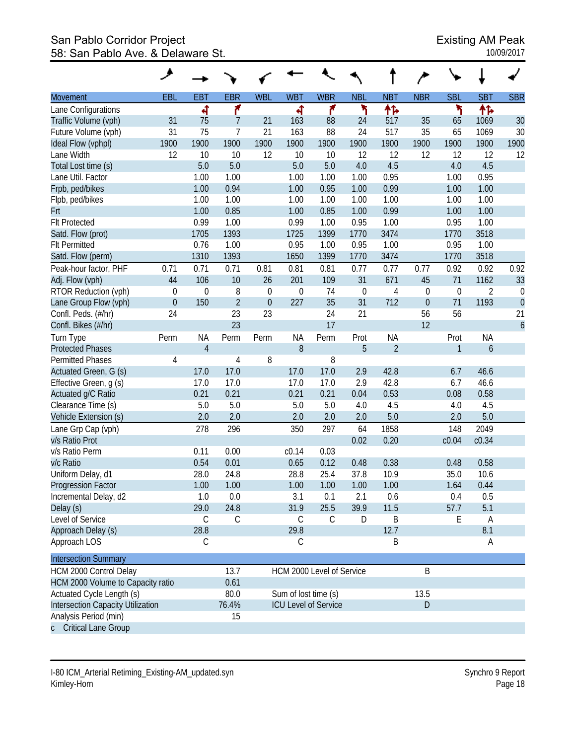#### San Pablo Corridor Project **Existing AM Peak** 58: San Pablo Ave. & Delaware St. 10/09/2017

|                                      | عر          |                |                |             |                      |                             |             |                |                  |                  |                  |                  |
|--------------------------------------|-------------|----------------|----------------|-------------|----------------------|-----------------------------|-------------|----------------|------------------|------------------|------------------|------------------|
| <b>Movement</b>                      | EBL         | <b>EBT</b>     | <b>EBR</b>     | <b>WBL</b>  | <b>WBT</b>           | <b>WBR</b>                  | <b>NBL</b>  | <b>NBT</b>     | <b>NBR</b>       | <b>SBL</b>       | <b>SBT</b>       | <b>SBR</b>       |
| Lane Configurations                  |             | ৰ              | ۴              |             | 4                    | ۴                           | ۲           | ተኈ             |                  | ۲                | 怍                |                  |
| Traffic Volume (vph)                 | 31          | 75             | 7              | 21          | 163                  | 88                          | 24          | 517            | 35               | 65               | 1069             | 30               |
| Future Volume (vph)                  | 31          | 75             | $\overline{7}$ | 21          | 163                  | 88                          | 24          | 517            | 35               | 65               | 1069             | 30               |
| Ideal Flow (vphpl)                   | 1900        | 1900           | 1900           | 1900        | 1900                 | 1900                        | 1900        | 1900           | 1900             | 1900             | 1900             | 1900             |
| Lane Width                           | 12          | 10             | 10             | 12          | 10                   | 10                          | 12          | 12             | 12               | 12               | 12               | 12               |
| Total Lost time (s)                  |             | 5.0            | 5.0            |             | 5.0                  | 5.0                         | 4.0         | 4.5            |                  | 4.0              | 4.5              |                  |
| Lane Util. Factor                    |             | 1.00           | 1.00           |             | 1.00                 | 1.00                        | 1.00        | 0.95           |                  | 1.00             | 0.95             |                  |
| Frpb, ped/bikes                      |             | 1.00           | 0.94           |             | 1.00                 | 0.95                        | 1.00        | 0.99           |                  | 1.00             | 1.00             |                  |
| Flpb, ped/bikes                      |             | 1.00           | 1.00           |             | 1.00                 | 1.00                        | 1.00        | 1.00           |                  | 1.00             | 1.00             |                  |
| Frt                                  |             | 1.00           | 0.85           |             | 1.00                 | 0.85                        | 1.00        | 0.99           |                  | 1.00             | 1.00             |                  |
| <b>Flt Protected</b>                 |             | 0.99           | 1.00           |             | 0.99                 | 1.00                        | 0.95        | 1.00           |                  | 0.95             | 1.00             |                  |
| Satd. Flow (prot)                    |             | 1705           | 1393           |             | 1725                 | 1399                        | 1770        | 3474           |                  | 1770             | 3518             |                  |
| <b>Flt Permitted</b>                 |             | 0.76           | 1.00           |             | 0.95                 | 1.00                        | 0.95        | 1.00           |                  | 0.95             | 1.00             |                  |
| Satd. Flow (perm)                    |             | 1310           | 1393           |             | 1650                 | 1399                        | 1770        | 3474           |                  | 1770             | 3518             |                  |
| Peak-hour factor, PHF                | 0.71        | 0.71           | 0.71           | 0.81        | 0.81                 | 0.81                        | 0.77        | 0.77           | 0.77             | 0.92             | 0.92             | 0.92             |
| Adj. Flow (vph)                      | 44          | 106            | 10             | 26          | 201                  | 109                         | 31          | 671            | 45               | 71               | 1162             | 33               |
| RTOR Reduction (vph)                 | $\mathbf 0$ | $\mathbf 0$    | 8              | $\mathbf 0$ | $\boldsymbol{0}$     | 74                          | $\mathbf 0$ | $\overline{4}$ | $\boldsymbol{0}$ | $\boldsymbol{0}$ | $\overline{2}$   | $\boldsymbol{0}$ |
| Lane Group Flow (vph)                | $\mathbf 0$ | 150            | $\overline{2}$ | $\mathbf 0$ | 227                  | 35                          | 31          | 712            | $\boldsymbol{0}$ | 71               | 1193             | $\theta$         |
| Confl. Peds. (#/hr)                  | 24          |                | 23             | 23          |                      | 24                          | 21          |                | 56               | 56               |                  | 21               |
| Confl. Bikes (#/hr)                  |             |                | 23             |             |                      | 17                          |             |                | 12               |                  |                  | $\boldsymbol{6}$ |
| Turn Type                            | Perm        | <b>NA</b>      | Perm           | Perm        | <b>NA</b>            | Perm                        | Prot        | <b>NA</b>      |                  | Prot             | <b>NA</b>        |                  |
| <b>Protected Phases</b>              |             | $\overline{4}$ |                |             | $8\,$                |                             | 5           | $\overline{2}$ |                  | $\mathbf{1}$     | $\boldsymbol{6}$ |                  |
| <b>Permitted Phases</b>              | 4           |                | $\overline{4}$ | 8           |                      | 8                           |             |                |                  |                  |                  |                  |
| Actuated Green, G (s)                |             | 17.0           | 17.0           |             | 17.0                 | 17.0                        | 2.9         | 42.8           |                  | 6.7              | 46.6             |                  |
| Effective Green, g (s)               |             | 17.0           | 17.0           |             | 17.0                 | 17.0                        | 2.9         | 42.8           |                  | 6.7              | 46.6             |                  |
| Actuated g/C Ratio                   |             | 0.21           | 0.21           |             | 0.21                 | 0.21                        | 0.04        | 0.53           |                  | 0.08             | 0.58             |                  |
| Clearance Time (s)                   |             | 5.0            | 5.0            |             | 5.0                  | 5.0                         | 4.0         | 4.5            |                  | 4.0              | 4.5              |                  |
| Vehicle Extension (s)                |             | 2.0            | 2.0            |             | 2.0                  | 2.0                         | 2.0         | 5.0            |                  | 2.0              | 5.0              |                  |
|                                      |             | 278            | 296            |             | 350                  | 297                         | 64          | 1858           |                  | 148              | 2049             |                  |
| Lane Grp Cap (vph)<br>v/s Ratio Prot |             |                |                |             |                      |                             | 0.02        | 0.20           |                  | c0.04            | c0.34            |                  |
| v/s Ratio Perm                       |             | 0.11           | 0.00           |             | c0.14                | 0.03                        |             |                |                  |                  |                  |                  |
| v/c Ratio                            |             | 0.54           | 0.01           |             | 0.65                 |                             | 0.48        | 0.38           |                  | 0.48             | 0.58             |                  |
|                                      |             |                |                |             |                      | 0.12                        |             |                |                  |                  |                  |                  |
| Uniform Delay, d1                    |             | 28.0           | 24.8           |             | 28.8                 | 25.4                        | 37.8        | 10.9           |                  | 35.0             | 10.6             |                  |
| Progression Factor                   |             | 1.00           | 1.00           |             | 1.00                 | 1.00                        | $1.00\,$    | 1.00           |                  | 1.64             | 0.44             |                  |
| Incremental Delay, d2                |             | 1.0            | 0.0            |             | 3.1                  | 0.1                         | 2.1         | 0.6            |                  | 0.4              | 0.5              |                  |
| Delay (s)                            |             | 29.0           | 24.8           |             | 31.9                 | 25.5                        | 39.9        | 11.5           |                  | 57.7             | 5.1              |                  |
| Level of Service                     |             | C              | C              |             | С                    | С                           | D           | Β              |                  | E                | A                |                  |
| Approach Delay (s)                   |             | 28.8           |                |             | 29.8                 |                             |             | 12.7           |                  |                  | 8.1              |                  |
| Approach LOS                         |             | C              |                |             | C                    |                             |             | Β              |                  |                  | A                |                  |
| <b>Intersection Summary</b>          |             |                |                |             |                      |                             |             |                |                  |                  |                  |                  |
| HCM 2000 Control Delay               |             |                | 13.7           |             |                      | HCM 2000 Level of Service   |             |                | B                |                  |                  |                  |
| HCM 2000 Volume to Capacity ratio    |             |                | 0.61           |             |                      |                             |             |                |                  |                  |                  |                  |
| Actuated Cycle Length (s)            |             |                | 80.0           |             | Sum of lost time (s) |                             |             |                | 13.5             |                  |                  |                  |
| Intersection Capacity Utilization    |             |                | 76.4%          |             |                      | <b>ICU Level of Service</b> |             |                | ${\sf D}$        |                  |                  |                  |
| Analysis Period (min)                |             |                | 15             |             |                      |                             |             |                |                  |                  |                  |                  |
| Critical Lane Group<br>$\mathsf{C}$  |             |                |                |             |                      |                             |             |                |                  |                  |                  |                  |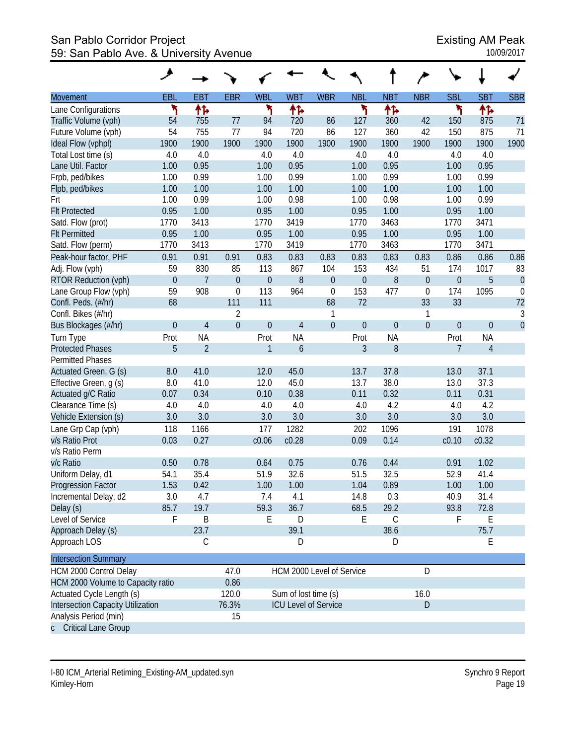# San Pablo Corridor Project<br>59: San Pablo Ave. & University Avenue<br>59: San Pablo Ave. & University Avenue 59: San Pablo Ave. & University Avenue

|                                   | ۸           |                |                |                  |                      |                             |                  |             |                  |                  |                |                |
|-----------------------------------|-------------|----------------|----------------|------------------|----------------------|-----------------------------|------------------|-------------|------------------|------------------|----------------|----------------|
| <b>Movement</b>                   | EBL         | <b>EBT</b>     | <b>EBR</b>     | <b>WBL</b>       | <b>WBT</b>           | <b>WBR</b>                  | <b>NBL</b>       | <b>NBT</b>  | <b>NBR</b>       | <b>SBL</b>       | <b>SBT</b>     | <b>SBR</b>     |
| Lane Configurations               | ۲           | 怍              |                | ۲                | ተኈ                   |                             | ۲                | 怍           |                  | ۲                | ተኈ             |                |
| Traffic Volume (vph)              | 54          | 755            | 77             | 94               | 720                  | 86                          | 127              | 360         | 42               | 150              | 875            | 71             |
| Future Volume (vph)               | 54          | 755            | 77             | 94               | 720                  | 86                          | 127              | 360         | 42               | 150              | 875            | 71             |
| Ideal Flow (vphpl)                | 1900        | 1900           | 1900           | 1900             | 1900                 | 1900                        | 1900             | 1900        | 1900             | 1900             | 1900           | 1900           |
| Total Lost time (s)               | 4.0         | 4.0            |                | 4.0              | 4.0                  |                             | 4.0              | 4.0         |                  | 4.0              | 4.0            |                |
| Lane Util. Factor                 | 1.00        | 0.95           |                | 1.00             | 0.95                 |                             | 1.00             | 0.95        |                  | 1.00             | 0.95           |                |
| Frpb, ped/bikes                   | 1.00        | 0.99           |                | 1.00             | 0.99                 |                             | 1.00             | 0.99        |                  | 1.00             | 0.99           |                |
| Flpb, ped/bikes                   | 1.00        | 1.00           |                | 1.00             | 1.00                 |                             | 1.00             | 1.00        |                  | 1.00             | 1.00           |                |
| Frt                               | 1.00        | 0.99           |                | 1.00             | 0.98                 |                             | 1.00             | 0.98        |                  | 1.00             | 0.99           |                |
| <b>Flt Protected</b>              | 0.95        | 1.00           |                | 0.95             | 1.00                 |                             | 0.95             | 1.00        |                  | 0.95             | 1.00           |                |
| Satd. Flow (prot)                 | 1770        | 3413           |                | 1770             | 3419                 |                             | 1770             | 3463        |                  | 1770             | 3471           |                |
| <b>Flt Permitted</b>              | 0.95        | 1.00           |                | 0.95             | 1.00                 |                             | 0.95             | 1.00        |                  | 0.95             | 1.00           |                |
| Satd. Flow (perm)                 | 1770        | 3413           |                | 1770             | 3419                 |                             | 1770             | 3463        |                  | 1770             | 3471           |                |
| Peak-hour factor, PHF             | 0.91        | 0.91           | 0.91           | 0.83             | 0.83                 | 0.83                        | 0.83             | 0.83        | 0.83             | 0.86             | 0.86           | 0.86           |
| Adj. Flow (vph)                   | 59          | 830            | 85             | 113              | 867                  | 104                         | 153              | 434         | 51               | 174              | 1017           | 83             |
| RTOR Reduction (vph)              | $\mathbf 0$ | $\overline{7}$ | $\theta$       | $\boldsymbol{0}$ | $8\,$                | $\boldsymbol{0}$            | $\boldsymbol{0}$ | 8           | $\boldsymbol{0}$ | $\boldsymbol{0}$ | 5              | $\mathbf 0$    |
| Lane Group Flow (vph)             | 59          | 908            | $\mathbf 0$    | 113              | 964                  | $\boldsymbol{0}$            | 153              | 477         | $\boldsymbol{0}$ | 174              | 1095           | $\mathbf 0$    |
| Confl. Peds. (#/hr)               | 68          |                | 111            | 111              |                      | 68                          | 72               |             | 33               | 33               |                | 72             |
| Confl. Bikes (#/hr)               |             |                | $\overline{2}$ |                  |                      | 1                           |                  |             | 1                |                  |                | $\mathfrak{Z}$ |
| Bus Blockages (#/hr)              | $\mathbf 0$ | 4              | $\overline{0}$ | $\boldsymbol{0}$ | $\overline{4}$       | $\mathbf{0}$                | $\boldsymbol{0}$ | $\mathbf 0$ | $\overline{0}$   | $\boldsymbol{0}$ | $\theta$       | $\overline{0}$ |
| Turn Type                         | Prot        | <b>NA</b>      |                | Prot             | <b>NA</b>            |                             | Prot             | <b>NA</b>   |                  | Prot             | <b>NA</b>      |                |
| <b>Protected Phases</b>           | 5           | $\overline{2}$ |                | $\mathbf{1}$     | 6                    |                             | $\overline{3}$   | 8           |                  | $\overline{7}$   | $\overline{4}$ |                |
| <b>Permitted Phases</b>           |             |                |                |                  |                      |                             |                  |             |                  |                  |                |                |
| Actuated Green, G (s)             | 8.0         | 41.0           |                | 12.0             | 45.0                 |                             | 13.7             | 37.8        |                  | 13.0             | 37.1           |                |
| Effective Green, g (s)            | 8.0         | 41.0           |                | 12.0             | 45.0                 |                             | 13.7             | 38.0        |                  | 13.0             | 37.3           |                |
| Actuated g/C Ratio                | 0.07        | 0.34           |                | 0.10             | 0.38                 |                             | 0.11             | 0.32        |                  | 0.11             | 0.31           |                |
| Clearance Time (s)                | 4.0         | 4.0            |                | 4.0              | 4.0                  |                             | 4.0              | 4.2         |                  | 4.0              | 4.2            |                |
| Vehicle Extension (s)             | 3.0         | 3.0            |                | 3.0              | 3.0                  |                             | 3.0              | 3.0         |                  | 3.0              | 3.0            |                |
| Lane Grp Cap (vph)                | 118         | 1166           |                | 177              | 1282                 |                             | 202              | 1096        |                  | 191              | 1078           |                |
| v/s Ratio Prot                    | 0.03        | 0.27           |                | c0.06            | c0.28                |                             | 0.09             | 0.14        |                  | c0.10            | c0.32          |                |
| v/s Ratio Perm                    |             |                |                |                  |                      |                             |                  |             |                  |                  |                |                |
| v/c Ratio                         | 0.50        | 0.78           |                | 0.64             | 0.75                 |                             | 0.76             | 0.44        |                  | 0.91             | 1.02           |                |
| Uniform Delay, d1                 | 54.1        | 35.4           |                | 51.9             | 32.6                 |                             | 51.5             | 32.5        |                  | 52.9             | 41.4           |                |
| <b>Progression Factor</b>         | 1.53        | 0.42           |                | $1.00\,$         | 1.00                 |                             | 1.04             | 0.89        |                  | 1.00             | 1.00           |                |
| Incremental Delay, d2             | 3.0         | 4.7            |                | 7.4              | 4.1                  |                             | 14.8             | 0.3         |                  | 40.9             | 31.4           |                |
| Delay (s)                         | 85.7        | 19.7           |                | 59.3             | 36.7                 |                             | 68.5             | 29.2        |                  | 93.8             | 72.8           |                |
| Level of Service                  | F           | B              |                | Е                | D                    |                             | Е                | $\mathsf C$ |                  | F                | Ε              |                |
| Approach Delay (s)                |             | 23.7           |                |                  | 39.1                 |                             |                  | 38.6        |                  |                  | 75.7           |                |
| Approach LOS                      |             | C              |                |                  | D                    |                             |                  | D           |                  |                  | E              |                |
| <b>Intersection Summary</b>       |             |                |                |                  |                      |                             |                  |             |                  |                  |                |                |
| HCM 2000 Control Delay            |             |                | 47.0           |                  |                      | HCM 2000 Level of Service   |                  |             | D                |                  |                |                |
| HCM 2000 Volume to Capacity ratio |             |                | 0.86           |                  |                      |                             |                  |             |                  |                  |                |                |
| Actuated Cycle Length (s)         |             |                | 120.0          |                  | Sum of lost time (s) |                             |                  |             | 16.0             |                  |                |                |
| Intersection Capacity Utilization |             |                | 76.3%          |                  |                      | <b>ICU Level of Service</b> |                  |             | D                |                  |                |                |
| Analysis Period (min)             |             |                | 15             |                  |                      |                             |                  |             |                  |                  |                |                |
| c Critical Lane Group             |             |                |                |                  |                      |                             |                  |             |                  |                  |                |                |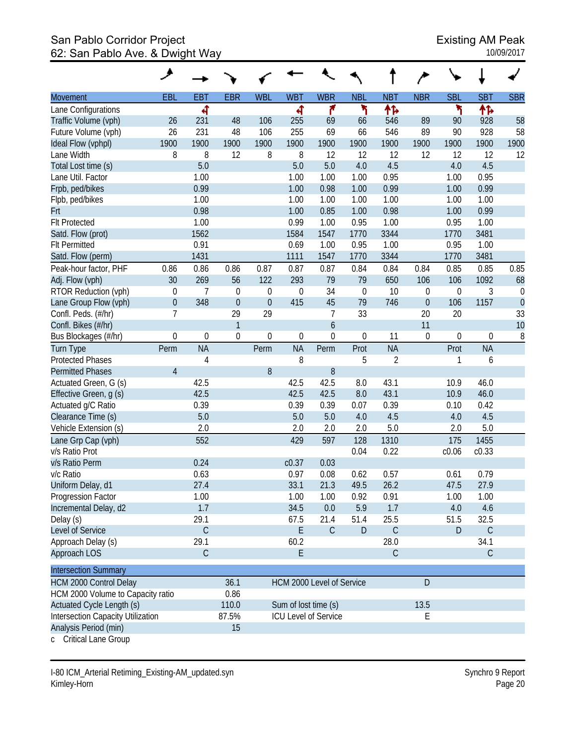# San Pablo Corridor Project **Existing AM Peak** 62: San Pablo Ave. & Dwight Way 10/09/2017

|                                          | حر               |             |                |             |                      |                             |             |                |                  |                  |             |             |
|------------------------------------------|------------------|-------------|----------------|-------------|----------------------|-----------------------------|-------------|----------------|------------------|------------------|-------------|-------------|
| <b>Movement</b>                          | EBL              | EBT         | <b>EBR</b>     | <b>WBL</b>  | <b>WBT</b>           | <b>WBR</b>                  | <b>NBL</b>  | <b>NBT</b>     | <b>NBR</b>       | <b>SBL</b>       | <b>SBT</b>  | <b>SBR</b>  |
| Lane Configurations                      |                  | ची          |                |             | ৰ                    | ۴                           | ۲           | 怍              |                  | ۲                | 怍           |             |
| Traffic Volume (vph)                     | 26               | 231         | 48             | 106         | 255                  | 69                          | 66          | 546            | 89               | 90               | 928         | 58          |
| Future Volume (vph)                      | 26               | 231         | 48             | 106         | 255                  | 69                          | 66          | 546            | 89               | 90               | 928         | 58          |
| Ideal Flow (vphpl)                       | 1900             | 1900        | 1900           | 1900        | 1900                 | 1900                        | 1900        | 1900           | 1900             | 1900             | 1900        | 1900        |
| Lane Width                               | 8                | 8           | 12             | 8           | 8                    | 12                          | 12          | 12             | 12               | 12               | 12          | 12          |
| Total Lost time (s)                      |                  | 5.0         |                |             | 5.0                  | 5.0                         | 4.0         | 4.5            |                  | 4.0              | 4.5         |             |
| Lane Util. Factor                        |                  | 1.00        |                |             | 1.00                 | 1.00                        | 1.00        | 0.95           |                  | 1.00             | 0.95        |             |
| Frpb, ped/bikes                          |                  | 0.99        |                |             | 1.00                 | 0.98                        | 1.00        | 0.99           |                  | 1.00             | 0.99        |             |
| Flpb, ped/bikes                          |                  | 1.00        |                |             | 1.00                 | 1.00                        | 1.00        | 1.00           |                  | 1.00             | 1.00        |             |
| Frt                                      |                  | 0.98        |                |             | 1.00                 | 0.85                        | 1.00        | 0.98           |                  | 1.00             | 0.99        |             |
| <b>Flt Protected</b>                     |                  | 1.00        |                |             | 0.99                 | 1.00                        | 0.95        | 1.00           |                  | 0.95             | 1.00        |             |
| Satd. Flow (prot)                        |                  | 1562        |                |             | 1584                 | 1547                        | 1770        | 3344           |                  | 1770             | 3481        |             |
| <b>Flt Permitted</b>                     |                  | 0.91        |                |             | 0.69                 | 1.00                        | 0.95        | 1.00           |                  | 0.95             | 1.00        |             |
| Satd. Flow (perm)                        |                  | 1431        |                |             | 1111                 | 1547                        | 1770        | 3344           |                  | 1770             | 3481        |             |
| Peak-hour factor, PHF                    | 0.86             | 0.86        | 0.86           | 0.87        | 0.87                 | 0.87                        | 0.84        | 0.84           | 0.84             | 0.85             | 0.85        | 0.85        |
| Adj. Flow (vph)                          | 30               | 269         | 56             | 122         | 293                  | 79                          | 79          | 650            | 106              | 106              | 1092        | 68          |
| RTOR Reduction (vph)                     | $\mathbf 0$      | 7           | $\mathbf 0$    | 0           | $\mathbf 0$          | 34                          | $\mathbf 0$ | 10             | 0                | $\boldsymbol{0}$ | 3           | $\mathbf 0$ |
| Lane Group Flow (vph)                    | $\mathbf 0$      | 348         | $\overline{0}$ | $\mathbf 0$ | 415                  | 45                          | 79          | 746            | $\boldsymbol{0}$ | 106              | 1157        | $\theta$    |
| Confl. Peds. (#/hr)                      | $\overline{1}$   |             | 29             | 29          |                      | 7                           | 33          |                | 20               | 20               |             | 33          |
| Confl. Bikes (#/hr)                      |                  |             | 1              |             |                      | 6                           |             |                | 11               |                  |             | 10          |
| Bus Blockages (#/hr)                     | $\boldsymbol{0}$ | $\mathbf 0$ | $\mathbf 0$    | $\mathbf 0$ | $\mathbf 0$          | $\boldsymbol{0}$            | $\mathbf 0$ | 11             | 0                | 0                | $\mathbf 0$ | 8           |
| Turn Type                                | Perm             | <b>NA</b>   |                | Perm        | <b>NA</b>            | Perm                        | Prot        | <b>NA</b>      |                  | Prot             | <b>NA</b>   |             |
| <b>Protected Phases</b>                  |                  | 4           |                |             | 8                    |                             | 5           | $\overline{2}$ |                  | 1                | 6           |             |
| <b>Permitted Phases</b>                  | $\overline{4}$   |             |                | 8           |                      | 8                           |             |                |                  |                  |             |             |
| Actuated Green, G (s)                    |                  | 42.5        |                |             | 42.5                 | 42.5                        | 8.0         | 43.1           |                  | 10.9             | 46.0        |             |
| Effective Green, g (s)                   |                  | 42.5        |                |             | 42.5                 | 42.5                        | 8.0         | 43.1           |                  | 10.9             | 46.0        |             |
| Actuated g/C Ratio                       |                  | 0.39        |                |             | 0.39                 | 0.39                        | 0.07        | 0.39           |                  | 0.10             | 0.42        |             |
| Clearance Time (s)                       |                  | 5.0         |                |             | 5.0                  | 5.0                         | 4.0         | 4.5            |                  | 4.0              | 4.5         |             |
| Vehicle Extension (s)                    |                  | 2.0         |                |             | 2.0                  | 2.0                         | 2.0         | 5.0            |                  | 2.0              | 5.0         |             |
| Lane Grp Cap (vph)                       |                  | 552         |                |             | 429                  | 597                         | 128         | 1310           |                  | 175              | 1455        |             |
| v/s Ratio Prot                           |                  |             |                |             |                      |                             | 0.04        | 0.22           |                  | c0.06            | c0.33       |             |
| v/s Ratio Perm                           |                  | 0.24        |                |             | c0.37                | 0.03                        |             |                |                  |                  |             |             |
| v/c Ratio                                |                  | 0.63        |                |             | 0.97                 | 0.08                        | 0.62        | 0.57           |                  | 0.61             | 0.79        |             |
| Uniform Delay, d1                        |                  | 27.4        |                |             | 33.1                 | 21.3                        | 49.5        | 26.2           |                  | 47.5             | 27.9        |             |
| Progression Factor                       |                  | 1.00        |                |             | 1.00                 | 1.00                        | 0.92        | 0.91           |                  | 1.00             | 1.00        |             |
| Incremental Delay, d2                    |                  | 1.7         |                |             | 34.5                 | 0.0                         | 5.9         | 1.7            |                  | 4.0              | 4.6         |             |
| Delay (s)                                |                  | 29.1        |                |             | 67.5                 | 21.4                        | 51.4        | 25.5           |                  | 51.5             | 32.5        |             |
| Level of Service                         |                  | $\mathsf C$ |                |             | E                    | $\mathsf C$                 | ${\sf D}$   | $\mathsf C$    |                  | D                | $\mathsf C$ |             |
| Approach Delay (s)                       |                  | 29.1        |                |             | 60.2                 |                             |             | 28.0           |                  |                  | 34.1        |             |
| Approach LOS                             |                  | $\mathsf C$ |                |             | E                    |                             |             | $\mathsf C$    |                  |                  | $\mathsf C$ |             |
| <b>Intersection Summary</b>              |                  |             |                |             |                      |                             |             |                |                  |                  |             |             |
| <b>HCM 2000 Control Delay</b>            |                  |             | 36.1           |             |                      | HCM 2000 Level of Service   |             |                | $\mathsf D$      |                  |             |             |
| HCM 2000 Volume to Capacity ratio        |                  |             | 0.86           |             |                      |                             |             |                |                  |                  |             |             |
| Actuated Cycle Length (s)                |                  |             | 110.0          |             | Sum of lost time (s) |                             |             |                | 13.5             |                  |             |             |
| <b>Intersection Capacity Utilization</b> |                  |             | 87.5%          |             |                      | <b>ICU Level of Service</b> |             |                | Е                |                  |             |             |
| Analysis Period (min)                    |                  |             | 15             |             |                      |                             |             |                |                  |                  |             |             |

c Critical Lane Group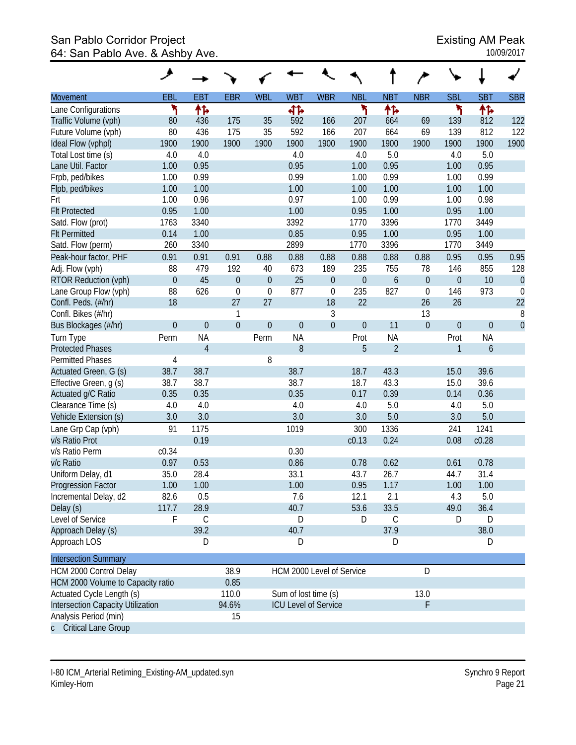# San Pablo Corridor Project<br>64: San Pablo Ave. & Ashby Ave. 64: San Pablo Ave. & Ashby Ave.

|                                   | ◢                |                |             |                  |                             |                  |                  |                  |                  |                  |            |                |
|-----------------------------------|------------------|----------------|-------------|------------------|-----------------------------|------------------|------------------|------------------|------------------|------------------|------------|----------------|
| <b>Movement</b>                   | EBL              | <b>EBT</b>     | <b>EBR</b>  | <b>WBL</b>       | <b>WBT</b>                  | <b>WBR</b>       | <b>NBL</b>       | <b>NBT</b>       | <b>NBR</b>       | <b>SBL</b>       | <b>SBT</b> | <b>SBR</b>     |
| Lane Configurations               | ۲                | 怍              |             |                  | 41                          |                  | ۲                | 怍                |                  | ۲                | 怍          |                |
| Traffic Volume (vph)              | 80               | 436            | 175         | 35               | 592                         | 166              | 207              | 664              | 69               | 139              | 812        | 122            |
| Future Volume (vph)               | 80               | 436            | 175         | 35               | 592                         | 166              | 207              | 664              | 69               | 139              | 812        | 122            |
| Ideal Flow (vphpl)                | 1900             | 1900           | 1900        | 1900             | 1900                        | 1900             | 1900             | 1900             | 1900             | 1900             | 1900       | 1900           |
| Total Lost time (s)               | 4.0              | 4.0            |             |                  | 4.0                         |                  | 4.0              | 5.0              |                  | 4.0              | 5.0        |                |
| Lane Util. Factor                 | 1.00             | 0.95           |             |                  | 0.95                        |                  | 1.00             | 0.95             |                  | 1.00             | 0.95       |                |
| Frpb, ped/bikes                   | 1.00             | 0.99           |             |                  | 0.99                        |                  | 1.00             | 0.99             |                  | 1.00             | 0.99       |                |
| Flpb, ped/bikes                   | 1.00             | 1.00           |             |                  | 1.00                        |                  | 1.00             | 1.00             |                  | 1.00             | 1.00       |                |
| Frt                               | 1.00             | 0.96           |             |                  | 0.97                        |                  | 1.00             | 0.99             |                  | 1.00             | 0.98       |                |
| <b>Flt Protected</b>              | 0.95             | 1.00           |             |                  | 1.00                        |                  | 0.95             | 1.00             |                  | 0.95             | 1.00       |                |
| Satd. Flow (prot)                 | 1763             | 3340           |             |                  | 3392                        |                  | 1770             | 3396             |                  | 1770             | 3449       |                |
| <b>Flt Permitted</b>              | 0.14             | 1.00           |             |                  | 0.85                        |                  | 0.95             | 1.00             |                  | 0.95             | 1.00       |                |
| Satd. Flow (perm)                 | 260              | 3340           |             |                  | 2899                        |                  | 1770             | 3396             |                  | 1770             | 3449       |                |
| Peak-hour factor, PHF             | 0.91             | 0.91           | 0.91        | 0.88             | 0.88                        | 0.88             | 0.88             | 0.88             | 0.88             | 0.95             | 0.95       | 0.95           |
| Adj. Flow (vph)                   | 88               | 479            | 192         | 40               | 673                         | 189              | 235              | 755              | 78               | 146              | 855        | 128            |
| RTOR Reduction (vph)              | $\boldsymbol{0}$ | 45             | $\theta$    | $\boldsymbol{0}$ | 25                          | $\boldsymbol{0}$ | $\boldsymbol{0}$ | $\boldsymbol{6}$ | $\boldsymbol{0}$ | $\boldsymbol{0}$ | 10         | $\overline{0}$ |
| Lane Group Flow (vph)             | 88               | 626            | $\mathbf 0$ | $\boldsymbol{0}$ | 877                         | $\boldsymbol{0}$ | 235              | 827              | $\mathbf 0$      | 146              | 973        | $\mathbf 0$    |
| Confl. Peds. (#/hr)               | 18               |                | 27          | 27               |                             | 18               | 22               |                  | 26               | 26               |            | 22             |
| Confl. Bikes (#/hr)               |                  |                | 1           |                  |                             | 3                |                  |                  | 13               |                  |            | 8              |
| Bus Blockages (#/hr)              | $\boldsymbol{0}$ | $\overline{0}$ | $\theta$    | $\theta$         | $\overline{0}$              | $\boldsymbol{0}$ | $\boldsymbol{0}$ | 11               | $\overline{0}$   | $\boldsymbol{0}$ | $\theta$   | $\overline{0}$ |
| Turn Type                         | Perm             | <b>NA</b>      |             | Perm             | <b>NA</b>                   |                  | Prot             | <b>NA</b>        |                  | Prot             | <b>NA</b>  |                |
| <b>Protected Phases</b>           |                  | $\overline{4}$ |             |                  | 8                           |                  | 5                | $\overline{2}$   |                  | 1                | 6          |                |
| <b>Permitted Phases</b>           | $\overline{4}$   |                |             | 8                |                             |                  |                  |                  |                  |                  |            |                |
| Actuated Green, G (s)             | 38.7             | 38.7           |             |                  | 38.7                        |                  | 18.7             | 43.3             |                  | 15.0             | 39.6       |                |
| Effective Green, g (s)            | 38.7             | 38.7           |             |                  | 38.7                        |                  | 18.7             | 43.3             |                  | 15.0             | 39.6       |                |
| Actuated g/C Ratio                | 0.35             | 0.35           |             |                  | 0.35                        |                  | 0.17             | 0.39             |                  | 0.14             | 0.36       |                |
| Clearance Time (s)                | 4.0              | 4.0            |             |                  | 4.0                         |                  | 4.0              | 5.0              |                  | 4.0              | 5.0        |                |
| Vehicle Extension (s)             | 3.0              | 3.0            |             |                  | 3.0                         |                  | 3.0              | 5.0              |                  | 3.0              | 5.0        |                |
| Lane Grp Cap (vph)                | 91               | 1175           |             |                  | 1019                        |                  | 300              | 1336             |                  | 241              | 1241       |                |
| v/s Ratio Prot                    |                  | 0.19           |             |                  |                             |                  | c0.13            | 0.24             |                  | 0.08             | c0.28      |                |
| v/s Ratio Perm                    | c0.34            |                |             |                  | 0.30                        |                  |                  |                  |                  |                  |            |                |
| v/c Ratio                         | 0.97             | 0.53           |             |                  | 0.86                        |                  | 0.78             | 0.62             |                  | 0.61             | 0.78       |                |
| Uniform Delay, d1                 | 35.0             | 28.4           |             |                  | 33.1                        |                  | 43.7             | 26.7             |                  | 44.7             | 31.4       |                |
| Progression Factor                | 1.00             | 1.00           |             |                  | 1.00                        |                  | 0.95             | 1.17             |                  | 1.00             | 1.00       |                |
| Incremental Delay, d2             | 82.6             | 0.5            |             |                  | 7.6                         |                  | 12.1             | 2.1              |                  | 4.3              | 5.0        |                |
| Delay (s)                         | 117.7            | 28.9           |             |                  | 40.7                        |                  | 53.6             | 33.5             |                  | 49.0             | 36.4       |                |
| Level of Service                  | F                | $\mathsf C$    |             |                  | D                           |                  | D                | $\mathsf C$      |                  | D                | D          |                |
| Approach Delay (s)                |                  | 39.2           |             |                  | 40.7                        |                  |                  | 37.9             |                  |                  | 38.0       |                |
| Approach LOS                      |                  | D              |             |                  | D                           |                  |                  | D                |                  |                  | D          |                |
| <b>Intersection Summary</b>       |                  |                |             |                  |                             |                  |                  |                  |                  |                  |            |                |
| HCM 2000 Control Delay            |                  |                | 38.9        |                  | HCM 2000 Level of Service   |                  |                  |                  | D                |                  |            |                |
| HCM 2000 Volume to Capacity ratio |                  |                | 0.85        |                  |                             |                  |                  |                  |                  |                  |            |                |
| Actuated Cycle Length (s)         |                  |                | 110.0       |                  | Sum of lost time (s)        |                  |                  |                  | 13.0             |                  |            |                |
| Intersection Capacity Utilization |                  |                | 94.6%       |                  | <b>ICU Level of Service</b> |                  |                  |                  | F                |                  |            |                |
| Analysis Period (min)             |                  |                | 15          |                  |                             |                  |                  |                  |                  |                  |            |                |
| c Critical Lane Group             |                  |                |             |                  |                             |                  |                  |                  |                  |                  |            |                |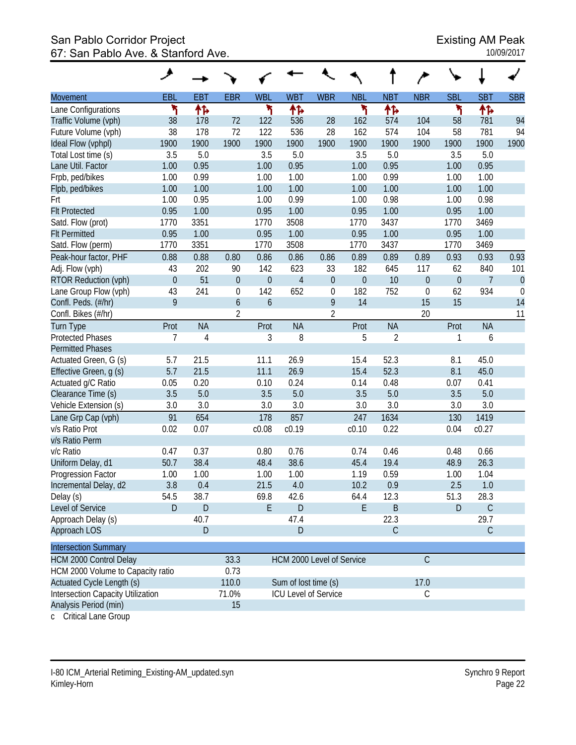# San Pablo Corridor Project<br>67: San Pablo Ave. & Stanford Ave. 67: San Pablo Ave. & Stanford Ave.

|                                   | $\overline{\phantom{a}}$ |             |                  |                      |                             |                  |             |             |                  |                  |                |                  |
|-----------------------------------|--------------------------|-------------|------------------|----------------------|-----------------------------|------------------|-------------|-------------|------------------|------------------|----------------|------------------|
| <b>Movement</b>                   | EBL                      | <b>EBT</b>  | <b>EBR</b>       | <b>WBL</b>           | <b>WBT</b>                  | <b>WBR</b>       | <b>NBL</b>  | <b>NBT</b>  | <b>NBR</b>       | <b>SBL</b>       | <b>SBT</b>     | <b>SBR</b>       |
| Lane Configurations               | ۲                        | 怍           |                  | ۲                    | ተኈ                          |                  | ۲           | 怍           |                  | ۲                | ተኈ             |                  |
| Traffic Volume (vph)              | 38                       | 178         | 72               | 122                  | 536                         | 28               | 162         | 574         | 104              | 58               | 781            | 94               |
| Future Volume (vph)               | 38                       | 178         | 72               | 122                  | 536                         | 28               | 162         | 574         | 104              | 58               | 781            | 94               |
| Ideal Flow (vphpl)                | 1900                     | 1900        | 1900             | 1900                 | 1900                        | 1900             | 1900        | 1900        | 1900             | 1900             | 1900           | 1900             |
| Total Lost time (s)               | 3.5                      | 5.0         |                  | 3.5                  | 5.0                         |                  | 3.5         | 5.0         |                  | 3.5              | 5.0            |                  |
| Lane Util. Factor                 | 1.00                     | 0.95        |                  | 1.00                 | 0.95                        |                  | 1.00        | 0.95        |                  | 1.00             | 0.95           |                  |
| Frpb, ped/bikes                   | 1.00                     | 0.99        |                  | 1.00                 | 1.00                        |                  | 1.00        | 0.99        |                  | 1.00             | 1.00           |                  |
| Flpb, ped/bikes                   | 1.00                     | 1.00        |                  | 1.00                 | 1.00                        |                  | 1.00        | 1.00        |                  | 1.00             | 1.00           |                  |
| Frt                               | 1.00                     | 0.95        |                  | 1.00                 | 0.99                        |                  | 1.00        | 0.98        |                  | 1.00             | 0.98           |                  |
| <b>Flt Protected</b>              | 0.95                     | 1.00        |                  | 0.95                 | 1.00                        |                  | 0.95        | 1.00        |                  | 0.95             | 1.00           |                  |
| Satd. Flow (prot)                 | 1770                     | 3351        |                  | 1770                 | 3508                        |                  | 1770        | 3437        |                  | 1770             | 3469           |                  |
| <b>Flt Permitted</b>              | 0.95                     | 1.00        |                  | 0.95                 | 1.00                        |                  | 0.95        | 1.00        |                  | 0.95             | 1.00           |                  |
| Satd. Flow (perm)                 | 1770                     | 3351        |                  | 1770                 | 3508                        |                  | 1770        | 3437        |                  | 1770             | 3469           |                  |
| Peak-hour factor, PHF             | 0.88                     | 0.88        | 0.80             | 0.86                 | 0.86                        | 0.86             | 0.89        | 0.89        | 0.89             | 0.93             | 0.93           | 0.93             |
| Adj. Flow (vph)                   | 43                       | 202         | 90               | 142                  | 623                         | 33               | 182         | 645         | 117              | 62               | 840            | 101              |
| <b>RTOR Reduction (vph)</b>       | $\overline{0}$           | 51          | $\theta$         | $\boldsymbol{0}$     | $\overline{4}$              | $\mathbf 0$      | $\mathbf 0$ | 10          | $\boldsymbol{0}$ | $\boldsymbol{0}$ | $\overline{7}$ | $\theta$         |
| Lane Group Flow (vph)             | 43                       | 241         | $\boldsymbol{0}$ | 142                  | 652                         | $\boldsymbol{0}$ | 182         | 752         | $\boldsymbol{0}$ | 62               | 934            | $\boldsymbol{0}$ |
| Confl. Peds. (#/hr)               | 9                        |             | $\boldsymbol{6}$ | 6                    |                             | 9                | 14          |             | 15               | 15               |                | 14               |
| Confl. Bikes (#/hr)               |                          |             | $\overline{2}$   |                      |                             | $\sqrt{2}$       |             |             | 20               |                  |                | 11               |
| <b>Turn Type</b>                  | Prot                     | <b>NA</b>   |                  | Prot                 | <b>NA</b>                   |                  | Prot        | <b>NA</b>   |                  | Prot             | <b>NA</b>      |                  |
| <b>Protected Phases</b>           | 7                        | 4           |                  | 3                    | 8                           |                  | 5           | 2           |                  | 1                | 6              |                  |
| <b>Permitted Phases</b>           |                          |             |                  |                      |                             |                  |             |             |                  |                  |                |                  |
| Actuated Green, G (s)             | 5.7                      | 21.5        |                  | 11.1                 | 26.9                        |                  | 15.4        | 52.3        |                  | 8.1              | 45.0           |                  |
| Effective Green, g (s)            | 5.7                      | 21.5        |                  | 11.1                 | 26.9                        |                  | 15.4        | 52.3        |                  | 8.1              | 45.0           |                  |
| Actuated g/C Ratio                | 0.05                     | 0.20        |                  | 0.10                 | 0.24                        |                  | 0.14        | 0.48        |                  | 0.07             | 0.41           |                  |
| Clearance Time (s)                | 3.5                      | 5.0         |                  | 3.5                  | 5.0                         |                  | 3.5         | 5.0         |                  | 3.5              | 5.0            |                  |
| Vehicle Extension (s)             | 3.0                      | 3.0         |                  | 3.0                  | 3.0                         |                  | 3.0         | 3.0         |                  | 3.0              | 3.0            |                  |
| Lane Grp Cap (vph)                | 91                       | 654         |                  | 178                  | 857                         |                  | 247         | 1634        |                  | 130              | 1419           |                  |
| v/s Ratio Prot                    | 0.02                     | 0.07        |                  | c0.08                | c0.19                       |                  | c0.10       | 0.22        |                  | 0.04             | c0.27          |                  |
| v/s Ratio Perm                    |                          |             |                  |                      |                             |                  |             |             |                  |                  |                |                  |
| v/c Ratio                         | 0.47                     | 0.37        |                  | 0.80                 | 0.76                        |                  | 0.74        | 0.46        |                  | 0.48             | 0.66           |                  |
| Uniform Delay, d1                 | 50.7                     | 38.4        |                  | 48.4                 | 38.6                        |                  | 45.4        | 19.4        |                  | 48.9             | 26.3           |                  |
| Progression Factor                | 1.00                     | 1.00        |                  | 1.00                 | 1.00                        |                  | 1.19        | 0.59        |                  | 1.00             | 1.04           |                  |
| Incremental Delay, d2             | 3.8                      | 0.4         |                  | 21.5                 | 4.0                         |                  | 10.2        | 0.9         |                  | 2.5              | 1.0            |                  |
| Delay (s)                         | 54.5                     | 38.7        |                  | 69.8                 | 42.6                        |                  | 64.4        | 12.3        |                  | 51.3             | 28.3           |                  |
| Level of Service                  | D                        | $\mathsf D$ |                  | E                    | $\mathsf{D}$                |                  | E           | B           |                  | D                | $\mathsf{C}$   |                  |
| Approach Delay (s)                |                          | 40.7        |                  |                      | 47.4                        |                  |             | 22.3        |                  |                  | 29.7           |                  |
| Approach LOS                      |                          | D           |                  |                      | $\mathsf{D}$                |                  |             | $\mathsf C$ |                  |                  | $\mathsf{C}$   |                  |
| <b>Intersection Summary</b>       |                          |             |                  |                      |                             |                  |             |             |                  |                  |                |                  |
| <b>HCM 2000 Control Delay</b>     |                          |             | 33.3             |                      | HCM 2000 Level of Service   |                  |             |             | $\mathsf C$      |                  |                |                  |
| HCM 2000 Volume to Capacity ratio |                          |             | 0.73             |                      |                             |                  |             |             |                  |                  |                |                  |
| Actuated Cycle Length (s)         |                          |             | 110.0            | Sum of lost time (s) |                             |                  |             |             | 17.0             |                  |                |                  |
| Intersection Capacity Utilization |                          |             | 71.0%            |                      | <b>ICU Level of Service</b> |                  |             |             | $\mathsf C$      |                  |                |                  |
| Analysis Period (min)             |                          |             | 15               |                      |                             |                  |             |             |                  |                  |                |                  |

c Critical Lane Group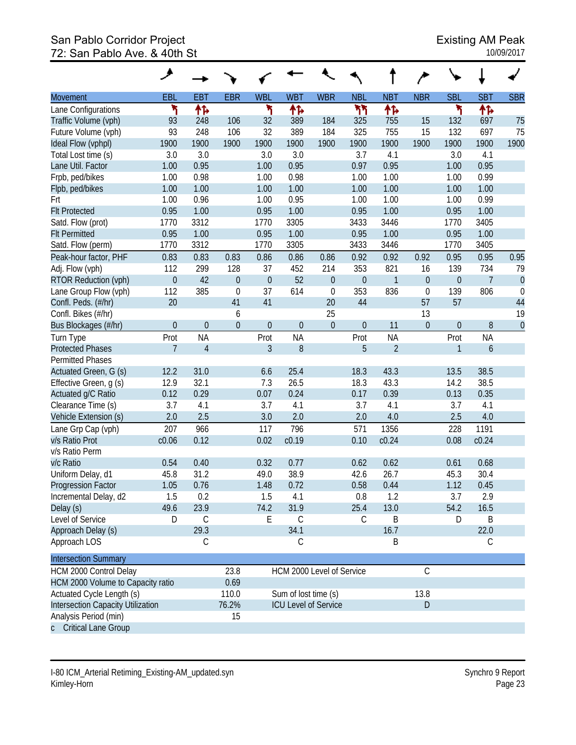# San Pablo Corridor Project<br>
72: San Pablo Ave. & 40th St 72: San Pablo Ave. & 40th St

|                                   | حر               |                |                |                  |                             |                  |                  |                |                  |             |                  |                |
|-----------------------------------|------------------|----------------|----------------|------------------|-----------------------------|------------------|------------------|----------------|------------------|-------------|------------------|----------------|
| Movement                          | EBL              | <b>EBT</b>     | <b>EBR</b>     | <b>WBL</b>       | <b>WBT</b>                  | <b>WBR</b>       | <b>NBL</b>       | <b>NBT</b>     | <b>NBR</b>       | <b>SBL</b>  | <b>SBT</b>       | <b>SBR</b>     |
| Lane Configurations               | ۲                | 忭              |                | ۲                | ተኈ                          |                  | ካነ               | 怍              |                  | ۲           | ተኈ               |                |
| Traffic Volume (vph)              | 93               | 248            | 106            | 32               | 389                         | 184              | 325              | 755            | 15               | 132         | 697              | 75             |
| Future Volume (vph)               | 93               | 248            | 106            | 32               | 389                         | 184              | 325              | 755            | 15               | 132         | 697              | 75             |
| Ideal Flow (vphpl)                | 1900             | 1900           | 1900           | 1900             | 1900                        | 1900             | 1900             | 1900           | 1900             | 1900        | 1900             | 1900           |
| Total Lost time (s)               | 3.0              | 3.0            |                | 3.0              | 3.0                         |                  | 3.7              | 4.1            |                  | 3.0         | 4.1              |                |
| Lane Util. Factor                 | 1.00             | 0.95           |                | 1.00             | 0.95                        |                  | 0.97             | 0.95           |                  | 1.00        | 0.95             |                |
| Frpb, ped/bikes                   | 1.00             | 0.98           |                | 1.00             | 0.98                        |                  | 1.00             | 1.00           |                  | 1.00        | 0.99             |                |
| Flpb, ped/bikes                   | 1.00             | 1.00           |                | 1.00             | 1.00                        |                  | 1.00             | 1.00           |                  | 1.00        | 1.00             |                |
| Frt                               | 1.00             | 0.96           |                | 1.00             | 0.95                        |                  | 1.00             | 1.00           |                  | 1.00        | 0.99             |                |
| <b>Flt Protected</b>              | 0.95             | 1.00           |                | 0.95             | 1.00                        |                  | 0.95             | 1.00           |                  | 0.95        | 1.00             |                |
| Satd. Flow (prot)                 | 1770             | 3312           |                | 1770             | 3305                        |                  | 3433             | 3446           |                  | 1770        | 3405             |                |
| <b>Flt Permitted</b>              | 0.95             | 1.00           |                | 0.95             | 1.00                        |                  | 0.95             | 1.00           |                  | 0.95        | 1.00             |                |
| Satd. Flow (perm)                 | 1770             | 3312           |                | 1770             | 3305                        |                  | 3433             | 3446           |                  | 1770        | 3405             |                |
| Peak-hour factor, PHF             | 0.83             | 0.83           | 0.83           | 0.86             | 0.86                        | 0.86             | 0.92             | 0.92           | 0.92             | 0.95        | 0.95             | 0.95           |
| Adj. Flow (vph)                   | 112              | 299            | 128            | 37               | 452                         | 214              | 353              | 821            | 16               | 139         | 734              | 79             |
| <b>RTOR Reduction (vph)</b>       | $\boldsymbol{0}$ | 42             | $\overline{0}$ | $\boldsymbol{0}$ | 52                          | $\boldsymbol{0}$ | $\boldsymbol{0}$ | $\mathbf{1}$   | $\boldsymbol{0}$ | $\mathbf 0$ | $\overline{7}$   | $\overline{0}$ |
| Lane Group Flow (vph)             | 112              | 385            | $\overline{0}$ | 37               | 614                         | $\boldsymbol{0}$ | 353              | 836            | $\boldsymbol{0}$ | 139         | 806              | $\mathbf 0$    |
| Confl. Peds. (#/hr)               | 20               |                | 41             | 41               |                             | 20               | 44               |                | 57               | 57          |                  | 44             |
| Confl. Bikes (#/hr)               |                  |                | 6              |                  |                             | 25               |                  |                | 13               |             |                  | 19             |
| Bus Blockages (#/hr)              | $\mathbf{0}$     | $\mathbf 0$    | $\overline{0}$ | $\overline{0}$   | $\overline{0}$              | $\overline{0}$   | $\boldsymbol{0}$ | 11             | $\overline{0}$   | $\mathbf 0$ | $8\,$            | $\overline{0}$ |
| Turn Type                         | Prot             | <b>NA</b>      |                | Prot             | <b>NA</b>                   |                  | Prot             | <b>NA</b>      |                  | Prot        | <b>NA</b>        |                |
| <b>Protected Phases</b>           | $\overline{7}$   | $\overline{4}$ |                | 3                | 8                           |                  | 5                | $\overline{2}$ |                  | 1           | $\boldsymbol{6}$ |                |
| <b>Permitted Phases</b>           |                  |                |                |                  |                             |                  |                  |                |                  |             |                  |                |
| Actuated Green, G (s)             | 12.2             | 31.0           |                | 6.6              | 25.4                        |                  | 18.3             | 43.3           |                  | 13.5        | 38.5             |                |
| Effective Green, g (s)            | 12.9             | 32.1           |                | 7.3              | 26.5                        |                  | 18.3             | 43.3           |                  | 14.2        | 38.5             |                |
| Actuated g/C Ratio                | 0.12             | 0.29           |                | 0.07             | 0.24                        |                  | 0.17             | 0.39           |                  | 0.13        | 0.35             |                |
| Clearance Time (s)                | 3.7              | 4.1            |                | 3.7              | 4.1                         |                  | 3.7              | 4.1            |                  | 3.7         | 4.1              |                |
| Vehicle Extension (s)             | 2.0              | 2.5            |                | 3.0              | 2.0                         |                  | 2.0              | 4.0            |                  | 2.5         | 4.0              |                |
| Lane Grp Cap (vph)                | 207              | 966            |                | 117              | 796                         |                  | 571              | 1356           |                  | 228         | 1191             |                |
| v/s Ratio Prot                    | c0.06            | 0.12           |                | 0.02             | c0.19                       |                  | 0.10             | c0.24          |                  | 0.08        | c0.24            |                |
| v/s Ratio Perm                    |                  |                |                |                  |                             |                  |                  |                |                  |             |                  |                |
| v/c Ratio                         | 0.54             | 0.40           |                | 0.32             | 0.77                        |                  | 0.62             | 0.62           |                  | 0.61        | 0.68             |                |
| Uniform Delay, d1                 | 45.8             | 31.2           |                | 49.0             | 38.9                        |                  | 42.6             | 26.7           |                  | 45.3        | 30.4             |                |
| <b>Progression Factor</b>         | 1.05             | 0.76           |                | 1.48             | 0.72                        |                  | 0.58             | 0.44           |                  | 1.12        | 0.45             |                |
| Incremental Delay, d2             | 1.5              | 0.2            |                | 1.5              | 4.1                         |                  | 0.8              | 1.2            |                  | 3.7         | 2.9              |                |
| Delay (s)                         | 49.6             | 23.9           |                | 74.2             | 31.9                        |                  | 25.4             | 13.0           |                  | 54.2        | 16.5             |                |
| Level of Service                  | D                | $\mathsf C$    |                | Ε                | $\mathsf C$                 |                  | C                | Β              |                  | D           | Β                |                |
| Approach Delay (s)                |                  | 29.3           |                |                  | 34.1                        |                  |                  | 16.7           |                  |             | 22.0             |                |
| Approach LOS                      |                  | C              |                |                  | $\mathsf C$                 |                  |                  | Β              |                  |             | C                |                |
| <b>Intersection Summary</b>       |                  |                |                |                  |                             |                  |                  |                |                  |             |                  |                |
| HCM 2000 Control Delay            |                  |                | 23.8           |                  | HCM 2000 Level of Service   |                  |                  |                | $\mathsf C$      |             |                  |                |
| HCM 2000 Volume to Capacity ratio |                  |                | 0.69           |                  |                             |                  |                  |                |                  |             |                  |                |
| Actuated Cycle Length (s)         |                  |                | 110.0          |                  | Sum of lost time (s)        |                  |                  |                | 13.8             |             |                  |                |
| Intersection Capacity Utilization |                  |                | 76.2%          |                  | <b>ICU Level of Service</b> |                  |                  |                | D                |             |                  |                |
| Analysis Period (min)             |                  |                | 15             |                  |                             |                  |                  |                |                  |             |                  |                |
| Critical Lane Group<br>C.         |                  |                |                |                  |                             |                  |                  |                |                  |             |                  |                |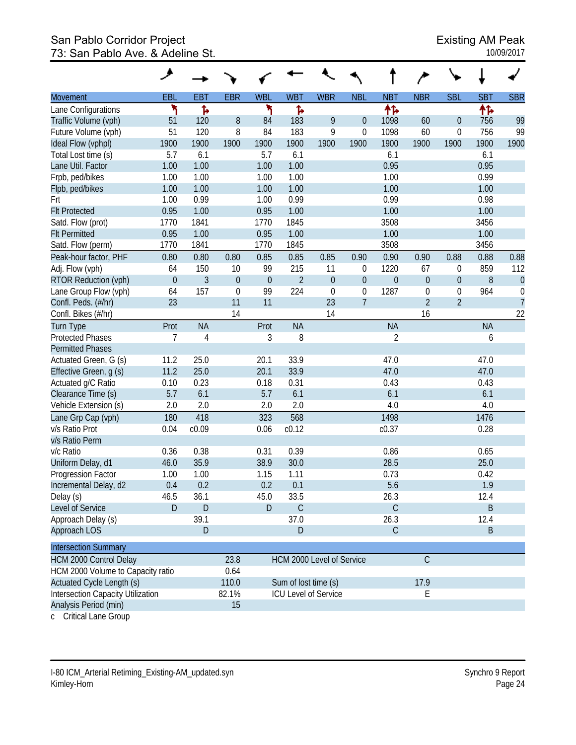# San Pablo Corridor Project<br>
73: San Pablo Ave. & Adeline St. (1999) 1998 - San Pablo Ave. & Adeline St. (1999) 1999 1999 1999 1999 1999 1 73: San Pablo Ave. & Adeline St.

|                                          | عر               |                |            |            |                             |                  |                  |                  |                  |                  |            |                  |
|------------------------------------------|------------------|----------------|------------|------------|-----------------------------|------------------|------------------|------------------|------------------|------------------|------------|------------------|
| <b>Movement</b>                          | EBL              | <b>EBT</b>     | <b>EBR</b> | <b>WBL</b> | <b>WBT</b>                  | <b>WBR</b>       | <b>NBL</b>       | <b>NBT</b>       | <b>NBR</b>       | <b>SBL</b>       | <b>SBT</b> | <b>SBR</b>       |
| Lane Configurations                      | ۲                | ħ              |            | ۲          | Ъ                           |                  |                  | ተኈ               |                  |                  | 怍          |                  |
| Traffic Volume (vph)                     | 51               | 120            | $\, 8$     | 84         | 183                         | 9                | $\overline{0}$   | 1098             | 60               | $\boldsymbol{0}$ | 756        | 99               |
| Future Volume (vph)                      | 51               | 120            | 8          | 84         | 183                         | 9                | 0                | 1098             | 60               | $\boldsymbol{0}$ | 756        | 99               |
| Ideal Flow (vphpl)                       | 1900             | 1900           | 1900       | 1900       | 1900                        | 1900             | 1900             | 1900             | 1900             | 1900             | 1900       | 1900             |
| Total Lost time (s)                      | 5.7              | 6.1            |            | 5.7        | 6.1                         |                  |                  | 6.1              |                  |                  | 6.1        |                  |
| Lane Util. Factor                        | 1.00             | 1.00           |            | 1.00       | 1.00                        |                  |                  | 0.95             |                  |                  | 0.95       |                  |
| Frpb, ped/bikes                          | 1.00             | 1.00           |            | 1.00       | 1.00                        |                  |                  | 1.00             |                  |                  | 0.99       |                  |
| Flpb, ped/bikes                          | 1.00             | 1.00           |            | 1.00       | 1.00                        |                  |                  | 1.00             |                  |                  | 1.00       |                  |
| Frt                                      | 1.00             | 0.99           |            | 1.00       | 0.99                        |                  |                  | 0.99             |                  |                  | 0.98       |                  |
| <b>Flt Protected</b>                     | 0.95             | 1.00           |            | 0.95       | 1.00                        |                  |                  | 1.00             |                  |                  | 1.00       |                  |
| Satd. Flow (prot)                        | 1770             | 1841           |            | 1770       | 1845                        |                  |                  | 3508             |                  |                  | 3456       |                  |
| <b>Flt Permitted</b>                     | 0.95             | 1.00           |            | 0.95       | 1.00                        |                  |                  | 1.00             |                  |                  | 1.00       |                  |
| Satd. Flow (perm)                        | 1770             | 1841           |            | 1770       | 1845                        |                  |                  | 3508             |                  |                  | 3456       |                  |
| Peak-hour factor, PHF                    | 0.80             | 0.80           | 0.80       | 0.85       | 0.85                        | 0.85             | 0.90             | 0.90             | 0.90             | 0.88             | 0.88       | 0.88             |
| Adj. Flow (vph)                          | 64               | 150            | 10         | 99         | 215                         | 11               | 0                | 1220             | 67               | $\boldsymbol{0}$ | 859        | 112              |
| RTOR Reduction (vph)                     | $\boldsymbol{0}$ | $\mathfrak{Z}$ | $\theta$   | $\theta$   | $\overline{2}$              | $\boldsymbol{0}$ | $\boldsymbol{0}$ | $\boldsymbol{0}$ | $\boldsymbol{0}$ | $\boldsymbol{0}$ | 8          | $\theta$         |
| Lane Group Flow (vph)                    | 64               | 157            | 0          | 99         | 224                         | $\mathbf 0$      | $\boldsymbol{0}$ | 1287             | $\mathbf 0$      | $\boldsymbol{0}$ | 964        | $\boldsymbol{0}$ |
| Confl. Peds. (#/hr)                      | 23               |                | 11         | 11         |                             | 23               | $\overline{7}$   |                  | $\overline{2}$   | $\overline{2}$   |            | $\overline{7}$   |
| Confl. Bikes (#/hr)                      |                  |                | 14         |            |                             | 14               |                  |                  | 16               |                  |            | 22               |
| Turn Type                                | Prot             | <b>NA</b>      |            | Prot       | <b>NA</b>                   |                  |                  | <b>NA</b>        |                  |                  | <b>NA</b>  |                  |
| <b>Protected Phases</b>                  | 7                | 4              |            | 3          | 8                           |                  |                  | 2                |                  |                  | 6          |                  |
| <b>Permitted Phases</b>                  |                  |                |            |            |                             |                  |                  |                  |                  |                  |            |                  |
| Actuated Green, G (s)                    | 11.2             | 25.0           |            | 20.1       | 33.9                        |                  |                  | 47.0             |                  |                  | 47.0       |                  |
| Effective Green, g (s)                   | 11.2             | 25.0           |            | 20.1       | 33.9                        |                  |                  | 47.0             |                  |                  | 47.0       |                  |
| Actuated g/C Ratio                       | 0.10             | 0.23           |            | 0.18       | 0.31                        |                  |                  | 0.43             |                  |                  | 0.43       |                  |
| Clearance Time (s)                       | 5.7              | 6.1            |            | 5.7        | 6.1                         |                  |                  | 6.1              |                  |                  | 6.1        |                  |
| Vehicle Extension (s)                    | 2.0              | 2.0            |            | 2.0        | 2.0                         |                  |                  | 4.0              |                  |                  | 4.0        |                  |
| Lane Grp Cap (vph)                       | 180              | 418            |            | 323        | 568                         |                  |                  | 1498             |                  |                  | 1476       |                  |
| v/s Ratio Prot                           | 0.04             | c0.09          |            | 0.06       | c0.12                       |                  |                  | c0.37            |                  |                  | 0.28       |                  |
| v/s Ratio Perm                           |                  |                |            |            |                             |                  |                  |                  |                  |                  |            |                  |
| v/c Ratio                                | 0.36             | 0.38           |            | 0.31       | 0.39                        |                  |                  | 0.86             |                  |                  | 0.65       |                  |
| Uniform Delay, d1                        | 46.0             | 35.9           |            | 38.9       | 30.0                        |                  |                  | 28.5             |                  |                  | 25.0       |                  |
| Progression Factor                       | 1.00             | 1.00           |            | 1.15       | 1.11                        |                  |                  | 0.73             |                  |                  | 0.42       |                  |
| Incremental Delay, d2                    | 0.4              | 0.2            |            | 0.2        | 0.1                         |                  |                  | 5.6              |                  |                  | $1.9$      |                  |
| Delay (s)                                | 46.5             | 36.1           |            | 45.0       | 33.5                        |                  |                  | 26.3             |                  |                  | 12.4       |                  |
| Level of Service                         | D                | $\mathsf D$    |            | D          | $\mathcal{C}$               |                  |                  | $\mathsf C$      |                  |                  | $\sf B$    |                  |
| Approach Delay (s)                       |                  | 39.1           |            |            | 37.0                        |                  |                  | 26.3             |                  |                  | 12.4       |                  |
| Approach LOS                             |                  | ${\sf D}$      |            |            | $\mathsf D$                 |                  |                  | $\mathsf C$      |                  |                  | B          |                  |
| <b>Intersection Summary</b>              |                  |                |            |            |                             |                  |                  |                  |                  |                  |            |                  |
| <b>HCM 2000 Control Delay</b>            |                  |                | 23.8       |            | HCM 2000 Level of Service   |                  |                  |                  | $\mathsf C$      |                  |            |                  |
| HCM 2000 Volume to Capacity ratio        |                  |                | 0.64       |            |                             |                  |                  |                  |                  |                  |            |                  |
| Actuated Cycle Length (s)                |                  |                | 110.0      |            | Sum of lost time (s)        |                  |                  |                  | 17.9             |                  |            |                  |
| <b>Intersection Capacity Utilization</b> |                  |                | 82.1%      |            | <b>ICU Level of Service</b> |                  |                  |                  | E                |                  |            |                  |
| Analysis Period (min)                    |                  |                | 15         |            |                             |                  |                  |                  |                  |                  |            |                  |

c Critical Lane Group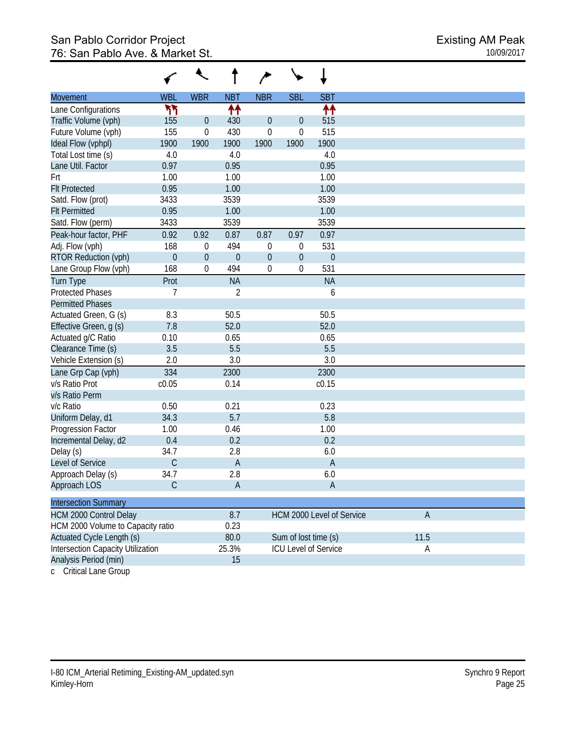| <b>Movement</b>                          | <b>WBL</b>       | <b>WBR</b>       | <b>NBT</b>                | <b>NBR</b>       | <b>SBL</b>           | <b>SBT</b>                  |             |  |
|------------------------------------------|------------------|------------------|---------------------------|------------------|----------------------|-----------------------------|-------------|--|
| Lane Configurations                      | ካካ               |                  | ተተ                        |                  |                      | ↟↟                          |             |  |
| Traffic Volume (vph)                     | 155              | $\mathbf 0$      | 430                       | $\theta$         | $\overline{0}$       | 515                         |             |  |
| Future Volume (vph)                      | 155              | $\mathbf 0$      | 430                       | $\mathbf 0$      | $\mathbf 0$          | 515                         |             |  |
| Ideal Flow (vphpl)                       | 1900             | 1900             | 1900                      | 1900             | 1900                 | 1900                        |             |  |
| Total Lost time (s)                      | 4.0              |                  | 4.0                       |                  |                      | 4.0                         |             |  |
| Lane Util. Factor                        | 0.97             |                  | 0.95                      |                  |                      | 0.95                        |             |  |
| Frt                                      | 1.00             |                  | 1.00                      |                  |                      | 1.00                        |             |  |
| <b>Flt Protected</b>                     | 0.95             |                  | 1.00                      |                  |                      | 1.00                        |             |  |
| Satd. Flow (prot)                        | 3433             |                  | 3539                      |                  |                      | 3539                        |             |  |
| <b>Flt Permitted</b>                     | 0.95             |                  | 1.00                      |                  |                      | 1.00                        |             |  |
| Satd. Flow (perm)                        | 3433             |                  | 3539                      |                  |                      | 3539                        |             |  |
| Peak-hour factor, PHF                    | 0.92             | 0.92             | 0.87                      | 0.87             | 0.97                 | 0.97                        |             |  |
| Adj. Flow (vph)                          | 168              | 0                | 494                       | 0                | $\theta$             | 531                         |             |  |
| RTOR Reduction (vph)                     | $\boldsymbol{0}$ | $\boldsymbol{0}$ | $\theta$                  | $\boldsymbol{0}$ | $\theta$             | $\mathbf 0$                 |             |  |
| Lane Group Flow (vph)                    | 168              | $\boldsymbol{0}$ | 494                       | 0                | $\mathbf 0$          | 531                         |             |  |
| <b>Turn Type</b>                         | Prot             |                  | <b>NA</b>                 |                  |                      | <b>NA</b>                   |             |  |
| <b>Protected Phases</b>                  | 7                |                  | 2                         |                  |                      | 6                           |             |  |
| <b>Permitted Phases</b>                  |                  |                  |                           |                  |                      |                             |             |  |
| Actuated Green, G (s)                    | 8.3              |                  | 50.5                      |                  |                      | 50.5                        |             |  |
| Effective Green, g (s)                   | 7.8              |                  | 52.0                      |                  |                      | 52.0                        |             |  |
| Actuated g/C Ratio                       | 0.10             |                  | 0.65                      |                  |                      | 0.65                        |             |  |
| Clearance Time (s)                       | 3.5              |                  | 5.5                       |                  |                      | 5.5                         |             |  |
| Vehicle Extension (s)                    | 2.0              |                  | 3.0                       |                  |                      | 3.0                         |             |  |
| Lane Grp Cap (vph)                       | 334              |                  | 2300                      |                  |                      | 2300                        |             |  |
| v/s Ratio Prot                           | c0.05            |                  | 0.14                      |                  |                      | c0.15                       |             |  |
| v/s Ratio Perm                           |                  |                  |                           |                  |                      |                             |             |  |
| v/c Ratio                                | 0.50             |                  | 0.21                      |                  |                      | 0.23                        |             |  |
| Uniform Delay, d1                        | 34.3             |                  | 5.7                       |                  |                      | 5.8                         |             |  |
| Progression Factor                       | 1.00             |                  | 0.46                      |                  |                      | 1.00                        |             |  |
| Incremental Delay, d2                    | 0.4              |                  | 0.2                       |                  |                      | 0.2                         |             |  |
| Delay (s)                                | 34.7             |                  | 2.8                       |                  |                      | 6.0                         |             |  |
| Level of Service                         | $\mathsf C$      |                  | $\boldsymbol{\mathsf{A}}$ |                  |                      | $\overline{A}$              |             |  |
| Approach Delay (s)                       | 34.7             |                  | 2.8                       |                  |                      | 6.0                         |             |  |
| Approach LOS                             | $\mathcal{C}$    |                  | A                         |                  |                      | A                           |             |  |
| <b>Intersection Summary</b>              |                  |                  |                           |                  |                      |                             |             |  |
| HCM 2000 Control Delay                   |                  |                  | 8.7                       |                  |                      | HCM 2000 Level of Service   | $\mathsf A$ |  |
| HCM 2000 Volume to Capacity ratio        |                  |                  | 0.23                      |                  |                      |                             |             |  |
| Actuated Cycle Length (s)                |                  |                  | 80.0                      |                  | Sum of lost time (s) |                             | 11.5        |  |
| <b>Intersection Capacity Utilization</b> |                  |                  | 25.3%                     |                  |                      | <b>ICU Level of Service</b> | $\mathsf A$ |  |
| Analysis Period (min)                    |                  |                  | 15                        |                  |                      |                             |             |  |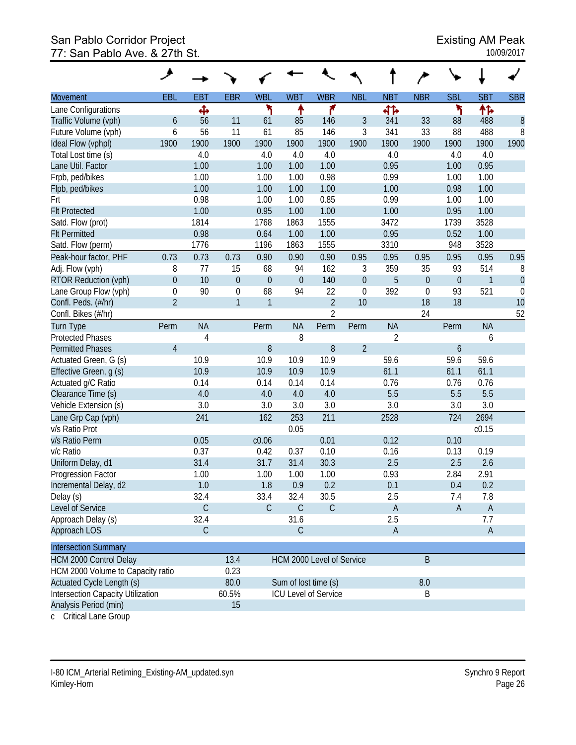#### San Pablo Corridor Project Existing AM Peak 77: San Pablo Ave. & 27th St.

|                                             | ◢              |             |                  |               |                      |                             |                  |             |                  |                  |              |                  |
|---------------------------------------------|----------------|-------------|------------------|---------------|----------------------|-----------------------------|------------------|-------------|------------------|------------------|--------------|------------------|
| Movement                                    | EBL            | <b>EBT</b>  | <b>EBR</b>       | <b>WBL</b>    | <b>WBT</b>           | <b>WBR</b>                  | <b>NBL</b>       | <b>NBT</b>  | <b>NBR</b>       | <b>SBL</b>       | <b>SBT</b>   | <b>SBR</b>       |
| Lane Configurations                         |                | Ф           |                  | ۲             | ۰                    | ۴                           |                  | 412         |                  | ኻ                | ተኈ           |                  |
| Traffic Volume (vph)                        | 6              | 56          | 11               | 61            | 85                   | 146                         | 3                | 341         | 33               | 88               | 488          | $\boldsymbol{8}$ |
| Future Volume (vph)                         | 6              | 56          | 11               | 61            | 85                   | 146                         | 3                | 341         | 33               | 88               | 488          | 8                |
| Ideal Flow (vphpl)                          | 1900           | 1900        | 1900             | 1900          | 1900                 | 1900                        | 1900             | 1900        | 1900             | 1900             | 1900         | 1900             |
| Total Lost time (s)                         |                | 4.0         |                  | 4.0           | 4.0                  | 4.0                         |                  | 4.0         |                  | 4.0              | 4.0          |                  |
| Lane Util. Factor                           |                | 1.00        |                  | 1.00          | 1.00                 | 1.00                        |                  | 0.95        |                  | 1.00             | 0.95         |                  |
| Frpb, ped/bikes                             |                | 1.00        |                  | 1.00          | 1.00                 | 0.98                        |                  | 0.99        |                  | 1.00             | 1.00         |                  |
| Flpb, ped/bikes                             |                | 1.00        |                  | 1.00          | 1.00                 | 1.00                        |                  | 1.00        |                  | 0.98             | 1.00         |                  |
| Frt                                         |                | 0.98        |                  | 1.00          | 1.00                 | 0.85                        |                  | 0.99        |                  | 1.00             | 1.00         |                  |
| <b>Flt Protected</b>                        |                | 1.00        |                  | 0.95          | 1.00                 | 1.00                        |                  | 1.00        |                  | 0.95             | 1.00         |                  |
| Satd. Flow (prot)                           |                | 1814        |                  | 1768          | 1863                 | 1555                        |                  | 3472        |                  | 1739             | 3528         |                  |
| <b>Flt Permitted</b>                        |                | 0.98        |                  | 0.64          | 1.00                 | 1.00                        |                  | 0.95        |                  | 0.52             | 1.00         |                  |
| Satd. Flow (perm)                           |                | 1776        |                  | 1196          | 1863                 | 1555                        |                  | 3310        |                  | 948              | 3528         |                  |
| Peak-hour factor, PHF                       | 0.73           | 0.73        | 0.73             | 0.90          | 0.90                 | 0.90                        | 0.95             | 0.95        | 0.95             | 0.95             | 0.95         | 0.95             |
| Adj. Flow (vph)                             | 8              | 77          | 15               | 68            | 94                   | 162                         | 3                | 359         | 35               | 93               | 514          | 8                |
| RTOR Reduction (vph)                        | $\mathbf{0}$   | 10          | $\overline{0}$   | $\theta$      | $\overline{0}$       | 140                         | $\boldsymbol{0}$ | 5           | $\boldsymbol{0}$ | $\boldsymbol{0}$ | $\mathbf{1}$ | $\theta$         |
| Lane Group Flow (vph)                       | $\mathbf 0$    | 90          | $\boldsymbol{0}$ | 68            | 94                   | 22                          | $\boldsymbol{0}$ | 392         | $\mathbf 0$      | 93               | 521          | $\boldsymbol{0}$ |
| Confl. Peds. (#/hr)                         | $\overline{2}$ |             | $\mathbf{1}$     | $\mathbf{1}$  |                      | $\overline{2}$              | 10               |             | 18               | 18               |              | 10               |
| Confl. Bikes (#/hr)                         |                |             |                  |               |                      | $\overline{2}$              |                  |             | 24               |                  |              | 52               |
| <b>Turn Type</b>                            | Perm           | <b>NA</b>   |                  | Perm          | <b>NA</b>            | Perm                        | Perm             | <b>NA</b>   |                  | Perm             | <b>NA</b>    |                  |
| <b>Protected Phases</b>                     |                | 4           |                  |               | 8                    |                             |                  | 2           |                  |                  | 6            |                  |
| <b>Permitted Phases</b>                     | $\overline{4}$ |             |                  | $\, 8$        |                      | 8                           | $\overline{2}$   |             |                  | $\boldsymbol{6}$ |              |                  |
| Actuated Green, G (s)                       |                | 10.9        |                  | 10.9          | 10.9                 | 10.9                        |                  | 59.6        |                  | 59.6             | 59.6         |                  |
| Effective Green, g (s)                      |                | 10.9        |                  | 10.9          | 10.9                 | 10.9                        |                  | 61.1        |                  | 61.1             | 61.1         |                  |
| Actuated g/C Ratio                          |                | 0.14        |                  | 0.14          | 0.14                 | 0.14                        |                  | 0.76        |                  | 0.76             | 0.76         |                  |
| Clearance Time (s)<br>Vehicle Extension (s) |                | 4.0<br>3.0  |                  | 4.0<br>3.0    | 4.0<br>3.0           | 4.0<br>3.0                  |                  | 5.5<br>3.0  |                  | 5.5<br>3.0       | 5.5<br>3.0   |                  |
|                                             |                |             |                  |               | 253                  |                             |                  |             |                  |                  |              |                  |
| Lane Grp Cap (vph)                          |                | 241         |                  | 162           |                      | 211                         |                  | 2528        |                  | 724              | 2694         |                  |
| v/s Ratio Prot                              |                | 0.05        |                  |               | 0.05                 | 0.01                        |                  | 0.12        |                  | 0.10             | c0.15        |                  |
| v/s Ratio Perm<br>v/c Ratio                 |                | 0.37        |                  | c0.06<br>0.42 | 0.37                 | 0.10                        |                  | 0.16        |                  | 0.13             | 0.19         |                  |
| Uniform Delay, d1                           |                | 31.4        |                  | 31.7          | 31.4                 | 30.3                        |                  | 2.5         |                  | 2.5              | 2.6          |                  |
| Progression Factor                          |                | 1.00        |                  | 1.00          | 1.00                 | 1.00                        |                  | 0.93        |                  | 2.84             | 2.91         |                  |
| Incremental Delay, d2                       |                | 1.0         |                  | 1.8           | 0.9                  | 0.2                         |                  | 0.1         |                  | 0.4              | 0.2          |                  |
| Delay (s)                                   |                | 32.4        |                  | 33.4          | 32.4                 | 30.5                        |                  | 2.5         |                  | 7.4              | 7.8          |                  |
| Level of Service                            |                | $\mathsf C$ |                  | $\mathsf C$   | $\mathsf C$          | $\mathsf C$                 |                  | $\mathsf A$ |                  | $\mathsf A$      | $\mathsf A$  |                  |
| Approach Delay (s)                          |                | 32.4        |                  |               | 31.6                 |                             |                  | 2.5         |                  |                  | 7.7          |                  |
| Approach LOS                                |                | $\mathsf C$ |                  |               | $\mathsf C$          |                             |                  | $\mathsf A$ |                  |                  | $\mathsf{A}$ |                  |
|                                             |                |             |                  |               |                      |                             |                  |             |                  |                  |              |                  |
| <b>Intersection Summary</b>                 |                |             |                  |               |                      |                             |                  |             |                  |                  |              |                  |
| HCM 2000 Control Delay                      |                |             | 13.4             |               |                      | HCM 2000 Level of Service   |                  |             | B                |                  |              |                  |
| HCM 2000 Volume to Capacity ratio           |                |             | 0.23             |               |                      |                             |                  |             |                  |                  |              |                  |
| Actuated Cycle Length (s)                   |                |             | 80.0             |               | Sum of lost time (s) |                             |                  |             | 8.0              |                  |              |                  |
| Intersection Capacity Utilization           |                |             | 60.5%            |               |                      | <b>ICU Level of Service</b> |                  |             | Β                |                  |              |                  |
| Analysis Period (min)                       |                |             | 15               |               |                      |                             |                  |             |                  |                  |              |                  |

c Critical Lane Group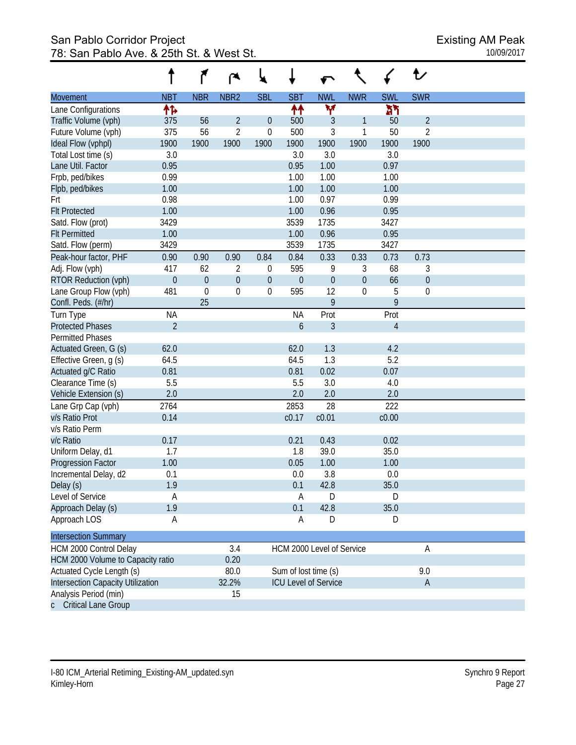# San Pablo Corridor Project<br>78: San Pablo Ave. & 25th St. & West St. Next St. Assembly that the existing AM Peak 78: San Pablo Ave. & 25th St. & West St.

|                                   |                |             |                  |                  |                      |                             |              |                | セ                |  |
|-----------------------------------|----------------|-------------|------------------|------------------|----------------------|-----------------------------|--------------|----------------|------------------|--|
| <b>Movement</b>                   | <b>NBT</b>     | <b>NBR</b>  | NBR <sub>2</sub> | <b>SBL</b>       | <b>SBT</b>           | <b>NWL</b>                  | <b>NWR</b>   | <b>SWL</b>     | <b>SWR</b>       |  |
| Lane Configurations               | 怍              |             |                  |                  | ↟↟                   | Y                           |              | አካ             |                  |  |
| Traffic Volume (vph)              | 375            | 56          | $\overline{2}$   | $\boldsymbol{0}$ | 500                  | 3                           | 1            | 50             | $\overline{2}$   |  |
| Future Volume (vph)               | 375            | 56          | $\overline{2}$   | $\mathbf 0$      | 500                  | 3                           | $\mathbf{1}$ | 50             | $\overline{2}$   |  |
| Ideal Flow (vphpl)                | 1900           | 1900        | 1900             | 1900             | 1900                 | 1900                        | 1900         | 1900           | 1900             |  |
| Total Lost time (s)               | 3.0            |             |                  |                  | 3.0                  | 3.0                         |              | 3.0            |                  |  |
| Lane Util. Factor                 | 0.95           |             |                  |                  | 0.95                 | 1.00                        |              | 0.97           |                  |  |
| Frpb, ped/bikes                   | 0.99           |             |                  |                  | 1.00                 | 1.00                        |              | 1.00           |                  |  |
| Flpb, ped/bikes                   | 1.00           |             |                  |                  | 1.00                 | 1.00                        |              | 1.00           |                  |  |
| Frt                               | 0.98           |             |                  |                  | 1.00                 | 0.97                        |              | 0.99           |                  |  |
| <b>Flt Protected</b>              | 1.00           |             |                  |                  | 1.00                 | 0.96                        |              | 0.95           |                  |  |
| Satd. Flow (prot)                 | 3429           |             |                  |                  | 3539                 | 1735                        |              | 3427           |                  |  |
| <b>Flt Permitted</b>              | 1.00           |             |                  |                  | 1.00                 | 0.96                        |              | 0.95           |                  |  |
| Satd. Flow (perm)                 | 3429           |             |                  |                  | 3539                 | 1735                        |              | 3427           |                  |  |
| Peak-hour factor, PHF             | 0.90           | 0.90        | 0.90             | 0.84             | 0.84                 | 0.33                        | 0.33         | 0.73           | 0.73             |  |
| Adj. Flow (vph)                   | 417            | 62          | 2                | 0                | 595                  | 9                           | 3            | 68             | 3                |  |
| RTOR Reduction (vph)              | $\mathbf{0}$   | $\mathbf 0$ | $\mathbf 0$      | $\mathbf 0$      | $\theta$             | $\theta$                    | $\mathbf 0$  | 66             | $\boldsymbol{0}$ |  |
| Lane Group Flow (vph)             | 481            | $\mathbf 0$ | $\mathbf 0$      | $\mathbf 0$      | 595                  | 12                          | 0            | 5              | 0                |  |
| Confl. Peds. (#/hr)               |                | 25          |                  |                  |                      | 9                           |              | 9              |                  |  |
| Turn Type                         | ΝA             |             |                  |                  | <b>NA</b>            | Prot                        |              | Prot           |                  |  |
| <b>Protected Phases</b>           | $\overline{2}$ |             |                  |                  | 6                    | 3                           |              | $\overline{4}$ |                  |  |
| <b>Permitted Phases</b>           |                |             |                  |                  |                      |                             |              |                |                  |  |
| Actuated Green, G (s)             | 62.0           |             |                  |                  | 62.0                 | 1.3                         |              | 4.2            |                  |  |
| Effective Green, g (s)            | 64.5           |             |                  |                  | 64.5                 | 1.3                         |              | 5.2            |                  |  |
| Actuated g/C Ratio                | 0.81           |             |                  |                  | 0.81                 | 0.02                        |              | 0.07           |                  |  |
| Clearance Time (s)                | 5.5            |             |                  |                  | 5.5                  | 3.0                         |              | 4.0            |                  |  |
| Vehicle Extension (s)             | 2.0            |             |                  |                  | 2.0                  | 2.0                         |              | 2.0            |                  |  |
| Lane Grp Cap (vph)                | 2764           |             |                  |                  | 2853                 | 28                          |              | 222            |                  |  |
| v/s Ratio Prot                    | 0.14           |             |                  |                  | c0.17                | c <sub>0.01</sub>           |              | c0.00          |                  |  |
| v/s Ratio Perm                    |                |             |                  |                  |                      |                             |              |                |                  |  |
| v/c Ratio                         | 0.17           |             |                  |                  | 0.21                 | 0.43                        |              | 0.02           |                  |  |
| Uniform Delay, d1                 | 1.7            |             |                  |                  | 1.8                  | 39.0                        |              | 35.0           |                  |  |
| <b>Progression Factor</b>         | 1.00           |             |                  |                  | 0.05                 | 1.00                        |              | 1.00           |                  |  |
| Incremental Delay, d2             | 0.1            |             |                  |                  | 0.0                  | 3.8                         |              | 0.0            |                  |  |
| Delay (s)                         | 1.9            |             |                  |                  | 0.1                  | 42.8                        |              | 35.0           |                  |  |
| Level of Service                  | A              |             |                  |                  | A                    | D                           |              | D              |                  |  |
| Approach Delay (s)                | 1.9            |             |                  |                  | 0.1                  | 42.8                        |              | 35.0           |                  |  |
| Approach LOS                      | А              |             |                  |                  | A                    | D                           |              | D              |                  |  |
| <b>Intersection Summary</b>       |                |             |                  |                  |                      |                             |              |                |                  |  |
| HCM 2000 Control Delay            |                |             | 3.4              |                  |                      | HCM 2000 Level of Service   |              |                | A                |  |
| HCM 2000 Volume to Capacity ratio |                |             | 0.20             |                  |                      |                             |              |                |                  |  |
| Actuated Cycle Length (s)         |                |             | 80.0             |                  | Sum of lost time (s) |                             |              |                | 9.0              |  |
| Intersection Capacity Utilization |                |             | 32.2%            |                  |                      | <b>ICU Level of Service</b> |              |                | $\mathsf A$      |  |
| Analysis Period (min)             |                |             | 15               |                  |                      |                             |              |                |                  |  |
| c Critical Lane Group             |                |             |                  |                  |                      |                             |              |                |                  |  |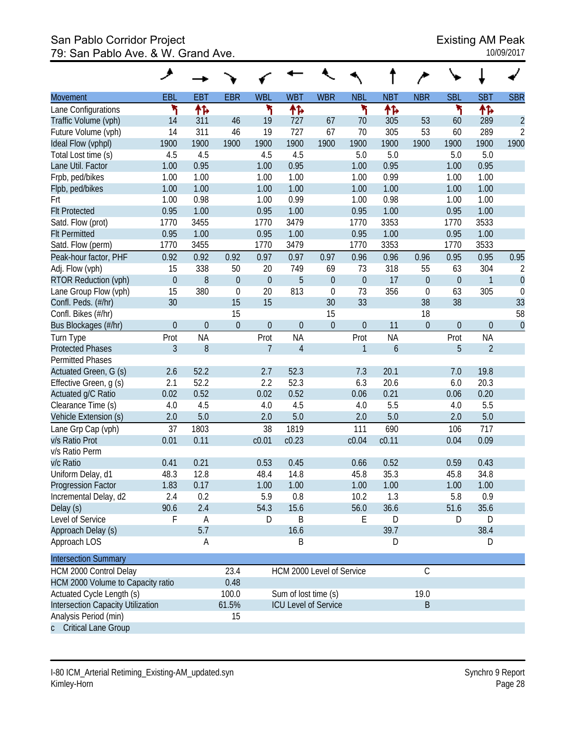# San Pablo Corridor Project<br>
79: San Pablo Ave. & W. Grand Ave. 79: San Pablo Ave. & W. Grand Ave.

|                                   | ◢                |             |                |                   |                             |                  |                  |                   |                  |                  |                |                |
|-----------------------------------|------------------|-------------|----------------|-------------------|-----------------------------|------------------|------------------|-------------------|------------------|------------------|----------------|----------------|
| <b>Movement</b>                   | EBL              | <b>EBT</b>  | <b>EBR</b>     | <b>WBL</b>        | <b>WBT</b>                  | <b>WBR</b>       | <b>NBL</b>       | <b>NBT</b>        | <b>NBR</b>       | <b>SBL</b>       | <b>SBT</b>     | <b>SBR</b>     |
| Lane Configurations               | ۲                | 怍           |                | ۲                 | 怍                           |                  | ۲                | 怍                 |                  | ۲                | 怍              |                |
| Traffic Volume (vph)              | 14               | 311         | 46             | 19                | 727                         | 67               | 70               | 305               | 53               | 60               | 289            | $\overline{c}$ |
| Future Volume (vph)               | 14               | 311         | 46             | 19                | 727                         | 67               | 70               | 305               | 53               | 60               | 289            | $\overline{2}$ |
| Ideal Flow (vphpl)                | 1900             | 1900        | 1900           | 1900              | 1900                        | 1900             | 1900             | 1900              | 1900             | 1900             | 1900           | 1900           |
| Total Lost time (s)               | 4.5              | 4.5         |                | 4.5               | 4.5                         |                  | 5.0              | 5.0               |                  | 5.0              | 5.0            |                |
| Lane Util. Factor                 | 1.00             | 0.95        |                | 1.00              | 0.95                        |                  | 1.00             | 0.95              |                  | 1.00             | 0.95           |                |
| Frpb, ped/bikes                   | 1.00             | 1.00        |                | 1.00              | 1.00                        |                  | 1.00             | 0.99              |                  | 1.00             | 1.00           |                |
| Flpb, ped/bikes                   | 1.00             | 1.00        |                | 1.00              | 1.00                        |                  | 1.00             | 1.00              |                  | 1.00             | 1.00           |                |
| Frt                               | 1.00             | 0.98        |                | 1.00              | 0.99                        |                  | 1.00             | 0.98              |                  | 1.00             | 1.00           |                |
| <b>Flt Protected</b>              | 0.95             | 1.00        |                | 0.95              | 1.00                        |                  | 0.95             | 1.00              |                  | 0.95             | 1.00           |                |
| Satd. Flow (prot)                 | 1770             | 3455        |                | 1770              | 3479                        |                  | 1770             | 3353              |                  | 1770             | 3533           |                |
| <b>Flt Permitted</b>              | 0.95             | 1.00        |                | 0.95              | 1.00                        |                  | 0.95             | 1.00              |                  | 0.95             | 1.00           |                |
| Satd. Flow (perm)                 | 1770             | 3455        |                | 1770              | 3479                        |                  | 1770             | 3353              |                  | 1770             | 3533           |                |
| Peak-hour factor, PHF             | 0.92             | 0.92        | 0.92           | 0.97              | 0.97                        | 0.97             | 0.96             | 0.96              | 0.96             | 0.95             | 0.95           | 0.95           |
| Adj. Flow (vph)                   | 15               | 338         | 50             | 20                | 749                         | 69               | 73               | 318               | 55               | 63               | 304            | $\overline{2}$ |
| RTOR Reduction (vph)              | $\boldsymbol{0}$ | $8\,$       | $\theta$       | $\boldsymbol{0}$  | 5                           | $\boldsymbol{0}$ | $\boldsymbol{0}$ | 17                | $\boldsymbol{0}$ | $\boldsymbol{0}$ | $\mathbf{1}$   | $\theta$       |
| Lane Group Flow (vph)             | 15               | 380         | $\mathbf 0$    | 20                | 813                         | $\boldsymbol{0}$ | 73               | 356               | $\mathbf 0$      | 63               | 305            | $\mathbf 0$    |
| Confl. Peds. (#/hr)               | 30               |             | 15             | 15                |                             | 30               | 33               |                   | 38               | 38               |                | 33             |
| Confl. Bikes (#/hr)               |                  |             | 15             |                   |                             | 15               |                  |                   | 18               |                  |                | 58             |
| Bus Blockages (#/hr)              | $\boldsymbol{0}$ | $\mathbf 0$ | $\overline{0}$ | $\theta$          | $\overline{0}$              | $\boldsymbol{0}$ | $\boldsymbol{0}$ | 11                | $\mathbf 0$      | $\boldsymbol{0}$ | $\theta$       | $\overline{0}$ |
| Turn Type                         | Prot             | <b>NA</b>   |                | Prot              | <b>NA</b>                   |                  | Prot             | <b>NA</b>         |                  | Prot             | <b>NA</b>      |                |
| <b>Protected Phases</b>           | 3                | 8           |                | $\overline{7}$    | $\overline{4}$              |                  | 1                | $\boldsymbol{6}$  |                  | 5                | $\overline{2}$ |                |
| <b>Permitted Phases</b>           |                  |             |                |                   |                             |                  |                  |                   |                  |                  |                |                |
| Actuated Green, G (s)             | 2.6              | 52.2        |                | 2.7               | 52.3                        |                  | 7.3              | 20.1              |                  | 7.0              | 19.8           |                |
| Effective Green, g (s)            | 2.1              | 52.2        |                | 2.2               | 52.3                        |                  | 6.3              | 20.6              |                  | 6.0              | 20.3           |                |
| Actuated g/C Ratio                | 0.02             | 0.52        |                | 0.02              | 0.52                        |                  | 0.06             | 0.21              |                  | 0.06             | 0.20           |                |
| Clearance Time (s)                | 4.0              | 4.5         |                | 4.0               | 4.5                         |                  | 4.0              | 5.5               |                  | 4.0              | 5.5            |                |
| Vehicle Extension (s)             | 2.0              | 5.0         |                | 2.0               | 5.0                         |                  | 2.0              | 5.0               |                  | 2.0              | 5.0            |                |
| Lane Grp Cap (vph)                | 37               | 1803        |                | 38                | 1819                        |                  | 111              | 690               |                  | 106              | 717            |                |
| v/s Ratio Prot                    | 0.01             | 0.11        |                | c <sub>0.01</sub> | c0.23                       |                  | c0.04            | c <sub>0.11</sub> |                  | 0.04             | 0.09           |                |
| v/s Ratio Perm                    |                  |             |                |                   |                             |                  |                  |                   |                  |                  |                |                |
| v/c Ratio                         | 0.41             | 0.21        |                | 0.53              | 0.45                        |                  | 0.66             | 0.52              |                  | 0.59             | 0.43           |                |
| Uniform Delay, d1                 | 48.3             | 12.8        |                | 48.4              | 14.8                        |                  | 45.8             | 35.3              |                  | 45.8             | 34.8           |                |
| Progression Factor                | 1.83             | 0.17        |                | 1.00              | 1.00                        |                  | 1.00             | 1.00              |                  | 1.00             | 1.00           |                |
| Incremental Delay, d2             | 2.4              | 0.2         |                | 5.9               | 0.8                         |                  | 10.2             | 1.3               |                  | 5.8              | 0.9            |                |
| Delay (s)                         | 90.6             | 2.4         |                | 54.3              | 15.6                        |                  | 56.0             | 36.6              |                  | 51.6             | 35.6           |                |
| Level of Service                  | F                | A           |                | D                 | Β                           |                  | E                | D                 |                  | D                | D              |                |
| Approach Delay (s)                |                  | 5.7         |                |                   | 16.6                        |                  |                  | 39.7              |                  |                  | 38.4           |                |
| Approach LOS                      |                  | Α           |                |                   | Β                           |                  |                  | D                 |                  |                  | D              |                |
| <b>Intersection Summary</b>       |                  |             |                |                   |                             |                  |                  |                   |                  |                  |                |                |
| HCM 2000 Control Delay            |                  |             | 23.4           |                   | HCM 2000 Level of Service   |                  |                  |                   | $\mathsf C$      |                  |                |                |
| HCM 2000 Volume to Capacity ratio |                  |             | 0.48           |                   |                             |                  |                  |                   |                  |                  |                |                |
| Actuated Cycle Length (s)         |                  |             | 100.0          |                   | Sum of lost time (s)        |                  |                  |                   | 19.0             |                  |                |                |
| Intersection Capacity Utilization |                  |             | 61.5%          |                   | <b>ICU Level of Service</b> |                  |                  |                   | $\sf B$          |                  |                |                |
| Analysis Period (min)             |                  |             | 15             |                   |                             |                  |                  |                   |                  |                  |                |                |
| c Critical Lane Group             |                  |             |                |                   |                             |                  |                  |                   |                  |                  |                |                |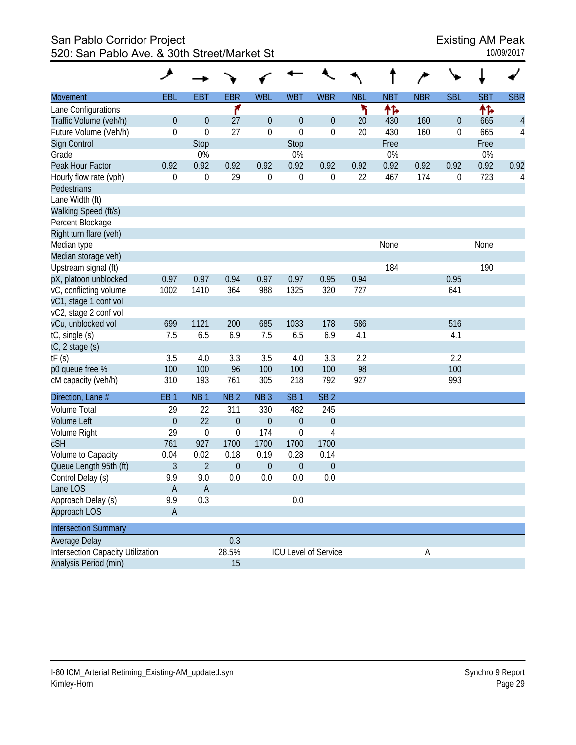# San Pablo Corridor Project<br>520: San Pablo Ave. & 30th Street/Market St<br>10/09/2017 520: San Pablo Ave. & 30th Street/Market St

|                                          | و                |                  |                  |                  |                  |                             |            |            |            |                  |            |                          |
|------------------------------------------|------------------|------------------|------------------|------------------|------------------|-----------------------------|------------|------------|------------|------------------|------------|--------------------------|
| <b>Movement</b>                          | <b>EBL</b>       | <b>EBT</b>       | <b>EBR</b>       | <b>WBL</b>       | <b>WBT</b>       | <b>WBR</b>                  | <b>NBL</b> | <b>NBT</b> | <b>NBR</b> | <b>SBL</b>       | <b>SBT</b> | <b>SBR</b>               |
| Lane Configurations                      |                  |                  | ۴                |                  |                  |                             | ۲          | ተኈ         |            |                  | 怍          |                          |
| Traffic Volume (veh/h)                   | $\boldsymbol{0}$ | $\boldsymbol{0}$ | 27               | $\boldsymbol{0}$ | $\theta$         | $\boldsymbol{0}$            | 20         | 430        | 160        | 0                | 665        | $\overline{\mathcal{A}}$ |
| Future Volume (Veh/h)                    | $\boldsymbol{0}$ | $\mathbf 0$      | 27               | $\boldsymbol{0}$ | $\overline{0}$   | $\boldsymbol{0}$            | 20         | 430        | 160        | $\boldsymbol{0}$ | 665        | 4                        |
| Sign Control                             |                  | <b>Stop</b>      |                  |                  | Stop             |                             |            | Free       |            |                  | Free       |                          |
| Grade                                    |                  | 0%               |                  |                  | 0%               |                             |            | 0%         |            |                  | 0%         |                          |
| Peak Hour Factor                         | 0.92             | 0.92             | 0.92             | 0.92             | 0.92             | 0.92                        | 0.92       | 0.92       | 0.92       | 0.92             | 0.92       | 0.92                     |
| Hourly flow rate (vph)                   | 0                | 0                | 29               | $\boldsymbol{0}$ | $\boldsymbol{0}$ | $\boldsymbol{0}$            | 22         | 467        | 174        | $\boldsymbol{0}$ | 723        | 4                        |
| Pedestrians                              |                  |                  |                  |                  |                  |                             |            |            |            |                  |            |                          |
| Lane Width (ft)                          |                  |                  |                  |                  |                  |                             |            |            |            |                  |            |                          |
| Walking Speed (ft/s)                     |                  |                  |                  |                  |                  |                             |            |            |            |                  |            |                          |
| Percent Blockage                         |                  |                  |                  |                  |                  |                             |            |            |            |                  |            |                          |
| Right turn flare (veh)                   |                  |                  |                  |                  |                  |                             |            |            |            |                  |            |                          |
| Median type                              |                  |                  |                  |                  |                  |                             |            | None       |            |                  | None       |                          |
| Median storage veh)                      |                  |                  |                  |                  |                  |                             |            |            |            |                  |            |                          |
| Upstream signal (ft)                     |                  |                  |                  |                  |                  |                             |            | 184        |            |                  | 190        |                          |
| pX, platoon unblocked                    | 0.97             | 0.97             | 0.94             | 0.97             | 0.97             | 0.95                        | 0.94       |            |            | 0.95             |            |                          |
| vC, conflicting volume                   | 1002             | 1410             | 364              | 988              | 1325             | 320                         | 727        |            |            | 641              |            |                          |
| vC1, stage 1 conf vol                    |                  |                  |                  |                  |                  |                             |            |            |            |                  |            |                          |
| vC2, stage 2 conf vol                    |                  |                  |                  |                  |                  |                             |            |            |            |                  |            |                          |
| vCu, unblocked vol                       | 699              | 1121             | 200              | 685              | 1033             | 178                         | 586        |            |            | 516              |            |                          |
| tC, single (s)                           | 7.5              | 6.5              | 6.9              | 7.5              | 6.5              | 6.9                         | 4.1        |            |            | 4.1              |            |                          |
| $tC$ , 2 stage $(s)$                     |                  |                  |                  |                  |                  |                             |            |            |            |                  |            |                          |
| tF(s)                                    | 3.5              | 4.0              | 3.3              | 3.5              | 4.0              | 3.3                         | 2.2        |            |            | 2.2              |            |                          |
| p0 queue free %                          | 100              | 100              | 96               | 100              | 100              | 100                         | 98         |            |            | 100              |            |                          |
| cM capacity (veh/h)                      | 310              | 193              | 761              | 305              | 218              | 792                         | 927        |            |            | 993              |            |                          |
| Direction, Lane #                        | EB <sub>1</sub>  | NB <sub>1</sub>  | NB <sub>2</sub>  | NB <sub>3</sub>  | SB <sub>1</sub>  | SB <sub>2</sub>             |            |            |            |                  |            |                          |
| <b>Volume Total</b>                      | 29               | 22               | 311              | 330              | 482              | 245                         |            |            |            |                  |            |                          |
| <b>Volume Left</b>                       | $\mathbf{0}$     | 22               | $\overline{0}$   | $\mathbf{0}$     | $\overline{0}$   | $\mathbf 0$                 |            |            |            |                  |            |                          |
| Volume Right                             | 29               | $\mathbf 0$      | $\boldsymbol{0}$ | 174              | $\boldsymbol{0}$ | 4                           |            |            |            |                  |            |                          |
| cSH                                      | 761              | 927              | 1700             | 1700             | 1700             | 1700                        |            |            |            |                  |            |                          |
| Volume to Capacity                       | 0.04             | 0.02             | 0.18             | 0.19             | 0.28             | 0.14                        |            |            |            |                  |            |                          |
| Queue Length 95th (ft)                   | $\mathfrak{Z}$   | $\overline{2}$   | $\theta$         | $\theta$         | $\theta$         | $\mathbf 0$                 |            |            |            |                  |            |                          |
| Control Delay (s)                        | 9.9              | 9.0              | 0.0              | 0.0              | 0.0              | 0.0                         |            |            |            |                  |            |                          |
| Lane LOS                                 | A                | A                |                  |                  |                  |                             |            |            |            |                  |            |                          |
| Approach Delay (s)                       | 9.9              | 0.3              |                  |                  | 0.0              |                             |            |            |            |                  |            |                          |
| Approach LOS                             | $\overline{A}$   |                  |                  |                  |                  |                             |            |            |            |                  |            |                          |
| <b>Intersection Summary</b>              |                  |                  |                  |                  |                  |                             |            |            |            |                  |            |                          |
| Average Delay                            |                  |                  | 0.3              |                  |                  |                             |            |            |            |                  |            |                          |
| <b>Intersection Capacity Utilization</b> |                  |                  | 28.5%            |                  |                  | <b>ICU Level of Service</b> |            |            | Α          |                  |            |                          |
| Analysis Period (min)                    |                  |                  | 15               |                  |                  |                             |            |            |            |                  |            |                          |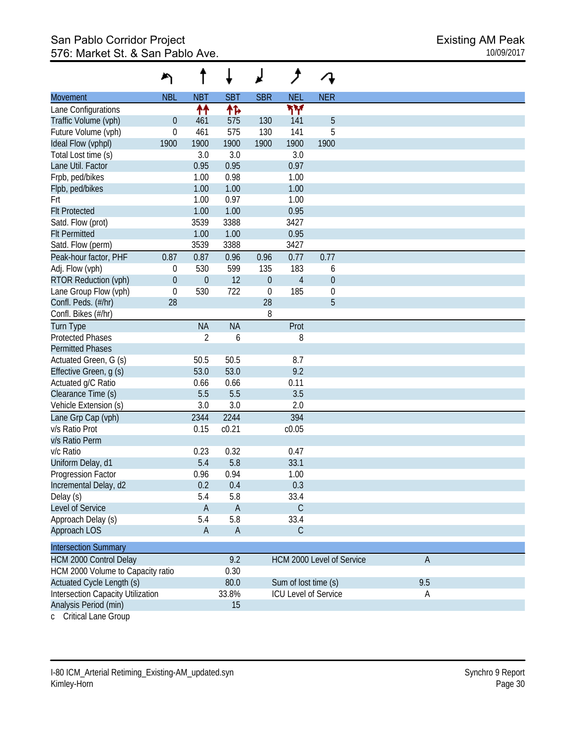# San Pablo Corridor Project<br>576: Market St. & San Pablo Ave. **Existing AM Peak** 576: Market St. & San Pablo Ave.

|                                          |                  |                |                |             | ,                           | ∕∔                        |             |
|------------------------------------------|------------------|----------------|----------------|-------------|-----------------------------|---------------------------|-------------|
| <b>Movement</b>                          | <b>NBL</b>       | <b>NBT</b>     | <b>SBT</b>     | <b>SBR</b>  | <b>NEL</b>                  | <b>NER</b>                |             |
| Lane Configurations                      |                  | ↟↟             | 怍              |             | ۳Υ                          |                           |             |
| Traffic Volume (vph)                     | $\boldsymbol{0}$ | 461            | 575            | 130         | 141                         | 5                         |             |
| Future Volume (vph)                      | $\boldsymbol{0}$ | 461            | 575            | 130         | 141                         | 5                         |             |
| Ideal Flow (vphpl)                       | 1900             | 1900           | 1900           | 1900        | 1900                        | 1900                      |             |
| Total Lost time (s)                      |                  | 3.0            | 3.0            |             | 3.0                         |                           |             |
| Lane Util. Factor                        |                  | 0.95           | 0.95           |             | 0.97                        |                           |             |
| Frpb, ped/bikes                          |                  | 1.00           | 0.98           |             | 1.00                        |                           |             |
| Flpb, ped/bikes                          |                  | 1.00           | 1.00           |             | 1.00                        |                           |             |
| Frt                                      |                  | 1.00           | 0.97           |             | 1.00                        |                           |             |
| <b>Flt Protected</b>                     |                  | 1.00           | 1.00           |             | 0.95                        |                           |             |
| Satd. Flow (prot)                        |                  | 3539           | 3388           |             | 3427                        |                           |             |
| <b>Flt Permitted</b>                     |                  | 1.00           | 1.00           |             | 0.95                        |                           |             |
| Satd. Flow (perm)                        |                  | 3539           | 3388           |             | 3427                        |                           |             |
| Peak-hour factor, PHF                    | 0.87             | 0.87           | 0.96           | 0.96        | 0.77                        | 0.77                      |             |
| Adj. Flow (vph)                          | 0                | 530            | 599            | 135         | 183                         | 6                         |             |
| RTOR Reduction (vph)                     | $\overline{0}$   | $\mathbf{0}$   | 12             | $\theta$    | $\overline{4}$              | $\mathbf{0}$              |             |
| Lane Group Flow (vph)                    | $\mathbf 0$      | 530            | 722            | $\mathbf 0$ | 185                         | $\boldsymbol{0}$          |             |
| Confl. Peds. (#/hr)                      | 28               |                |                | 28          |                             | 5                         |             |
| Confl. Bikes (#/hr)                      |                  |                |                | 8           |                             |                           |             |
| <b>Turn Type</b>                         |                  | <b>NA</b>      | <b>NA</b>      |             | Prot                        |                           |             |
| <b>Protected Phases</b>                  |                  | $\overline{2}$ | 6              |             | 8                           |                           |             |
| <b>Permitted Phases</b>                  |                  |                |                |             |                             |                           |             |
| Actuated Green, G (s)                    |                  | 50.5           | 50.5           |             | 8.7                         |                           |             |
| Effective Green, g (s)                   |                  | 53.0           | 53.0           |             | 9.2                         |                           |             |
| Actuated g/C Ratio                       |                  | 0.66           | 0.66           |             | 0.11                        |                           |             |
| Clearance Time (s)                       |                  | 5.5            | 5.5            |             | 3.5                         |                           |             |
| Vehicle Extension (s)                    |                  | 3.0            | 3.0            |             | 2.0                         |                           |             |
| Lane Grp Cap (vph)                       |                  | 2344           | 2244           |             | 394                         |                           |             |
| v/s Ratio Prot                           |                  | 0.15           | c0.21          |             | c0.05                       |                           |             |
| v/s Ratio Perm                           |                  |                |                |             |                             |                           |             |
| v/c Ratio                                |                  | 0.23           | 0.32           |             | 0.47                        |                           |             |
| Uniform Delay, d1                        |                  | 5.4            | 5.8            |             | 33.1                        |                           |             |
| Progression Factor                       |                  | 0.96           | 0.94           |             | 1.00                        |                           |             |
| Incremental Delay, d2                    |                  | 0.2            | 0.4            |             | 0.3                         |                           |             |
| Delay (s)                                |                  | 5.4            | 5.8            |             | 33.4                        |                           |             |
| Level of Service                         |                  | $\overline{A}$ | $\overline{A}$ |             | $\mathsf C$                 |                           |             |
| Approach Delay (s)                       |                  | 5.4            | 5.8            |             | 33.4                        |                           |             |
| Approach LOS                             |                  | $\overline{A}$ | $\mathsf A$    |             | $\mathsf C$                 |                           |             |
| <b>Intersection Summary</b>              |                  |                |                |             |                             |                           |             |
| HCM 2000 Control Delay                   |                  |                | 9.2            |             |                             | HCM 2000 Level of Service | $\mathsf A$ |
| HCM 2000 Volume to Capacity ratio        |                  |                | 0.30           |             |                             |                           |             |
| Actuated Cycle Length (s)                |                  |                | 80.0           |             | Sum of lost time (s)        |                           | 9.5         |
| <b>Intersection Capacity Utilization</b> |                  |                | 33.8%          |             | <b>ICU Level of Service</b> |                           | Α           |
| Analysis Period (min)                    |                  |                | 15             |             |                             |                           |             |
|                                          |                  |                |                |             |                             |                           |             |

c Critical Lane Group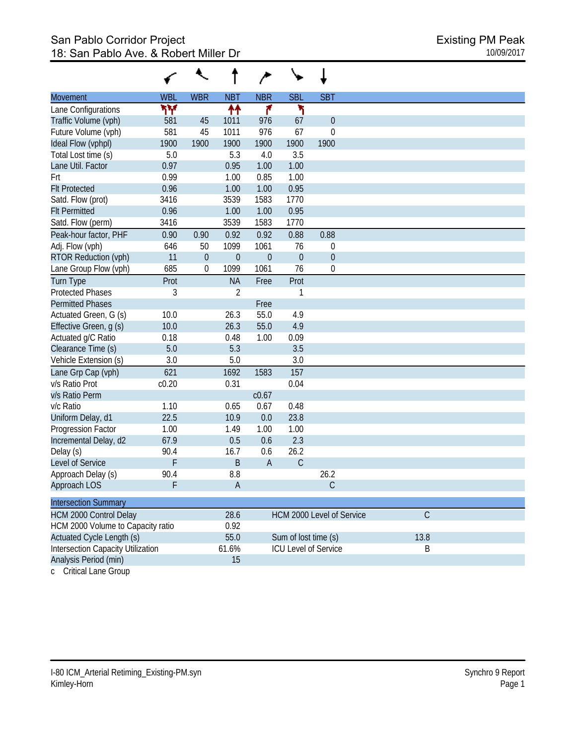| <b>Movement</b>                   | <b>WBL</b> | <b>WBR</b>       | <b>NBT</b> | <b>NBR</b>     | <b>SBL</b>           | <b>SBT</b>                |             |  |
|-----------------------------------|------------|------------------|------------|----------------|----------------------|---------------------------|-------------|--|
| Lane Configurations               | ۳Υ         |                  | ↟↟         | ۴              | ۲                    |                           |             |  |
| Traffic Volume (vph)              | 581        | 45               | 1011       | 976            | 67                   | $\theta$                  |             |  |
| Future Volume (vph)               | 581        | 45               | 1011       | 976            | 67                   | $\mathbf 0$               |             |  |
| Ideal Flow (vphpl)                | 1900       | 1900             | 1900       | 1900           | 1900                 | 1900                      |             |  |
| Total Lost time (s)               | 5.0        |                  | 5.3        | 4.0            | 3.5                  |                           |             |  |
| Lane Util. Factor                 | 0.97       |                  | 0.95       | 1.00           | 1.00                 |                           |             |  |
| Frt                               | 0.99       |                  | 1.00       | 0.85           | 1.00                 |                           |             |  |
| <b>Flt Protected</b>              | 0.96       |                  | 1.00       | 1.00           | 0.95                 |                           |             |  |
| Satd. Flow (prot)                 | 3416       |                  | 3539       | 1583           | 1770                 |                           |             |  |
| <b>Flt Permitted</b>              | 0.96       |                  | 1.00       | 1.00           | 0.95                 |                           |             |  |
| Satd. Flow (perm)                 | 3416       |                  | 3539       | 1583           | 1770                 |                           |             |  |
| Peak-hour factor, PHF             | 0.90       | 0.90             | 0.92       | 0.92           | 0.88                 | 0.88                      |             |  |
| Adj. Flow (vph)                   | 646        | 50               | 1099       | 1061           | 76                   | $\mathbf 0$               |             |  |
| RTOR Reduction (vph)              | 11         | $\boldsymbol{0}$ | $\theta$   | $\theta$       | $\theta$             | $\mathbf 0$               |             |  |
| Lane Group Flow (vph)             | 685        | 0                | 1099       | 1061           | 76                   | $\mathbf 0$               |             |  |
| Turn Type                         | Prot       |                  | <b>NA</b>  | Free           | Prot                 |                           |             |  |
| <b>Protected Phases</b>           | 3          |                  | 2          |                | 1                    |                           |             |  |
| <b>Permitted Phases</b>           |            |                  |            | Free           |                      |                           |             |  |
| Actuated Green, G (s)             | 10.0       |                  | 26.3       | 55.0           | 4.9                  |                           |             |  |
| Effective Green, g (s)            | 10.0       |                  | 26.3       | 55.0           | 4.9                  |                           |             |  |
| Actuated g/C Ratio                | 0.18       |                  | 0.48       | 1.00           | 0.09                 |                           |             |  |
| Clearance Time (s)                | 5.0        |                  | 5.3        |                | 3.5                  |                           |             |  |
| Vehicle Extension (s)             | 3.0        |                  | 5.0        |                | 3.0                  |                           |             |  |
| Lane Grp Cap (vph)                | 621        |                  | 1692       | 1583           | 157                  |                           |             |  |
| v/s Ratio Prot                    | c0.20      |                  | 0.31       |                | 0.04                 |                           |             |  |
| v/s Ratio Perm                    |            |                  |            | c0.67          |                      |                           |             |  |
| v/c Ratio                         | 1.10       |                  | 0.65       | 0.67           | 0.48                 |                           |             |  |
| Uniform Delay, d1                 | 22.5       |                  | 10.9       | 0.0            | 23.8                 |                           |             |  |
| Progression Factor                | 1.00       |                  | 1.49       | 1.00           | 1.00                 |                           |             |  |
| Incremental Delay, d2             | 67.9       |                  | 0.5        | 0.6            | 2.3                  |                           |             |  |
| Delay (s)                         | 90.4       |                  | 16.7       | 0.6            | 26.2                 |                           |             |  |
| Level of Service                  | F          |                  | $\sf B$    | $\overline{A}$ | $\mathcal{C}$        |                           |             |  |
| Approach Delay (s)                | 90.4       |                  | 8.8        |                |                      | 26.2                      |             |  |
| Approach LOS                      | F          |                  | A          |                |                      | $\mathsf C$               |             |  |
| <b>Intersection Summary</b>       |            |                  |            |                |                      |                           |             |  |
| HCM 2000 Control Delay            |            |                  | 28.6       |                |                      | HCM 2000 Level of Service | $\mathsf C$ |  |
| HCM 2000 Volume to Capacity ratio |            |                  | 0.92       |                |                      |                           |             |  |
| Actuated Cycle Length (s)         |            |                  | 55.0       |                | Sum of lost time (s) |                           | 13.8        |  |
| Intersection Capacity Utilization |            |                  | 61.6%      |                |                      | ICU Level of Service      | B           |  |
| Analysis Period (min)             |            |                  | 15         |                |                      |                           |             |  |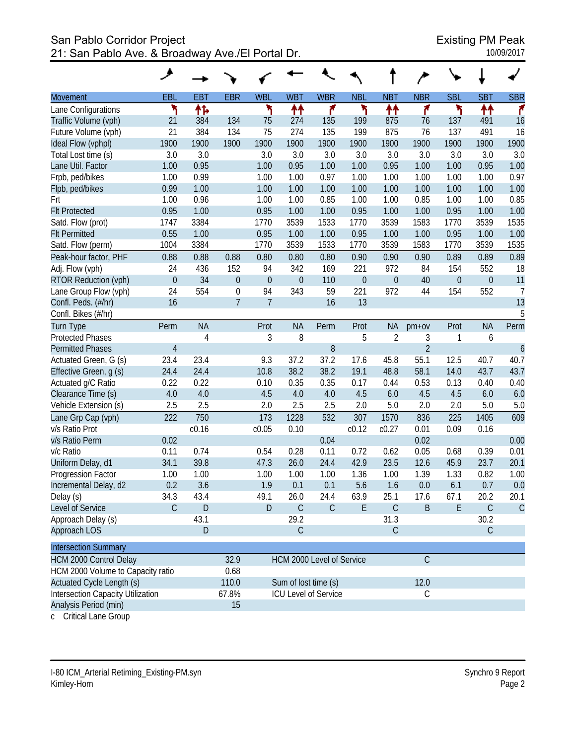# San Pablo Corridor Project Existing PM Peak 21: San Pablo Ave. & Broadway Ave./El Portal Dr.

| <b>EBT</b><br><b>EBR</b><br><b>WBL</b><br><b>WBT</b><br><b>WBR</b><br><b>NBT</b><br><b>NBR</b><br><b>SBL</b><br><b>SBT</b><br><b>SBR</b><br>EBL<br><b>NBL</b><br><b>Movement</b><br>忭<br>۲<br>怍<br>۲<br>۲<br>↟↟<br>۴<br>۴<br>۲<br>₩<br>۴<br>Lane Configurations<br>134<br>Traffic Volume (vph)<br>21<br>384<br>875<br>76<br>16<br>75<br>274<br>135<br>199<br>137<br>491<br>21<br>75<br>274<br>135<br>875<br>137<br>Future Volume (vph)<br>384<br>134<br>199<br>76<br>491<br>16<br>1900<br>1900<br>1900<br>1900<br>1900<br>1900<br>1900<br>1900<br>1900<br>1900<br>1900<br>1900<br>Ideal Flow (vphpl)<br>3.0<br>3.0<br>3.0<br>3.0<br>3.0<br>3.0<br>3.0<br>3.0<br>3.0<br>3.0<br>3.0<br>Total Lost time (s)<br>0.95<br>1.00<br>1.00<br>Lane Util. Factor<br>1.00<br>1.00<br>0.95<br>1.00<br>1.00<br>0.95<br>1.00<br>0.95<br>0.97<br>Frpb, ped/bikes<br>1.00<br>0.99<br>1.00<br>1.00<br>0.97<br>1.00<br>1.00<br>1.00<br>1.00<br>1.00<br>1.00<br>1.00<br>Flpb, ped/bikes<br>0.99<br>1.00<br>1.00<br>1.00<br>1.00<br>1.00<br>1.00<br>1.00<br>1.00<br>0.96<br>0.85<br>1.00<br>1.00<br>1.00<br>0.85<br>1.00<br>0.85<br>1.00<br>Frt<br>1.00<br>1.00<br>0.95<br>1.00<br>0.95<br>1.00<br>0.95<br>1.00<br>1.00<br>0.95<br>1.00<br>1.00<br>1.00<br><b>Flt Protected</b> |
|------------------------------------------------------------------------------------------------------------------------------------------------------------------------------------------------------------------------------------------------------------------------------------------------------------------------------------------------------------------------------------------------------------------------------------------------------------------------------------------------------------------------------------------------------------------------------------------------------------------------------------------------------------------------------------------------------------------------------------------------------------------------------------------------------------------------------------------------------------------------------------------------------------------------------------------------------------------------------------------------------------------------------------------------------------------------------------------------------------------------------------------------------------------------------------------------------------------------------------------------------------|
|                                                                                                                                                                                                                                                                                                                                                                                                                                                                                                                                                                                                                                                                                                                                                                                                                                                                                                                                                                                                                                                                                                                                                                                                                                                            |
|                                                                                                                                                                                                                                                                                                                                                                                                                                                                                                                                                                                                                                                                                                                                                                                                                                                                                                                                                                                                                                                                                                                                                                                                                                                            |
|                                                                                                                                                                                                                                                                                                                                                                                                                                                                                                                                                                                                                                                                                                                                                                                                                                                                                                                                                                                                                                                                                                                                                                                                                                                            |
|                                                                                                                                                                                                                                                                                                                                                                                                                                                                                                                                                                                                                                                                                                                                                                                                                                                                                                                                                                                                                                                                                                                                                                                                                                                            |
|                                                                                                                                                                                                                                                                                                                                                                                                                                                                                                                                                                                                                                                                                                                                                                                                                                                                                                                                                                                                                                                                                                                                                                                                                                                            |
|                                                                                                                                                                                                                                                                                                                                                                                                                                                                                                                                                                                                                                                                                                                                                                                                                                                                                                                                                                                                                                                                                                                                                                                                                                                            |
|                                                                                                                                                                                                                                                                                                                                                                                                                                                                                                                                                                                                                                                                                                                                                                                                                                                                                                                                                                                                                                                                                                                                                                                                                                                            |
|                                                                                                                                                                                                                                                                                                                                                                                                                                                                                                                                                                                                                                                                                                                                                                                                                                                                                                                                                                                                                                                                                                                                                                                                                                                            |
|                                                                                                                                                                                                                                                                                                                                                                                                                                                                                                                                                                                                                                                                                                                                                                                                                                                                                                                                                                                                                                                                                                                                                                                                                                                            |
|                                                                                                                                                                                                                                                                                                                                                                                                                                                                                                                                                                                                                                                                                                                                                                                                                                                                                                                                                                                                                                                                                                                                                                                                                                                            |
|                                                                                                                                                                                                                                                                                                                                                                                                                                                                                                                                                                                                                                                                                                                                                                                                                                                                                                                                                                                                                                                                                                                                                                                                                                                            |
| 3539<br>1535<br>1747<br>3384<br>1770<br>3539<br>1533<br>1583<br>1770<br>3539<br>Satd. Flow (prot)<br>1770                                                                                                                                                                                                                                                                                                                                                                                                                                                                                                                                                                                                                                                                                                                                                                                                                                                                                                                                                                                                                                                                                                                                                  |
| 0.55<br>0.95<br>1.00<br>1.00<br>0.95<br>1.00<br>1.00<br>0.95<br>1.00<br>1.00<br>1.00<br><b>Flt Permitted</b>                                                                                                                                                                                                                                                                                                                                                                                                                                                                                                                                                                                                                                                                                                                                                                                                                                                                                                                                                                                                                                                                                                                                               |
| 3539<br>1004<br>3384<br>1770<br>3539<br>1533<br>1583<br>1770<br>3539<br>1535<br>Satd. Flow (perm)<br>1770                                                                                                                                                                                                                                                                                                                                                                                                                                                                                                                                                                                                                                                                                                                                                                                                                                                                                                                                                                                                                                                                                                                                                  |
| 0.89<br>0.89<br>0.88<br>0.88<br>0.88<br>0.80<br>0.80<br>0.80<br>0.90<br>0.90<br>0.90<br>0.89<br>Peak-hour factor, PHF                                                                                                                                                                                                                                                                                                                                                                                                                                                                                                                                                                                                                                                                                                                                                                                                                                                                                                                                                                                                                                                                                                                                      |
| 24<br>436<br>152<br>94<br>342<br>221<br>972<br>154<br>552<br>Adj. Flow (vph)<br>169<br>84<br>18                                                                                                                                                                                                                                                                                                                                                                                                                                                                                                                                                                                                                                                                                                                                                                                                                                                                                                                                                                                                                                                                                                                                                            |
| $\boldsymbol{0}$<br>34<br>$\boldsymbol{0}$<br>$\boldsymbol{0}$<br>$\boldsymbol{0}$<br>$\theta$<br>11<br>RTOR Reduction (vph)<br>$\mathbf 0$<br>110<br>$\boldsymbol{0}$<br>40<br>$\boldsymbol{0}$                                                                                                                                                                                                                                                                                                                                                                                                                                                                                                                                                                                                                                                                                                                                                                                                                                                                                                                                                                                                                                                           |
| $\overline{7}$<br>24<br>554<br>$\boldsymbol{0}$<br>94<br>343<br>59<br>221<br>972<br>44<br>154<br>552<br>Lane Group Flow (vph)                                                                                                                                                                                                                                                                                                                                                                                                                                                                                                                                                                                                                                                                                                                                                                                                                                                                                                                                                                                                                                                                                                                              |
| 13<br>16<br>$\overline{7}$<br>$\overline{7}$<br>16<br>13<br>Confl. Peds. (#/hr)                                                                                                                                                                                                                                                                                                                                                                                                                                                                                                                                                                                                                                                                                                                                                                                                                                                                                                                                                                                                                                                                                                                                                                            |
| 5<br>Confl. Bikes (#/hr)                                                                                                                                                                                                                                                                                                                                                                                                                                                                                                                                                                                                                                                                                                                                                                                                                                                                                                                                                                                                                                                                                                                                                                                                                                   |
| <b>NA</b><br><b>Turn Type</b><br><b>NA</b><br>Prot<br><b>NA</b><br><b>NA</b><br>Perm<br>Perm<br>Prot<br>Perm<br>Prot<br>$pm+ov$                                                                                                                                                                                                                                                                                                                                                                                                                                                                                                                                                                                                                                                                                                                                                                                                                                                                                                                                                                                                                                                                                                                            |
| <b>Protected Phases</b><br>$\overline{4}$<br>3<br>8<br>5<br>$\overline{2}$<br>3<br>1<br>6                                                                                                                                                                                                                                                                                                                                                                                                                                                                                                                                                                                                                                                                                                                                                                                                                                                                                                                                                                                                                                                                                                                                                                  |
| $\overline{2}$<br>8<br><b>Permitted Phases</b><br>$\overline{4}$<br>$\boldsymbol{6}$                                                                                                                                                                                                                                                                                                                                                                                                                                                                                                                                                                                                                                                                                                                                                                                                                                                                                                                                                                                                                                                                                                                                                                       |
| 23.4<br>37.2<br>45.8<br>55.1<br>12.5<br>40.7<br>23.4<br>9.3<br>37.2<br>17.6<br>40.7<br>Actuated Green, G (s)                                                                                                                                                                                                                                                                                                                                                                                                                                                                                                                                                                                                                                                                                                                                                                                                                                                                                                                                                                                                                                                                                                                                               |
| 43.7<br>24.4<br>10.8<br>38.2<br>38.2<br>19.1<br>48.8<br>58.1<br>14.0<br>43.7<br>24.4<br>Effective Green, g (s)                                                                                                                                                                                                                                                                                                                                                                                                                                                                                                                                                                                                                                                                                                                                                                                                                                                                                                                                                                                                                                                                                                                                             |
| 0.35<br>0.35<br>Actuated g/C Ratio<br>0.22<br>0.22<br>0.10<br>0.17<br>0.44<br>0.53<br>0.13<br>0.40<br>0.40                                                                                                                                                                                                                                                                                                                                                                                                                                                                                                                                                                                                                                                                                                                                                                                                                                                                                                                                                                                                                                                                                                                                                 |
| Clearance Time (s)<br>4.0<br>4.5<br>4.5<br>6.0<br>4.5<br>6.0<br>4.0<br>4.0<br>4.0<br>4.5<br>6.0                                                                                                                                                                                                                                                                                                                                                                                                                                                                                                                                                                                                                                                                                                                                                                                                                                                                                                                                                                                                                                                                                                                                                            |
| 2.5<br>2.5<br>2.0<br>2.5<br>2.5<br>2.0<br>5.0<br>2.0<br>5.0<br>Vehicle Extension (s)<br>2.0<br>5.0                                                                                                                                                                                                                                                                                                                                                                                                                                                                                                                                                                                                                                                                                                                                                                                                                                                                                                                                                                                                                                                                                                                                                         |
| 750<br>173<br>1570<br>609<br>222<br>1228<br>532<br>307<br>225<br>1405<br>Lane Grp Cap (vph)<br>836                                                                                                                                                                                                                                                                                                                                                                                                                                                                                                                                                                                                                                                                                                                                                                                                                                                                                                                                                                                                                                                                                                                                                         |
| v/s Ratio Prot<br>c0.16<br>c0.05<br>c0.27<br>0.10<br>c0.12<br>0.01<br>0.09<br>0.16                                                                                                                                                                                                                                                                                                                                                                                                                                                                                                                                                                                                                                                                                                                                                                                                                                                                                                                                                                                                                                                                                                                                                                         |
| v/s Ratio Perm<br>0.02<br>0.04<br>0.02<br>0.00                                                                                                                                                                                                                                                                                                                                                                                                                                                                                                                                                                                                                                                                                                                                                                                                                                                                                                                                                                                                                                                                                                                                                                                                             |
| 0.74<br>0.28<br>0.11<br>0.01<br>v/c Ratio<br>0.11<br>0.54<br>0.72<br>0.62<br>0.05<br>0.68<br>0.39                                                                                                                                                                                                                                                                                                                                                                                                                                                                                                                                                                                                                                                                                                                                                                                                                                                                                                                                                                                                                                                                                                                                                          |
| 39.8<br>23.5<br>20.1<br>Uniform Delay, d1<br>34.1<br>47.3<br>26.0<br>24.4<br>42.9<br>12.6<br>45.9<br>23.7                                                                                                                                                                                                                                                                                                                                                                                                                                                                                                                                                                                                                                                                                                                                                                                                                                                                                                                                                                                                                                                                                                                                                  |
| 1.00<br>1.00<br>1.33<br>1.00<br>1.00<br>1.00<br>1.00<br>1.36<br>1.00<br>1.39<br>0.82<br>Progression Factor                                                                                                                                                                                                                                                                                                                                                                                                                                                                                                                                                                                                                                                                                                                                                                                                                                                                                                                                                                                                                                                                                                                                                 |
| 0.2<br>3.6<br>1.9<br>0.1<br>5.6<br>0.0<br>Incremental Delay, d2<br>0.1<br>1.6<br>0.0<br>6.1<br>0.7                                                                                                                                                                                                                                                                                                                                                                                                                                                                                                                                                                                                                                                                                                                                                                                                                                                                                                                                                                                                                                                                                                                                                         |
| Delay (s)<br>34.3<br>43.4<br>49.1<br>26.0<br>24.4<br>63.9<br>25.1<br>17.6<br>20.2<br>20.1<br>67.1                                                                                                                                                                                                                                                                                                                                                                                                                                                                                                                                                                                                                                                                                                                                                                                                                                                                                                                                                                                                                                                                                                                                                          |
| Level of Service<br>$\mathsf C$<br>$\mathsf C$<br>$\mathsf{C}$<br>D<br>D<br>$\mathsf C$<br>E<br>$\mathsf C$<br>Β<br>E<br>$\mathsf{C}$                                                                                                                                                                                                                                                                                                                                                                                                                                                                                                                                                                                                                                                                                                                                                                                                                                                                                                                                                                                                                                                                                                                      |
| 30.2<br>Approach Delay (s)<br>43.1<br>29.2<br>31.3                                                                                                                                                                                                                                                                                                                                                                                                                                                                                                                                                                                                                                                                                                                                                                                                                                                                                                                                                                                                                                                                                                                                                                                                         |
| Approach LOS<br>D<br>$\mathsf C$<br>$\mathsf C$<br>$\mathsf{C}$                                                                                                                                                                                                                                                                                                                                                                                                                                                                                                                                                                                                                                                                                                                                                                                                                                                                                                                                                                                                                                                                                                                                                                                            |
| <b>Intersection Summary</b>                                                                                                                                                                                                                                                                                                                                                                                                                                                                                                                                                                                                                                                                                                                                                                                                                                                                                                                                                                                                                                                                                                                                                                                                                                |
| $\mathcal{C}$<br>32.9<br>HCM 2000 Control Delay<br>HCM 2000 Level of Service                                                                                                                                                                                                                                                                                                                                                                                                                                                                                                                                                                                                                                                                                                                                                                                                                                                                                                                                                                                                                                                                                                                                                                               |
| HCM 2000 Volume to Capacity ratio<br>0.68                                                                                                                                                                                                                                                                                                                                                                                                                                                                                                                                                                                                                                                                                                                                                                                                                                                                                                                                                                                                                                                                                                                                                                                                                  |
| Actuated Cycle Length (s)<br>110.0<br>12.0<br>Sum of lost time (s)                                                                                                                                                                                                                                                                                                                                                                                                                                                                                                                                                                                                                                                                                                                                                                                                                                                                                                                                                                                                                                                                                                                                                                                         |
| Intersection Capacity Utilization<br>67.8%<br><b>ICU Level of Service</b><br>С                                                                                                                                                                                                                                                                                                                                                                                                                                                                                                                                                                                                                                                                                                                                                                                                                                                                                                                                                                                                                                                                                                                                                                             |
| Analysis Period (min)<br>15                                                                                                                                                                                                                                                                                                                                                                                                                                                                                                                                                                                                                                                                                                                                                                                                                                                                                                                                                                                                                                                                                                                                                                                                                                |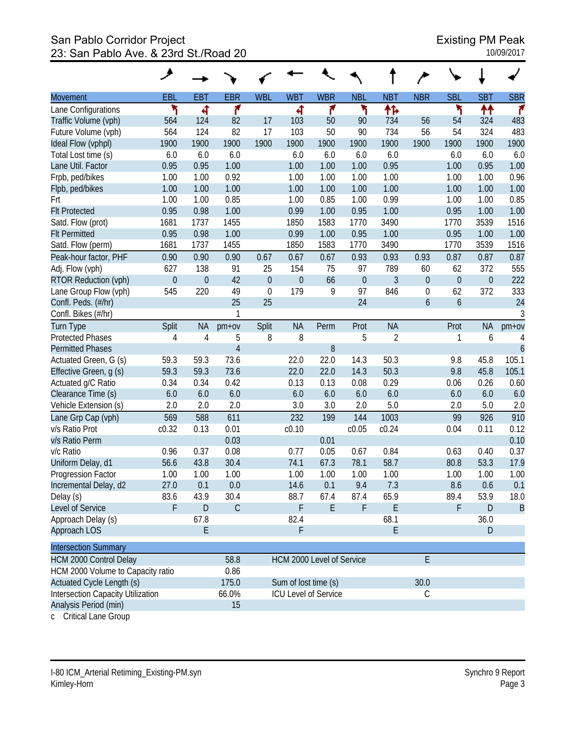# San Pablo Corridor Project<br>23: San Pablo Ave. & 23rd St./Road 20<br>23: San Pablo Ave. & 23rd St./Road 20 23: San Pablo Ave. & 23rd St./Road 20

|                                          | ◢           |                  |                |             |                             |             |             |                |                  |                  |             |                  |
|------------------------------------------|-------------|------------------|----------------|-------------|-----------------------------|-------------|-------------|----------------|------------------|------------------|-------------|------------------|
| Movement                                 | EBL         | EBT              | <b>EBR</b>     | <b>WBL</b>  | <b>WBT</b>                  | <b>WBR</b>  | <b>NBL</b>  | <b>NBT</b>     | <b>NBR</b>       | <b>SBL</b>       | <b>SBT</b>  | <b>SBR</b>       |
| Lane Configurations                      | ۲           | ৰ                | ۴              |             | 4                           | ۴           | ኻ           | ↟ኈ             |                  | ۲                | ₩           | r                |
| Traffic Volume (vph)                     | 564         | 124              | 82             | 17          | 103                         | 50          | 90          | 734            | 56               | 54               | 324         | 483              |
| Future Volume (vph)                      | 564         | 124              | 82             | 17          | 103                         | 50          | 90          | 734            | 56               | 54               | 324         | 483              |
| Ideal Flow (vphpl)                       | 1900        | 1900             | 1900           | 1900        | 1900                        | 1900        | 1900        | 1900           | 1900             | 1900             | 1900        | 1900             |
| Total Lost time (s)                      | 6.0         | 6.0              | 6.0            |             | 6.0                         | 6.0         | 6.0         | 6.0            |                  | 6.0              | 6.0         | 6.0              |
| Lane Util. Factor                        | 0.95        | 0.95             | 1.00           |             | 1.00                        | 1.00        | 1.00        | 0.95           |                  | 1.00             | 0.95        | 1.00             |
| Frpb, ped/bikes                          | 1.00        | 1.00             | 0.92           |             | 1.00                        | 1.00        | 1.00        | 1.00           |                  | 1.00             | 1.00        | 0.96             |
| Flpb, ped/bikes                          | 1.00        | 1.00             | 1.00           |             | 1.00                        | 1.00        | 1.00        | 1.00           |                  | 1.00             | 1.00        | 1.00             |
| Frt                                      | 1.00        | 1.00             | 0.85           |             | 1.00                        | 0.85        | 1.00        | 0.99           |                  | 1.00             | 1.00        | 0.85             |
| <b>Flt Protected</b>                     | 0.95        | 0.98             | 1.00           |             | 0.99                        | 1.00        | 0.95        | 1.00           |                  | 0.95             | 1.00        | 1.00             |
| Satd. Flow (prot)                        | 1681        | 1737             | 1455           |             | 1850                        | 1583        | 1770        | 3490           |                  | 1770             | 3539        | 1516             |
| <b>Flt Permitted</b>                     | 0.95        | 0.98             | 1.00           |             | 0.99                        | 1.00        | 0.95        | 1.00           |                  | 0.95             | 1.00        | 1.00             |
| Satd. Flow (perm)                        | 1681        | 1737             | 1455           |             | 1850                        | 1583        | 1770        | 3490           |                  | 1770             | 3539        | 1516             |
| Peak-hour factor, PHF                    | 0.90        | 0.90             | 0.90           | 0.67        | 0.67                        | 0.67        | 0.93        | 0.93           | 0.93             | 0.87             | 0.87        | 0.87             |
| Adj. Flow (vph)                          | 627         | 138              | 91             | 25          | 154                         | 75          | 97          | 789            | 60               | 62               | 372         | 555              |
| RTOR Reduction (vph)                     | $\mathbf 0$ | $\boldsymbol{0}$ | 42             | $\theta$    | $\mathbf{0}$                | 66          | $\mathbf 0$ | $\mathfrak{Z}$ | $\theta$         | $\overline{0}$   | $\mathbf 0$ | 222              |
| Lane Group Flow (vph)                    | 545         | 220              | 49             | $\mathbf 0$ | 179                         | 9           | 97          | 846            | $\boldsymbol{0}$ | 62               | 372         | 333              |
| Confl. Peds. (#/hr)                      |             |                  | 25             | 25          |                             |             | 24          |                | 6                | $\boldsymbol{6}$ |             | 24               |
| Confl. Bikes (#/hr)                      |             |                  | 1              |             |                             |             |             |                |                  |                  |             | 3                |
| <b>Turn Type</b>                         | Split       | <b>NA</b>        | $pm+ov$        | Split       | <b>NA</b>                   | Perm        | Prot        | <b>NA</b>      |                  | Prot             | <b>NA</b>   | $pm+ov$          |
| <b>Protected Phases</b>                  | 4           | 4                | 5              | 8           | 8                           |             | 5           | $\overline{2}$ |                  | 1                | 6           | 4                |
| <b>Permitted Phases</b>                  |             |                  | $\overline{4}$ |             |                             | 8           |             |                |                  |                  |             | $\boldsymbol{6}$ |
| Actuated Green, G (s)                    | 59.3        | 59.3             | 73.6           |             | 22.0                        | 22.0        | 14.3        | 50.3           |                  | 9.8              | 45.8        | 105.1            |
| Effective Green, g (s)                   | 59.3        | 59.3             | 73.6           |             | 22.0                        | 22.0        | 14.3        | 50.3           |                  | 9.8              | 45.8        | 105.1            |
| Actuated g/C Ratio                       | 0.34        | 0.34             | 0.42           |             | 0.13                        | 0.13        | 0.08        | 0.29           |                  | 0.06             | 0.26        | 0.60             |
| Clearance Time (s)                       | 6.0         | 6.0              | 6.0            |             | 6.0                         | 6.0         | 6.0         | 6.0            |                  | 6.0              | 6.0         | 6.0              |
| Vehicle Extension (s)                    | 2.0         | 2.0              | 2.0            |             | 3.0                         | 3.0         | 2.0         | 5.0            |                  | 2.0              | 5.0         | 2.0              |
| Lane Grp Cap (vph)                       | 569         | 588              | 611            |             | 232                         | 199         | 144         | 1003           |                  | 99               | 926         | 910              |
| v/s Ratio Prot                           | c0.32       | 0.13             | 0.01           |             | c0.10                       |             | c0.05       | c0.24          |                  | 0.04             | 0.11        | 0.12             |
| v/s Ratio Perm                           |             |                  | 0.03           |             |                             | 0.01        |             |                |                  |                  |             | 0.10             |
| v/c Ratio                                | 0.96        | 0.37             | 0.08           |             | 0.77                        | 0.05        | 0.67        | 0.84           |                  | 0.63             | 0.40        | 0.37             |
| Uniform Delay, d1                        | 56.6        | 43.8             | 30.4           |             | 74.1                        | 67.3        | 78.1        | 58.7           |                  | 80.8             | 53.3        | 17.9             |
| Progression Factor                       | 1.00        | 1.00             | 1.00           |             | 1.00                        | 1.00        | 1.00        | 1.00           |                  | 1.00             | 1.00        | 1.00             |
| Incremental Delay, d2                    | 27.0        | 0.1              | 0.0            |             | 14.6                        | 0.1         | 9.4         | 7.3            |                  | 8.6              | 0.6         | 0.1              |
| Delay (s)                                | 83.6        | 43.9             | 30.4           |             | 88.7                        | 67.4        | 87.4        | 65.9           |                  | 89.4             | 53.9        | 18.0             |
| Level of Service                         | F           | ${\sf D}$        | $\mathsf C$    |             | F                           | $\mathsf E$ | F           | E              |                  | F                | D           | $\overline{B}$   |
| Approach Delay (s)                       |             | 67.8             |                |             | 82.4                        |             |             | 68.1           |                  |                  | 36.0        |                  |
| Approach LOS                             |             | E                |                |             | F                           |             |             | E              |                  |                  | D           |                  |
|                                          |             |                  |                |             |                             |             |             |                |                  |                  |             |                  |
| <b>Intersection Summary</b>              |             |                  |                |             |                             |             |             |                |                  |                  |             |                  |
| HCM 2000 Control Delay                   |             |                  | 58.8           |             | HCM 2000 Level of Service   |             |             |                | E                |                  |             |                  |
| HCM 2000 Volume to Capacity ratio        |             |                  | 0.86           |             |                             |             |             |                |                  |                  |             |                  |
| Actuated Cycle Length (s)                |             |                  | 175.0          |             | Sum of lost time (s)        |             |             |                | 30.0             |                  |             |                  |
| <b>Intersection Capacity Utilization</b> |             |                  | 66.0%          |             | <b>ICU Level of Service</b> |             |             |                | C                |                  |             |                  |
| Analysis Period (min)                    |             |                  | 15             |             |                             |             |             |                |                  |                  |             |                  |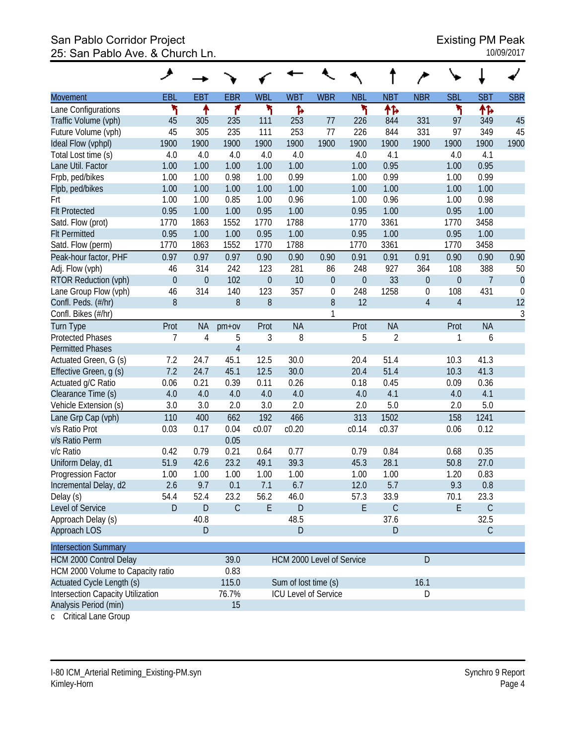# San Pablo Corridor Project<br>
25: San Pablo Ave. & Church Ln.<br>
25: San Pablo Ave. & Church Ln. 25: San Pablo Ave. & Church Ln.

|                                                                   | حر             |              |                |                             |              |                  |                  |                |                  |                  |                |                  |
|-------------------------------------------------------------------|----------------|--------------|----------------|-----------------------------|--------------|------------------|------------------|----------------|------------------|------------------|----------------|------------------|
| <b>Movement</b>                                                   | EBL            | <b>EBT</b>   | <b>EBR</b>     | <b>WBL</b>                  | <b>WBT</b>   | <b>WBR</b>       | <b>NBL</b>       | <b>NBT</b>     | <b>NBR</b>       | <b>SBL</b>       | <b>SBT</b>     | <b>SBR</b>       |
| Lane Configurations                                               | ۲              | ↟            | ۴              | ۲                           | Ъ            |                  | ٦                | ተኈ             |                  | ۲                | ተኈ             |                  |
| Traffic Volume (vph)                                              | 45             | 305          | 235            | 111                         | 253          | 77               | 226              | 844            | 331              | 97               | 349            | 45               |
| Future Volume (vph)                                               | 45             | 305          | 235            | 111                         | 253          | 77               | 226              | 844            | 331              | 97               | 349            | 45               |
| Ideal Flow (vphpl)                                                | 1900           | 1900         | 1900           | 1900                        | 1900         | 1900             | 1900             | 1900           | 1900             | 1900             | 1900           | 1900             |
| Total Lost time (s)                                               | 4.0            | 4.0          | 4.0            | 4.0                         | 4.0          |                  | 4.0              | 4.1            |                  | 4.0              | 4.1            |                  |
| Lane Util. Factor                                                 | 1.00           | 1.00         | 1.00<br>0.98   | 1.00                        | 1.00<br>0.99 |                  | 1.00             | 0.95<br>0.99   |                  | 1.00<br>1.00     | 0.95<br>0.99   |                  |
| Frpb, ped/bikes<br>Flpb, ped/bikes                                | 1.00<br>1.00   | 1.00<br>1.00 | 1.00           | 1.00<br>1.00                | 1.00         |                  | 1.00<br>1.00     | 1.00           |                  | 1.00             | 1.00           |                  |
| Frt                                                               | 1.00           | 1.00         | 0.85           | 1.00                        | 0.96         |                  | 1.00             | 0.96           |                  | 1.00             | 0.98           |                  |
| <b>Flt Protected</b>                                              | 0.95           | 1.00         | 1.00           | 0.95                        | 1.00         |                  | 0.95             | 1.00           |                  | 0.95             | 1.00           |                  |
| Satd. Flow (prot)                                                 | 1770           | 1863         | 1552           | 1770                        | 1788         |                  | 1770             | 3361           |                  | 1770             | 3458           |                  |
| <b>Flt Permitted</b>                                              | 0.95           | 1.00         | 1.00           | 0.95                        | 1.00         |                  | 0.95             | 1.00           |                  | 0.95             | 1.00           |                  |
| Satd. Flow (perm)                                                 | 1770           | 1863         | 1552           | 1770                        | 1788         |                  | 1770             | 3361           |                  | 1770             | 3458           |                  |
| Peak-hour factor, PHF                                             | 0.97           | 0.97         | 0.97           | 0.90                        | 0.90         | 0.90             | 0.91             | 0.91           | 0.91             | 0.90             | 0.90           | 0.90             |
| Adj. Flow (vph)                                                   | 46             | 314          | 242            | 123                         | 281          | 86               | 248              | 927            | 364              | 108              | 388            | 50               |
| <b>RTOR Reduction (vph)</b>                                       | $\mathbf{0}$   | $\mathbf{0}$ | 102            | $\theta$                    | 10           | $\boldsymbol{0}$ | $\boldsymbol{0}$ | 33             | $\mathbf{0}$     | $\boldsymbol{0}$ | $\overline{7}$ | $\theta$         |
| Lane Group Flow (vph)                                             | 46             | 314          | 140            | 123                         | 357          | $\boldsymbol{0}$ | 248              | 1258           | $\boldsymbol{0}$ | 108              | 431            | $\boldsymbol{0}$ |
| Confl. Peds. (#/hr)                                               | 8              |              | 8              | 8                           |              | $8\,$            | 12               |                | $\overline{4}$   | $\overline{4}$   |                | 12               |
| Confl. Bikes (#/hr)                                               |                |              |                |                             |              | 1                |                  |                |                  |                  |                | $\mathfrak{Z}$   |
| <b>Turn Type</b>                                                  | Prot           | <b>NA</b>    | $pm+ov$        | Prot                        | <b>NA</b>    |                  | Prot             | <b>NA</b>      |                  | Prot             | <b>NA</b>      |                  |
| <b>Protected Phases</b>                                           | $\overline{7}$ | 4            | 5              | 3                           | 8            |                  | 5                | $\overline{2}$ |                  | 1                | 6              |                  |
| <b>Permitted Phases</b>                                           |                |              | $\overline{4}$ |                             |              |                  |                  |                |                  |                  |                |                  |
| Actuated Green, G (s)                                             | 7.2            | 24.7         | 45.1           | 12.5                        | 30.0         |                  | 20.4             | 51.4           |                  | 10.3             | 41.3           |                  |
| Effective Green, g (s)                                            | 7.2            | 24.7         | 45.1           | 12.5                        | 30.0         |                  | 20.4             | 51.4           |                  | 10.3             | 41.3           |                  |
| Actuated g/C Ratio                                                | 0.06           | 0.21         | 0.39           | 0.11                        | 0.26         |                  | 0.18             | 0.45           |                  | 0.09             | 0.36           |                  |
| Clearance Time (s)                                                | 4.0            | 4.0          | 4.0            | 4.0                         | 4.0          |                  | 4.0              | 4.1            |                  | 4.0              | 4.1            |                  |
| Vehicle Extension (s)                                             | 3.0            | 3.0          | 2.0            | 3.0                         | 2.0          |                  | 2.0              | 5.0            |                  | 2.0              | 5.0            |                  |
| Lane Grp Cap (vph)                                                | 110            | 400          | 662            | 192                         | 466          |                  | 313              | 1502           |                  | 158              | 1241           |                  |
| v/s Ratio Prot                                                    | 0.03           | 0.17         | 0.04           | c0.07                       | c0.20        |                  | c0.14            | c0.37          |                  | 0.06             | 0.12           |                  |
| v/s Ratio Perm<br>v/c Ratio                                       |                |              | 0.05           |                             |              |                  |                  |                |                  |                  |                |                  |
| Uniform Delay, d1                                                 | 0.42<br>51.9   | 0.79<br>42.6 | 0.21<br>23.2   | 0.64<br>49.1                | 0.77<br>39.3 |                  | 0.79<br>45.3     | 0.84<br>28.1   |                  | 0.68<br>50.8     | 0.35<br>27.0   |                  |
| Progression Factor                                                | 1.00           | 1.00         | 1.00           | 1.00                        | 1.00         |                  | 1.00             | 1.00           |                  | 1.20             | 0.83           |                  |
| Incremental Delay, d2                                             | 2.6            | 9.7          | 0.1            | 7.1                         | 6.7          |                  | 12.0             | 5.7            |                  | 9.3              | 0.8            |                  |
| Delay (s)                                                         | 54.4           | 52.4         | 23.2           | 56.2                        | 46.0         |                  | 57.3             | 33.9           |                  | 70.1             | 23.3           |                  |
| Level of Service                                                  | D              | $\mathsf D$  | $\mathsf C$    | E                           | $\mathsf{D}$ |                  | $\mathsf E$      | $\mathsf C$    |                  | E                | $\mathsf C$    |                  |
| Approach Delay (s)                                                |                | 40.8         |                |                             | 48.5         |                  |                  | 37.6           |                  |                  | 32.5           |                  |
| Approach LOS                                                      |                | $\mathsf D$  |                |                             | $\mathsf D$  |                  |                  | D              |                  |                  | $\mathsf C$    |                  |
|                                                                   |                |              |                |                             |              |                  |                  |                |                  |                  |                |                  |
| <b>Intersection Summary</b>                                       |                |              |                |                             |              |                  |                  |                |                  |                  |                |                  |
| HCM 2000 Control Delay                                            |                |              | 39.0           | HCM 2000 Level of Service   |              |                  |                  |                | D                |                  |                |                  |
| HCM 2000 Volume to Capacity ratio                                 |                |              | 0.83           | Sum of lost time (s)        |              |                  |                  |                |                  |                  |                |                  |
| Actuated Cycle Length (s)                                         |                |              | 115.0<br>76.7% | <b>ICU Level of Service</b> |              |                  |                  |                | 16.1<br>D        |                  |                |                  |
| <b>Intersection Capacity Utilization</b><br>Analysis Period (min) |                |              | 15             |                             |              |                  |                  |                |                  |                  |                |                  |
|                                                                   |                |              |                |                             |              |                  |                  |                |                  |                  |                |                  |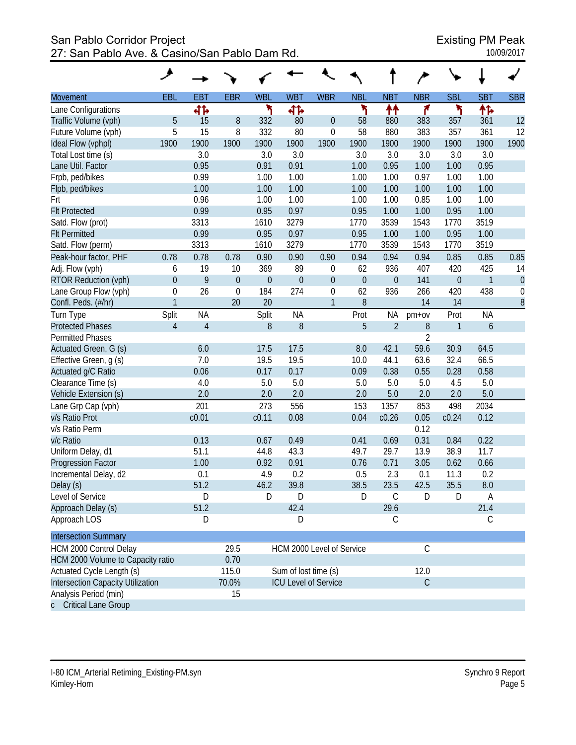# San Pablo Corridor Project<br>27: San Pablo Ave. & Casino/San Pablo Dam Rd. 27: San Pablo Ave. & Casino/San Pablo Dam Rd. 27: San Pablo Ave. & Casino/San Pablo Dam Rd.

|                                   | ۶                |                   |             |                  |                      |                             |                  |                  |                |                  |                  |                  |
|-----------------------------------|------------------|-------------------|-------------|------------------|----------------------|-----------------------------|------------------|------------------|----------------|------------------|------------------|------------------|
| <b>Movement</b>                   | EBL              | <b>EBT</b>        | <b>EBR</b>  | <b>WBL</b>       | <b>WBT</b>           | <b>WBR</b>                  | <b>NBL</b>       | <b>NBT</b>       | <b>NBR</b>     | <b>SBL</b>       | <b>SBT</b>       | <b>SBR</b>       |
| Lane Configurations               |                  | 41                |             | ۳                | बीर्क                |                             | ۲                | ↟↟               | ۴              | ۳                | 怍                |                  |
| Traffic Volume (vph)              | 5                | 15                | 8           | 332              | 80                   | $\boldsymbol{0}$            | 58               | 880              | 383            | 357              | 361              | 12               |
| Future Volume (vph)               | 5                | 15                | 8           | 332              | 80                   | $\boldsymbol{0}$            | 58               | 880              | 383            | 357              | 361              | 12               |
| Ideal Flow (vphpl)                | 1900             | 1900              | 1900        | 1900             | 1900                 | 1900                        | 1900             | 1900             | 1900           | 1900             | 1900             | 1900             |
| Total Lost time (s)               |                  | 3.0               |             | 3.0              | 3.0                  |                             | 3.0              | 3.0              | 3.0            | 3.0              | 3.0              |                  |
| Lane Util. Factor                 |                  | 0.95              |             | 0.91             | 0.91                 |                             | 1.00             | 0.95             | 1.00           | 1.00             | 0.95             |                  |
| Frpb, ped/bikes                   |                  | 0.99              |             | 1.00             | 1.00                 |                             | 1.00             | 1.00             | 0.97           | 1.00             | 1.00             |                  |
| Flpb, ped/bikes                   |                  | 1.00              |             | 1.00             | 1.00                 |                             | 1.00             | 1.00             | 1.00           | 1.00             | 1.00             |                  |
| Frt                               |                  | 0.96              |             | 1.00             | 1.00                 |                             | 1.00             | 1.00             | 0.85           | 1.00             | 1.00             |                  |
| <b>Flt Protected</b>              |                  | 0.99              |             | 0.95             | 0.97                 |                             | 0.95             | 1.00             | 1.00           | 0.95             | 1.00             |                  |
| Satd. Flow (prot)                 |                  | 3313              |             | 1610             | 3279                 |                             | 1770             | 3539             | 1543           | 1770             | 3519             |                  |
| <b>Flt Permitted</b>              |                  | 0.99              |             | 0.95             | 0.97                 |                             | 0.95             | 1.00             | 1.00           | 0.95             | 1.00             |                  |
| Satd. Flow (perm)                 |                  | 3313              |             | 1610             | 3279                 |                             | 1770             | 3539             | 1543           | 1770             | 3519             |                  |
| Peak-hour factor, PHF             | 0.78             | 0.78              | 0.78        | 0.90             | 0.90                 | 0.90                        | 0.94             | 0.94             | 0.94           | 0.85             | 0.85             | 0.85             |
| Adj. Flow (vph)                   | 6                | 19                | 10          | 369              | 89                   | $\mathbf 0$                 | 62               | 936              | 407            | 420              | 425              | 14               |
| RTOR Reduction (vph)              | $\mathbf 0$      | 9                 | $\theta$    | $\boldsymbol{0}$ | $\boldsymbol{0}$     | $\boldsymbol{0}$            | $\boldsymbol{0}$ | $\boldsymbol{0}$ | 141            | $\boldsymbol{0}$ | $\mathbf{1}$     | $\mathbf 0$      |
| Lane Group Flow (vph)             | $\boldsymbol{0}$ | 26                | $\mathbf 0$ | 184              | 274                  | $\boldsymbol{0}$            | 62               | 936              | 266            | 420              | 438              | $\boldsymbol{0}$ |
| Confl. Peds. (#/hr)               | $\overline{1}$   |                   | 20          | 20               |                      | $\mathbf{1}$                | $8\,$            |                  | 14             | 14               |                  | 8                |
| Turn Type                         | Split            | <b>NA</b>         |             | Split            | <b>NA</b>            |                             | Prot             | <b>NA</b>        | pm+ov          | Prot             | <b>NA</b>        |                  |
| <b>Protected Phases</b>           | $\overline{4}$   | $\overline{4}$    |             | 8                | $\boldsymbol{8}$     |                             | 5                | $\overline{2}$   | $8\,$          | $\mathbf{1}$     | $\boldsymbol{6}$ |                  |
| <b>Permitted Phases</b>           |                  |                   |             |                  |                      |                             |                  |                  | $\overline{2}$ |                  |                  |                  |
| Actuated Green, G (s)             |                  | 6.0               |             | 17.5             | 17.5                 |                             | 8.0              | 42.1             | 59.6           | 30.9             | 64.5             |                  |
| Effective Green, g (s)            |                  | 7.0               |             | 19.5             | 19.5                 |                             | 10.0             | 44.1             | 63.6           | 32.4             | 66.5             |                  |
| Actuated g/C Ratio                |                  | 0.06              |             | 0.17             | 0.17                 |                             | 0.09             | 0.38             | 0.55           | 0.28             | 0.58             |                  |
| Clearance Time (s)                |                  | 4.0               |             | 5.0              | 5.0                  |                             | 5.0              | 5.0              | 5.0            | 4.5              | 5.0              |                  |
| Vehicle Extension (s)             |                  | 2.0               |             | 2.0              | 2.0                  |                             | 2.0              | 5.0              | 2.0            | 2.0              | 5.0              |                  |
| Lane Grp Cap (vph)                |                  | 201               |             | 273              | 556                  |                             | 153              | 1357             | 853            | 498              | 2034             |                  |
| v/s Ratio Prot                    |                  | c <sub>0.01</sub> |             | c0.11            | 0.08                 |                             | 0.04             | c0.26            | 0.05           | c0.24            | 0.12             |                  |
| v/s Ratio Perm                    |                  |                   |             |                  |                      |                             |                  |                  | 0.12           |                  |                  |                  |
| v/c Ratio                         |                  | 0.13              |             | 0.67             | 0.49                 |                             | 0.41             | 0.69             | 0.31           | 0.84             | 0.22             |                  |
| Uniform Delay, d1                 |                  | 51.1              |             | 44.8             | 43.3                 |                             | 49.7             | 29.7             | 13.9           | 38.9             | 11.7             |                  |
| Progression Factor                |                  | 1.00              |             | 0.92             | 0.91                 |                             | 0.76             | 0.71             | 3.05           | 0.62             | 0.66             |                  |
| Incremental Delay, d2             |                  | 0.1               |             | 4.9              | 0.2                  |                             | 0.5              | 2.3              | 0.1            | 11.3             | 0.2              |                  |
| Delay (s)                         |                  | 51.2              |             | 46.2             | 39.8                 |                             | 38.5             | 23.5             | 42.5           | 35.5             | 8.0              |                  |
| Level of Service                  |                  | D                 |             | D                | D                    |                             | D                | $\mathcal{C}$    | D              | D                | Α                |                  |
| Approach Delay (s)                |                  | 51.2              |             |                  | 42.4                 |                             |                  | 29.6             |                |                  | 21.4             |                  |
| Approach LOS                      |                  | D                 |             |                  | D                    |                             |                  | С                |                |                  | C                |                  |
| <b>Intersection Summary</b>       |                  |                   |             |                  |                      |                             |                  |                  |                |                  |                  |                  |
| HCM 2000 Control Delay            |                  |                   | 29.5        |                  |                      | HCM 2000 Level of Service   |                  |                  | $\mathsf C$    |                  |                  |                  |
| HCM 2000 Volume to Capacity ratio |                  |                   | 0.70        |                  |                      |                             |                  |                  |                |                  |                  |                  |
| Actuated Cycle Length (s)         |                  |                   | 115.0       |                  | Sum of lost time (s) |                             |                  |                  | 12.0           |                  |                  |                  |
| Intersection Capacity Utilization |                  |                   | 70.0%       |                  |                      | <b>ICU Level of Service</b> |                  |                  | $\mathsf C$    |                  |                  |                  |
| Analysis Period (min)             |                  |                   | 15          |                  |                      |                             |                  |                  |                |                  |                  |                  |
| c Critical Lane Group             |                  |                   |             |                  |                      |                             |                  |                  |                |                  |                  |                  |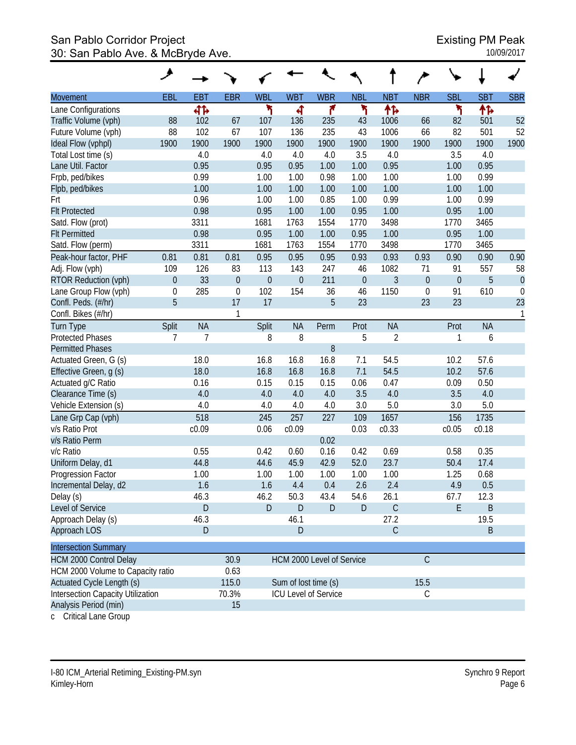#### San Pablo Corridor Project **Existing PM Peak** 30: San Pablo Ave. & McBryde Ave. 10/09/2017

|                                              | ◢                       |              |                         |                         |                         |                           |                        |                        |                        |                  |                       |                        |
|----------------------------------------------|-------------------------|--------------|-------------------------|-------------------------|-------------------------|---------------------------|------------------------|------------------------|------------------------|------------------|-----------------------|------------------------|
| <b>Movement</b>                              | EBL                     | EBT          | <b>EBR</b>              | <b>WBL</b>              | <b>WBT</b>              | <b>WBR</b>                | <b>NBL</b>             | <b>NBT</b>             | <b>NBR</b>             | <b>SBL</b>       | <b>SBT</b>            | <b>SBR</b>             |
| Lane Configurations                          |                         | 41           |                         | ۲                       | 4                       | ۴                         | ۲                      | ተኈ                     |                        | ۲                | 怍                     |                        |
| Traffic Volume (vph)                         | 88                      | 102          | 67                      | 107                     | 136                     | 235                       | 43                     | 1006                   | 66                     | 82               | 501                   | 52                     |
| Future Volume (vph)                          | 88                      | 102          | 67                      | 107                     | 136                     | 235                       | 43                     | 1006                   | 66                     | 82               | 501                   | 52                     |
| Ideal Flow (vphpl)                           | 1900                    | 1900         | 1900                    | 1900                    | 1900                    | 1900                      | 1900                   | 1900                   | 1900                   | 1900             | 1900                  | 1900                   |
| Total Lost time (s)                          |                         | 4.0          |                         | 4.0                     | 4.0                     | 4.0                       | 3.5                    | 4.0                    |                        | 3.5              | 4.0                   |                        |
| Lane Util. Factor                            |                         | 0.95         |                         | 0.95                    | 0.95                    | 1.00                      | 1.00                   | 0.95                   |                        | 1.00             | 0.95                  |                        |
| Frpb, ped/bikes                              |                         | 0.99         |                         | 1.00                    | 1.00                    | 0.98                      | 1.00                   | 1.00                   |                        | 1.00             | 0.99                  |                        |
| Flpb, ped/bikes                              |                         | 1.00         |                         | 1.00                    | 1.00                    | 1.00                      | 1.00                   | 1.00                   |                        | 1.00             | 1.00                  |                        |
| Frt                                          |                         | 0.96         |                         | 1.00                    | 1.00                    | 0.85                      | 1.00                   | 0.99                   |                        | 1.00             | 0.99                  |                        |
| <b>Flt Protected</b>                         |                         | 0.98         |                         | 0.95                    | 1.00                    | 1.00                      | 0.95                   | 1.00                   |                        | 0.95             | 1.00                  |                        |
| Satd. Flow (prot)                            |                         | 3311         |                         | 1681                    | 1763                    | 1554                      | 1770                   | 3498                   |                        | 1770             | 3465                  |                        |
| <b>Flt Permitted</b>                         |                         | 0.98<br>3311 |                         | 0.95<br>1681            | 1.00<br>1763            | 1.00<br>1554              | 0.95                   | 1.00<br>3498           |                        | 0.95<br>1770     | 1.00<br>3465          |                        |
| Satd. Flow (perm)                            |                         |              |                         |                         |                         |                           | 1770                   |                        |                        |                  |                       |                        |
| Peak-hour factor, PHF                        | 0.81                    | 0.81         | 0.81                    | 0.95                    | 0.95                    | 0.95                      | 0.93                   | 0.93                   | 0.93                   | 0.90             | 0.90                  | 0.90                   |
| Adj. Flow (vph)                              | 109                     | 126<br>33    | 83                      | 113                     | 143                     | 247                       | 46<br>$\boldsymbol{0}$ | 1082<br>$\overline{3}$ | 71                     | 91               | 557                   | 58                     |
| RTOR Reduction (vph)                         | $\boldsymbol{0}$        | 285          | $\theta$<br>$\mathbf 0$ | $\boldsymbol{0}$<br>102 | $\boldsymbol{0}$<br>154 | 211                       |                        | 1150                   | $\boldsymbol{0}$       | $\boldsymbol{0}$ | $\overline{5}$<br>610 | $\theta$               |
| Lane Group Flow (vph)<br>Confl. Peds. (#/hr) | $\boldsymbol{0}$<br>5   |              | 17                      | 17                      |                         | 36<br>5                   | 46<br>23               |                        | $\boldsymbol{0}$<br>23 | 91<br>23         |                       | $\boldsymbol{0}$<br>23 |
| Confl. Bikes (#/hr)                          |                         |              | 1                       |                         |                         |                           |                        |                        |                        |                  |                       | 1                      |
|                                              |                         | <b>NA</b>    |                         |                         | <b>NA</b>               |                           |                        | <b>NA</b>              |                        |                  | <b>NA</b>             |                        |
| <b>Turn Type</b><br><b>Protected Phases</b>  | Split<br>$\overline{7}$ | 7            |                         | Split<br>8              | 8                       | Perm                      | Prot<br>5              | $\sqrt{2}$             |                        | Prot<br>1        | 6                     |                        |
| <b>Permitted Phases</b>                      |                         |              |                         |                         |                         | 8                         |                        |                        |                        |                  |                       |                        |
| Actuated Green, G (s)                        |                         | 18.0         |                         | 16.8                    | 16.8                    | 16.8                      | 7.1                    | 54.5                   |                        | 10.2             | 57.6                  |                        |
| Effective Green, g (s)                       |                         | 18.0         |                         | 16.8                    | 16.8                    | 16.8                      | 7.1                    | 54.5                   |                        | 10.2             | 57.6                  |                        |
| Actuated g/C Ratio                           |                         | 0.16         |                         | 0.15                    | 0.15                    | 0.15                      | 0.06                   | 0.47                   |                        | 0.09             | 0.50                  |                        |
| Clearance Time (s)                           |                         | 4.0          |                         | 4.0                     | 4.0                     | 4.0                       | 3.5                    | 4.0                    |                        | 3.5              | 4.0                   |                        |
| Vehicle Extension (s)                        |                         | 4.0          |                         | 4.0                     | 4.0                     | 4.0                       | 3.0                    | 5.0                    |                        | 3.0              | 5.0                   |                        |
| Lane Grp Cap (vph)                           |                         | 518          |                         | 245                     | 257                     | 227                       | 109                    | 1657                   |                        | 156              | 1735                  |                        |
| v/s Ratio Prot                               |                         | c0.09        |                         | 0.06                    | c0.09                   |                           | 0.03                   | c0.33                  |                        | c0.05            | c0.18                 |                        |
| v/s Ratio Perm                               |                         |              |                         |                         |                         | 0.02                      |                        |                        |                        |                  |                       |                        |
| v/c Ratio                                    |                         | 0.55         |                         | 0.42                    | 0.60                    | 0.16                      | 0.42                   | 0.69                   |                        | 0.58             | 0.35                  |                        |
| Uniform Delay, d1                            |                         | 44.8         |                         | 44.6                    | 45.9                    | 42.9                      | 52.0                   | 23.7                   |                        | 50.4             | 17.4                  |                        |
| Progression Factor                           |                         | 1.00         |                         | 1.00                    | 1.00                    | 1.00                      | 1.00                   | 1.00                   |                        | 1.25             | 0.68                  |                        |
| Incremental Delay, d2                        |                         | 1.6          |                         | 1.6                     | 4.4                     | 0.4                       | 2.6                    | 2.4                    |                        | 4.9              | 0.5                   |                        |
| Delay (s)                                    |                         | 46.3         |                         | 46.2                    | 50.3                    | 43.4                      | 54.6                   | 26.1                   |                        | 67.7             | 12.3                  |                        |
| Level of Service                             |                         | $\mathsf{D}$ |                         | D                       | $\mathsf{D}$            | D                         | D                      | $\mathsf C$            |                        | E                | B                     |                        |
| Approach Delay (s)                           |                         | 46.3         |                         |                         | 46.1                    |                           |                        | 27.2                   |                        |                  | 19.5                  |                        |
| Approach LOS                                 |                         | $\mathsf D$  |                         |                         | $\mathsf D$             |                           |                        | $\mathsf C$            |                        |                  | B                     |                        |
| <b>Intersection Summary</b>                  |                         |              |                         |                         |                         |                           |                        |                        |                        |                  |                       |                        |
| <b>HCM 2000 Control Delay</b>                |                         |              | 30.9                    |                         |                         | HCM 2000 Level of Service |                        |                        | $\mathsf C$            |                  |                       |                        |
| HCM 2000 Volume to Capacity ratio            |                         |              | 0.63                    |                         |                         |                           |                        |                        |                        |                  |                       |                        |
| Actuated Cycle Length (s)                    |                         |              | 115.0                   |                         | Sum of lost time (s)    |                           |                        |                        | 15.5                   |                  |                       |                        |
| <b>Intersection Capacity Utilization</b>     |                         |              | 70.3%                   |                         |                         | ICU Level of Service      |                        |                        | C                      |                  |                       |                        |
| Analysis Period (min)                        |                         |              | 15                      |                         |                         |                           |                        |                        |                        |                  |                       |                        |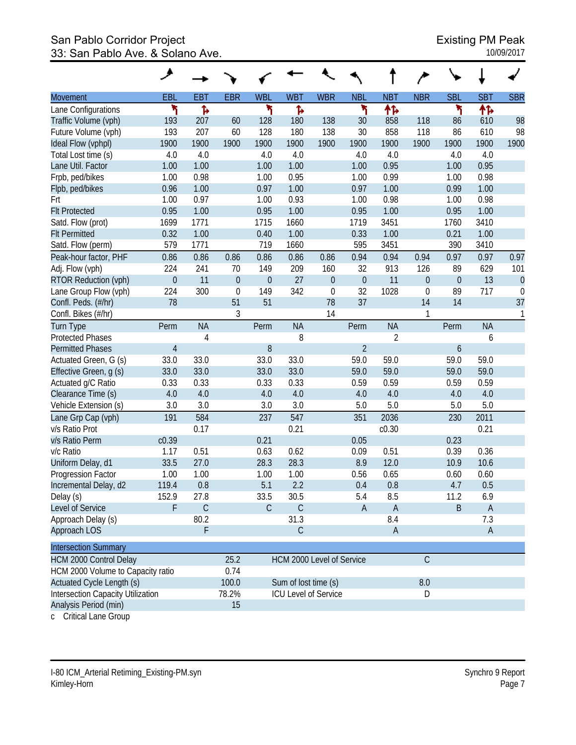#### San Pablo Corridor Project **Existing PM Peak** 33: San Pablo Ave. & Solano Ave. 10/09/2017

|                                   | ᢣ                |             |                  |             |                      |                             |                |             |               |                  |              |                  |
|-----------------------------------|------------------|-------------|------------------|-------------|----------------------|-----------------------------|----------------|-------------|---------------|------------------|--------------|------------------|
| <b>Movement</b>                   | EBL              | <b>EBT</b>  | <b>EBR</b>       | <b>WBL</b>  | <b>WBT</b>           | <b>WBR</b>                  | <b>NBL</b>     | <b>NBT</b>  | <b>NBR</b>    | <b>SBL</b>       | <b>SBT</b>   | <b>SBR</b>       |
| Lane Configurations               | ۲                | ħ           |                  | ۲           | Ъ                    |                             | ۲              | 忭           |               | ۲                | 怍            |                  |
| Traffic Volume (vph)              | 193              | 207         | 60               | 128         | 180                  | 138                         | 30             | 858         | 118           | 86               | 610          | 98               |
| Future Volume (vph)               | 193              | 207         | 60               | 128         | 180                  | 138                         | 30             | 858         | 118           | 86               | 610          | 98               |
| Ideal Flow (vphpl)                | 1900             | 1900        | 1900             | 1900        | 1900                 | 1900                        | 1900           | 1900        | 1900          | 1900             | 1900         | 1900             |
| Total Lost time (s)               | 4.0              | 4.0         |                  | 4.0         | 4.0                  |                             | 4.0            | 4.0         |               | 4.0              | 4.0          |                  |
| Lane Util. Factor                 | 1.00             | 1.00        |                  | 1.00        | 1.00                 |                             | 1.00           | 0.95        |               | 1.00             | 0.95         |                  |
| Frpb, ped/bikes                   | 1.00             | 0.98        |                  | 1.00        | 0.95                 |                             | 1.00           | 0.99        |               | 1.00             | 0.98         |                  |
| Flpb, ped/bikes                   | 0.96             | 1.00        |                  | 0.97        | 1.00                 |                             | 0.97           | 1.00        |               | 0.99             | 1.00         |                  |
| Frt                               | 1.00             | 0.97        |                  | 1.00        | 0.93                 |                             | 1.00           | 0.98        |               | 1.00             | 0.98         |                  |
| <b>Flt Protected</b>              | 0.95             | 1.00        |                  | 0.95        | 1.00                 |                             | 0.95           | 1.00        |               | 0.95             | 1.00         |                  |
| Satd. Flow (prot)                 | 1699             | 1771        |                  | 1715        | 1660                 |                             | 1719           | 3451        |               | 1760             | 3410         |                  |
| <b>Flt Permitted</b>              | 0.32             | 1.00        |                  | 0.40        | 1.00                 |                             | 0.33           | 1.00        |               | 0.21             | 1.00         |                  |
| Satd. Flow (perm)                 | 579              | 1771        |                  | 719         | 1660                 |                             | 595            | 3451        |               | 390              | 3410         |                  |
| Peak-hour factor, PHF             | 0.86             | 0.86        | 0.86             | 0.86        | 0.86                 | 0.86                        | 0.94           | 0.94        | 0.94          | 0.97             | 0.97         | 0.97             |
| Adj. Flow (vph)                   | 224              | 241         | 70               | 149         | 209                  | 160                         | 32             | 913         | 126           | 89               | 629          | 101              |
| RTOR Reduction (vph)              | $\boldsymbol{0}$ | 11          | $\theta$         | $\theta$    | 27                   | $\mathbf{0}$                | $\mathbf 0$    | 11          | $\mathbf{0}$  | $\boldsymbol{0}$ | 13           | $\theta$         |
| Lane Group Flow (vph)             | 224              | 300         | $\boldsymbol{0}$ | 149         | 342                  | $\mathbf 0$                 | 32             | 1028        | $\mathbf 0$   | 89               | 717          | $\boldsymbol{0}$ |
| Confl. Peds. (#/hr)               | 78               |             | 51               | 51          |                      | 78                          | 37             |             | 14            | 14               |              | 37               |
| Confl. Bikes (#/hr)               |                  |             | 3                |             |                      | 14                          |                |             | 1             |                  |              | 1                |
| <b>Turn Type</b>                  | Perm             | <b>NA</b>   |                  | Perm        | <b>NA</b>            |                             | Perm           | <b>NA</b>   |               | Perm             | <b>NA</b>    |                  |
| <b>Protected Phases</b>           |                  | 4           |                  |             | 8                    |                             |                | 2           |               |                  | 6            |                  |
| <b>Permitted Phases</b>           | $\overline{4}$   |             |                  | 8           |                      |                             | $\overline{2}$ |             |               | $\boldsymbol{6}$ |              |                  |
| Actuated Green, G (s)             | 33.0             | 33.0        |                  | 33.0        | 33.0                 |                             | 59.0           | 59.0        |               | 59.0             | 59.0         |                  |
| Effective Green, g (s)            | 33.0             | 33.0        |                  | 33.0        | 33.0                 |                             | 59.0           | 59.0        |               | 59.0             | 59.0         |                  |
| Actuated g/C Ratio                | 0.33             | 0.33        |                  | 0.33        | 0.33                 |                             | 0.59           | 0.59        |               | 0.59             | 0.59         |                  |
| Clearance Time (s)                | 4.0              | 4.0         |                  | 4.0         | 4.0                  |                             | 4.0            | 4.0         |               | 4.0              | 4.0          |                  |
| Vehicle Extension (s)             | 3.0              | 3.0         |                  | 3.0         | 3.0                  |                             | 5.0            | 5.0         |               | 5.0              | 5.0          |                  |
| Lane Grp Cap (vph)                | 191              | 584         |                  | 237         | 547                  |                             | 351            | 2036        |               | 230              | 2011         |                  |
| v/s Ratio Prot                    |                  | 0.17        |                  |             | 0.21                 |                             |                | c0.30       |               |                  | 0.21         |                  |
| v/s Ratio Perm                    | c0.39            |             |                  | 0.21        |                      |                             | 0.05           |             |               | 0.23             |              |                  |
| v/c Ratio                         | 1.17             | 0.51        |                  | 0.63        | 0.62                 |                             | 0.09           | 0.51        |               | 0.39             | 0.36         |                  |
| Uniform Delay, d1                 | 33.5             | 27.0        |                  | 28.3        | 28.3                 |                             | 8.9            | 12.0        |               | 10.9             | 10.6         |                  |
| Progression Factor                | 1.00             | 1.00        |                  | 1.00        | 1.00                 |                             | 0.56           | 0.65        |               | 0.60             | 0.60         |                  |
| Incremental Delay, d2             | 119.4            | 0.8         |                  | 5.1         | 2.2                  |                             | 0.4            | 0.8         |               | 4.7              | 0.5          |                  |
| Delay (s)                         | 152.9            | 27.8        |                  | 33.5        | 30.5                 |                             | 5.4            | 8.5         |               | 11.2             | 6.9          |                  |
| Level of Service                  | F                | $\mathsf C$ |                  | $\mathsf C$ | $\mathsf C$          |                             | A              | $\mathsf A$ |               | B                | $\mathsf{A}$ |                  |
| Approach Delay (s)                |                  | 80.2        |                  |             | 31.3                 |                             |                | 8.4         |               |                  | 7.3          |                  |
| Approach LOS                      |                  | F           |                  |             | $\mathsf C$          |                             |                | A           |               |                  | $\mathsf{A}$ |                  |
| <b>Intersection Summary</b>       |                  |             |                  |             |                      |                             |                |             |               |                  |              |                  |
| <b>HCM 2000 Control Delay</b>     |                  |             | 25.2             |             |                      | HCM 2000 Level of Service   |                |             | $\mathcal{C}$ |                  |              |                  |
| HCM 2000 Volume to Capacity ratio |                  |             | 0.74             |             |                      |                             |                |             |               |                  |              |                  |
| Actuated Cycle Length (s)         |                  |             | 100.0            |             | Sum of lost time (s) |                             |                |             | 8.0           |                  |              |                  |
| Intersection Capacity Utilization |                  |             | 78.2%            |             |                      | <b>ICU Level of Service</b> |                |             | D             |                  |              |                  |
| Analysis Period (min)             |                  |             | 15               |             |                      |                             |                |             |               |                  |              |                  |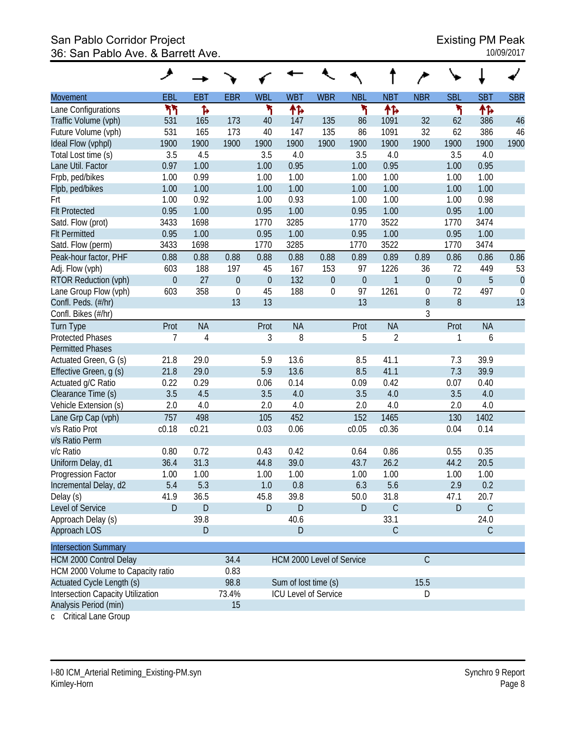#### San Pablo Corridor Project **Existing PM Peak** 36: San Pablo Ave. & Barrett Ave. 10/09/2017

|                                    | ◢                |               |             |                  |                      |                           |                  |                |                  |                  |              |             |
|------------------------------------|------------------|---------------|-------------|------------------|----------------------|---------------------------|------------------|----------------|------------------|------------------|--------------|-------------|
| <b>Movement</b>                    | EBL              | EBT           | <b>EBR</b>  | <b>WBL</b>       | <b>WBT</b>           | <b>WBR</b>                | <b>NBL</b>       | <b>NBT</b>     | <b>NBR</b>       | <b>SBL</b>       | <b>SBT</b>   | <b>SBR</b>  |
| Lane Configurations                | ካካ               | ħ             |             | ۲                | ተኈ                   |                           | ۲                | 怍              |                  | ۲                | 怍            |             |
| Traffic Volume (vph)               | 531              | 165           | 173         | 40               | 147                  | 135                       | 86               | 1091           | 32               | 62               | 386          | 46          |
| Future Volume (vph)                | 531              | 165           | 173         | 40               | 147                  | 135                       | 86               | 1091           | 32               | 62               | 386          | 46          |
| Ideal Flow (vphpl)                 | 1900             | 1900          | 1900        | 1900             | 1900                 | 1900                      | 1900             | 1900           | 1900             | 1900             | 1900         | 1900        |
| Total Lost time (s)                | 3.5              | 4.5           |             | 3.5              | 4.0                  |                           | 3.5              | 4.0            |                  | 3.5              | 4.0          |             |
| Lane Util. Factor                  | 0.97             | 1.00          |             | 1.00             | 0.95                 |                           | 1.00             | 0.95           |                  | 1.00             | 0.95         |             |
| Frpb, ped/bikes<br>Flpb, ped/bikes | 1.00<br>1.00     | 0.99<br>1.00  |             | 1.00<br>1.00     | 1.00<br>1.00         |                           | 1.00<br>1.00     | 1.00<br>1.00   |                  | 1.00<br>1.00     | 1.00<br>1.00 |             |
| Frt                                | 1.00             | 0.92          |             | 1.00             | 0.93                 |                           | 1.00             | 1.00           |                  | 1.00             | 0.98         |             |
| <b>Flt Protected</b>               | 0.95             | 1.00          |             | 0.95             | 1.00                 |                           | 0.95             | 1.00           |                  | 0.95             | 1.00         |             |
| Satd. Flow (prot)                  | 3433             | 1698          |             | 1770             | 3285                 |                           | 1770             | 3522           |                  | 1770             | 3474         |             |
| <b>Flt Permitted</b>               | 0.95             | 1.00          |             | 0.95             | 1.00                 |                           | 0.95             | 1.00           |                  | 0.95             | 1.00         |             |
| Satd. Flow (perm)                  | 3433             | 1698          |             | 1770             | 3285                 |                           | 1770             | 3522           |                  | 1770             | 3474         |             |
| Peak-hour factor, PHF              | 0.88             | 0.88          | 0.88        | 0.88             | 0.88                 | 0.88                      | 0.89             | 0.89           | 0.89             | 0.86             | 0.86         | 0.86        |
| Adj. Flow (vph)                    | 603              | 188           | 197         | 45               | 167                  | 153                       | 97               | 1226           | 36               | 72               | 449          | 53          |
| RTOR Reduction (vph)               | $\boldsymbol{0}$ | 27            | $\theta$    | $\boldsymbol{0}$ | 132                  | $\boldsymbol{0}$          | $\boldsymbol{0}$ | $\mathbf{1}$   | $\boldsymbol{0}$ | $\boldsymbol{0}$ | 5            | $\theta$    |
| Lane Group Flow (vph)              | 603              | 358           | $\mathbf 0$ | 45               | 188                  | 0                         | 97               | 1261           | $\boldsymbol{0}$ | 72               | 497          | $\mathbf 0$ |
| Confl. Peds. (#/hr)                |                  |               | 13          | 13               |                      |                           | 13               |                | 8                | $\boldsymbol{8}$ |              | 13          |
| Confl. Bikes (#/hr)                |                  |               |             |                  |                      |                           |                  |                | 3                |                  |              |             |
| <b>Turn Type</b>                   | Prot             | <b>NA</b>     |             | Prot             | <b>NA</b>            |                           | Prot             | <b>NA</b>      |                  | Prot             | <b>NA</b>    |             |
| <b>Protected Phases</b>            | 7                | 4             |             | 3                | 8                    |                           | 5                | $\overline{2}$ |                  | 1                | 6            |             |
| <b>Permitted Phases</b>            |                  |               |             |                  |                      |                           |                  |                |                  |                  |              |             |
| Actuated Green, G (s)              | 21.8             | 29.0          |             | 5.9              | 13.6                 |                           | 8.5              | 41.1           |                  | 7.3              | 39.9         |             |
| Effective Green, g (s)             | 21.8             | 29.0          |             | 5.9              | 13.6                 |                           | 8.5              | 41.1           |                  | 7.3              | 39.9         |             |
| Actuated g/C Ratio                 | 0.22             | 0.29          |             | 0.06             | 0.14                 |                           | 0.09             | 0.42           |                  | 0.07             | 0.40         |             |
| Clearance Time (s)                 | 3.5              | 4.5           |             | 3.5              | 4.0                  |                           | 3.5              | 4.0            |                  | 3.5              | 4.0          |             |
| Vehicle Extension (s)              | 2.0              | 4.0           |             | 2.0              | 4.0                  |                           | 2.0              | 4.0            |                  | 2.0              | $4.0\,$      |             |
| Lane Grp Cap (vph)                 | 757              | 498           |             | 105              | 452                  |                           | 152              | 1465           |                  | 130              | 1402         |             |
| v/s Ratio Prot<br>v/s Ratio Perm   | c0.18            | c0.21         |             | 0.03             | 0.06                 |                           | c0.05            | c0.36          |                  | 0.04             | 0.14         |             |
| v/c Ratio                          | 0.80             | 0.72          |             | 0.43             | 0.42                 |                           | 0.64             | 0.86           |                  | 0.55             | 0.35         |             |
| Uniform Delay, d1                  | 36.4             | 31.3          |             | 44.8             | 39.0                 |                           | 43.7             | 26.2           |                  | 44.2             | 20.5         |             |
| Progression Factor                 | 1.00             | 1.00          |             | 1.00             | 1.00                 |                           | 1.00             | 1.00           |                  | 1.00             | 1.00         |             |
| Incremental Delay, d2              | 5.4              | 5.3           |             | 1.0              | 0.8                  |                           | 6.3              | 5.6            |                  | 2.9              | 0.2          |             |
| Delay (s)                          | 41.9             | 36.5          |             | 45.8             | 39.8                 |                           | 50.0             | 31.8           |                  | 47.1             | 20.7         |             |
| Level of Service                   | D                | $\mathsf D$   |             | D                | $\mathsf{D}$         |                           | D                | $\mathsf C$    |                  | D                | $\mathsf C$  |             |
| Approach Delay (s)                 |                  | 39.8          |             |                  | 40.6                 |                           |                  | 33.1           |                  |                  | 24.0         |             |
| Approach LOS                       |                  | $\mathsf{D}%$ |             |                  | D                    |                           |                  | $\mathsf C$    |                  |                  | $\mathsf{C}$ |             |
| <b>Intersection Summary</b>        |                  |               |             |                  |                      |                           |                  |                |                  |                  |              |             |
| <b>HCM 2000 Control Delay</b>      |                  |               | 34.4        |                  |                      | HCM 2000 Level of Service |                  |                | $\mathsf C$      |                  |              |             |
| HCM 2000 Volume to Capacity ratio  |                  |               | 0.83        |                  |                      |                           |                  |                |                  |                  |              |             |
| Actuated Cycle Length (s)          |                  |               | 98.8        |                  | Sum of lost time (s) |                           |                  |                | 15.5             |                  |              |             |
| Intersection Capacity Utilization  |                  |               | 73.4%       |                  |                      | ICU Level of Service      |                  |                | D                |                  |              |             |
| Analysis Period (min)              |                  |               | 15          |                  |                      |                           |                  |                |                  |                  |              |             |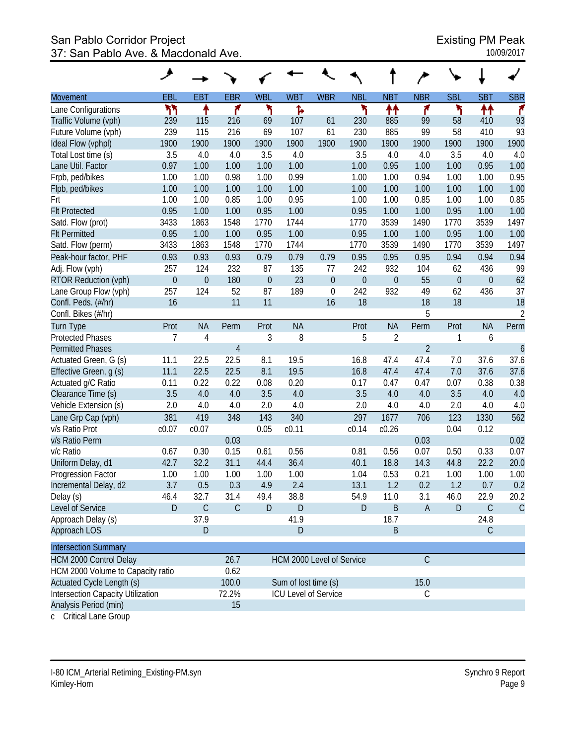#### San Pablo Corridor Project **Existing PM Peak** 37: San Pablo Ave. & Macdonald Ave. 10/09/2017

|                                         | ۸            |                  |                |              |                             |             |                  |                |                |                |              |                     |
|-----------------------------------------|--------------|------------------|----------------|--------------|-----------------------------|-------------|------------------|----------------|----------------|----------------|--------------|---------------------|
| <b>Movement</b>                         | EBL          | <b>EBT</b>       | <b>EBR</b>     | <b>WBL</b>   | <b>WBT</b>                  | <b>WBR</b>  | <b>NBL</b>       | <b>NBT</b>     | <b>NBR</b>     | <b>SBL</b>     | <b>SBT</b>   | <b>SBR</b>          |
| Lane Configurations                     | ካካ           | ↟                | ۴              | ۲            | Ъ                           |             | ۲                | ↟↟             | ۴              | ۲              | ↟↟           | ۴                   |
| Traffic Volume (vph)                    | 239          | 115              | 216            | 69           | 107                         | 61          | 230              | 885            | 99             | 58             | 410          | 93                  |
| Future Volume (vph)                     | 239          | 115              | 216            | 69           | 107                         | 61          | 230              | 885            | 99             | 58             | 410          | 93                  |
| Ideal Flow (vphpl)                      | 1900         | 1900             | 1900           | 1900         | 1900                        | 1900        | 1900             | 1900           | 1900           | 1900           | 1900         | 1900                |
| Total Lost time (s)                     | 3.5          | 4.0              | 4.0            | 3.5          | 4.0                         |             | 3.5              | 4.0            | 4.0            | 3.5            | 4.0          | 4.0                 |
| Lane Util. Factor                       | 0.97         | 1.00             | 1.00           | 1.00         | 1.00                        |             | 1.00             | 0.95           | 1.00           | 1.00           | 0.95         | 1.00                |
| Frpb, ped/bikes<br>Flpb, ped/bikes      | 1.00<br>1.00 | 1.00<br>1.00     | 0.98<br>1.00   | 1.00<br>1.00 | 0.99<br>1.00                |             | 1.00<br>1.00     | 1.00<br>1.00   | 0.94<br>1.00   | 1.00<br>1.00   | 1.00<br>1.00 | 0.95<br>1.00        |
| Frt                                     | 1.00         | 1.00             | 0.85           | 1.00         | 0.95                        |             | 1.00             | 1.00           | 0.85           | 1.00           | 1.00         | 0.85                |
| <b>Flt Protected</b>                    | 0.95         | 1.00             | 1.00           | 0.95         | 1.00                        |             | 0.95             | 1.00           | 1.00           | 0.95           | 1.00         | 1.00                |
| Satd. Flow (prot)                       | 3433         | 1863             | 1548           | 1770         | 1744                        |             | 1770             | 3539           | 1490           | 1770           | 3539         | 1497                |
| <b>Flt Permitted</b>                    | 0.95         | 1.00             | 1.00           | 0.95         | 1.00                        |             | 0.95             | 1.00           | 1.00           | 0.95           | 1.00         | 1.00                |
| Satd. Flow (perm)                       | 3433         | 1863             | 1548           | 1770         | 1744                        |             | 1770             | 3539           | 1490           | 1770           | 3539         | 1497                |
| Peak-hour factor, PHF                   | 0.93         | 0.93             | 0.93           | 0.79         | 0.79                        | 0.79        | 0.95             | 0.95           | 0.95           | 0.94           | 0.94         | 0.94                |
| Adj. Flow (vph)                         | 257          | 124              | 232            | 87           | 135                         | 77          | 242              | 932            | 104            | 62             | 436          | 99                  |
| <b>RTOR Reduction (vph)</b>             | $\mathbf 0$  | $\boldsymbol{0}$ | 180            | $\theta$     | 23                          | $\mathbf 0$ | $\boldsymbol{0}$ | $\mathbf 0$    | 55             | $\overline{0}$ | $\theta$     | 62                  |
| Lane Group Flow (vph)                   | 257          | 124              | 52             | 87           | 189                         | $\mathbf 0$ | 242              | 932            | 49             | 62             | 436          | 37                  |
| Confl. Peds. (#/hr)                     | 16           |                  | 11             | 11           |                             | 16          | 18               |                | 18             | 18             |              | 18                  |
| Confl. Bikes (#/hr)                     |              |                  |                |              |                             |             |                  |                | 5              |                |              | $\sqrt{2}$          |
| <b>Turn Type</b>                        | Prot         | <b>NA</b>        | Perm           | Prot         | <b>NA</b>                   |             | Prot             | <b>NA</b>      | Perm           | Prot           | <b>NA</b>    | Perm                |
| <b>Protected Phases</b>                 | 7            | 4                |                | 3            | 8                           |             | 5                | $\overline{2}$ |                | 1              | 6            |                     |
| <b>Permitted Phases</b>                 |              |                  | $\overline{4}$ |              |                             |             |                  |                | $\overline{2}$ |                |              | $\ddot{\mathbf{6}}$ |
| Actuated Green, G (s)                   | 11.1         | 22.5             | 22.5           | 8.1          | 19.5                        |             | 16.8             | 47.4           | 47.4           | 7.0            | 37.6         | 37.6                |
| Effective Green, g (s)                  | 11.1         | 22.5             | 22.5           | 8.1          | 19.5                        |             | 16.8             | 47.4           | 47.4           | 7.0            | 37.6         | 37.6                |
| Actuated g/C Ratio                      | 0.11         | 0.22             | 0.22           | 0.08         | 0.20                        |             | 0.17             | 0.47           | 0.47           | 0.07           | 0.38         | 0.38                |
| Clearance Time (s)                      | 3.5          | 4.0              | 4.0            | 3.5          | 4.0                         |             | 3.5              | 4.0            | 4.0            | 3.5            | 4.0          | 4.0                 |
| Vehicle Extension (s)                   | 2.0          | 4.0              | 4.0            | 2.0          | 4.0                         |             | 2.0              | 4.0            | 4.0            | 2.0            | 4.0          | 4.0                 |
| Lane Grp Cap (vph)                      | 381          | 419              | 348            | 143          | 340                         |             | 297              | 1677           | 706            | 123            | 1330         | 562                 |
| v/s Ratio Prot                          | c0.07        | c0.07            |                | 0.05         | c0.11                       |             | c0.14            | c0.26          |                | 0.04           | 0.12         |                     |
| v/s Ratio Perm                          |              |                  | 0.03           |              |                             |             |                  |                | 0.03           |                |              | 0.02                |
| v/c Ratio                               | 0.67         | 0.30             | 0.15           | 0.61         | 0.56                        |             | 0.81             | 0.56           | 0.07           | 0.50           | 0.33         | 0.07                |
| Uniform Delay, d1<br>Progression Factor | 42.7<br>1.00 | 32.2<br>1.00     | 31.1<br>1.00   | 44.4<br>1.00 | 36.4<br>1.00                |             | 40.1<br>1.04     | 18.8<br>0.53   | 14.3<br>0.21   | 44.8<br>1.00   | 22.2<br>1.00 | 20.0<br>1.00        |
| Incremental Delay, d2                   | 3.7          | 0.5              | 0.3            | 4.9          | 2.4                         |             | 13.1             | 1.2            | 0.2            | 1.2            | 0.7          | 0.2                 |
| Delay (s)                               | 46.4         | 32.7             | 31.4           | 49.4         | 38.8                        |             | 54.9             | 11.0           | 3.1            | 46.0           | 22.9         | 20.2                |
| Level of Service                        | D            | $\mathsf C$      | $\mathsf C$    | $\mathsf D$  | $\mathsf D$                 |             | D                | B              | $\mathsf A$    | $\mathsf D$    | $\mathsf C$  | $\mathcal{C}$       |
| Approach Delay (s)                      |              | 37.9             |                |              | 41.9                        |             |                  | 18.7           |                |                | 24.8         |                     |
| Approach LOS                            |              | $\mathsf D$      |                |              | $\mathsf D$                 | B           |                  |                | $\mathsf C$    |                |              |                     |
|                                         |              |                  |                |              |                             |             |                  |                |                |                |              |                     |
| <b>Intersection Summary</b>             |              |                  |                |              |                             |             |                  |                |                |                |              |                     |
| HCM 2000 Control Delay                  |              |                  | 26.7           |              | HCM 2000 Level of Service   |             |                  |                | $\mathsf C$    |                |              |                     |
| HCM 2000 Volume to Capacity ratio       |              |                  | 0.62           |              |                             |             |                  |                |                |                |              |                     |
| Actuated Cycle Length (s)               |              |                  | 100.0          |              | Sum of lost time (s)        |             |                  |                | 15.0           |                |              |                     |
| Intersection Capacity Utilization       |              |                  | 72.2%          |              | <b>ICU Level of Service</b> |             |                  |                | C              |                |              |                     |
| Analysis Period (min)                   |              |                  | 15             |              |                             |             |                  |                |                |                |              |                     |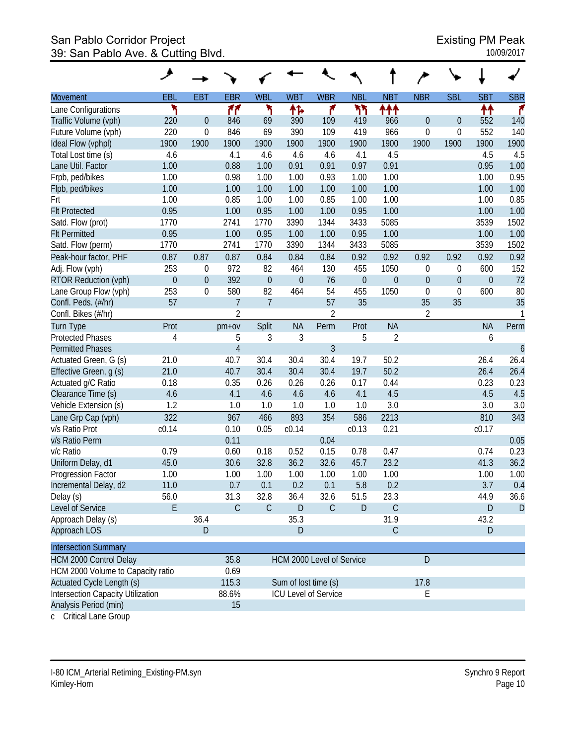# San Pablo Corridor Project **Existing PM Peak** 39: San Pablo Ave. & Cutting Blvd. 10/09/2017

|                                          | ◢           |                  |                |                |                             |                |                  |                |                  |                  |             |                  |
|------------------------------------------|-------------|------------------|----------------|----------------|-----------------------------|----------------|------------------|----------------|------------------|------------------|-------------|------------------|
| Movement                                 | EBL         | <b>EBT</b>       | <b>EBR</b>     | <b>WBL</b>     | <b>WBT</b>                  | <b>WBR</b>     | <b>NBL</b>       | <b>NBT</b>     | <b>NBR</b>       | <b>SBL</b>       | <b>SBT</b>  | <b>SBR</b>       |
| Lane Configurations                      | ۲           |                  | 11             | ۲              | ተኈ                          | ۴              | ካነ               | ተተተ            |                  |                  | ↟↟          | ۴                |
| Traffic Volume (vph)                     | 220         | $\boldsymbol{0}$ | 846            | 69             | 390                         | 109            | 419              | 966            | $\boldsymbol{0}$ | $\boldsymbol{0}$ | 552         | 140              |
| Future Volume (vph)                      | 220         | $\mathbf 0$      | 846            | 69             | 390                         | 109            | 419              | 966            | $\boldsymbol{0}$ | $\boldsymbol{0}$ | 552         | 140              |
| Ideal Flow (vphpl)                       | 1900        | 1900             | 1900           | 1900           | 1900                        | 1900           | 1900             | 1900           | 1900             | 1900             | 1900        | 1900             |
| Total Lost time (s)                      | 4.6         |                  | 4.1            | 4.6            | 4.6                         | 4.6            | 4.1              | 4.5            |                  |                  | 4.5         | 4.5              |
| Lane Util. Factor                        | 1.00        |                  | 0.88           | 1.00           | 0.91                        | 0.91           | 0.97             | 0.91           |                  |                  | 0.95        | 1.00             |
| Frpb, ped/bikes                          | 1.00        |                  | 0.98           | 1.00           | 1.00                        | 0.93           | 1.00             | 1.00           |                  |                  | 1.00        | 0.95             |
| Flpb, ped/bikes                          | 1.00        |                  | 1.00           | 1.00           | 1.00                        | 1.00           | 1.00             | 1.00           |                  |                  | 1.00        | 1.00             |
| Frt                                      | 1.00        |                  | 0.85           | 1.00           | 1.00                        | 0.85           | 1.00             | 1.00           |                  |                  | 1.00        | 0.85             |
| <b>Flt Protected</b>                     | 0.95        |                  | 1.00           | 0.95           | 1.00                        | 1.00           | 0.95             | 1.00           |                  |                  | 1.00        | 1.00             |
| Satd. Flow (prot)                        | 1770        |                  | 2741           | 1770           | 3390                        | 1344           | 3433             | 5085           |                  |                  | 3539        | 1502             |
| <b>Flt Permitted</b>                     | 0.95        |                  | 1.00           | 0.95           | 1.00                        | 1.00           | 0.95             | 1.00           |                  |                  | 1.00        | 1.00             |
| Satd. Flow (perm)                        | 1770        |                  | 2741           | 1770           | 3390                        | 1344           | 3433             | 5085           |                  |                  | 3539        | 1502             |
| Peak-hour factor, PHF                    | 0.87        | 0.87             | 0.87           | 0.84           | 0.84                        | 0.84           | 0.92             | 0.92           | 0.92             | 0.92             | 0.92        | 0.92             |
| Adj. Flow (vph)                          | 253         | 0                | 972            | 82             | 464                         | 130            | 455              | 1050           | 0                | 0                | 600         | 152              |
| RTOR Reduction (vph)                     | $\mathbf 0$ | $\mathbf 0$      | 392            | $\mathbf 0$    | $\theta$                    | 76             | $\boldsymbol{0}$ | $\mathbf 0$    | $\theta$         | $\boldsymbol{0}$ | $\mathbf 0$ | 72               |
| Lane Group Flow (vph)                    | 253         | $\mathbf 0$      | 580            | 82             | 464                         | 54             | 455              | 1050           | $\mathbf 0$      | $\boldsymbol{0}$ | 600         | 80               |
| Confl. Peds. (#/hr)                      | 57          |                  | $\overline{7}$ | $\overline{1}$ |                             | 57             | 35               |                | 35               | 35               |             | 35               |
| Confl. Bikes (#/hr)                      |             |                  | $\overline{2}$ |                |                             | $\overline{2}$ |                  |                | $\overline{2}$   |                  |             | $\mathbf{1}$     |
| <b>Turn Type</b>                         | Prot        |                  | $pm+ov$        | Split          | <b>NA</b>                   | Perm           | Prot             | <b>NA</b>      |                  |                  | <b>NA</b>   | Perm             |
| <b>Protected Phases</b>                  | 4           |                  | 5              | 3              | 3                           |                | 5                | $\overline{2}$ |                  |                  | 6           |                  |
| <b>Permitted Phases</b>                  |             |                  | $\overline{4}$ |                |                             | $\mathfrak{Z}$ |                  |                |                  |                  |             | $\boldsymbol{6}$ |
| Actuated Green, G (s)                    | 21.0        |                  | 40.7           | 30.4           | 30.4                        | 30.4           | 19.7             | 50.2           |                  |                  | 26.4        | 26.4             |
| Effective Green, g (s)                   | 21.0        |                  | 40.7           | 30.4           | 30.4                        | 30.4           | 19.7             | 50.2           |                  |                  | 26.4        | 26.4             |
| Actuated g/C Ratio                       | 0.18        |                  | 0.35           | 0.26           | 0.26                        | 0.26           | 0.17             | 0.44           |                  |                  | 0.23        | 0.23             |
| Clearance Time (s)                       | 4.6         |                  | 4.1            | 4.6            | 4.6                         | 4.6            | 4.1              | 4.5            |                  |                  | 4.5         | 4.5              |
| Vehicle Extension (s)                    | 1.2         |                  | 1.0            | 1.0            | 1.0                         | 1.0            | 1.0              | 3.0            |                  |                  | 3.0         | 3.0              |
| Lane Grp Cap (vph)                       | 322         |                  | 967            | 466            | 893                         | 354            | 586              | 2213           |                  |                  | 810         | 343              |
| v/s Ratio Prot                           | c0.14       |                  | 0.10           | 0.05           | c0.14                       |                | c0.13            | 0.21           |                  |                  | c0.17       |                  |
| v/s Ratio Perm                           |             |                  | 0.11           |                |                             | 0.04           |                  |                |                  |                  |             | 0.05             |
| v/c Ratio                                | 0.79        |                  | 0.60           | 0.18           | 0.52                        | 0.15           | 0.78             | 0.47           |                  |                  | 0.74        | 0.23             |
| Uniform Delay, d1                        | 45.0        |                  | 30.6           | 32.8           | 36.2                        | 32.6           | 45.7             | 23.2           |                  |                  | 41.3        | 36.2             |
| Progression Factor                       | 1.00        |                  | 1.00           | 1.00           | 1.00                        | 1.00           | 1.00             | 1.00           |                  |                  | 1.00        | 1.00             |
| Incremental Delay, d2                    | 11.0        |                  | 0.7            | 0.1            | 0.2                         | 0.1            | 5.8              | 0.2            |                  |                  | 3.7         | 0.4              |
| Delay (s)                                | 56.0        |                  | 31.3           | 32.8           | 36.4                        | 32.6           | 51.5             | 23.3           |                  |                  | 44.9        | 36.6             |
| Level of Service                         | E           |                  | $\mathsf C$    | $\mathsf C$    | $\mathsf D$                 | $\mathsf{C}$   | D                | $\mathsf C$    |                  |                  | D           | D                |
| Approach Delay (s)                       |             | 36.4             |                |                | 35.3                        |                |                  | 31.9           |                  |                  | 43.2        |                  |
| Approach LOS                             |             | D                |                |                | $\mathsf D$                 |                |                  | $\mathsf C$    |                  |                  | D           |                  |
| <b>Intersection Summary</b>              |             |                  |                |                |                             |                |                  |                |                  |                  |             |                  |
| HCM 2000 Control Delay                   |             |                  | 35.8           |                | HCM 2000 Level of Service   |                |                  |                | D                |                  |             |                  |
| HCM 2000 Volume to Capacity ratio        |             |                  | 0.69           |                |                             |                |                  |                |                  |                  |             |                  |
| Actuated Cycle Length (s)                |             |                  | 115.3          |                | Sum of lost time (s)        |                |                  |                | 17.8             |                  |             |                  |
| <b>Intersection Capacity Utilization</b> |             |                  | 88.6%          |                | <b>ICU Level of Service</b> |                |                  |                | Е                |                  |             |                  |
| Analysis Period (min)                    |             |                  | 15             |                |                             |                |                  |                |                  |                  |             |                  |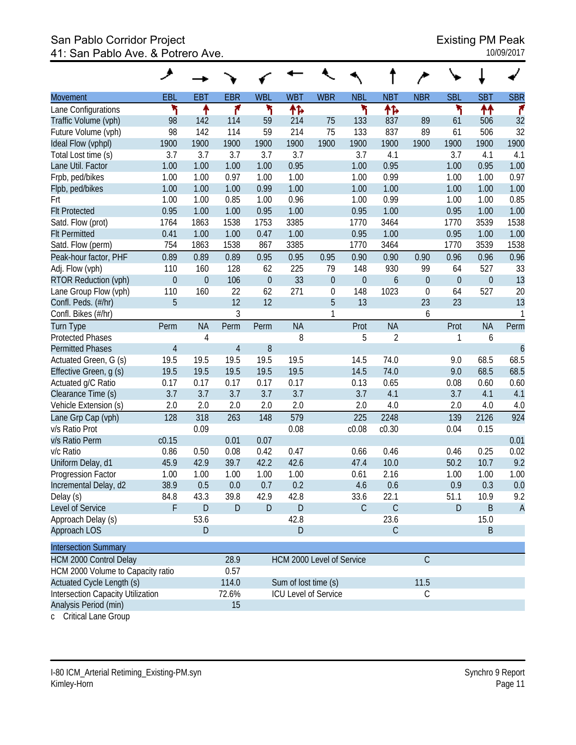# San Pablo Corridor Project<br>
41: San Pablo Ave. & Potrero Ave.<br>
41: San Pablo Ave. & Potrero Ave. 41: San Pablo Ave. & Potrero Ave.

|                                   | ᢣ                |                  |                |                  |                             |                  |             |                  |                  |                  |                  |                  |
|-----------------------------------|------------------|------------------|----------------|------------------|-----------------------------|------------------|-------------|------------------|------------------|------------------|------------------|------------------|
| <b>Movement</b>                   | <b>EBL</b>       | <b>EBT</b>       | <b>EBR</b>     | <b>WBL</b>       | <b>WBT</b>                  | <b>WBR</b>       | <b>NBL</b>  | <b>NBT</b>       | <b>NBR</b>       | <b>SBL</b>       | <b>SBT</b>       | <b>SBR</b>       |
| Lane Configurations               | ۲                | ↟                | ۴              | ۲                | ቶኈ                          |                  | ۲           | 怍                |                  | ۲                | ↟↟               | ۴                |
| Traffic Volume (vph)              | 98               | 142              | 114            | 59               | 214                         | 75               | 133         | 837              | 89               | 61               | 506              | 32               |
| Future Volume (vph)               | 98               | 142              | 114            | 59               | 214                         | 75               | 133         | 837              | 89               | 61               | 506              | 32               |
| Ideal Flow (vphpl)                | 1900             | 1900             | 1900           | 1900             | 1900                        | 1900             | 1900        | 1900             | 1900             | 1900             | 1900             | 1900             |
| Total Lost time (s)               | 3.7              | 3.7              | 3.7            | 3.7              | 3.7                         |                  | 3.7         | 4.1              |                  | 3.7              | 4.1              | 4.1              |
| Lane Util. Factor                 | 1.00             | 1.00             | 1.00           | 1.00             | 0.95                        |                  | 1.00        | 0.95             |                  | 1.00             | 0.95             | 1.00             |
| Frpb, ped/bikes                   | 1.00             | 1.00             | 0.97           | 1.00             | 1.00                        |                  | 1.00        | 0.99             |                  | 1.00             | 1.00             | 0.97             |
| Flpb, ped/bikes                   | 1.00             | 1.00             | 1.00           | 0.99             | 1.00                        |                  | 1.00        | 1.00             |                  | 1.00             | 1.00             | 1.00             |
| Frt                               | 1.00             | 1.00             | 0.85           | 1.00             | 0.96                        |                  | 1.00        | 0.99             |                  | 1.00             | 1.00             | 0.85             |
| <b>Flt Protected</b>              | 0.95             | 1.00             | 1.00           | 0.95             | 1.00                        |                  | 0.95        | 1.00             |                  | 0.95             | 1.00             | 1.00             |
| Satd. Flow (prot)                 | 1764             | 1863             | 1538           | 1753             | 3385                        |                  | 1770        | 3464             |                  | 1770             | 3539             | 1538             |
| <b>Flt Permitted</b>              | 0.41             | 1.00             | 1.00           | 0.47             | 1.00                        |                  | 0.95        | 1.00             |                  | 0.95             | 1.00             | 1.00             |
| Satd. Flow (perm)                 | 754              | 1863             | 1538           | 867              | 3385                        |                  | 1770        | 3464             |                  | 1770             | 3539             | 1538             |
| Peak-hour factor, PHF             | 0.89             | 0.89             | 0.89           | 0.95             | 0.95                        | 0.95             | 0.90        | 0.90             | 0.90             | 0.96             | 0.96             | 0.96             |
| Adj. Flow (vph)                   | 110              | 160              | 128            | 62               | 225                         | 79               | 148         | 930              | 99               | 64               | 527              | 33               |
| RTOR Reduction (vph)              | $\boldsymbol{0}$ | $\boldsymbol{0}$ | 106            | $\boldsymbol{0}$ | 33                          | $\boldsymbol{0}$ | $\mathbf 0$ | $\boldsymbol{6}$ | $\boldsymbol{0}$ | $\boldsymbol{0}$ | $\boldsymbol{0}$ | 13               |
| Lane Group Flow (vph)             | 110              | 160              | 22             | 62               | 271                         | $\boldsymbol{0}$ | 148         | 1023             | $\mathbf 0$      | 64               | 527              | 20               |
| Confl. Peds. (#/hr)               | 5                |                  | 12             | 12               |                             | 5                | 13          |                  | 23               | 23               |                  | 13               |
| Confl. Bikes (#/hr)               |                  |                  | 3              |                  |                             | 1                |             |                  | 6                |                  |                  | 1                |
| Turn Type                         | Perm             | <b>NA</b>        | Perm           | Perm             | <b>NA</b>                   |                  | Prot        | <b>NA</b>        |                  | Prot             | <b>NA</b>        | Perm             |
| <b>Protected Phases</b>           |                  | 4                |                |                  | 8                           |                  | 5           | $\overline{2}$   |                  | 1                | 6                |                  |
| <b>Permitted Phases</b>           | $\overline{4}$   |                  | $\overline{4}$ | 8                |                             |                  |             |                  |                  |                  |                  | $\boldsymbol{6}$ |
| Actuated Green, G (s)             | 19.5             | 19.5             | 19.5           | 19.5             | 19.5                        |                  | 14.5        | 74.0             |                  | 9.0              | 68.5             | 68.5             |
| Effective Green, g (s)            | 19.5             | 19.5             | 19.5           | 19.5             | 19.5                        |                  | 14.5        | 74.0             |                  | 9.0              | 68.5             | 68.5             |
| Actuated g/C Ratio                | 0.17             | 0.17             | 0.17           | 0.17             | 0.17                        |                  | 0.13        | 0.65             |                  | 0.08             | 0.60             | 0.60             |
| Clearance Time (s)                | 3.7              | 3.7              | 3.7            | 3.7              | 3.7                         |                  | 3.7         | 4.1              |                  | 3.7              | 4.1              | 4.1              |
| Vehicle Extension (s)             | 2.0              | 2.0              | 2.0            | 2.0              | 2.0                         |                  | 2.0         | 4.0              |                  | 2.0              | 4.0              | 4.0              |
| Lane Grp Cap (vph)                | 128              | 318              | 263            | 148              | 579                         |                  | 225         | 2248             |                  | 139              | 2126             | 924              |
| v/s Ratio Prot                    |                  | 0.09             |                |                  | 0.08                        |                  | c0.08       | c0.30            |                  | 0.04             | 0.15             |                  |
| v/s Ratio Perm                    | c0.15            |                  | 0.01           | 0.07             |                             |                  |             |                  |                  |                  |                  | 0.01             |
| v/c Ratio                         | 0.86             | 0.50             | 0.08           | 0.42             | 0.47                        |                  | 0.66        | 0.46             |                  | 0.46             | 0.25             | 0.02             |
| Uniform Delay, d1                 | 45.9             | 42.9             | 39.7           | 42.2             | 42.6                        |                  | 47.4        | 10.0             |                  | 50.2             | 10.7             | 9.2              |
| Progression Factor                | 1.00             | 1.00             | 1.00           | 1.00             | 1.00                        |                  | 0.61        | 2.16             |                  | 1.00             | 1.00             | 1.00             |
| Incremental Delay, d2             | 38.9             | 0.5              | 0.0            | 0.7              | 0.2                         |                  | 4.6         | 0.6              |                  | 0.9              | 0.3              | 0.0              |
| Delay (s)                         | 84.8             | 43.3             | 39.8           | 42.9             | 42.8                        |                  | 33.6        | 22.1             |                  | 51.1             | 10.9             | 9.2              |
| Level of Service                  | F                | $\mathsf{D}%$    | D              | D                | $\mathsf D$                 |                  | $\mathsf C$ | $\mathsf C$      |                  | $\mathsf{D}%$    | B                | $\overline{A}$   |
| Approach Delay (s)                |                  | 53.6             |                |                  | 42.8                        |                  |             | 23.6             |                  |                  | 15.0             |                  |
| Approach LOS                      |                  | $\mathsf{D}%$    |                |                  | $\mathsf{D}$                |                  |             | $\mathsf C$      |                  |                  | B                |                  |
| <b>Intersection Summary</b>       |                  |                  |                |                  |                             |                  |             |                  |                  |                  |                  |                  |
| <b>HCM 2000 Control Delay</b>     |                  |                  | 28.9           |                  | HCM 2000 Level of Service   |                  |             |                  | $\mathsf C$      |                  |                  |                  |
| HCM 2000 Volume to Capacity ratio |                  |                  | 0.57           |                  |                             |                  |             |                  |                  |                  |                  |                  |
| Actuated Cycle Length (s)         |                  |                  | 114.0          |                  | Sum of lost time (s)        |                  |             |                  | 11.5             |                  |                  |                  |
| Intersection Capacity Utilization |                  |                  | 72.6%          |                  | <b>ICU Level of Service</b> |                  |             |                  | $\mathsf C$      |                  |                  |                  |
| Analysis Period (min)             |                  |                  | 15             |                  |                             |                  |             |                  |                  |                  |                  |                  |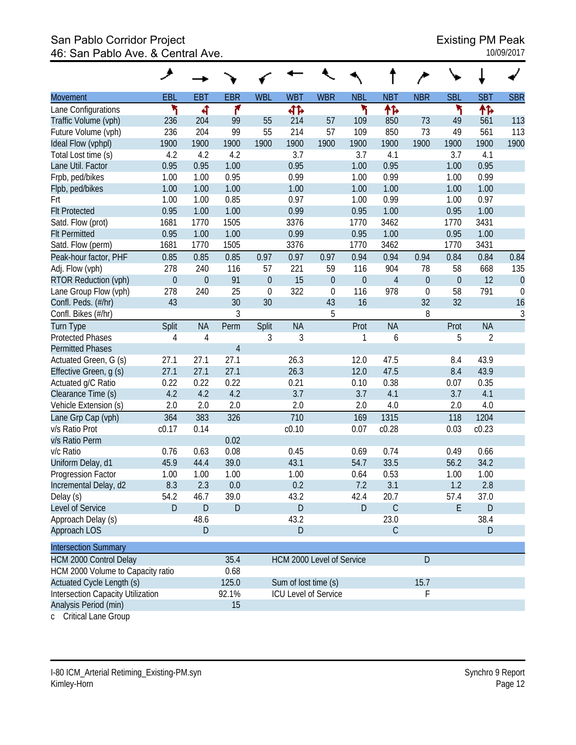#### San Pablo Corridor Project **Existing PM Peak** 46: San Pablo Ave. & Central Ave. 10/09/2017

|                                          | حر               |                  |                |             |                             |             |                  |                |                |                |                |             |
|------------------------------------------|------------------|------------------|----------------|-------------|-----------------------------|-------------|------------------|----------------|----------------|----------------|----------------|-------------|
| <b>Movement</b>                          | EBL              | EBT              | <b>EBR</b>     | <b>WBL</b>  | <b>WBT</b>                  | <b>WBR</b>  | <b>NBL</b>       | <b>NBT</b>     | <b>NBR</b>     | <b>SBL</b>     | <b>SBT</b>     | <b>SBR</b>  |
| Lane Configurations                      | ۲                | ची               | ۴              |             | 412                         |             | ۲                | ተኈ             |                | ۲              | ተኈ             |             |
| Traffic Volume (vph)                     | 236              | 204              | 99             | 55          | 214                         | 57          | 109              | 850            | 73             | 49             | 561            | 113         |
| Future Volume (vph)                      | 236              | 204              | 99             | 55          | 214                         | 57          | 109              | 850            | 73             | 49             | 561            | 113         |
| Ideal Flow (vphpl)                       | 1900             | 1900             | 1900           | 1900        | 1900                        | 1900        | 1900             | 1900           | 1900           | 1900           | 1900           | 1900        |
| Total Lost time (s)                      | 4.2              | 4.2              | 4.2            |             | 3.7                         |             | 3.7              | 4.1            |                | 3.7            | 4.1            |             |
| Lane Util. Factor                        | 0.95             | 0.95             | 1.00           |             | 0.95                        |             | 1.00             | 0.95           |                | 1.00           | 0.95           |             |
| Frpb, ped/bikes<br>Flpb, ped/bikes       | 1.00<br>1.00     | 1.00<br>1.00     | 0.95<br>1.00   |             | 0.99<br>1.00                |             | 1.00<br>1.00     | 0.99<br>1.00   |                | 1.00<br>1.00   | 0.99<br>1.00   |             |
| Frt                                      | 1.00             | 1.00             | 0.85           |             | 0.97                        |             | 1.00             | 0.99           |                | 1.00           | 0.97           |             |
| <b>Flt Protected</b>                     | 0.95             | 1.00             | 1.00           |             | 0.99                        |             | 0.95             | 1.00           |                | 0.95           | 1.00           |             |
| Satd. Flow (prot)                        | 1681             | 1770             | 1505           |             | 3376                        |             | 1770             | 3462           |                | 1770           | 3431           |             |
| <b>Flt Permitted</b>                     | 0.95             | 1.00             | 1.00           |             | 0.99                        |             | 0.95             | 1.00           |                | 0.95           | 1.00           |             |
| Satd. Flow (perm)                        | 1681             | 1770             | 1505           |             | 3376                        |             | 1770             | 3462           |                | 1770           | 3431           |             |
| Peak-hour factor, PHF                    | 0.85             | 0.85             | 0.85           | 0.97        | 0.97                        | 0.97        | 0.94             | 0.94           | 0.94           | 0.84           | 0.84           | 0.84        |
| Adj. Flow (vph)                          | 278              | 240              | 116            | 57          | 221                         | 59          | 116              | 904            | 78             | 58             | 668            | 135         |
| RTOR Reduction (vph)                     | $\boldsymbol{0}$ | $\boldsymbol{0}$ | 91             | $\theta$    | 15                          | $\mathbf 0$ | $\boldsymbol{0}$ | $\overline{4}$ | $\overline{0}$ | $\overline{0}$ | 12             | $\theta$    |
| Lane Group Flow (vph)                    | 278              | 240              | 25             | $\mathbf 0$ | 322                         | $\mathbf 0$ | 116              | 978            | $\mathbf 0$    | 58             | 791            | $\mathbf 0$ |
| Confl. Peds. (#/hr)                      | 43               |                  | 30             | 30          |                             | 43          | 16               |                | 32             | 32             |                | 16          |
| Confl. Bikes (#/hr)                      |                  |                  | 3              |             |                             | 5           |                  |                | 8              |                |                | 3           |
| <b>Turn Type</b>                         | Split            | <b>NA</b>        | Perm           | Split       | <b>NA</b>                   |             | Prot             | <b>NA</b>      |                | Prot           | <b>NA</b>      |             |
| <b>Protected Phases</b>                  | $\overline{4}$   | 4                |                | 3           | 3                           |             | 1                | 6              |                | 5              | $\overline{2}$ |             |
| <b>Permitted Phases</b>                  |                  |                  | $\overline{4}$ |             |                             |             |                  |                |                |                |                |             |
| Actuated Green, G (s)                    | 27.1             | 27.1             | 27.1           |             | 26.3                        |             | 12.0             | 47.5           |                | 8.4            | 43.9           |             |
| Effective Green, g (s)                   | 27.1             | 27.1             | 27.1           |             | 26.3                        |             | 12.0             | 47.5           |                | 8.4            | 43.9           |             |
| Actuated g/C Ratio                       | 0.22             | 0.22             | 0.22           |             | 0.21                        |             | 0.10             | 0.38           |                | 0.07           | 0.35           |             |
| Clearance Time (s)                       | 4.2              | 4.2              | 4.2            |             | 3.7                         |             | 3.7              | 4.1            |                | 3.7            | 4.1            |             |
| Vehicle Extension (s)                    | 2.0              | 2.0              | 2.0            |             | 2.0                         |             | 2.0              | 4.0            |                | 2.0            | 4.0            |             |
| Lane Grp Cap (vph)                       | 364              | 383              | 326            |             | 710                         |             | 169              | 1315           |                | 118            | 1204           |             |
| v/s Ratio Prot                           | c0.17            | 0.14             |                |             | c0.10                       |             | 0.07             | c0.28          |                | 0.03           | c0.23          |             |
| v/s Ratio Perm                           |                  |                  | 0.02           |             |                             |             |                  |                |                |                |                |             |
| v/c Ratio                                | 0.76             | 0.63             | 0.08           |             | 0.45                        |             | 0.69             | 0.74           |                | 0.49           | 0.66           |             |
| Uniform Delay, d1                        | 45.9             | 44.4             | 39.0           |             | 43.1                        |             | 54.7             | 33.5           |                | 56.2           | 34.2           |             |
| Progression Factor                       | 1.00             | 1.00             | 1.00           |             | 1.00                        |             | 0.64             | 0.53           |                | 1.00           | 1.00           |             |
| Incremental Delay, d2                    | 8.3              | 2.3              | 0.0            |             | 0.2                         |             | 7.2              | 3.1            |                | 1.2            | 2.8            |             |
| Delay (s)                                | 54.2             | 46.7             | 39.0           |             | 43.2                        |             | 42.4             | 20.7           |                | 57.4           | 37.0           |             |
| Level of Service                         | D                | $\mathsf{D}$     | D              |             | $\mathsf{D}$                |             | D                | $\mathsf C$    |                | E              | ${\sf D}$      |             |
| Approach Delay (s)                       |                  | 48.6             |                |             | 43.2                        |             |                  | 23.0           |                |                | 38.4           |             |
| Approach LOS                             |                  | D                |                |             | $\mathsf{D}$                |             |                  | $\mathsf C$    |                |                | D              |             |
| <b>Intersection Summary</b>              |                  |                  |                |             |                             |             |                  |                |                |                |                |             |
| <b>HCM 2000 Control Delay</b>            |                  |                  | 35.4           |             | HCM 2000 Level of Service   |             |                  |                | $\mathsf{D}$   |                |                |             |
| HCM 2000 Volume to Capacity ratio        |                  |                  | 0.68           |             |                             |             |                  |                |                |                |                |             |
| Actuated Cycle Length (s)                |                  |                  | 125.0          |             | Sum of lost time (s)        |             |                  |                | 15.7           |                |                |             |
| <b>Intersection Capacity Utilization</b> |                  |                  | 92.1%          |             | <b>ICU Level of Service</b> |             |                  |                | F              |                |                |             |
| Analysis Period (min)                    |                  |                  | 15             |             |                             |             |                  |                |                |                |                |             |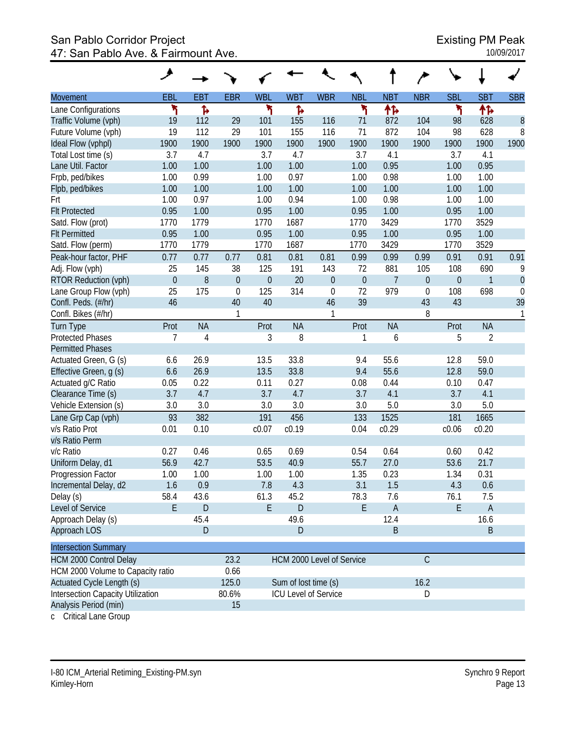# San Pablo Corridor Project<br>47: San Pablo Ave. & Fairmount Ave. 47: San Pablo Ave. & Fairmount Ave.

|                                          | حر               |            |              |                  |                      |                             |                  |                |                  |                  |                |             |
|------------------------------------------|------------------|------------|--------------|------------------|----------------------|-----------------------------|------------------|----------------|------------------|------------------|----------------|-------------|
| <b>Movement</b>                          | EBL              | <b>EBT</b> | <b>EBR</b>   | <b>WBL</b>       | <b>WBT</b>           | <b>WBR</b>                  | <b>NBL</b>       | <b>NBT</b>     | <b>NBR</b>       | <b>SBL</b>       | <b>SBT</b>     | <b>SBR</b>  |
| Lane Configurations                      | ۲                | ħ          |              | ۲                | Ъ                    |                             | ۲                | 怍              |                  | ۲                | 怍              |             |
| Traffic Volume (vph)                     | 19               | 112        | 29           | 101              | 155                  | 116                         | 71               | 872            | 104              | 98               | 628            | 8           |
| Future Volume (vph)                      | 19               | 112        | 29           | 101              | 155                  | 116                         | 71               | 872            | 104              | 98               | 628            | 8           |
| Ideal Flow (vphpl)                       | 1900             | 1900       | 1900         | 1900             | 1900                 | 1900                        | 1900             | 1900           | 1900             | 1900             | 1900           | 1900        |
| Total Lost time (s)                      | 3.7              | 4.7        |              | 3.7              | 4.7                  |                             | 3.7              | 4.1            |                  | 3.7              | 4.1            |             |
| Lane Util. Factor                        | 1.00             | 1.00       |              | 1.00             | 1.00                 |                             | 1.00             | 0.95           |                  | 1.00             | 0.95           |             |
| Frpb, ped/bikes                          | 1.00             | 0.99       |              | 1.00             | 0.97                 |                             | 1.00             | 0.98           |                  | 1.00             | 1.00           |             |
| Flpb, ped/bikes                          | 1.00             | 1.00       |              | 1.00             | 1.00                 |                             | 1.00             | 1.00           |                  | 1.00             | 1.00           |             |
| Frt                                      | 1.00             | 0.97       |              | 1.00             | 0.94                 |                             | 1.00             | 0.98           |                  | 1.00             | 1.00           |             |
| <b>Flt Protected</b>                     | 0.95             | 1.00       |              | 0.95             | 1.00                 |                             | 0.95             | 1.00           |                  | 0.95             | 1.00           |             |
| Satd. Flow (prot)                        | 1770             | 1779       |              | 1770             | 1687                 |                             | 1770             | 3429           |                  | 1770             | 3529           |             |
| <b>Flt Permitted</b>                     | 0.95             | 1.00       |              | 0.95             | 1.00                 |                             | 0.95             | 1.00           |                  | 0.95             | 1.00           |             |
| Satd. Flow (perm)                        | 1770             | 1779       |              | 1770             | 1687                 |                             | 1770             | 3429           |                  | 1770             | 3529           |             |
| Peak-hour factor, PHF                    | 0.77             | 0.77       | 0.77         | 0.81             | 0.81                 | 0.81                        | 0.99             | 0.99           | 0.99             | 0.91             | 0.91           | 0.91        |
| Adj. Flow (vph)                          | 25               | 145        | 38           | 125              | 191                  | 143                         | 72               | 881            | 105              | 108              | 690            | 9           |
| RTOR Reduction (vph)                     | $\boldsymbol{0}$ | $8\,$      | $\theta$     | $\boldsymbol{0}$ | 20                   | $\boldsymbol{0}$            | $\boldsymbol{0}$ | 7              | $\boldsymbol{0}$ | $\boldsymbol{0}$ | 1              | $\theta$    |
| Lane Group Flow (vph)                    | 25               | 175        | $\mathbf 0$  | 125              | 314                  | $\boldsymbol{0}$            | 72               | 979            | 0                | 108              | 698            | $\mathbf 0$ |
| Confl. Peds. (#/hr)                      | 46               |            | 40           | 40               |                      | 46                          | 39               |                | 43               | 43               |                | 39          |
| Confl. Bikes (#/hr)                      |                  |            | $\mathbf{1}$ |                  |                      | 1                           |                  |                | 8                |                  |                |             |
| <b>Turn Type</b>                         | Prot             | <b>NA</b>  |              | Prot             | <b>NA</b>            |                             | Prot             | <b>NA</b>      |                  | Prot             | <b>NA</b>      |             |
| <b>Protected Phases</b>                  | 7                | 4          |              | 3                | 8                    |                             | 1                | 6              |                  | 5                | $\overline{2}$ |             |
| <b>Permitted Phases</b>                  |                  |            |              |                  |                      |                             |                  |                |                  |                  |                |             |
| Actuated Green, G (s)                    | 6.6              | 26.9       |              | 13.5             | 33.8                 |                             | 9.4              | 55.6           |                  | 12.8             | 59.0           |             |
| Effective Green, g (s)                   | 6.6              | 26.9       |              | 13.5             | 33.8                 |                             | 9.4              | 55.6           |                  | 12.8             | 59.0           |             |
| Actuated g/C Ratio                       | 0.05             | 0.22       |              | 0.11             | 0.27                 |                             | 0.08             | 0.44           |                  | 0.10             | 0.47           |             |
| Clearance Time (s)                       | 3.7              | 4.7        |              | 3.7              | 4.7                  |                             | 3.7              | 4.1            |                  | 3.7              | 4.1            |             |
| Vehicle Extension (s)                    | 3.0              | 3.0        |              | 3.0              | 3.0                  |                             | 3.0              | 5.0            |                  | 3.0              | 5.0            |             |
| Lane Grp Cap (vph)                       | 93               | 382        |              | 191              | 456                  |                             | 133              | 1525           |                  | 181              | 1665           |             |
| v/s Ratio Prot                           | 0.01             | 0.10       |              | c0.07            | c0.19                |                             | 0.04             | c0.29          |                  | c0.06            | c0.20          |             |
| v/s Ratio Perm                           |                  |            |              |                  |                      |                             |                  |                |                  |                  |                |             |
| v/c Ratio                                | 0.27             | 0.46       |              | 0.65             | 0.69                 |                             | 0.54             | 0.64           |                  | 0.60             | 0.42           |             |
| Uniform Delay, d1                        | 56.9             | 42.7       |              | 53.5             | 40.9                 |                             | 55.7             | 27.0           |                  | 53.6             | 21.7           |             |
| Progression Factor                       | 1.00             | 1.00       |              | 1.00             | 1.00                 |                             | 1.35             | 0.23           |                  | 1.34             | 0.31           |             |
| Incremental Delay, d2                    | 1.6              | 0.9        |              | $7.8$            | 4.3                  |                             | 3.1              | 1.5            |                  | 4.3              | $0.6\,$        |             |
| Delay (s)                                | 58.4             | 43.6       |              | 61.3             | 45.2                 |                             | 78.3             | 7.6            |                  | 76.1             | 7.5            |             |
| Level of Service                         | E.               | ${\sf D}$  |              | E                | $\mathsf D$          |                             | E                | $\overline{A}$ |                  | $\mathsf E$      | $\mathsf{A}$   |             |
| Approach Delay (s)                       |                  | 45.4       |              |                  | 49.6                 |                             |                  | 12.4           |                  |                  | 16.6           |             |
| Approach LOS                             |                  | D          |              |                  | $\mathsf D$          |                             |                  | Β              |                  |                  | B              |             |
| <b>Intersection Summary</b>              |                  |            |              |                  |                      |                             |                  |                |                  |                  |                |             |
| <b>HCM 2000 Control Delay</b>            |                  |            | 23.2         |                  |                      | HCM 2000 Level of Service   |                  |                | $\mathsf C$      |                  |                |             |
| HCM 2000 Volume to Capacity ratio        |                  |            | 0.66         |                  |                      |                             |                  |                |                  |                  |                |             |
| Actuated Cycle Length (s)                |                  |            | 125.0        |                  | Sum of lost time (s) |                             |                  |                | 16.2             |                  |                |             |
| <b>Intersection Capacity Utilization</b> |                  |            | 80.6%        |                  |                      | <b>ICU Level of Service</b> |                  |                | D                |                  |                |             |
| Analysis Period (min)                    |                  |            | 15           |                  |                      |                             |                  |                |                  |                  |                |             |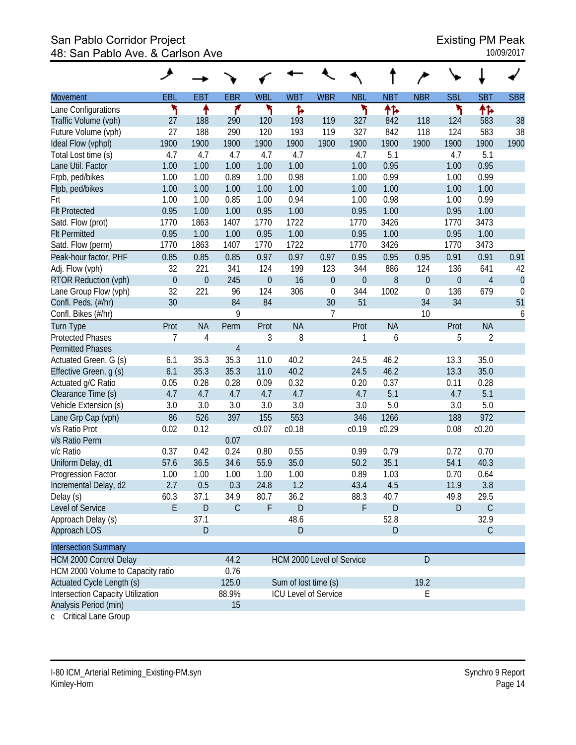#### San Pablo Corridor Project **Existing PM Peak** 48: San Pablo Ave. & Carlson Ave 10/09/2017

|                                   | ◢            |                       |                |              |                             |             |                  |              |                |                  |                      |             |
|-----------------------------------|--------------|-----------------------|----------------|--------------|-----------------------------|-------------|------------------|--------------|----------------|------------------|----------------------|-------------|
| <b>Movement</b>                   | EBL          | EBT                   | <b>EBR</b>     | <b>WBL</b>   | <b>WBT</b>                  | <b>WBR</b>  | <b>NBL</b>       | <b>NBT</b>   | <b>NBR</b>     | <b>SBL</b>       | <b>SBT</b>           | <b>SBR</b>  |
| Lane Configurations               | ۲            | ↟                     | ۴              | ۲            | Ъ                           |             | ۲                | 怍            |                | ۲                | 怍                    |             |
| Traffic Volume (vph)              | 27           | 188                   | 290            | 120          | 193                         | 119         | 327              | 842          | 118            | 124              | 583                  | 38          |
| Future Volume (vph)               | 27           | 188                   | 290            | 120          | 193                         | 119         | 327              | 842          | 118            | 124              | 583                  | 38          |
| Ideal Flow (vphpl)                | 1900         | 1900                  | 1900           | 1900         | 1900                        | 1900        | 1900             | 1900         | 1900           | 1900             | 1900                 | 1900        |
| Total Lost time (s)               | 4.7          | 4.7                   | 4.7            | 4.7          | 4.7                         |             | 4.7              | 5.1          |                | 4.7              | 5.1                  |             |
| Lane Util. Factor                 | 1.00         | 1.00                  | 1.00           | 1.00         | 1.00                        |             | 1.00             | 0.95         |                | 1.00             | 0.95                 |             |
| Frpb, ped/bikes                   | 1.00         | 1.00                  | 0.89           | 1.00         | 0.98                        |             | 1.00             | 0.99         |                | 1.00             | 0.99                 |             |
| Flpb, ped/bikes                   | 1.00<br>1.00 | 1.00<br>1.00          | 1.00<br>0.85   | 1.00<br>1.00 | 1.00<br>0.94                |             | 1.00<br>1.00     | 1.00<br>0.98 |                | 1.00<br>1.00     | 1.00<br>0.99         |             |
| Frt<br><b>Flt Protected</b>       | 0.95         | 1.00                  | 1.00           | 0.95         | 1.00                        |             | 0.95             | 1.00         |                | 0.95             | 1.00                 |             |
| Satd. Flow (prot)                 | 1770         | 1863                  | 1407           | 1770         | 1722                        |             | 1770             | 3426         |                | 1770             | 3473                 |             |
| <b>Flt Permitted</b>              | 0.95         | 1.00                  | 1.00           | 0.95         | 1.00                        |             | 0.95             | 1.00         |                | 0.95             | 1.00                 |             |
| Satd. Flow (perm)                 | 1770         | 1863                  | 1407           | 1770         | 1722                        |             | 1770             | 3426         |                | 1770             | 3473                 |             |
| Peak-hour factor, PHF             | 0.85         | 0.85                  | 0.85           | 0.97         | 0.97                        | 0.97        | 0.95             | 0.95         | 0.95           | 0.91             | 0.91                 | 0.91        |
| Adj. Flow (vph)                   | 32           | 221                   | 341            | 124          | 199                         | 123         | 344              | 886          | 124            | 136              | 641                  | 42          |
| RTOR Reduction (vph)              | $\mathbf 0$  | $\mathbf 0$           | 245            | $\mathbf{0}$ | 16                          | $\mathbf 0$ | $\boldsymbol{0}$ | 8            | $\overline{0}$ | $\boldsymbol{0}$ | $\sqrt{4}$           | $\theta$    |
| Lane Group Flow (vph)             | 32           | 221                   | 96             | 124          | 306                         | $\mathbf 0$ | 344              | 1002         | $\mathbf 0$    | 136              | 679                  | $\mathbf 0$ |
| Confl. Peds. (#/hr)               | 30           |                       | 84             | 84           |                             | 30          | 51               |              | 34             | 34               |                      | 51          |
| Confl. Bikes (#/hr)               |              |                       | 9              |              |                             | 7           |                  |              | 10             |                  |                      | 6           |
| <b>Turn Type</b>                  | Prot         | <b>NA</b>             | Perm           | Prot         | <b>NA</b>                   |             | Prot             | <b>NA</b>    |                | Prot             | <b>NA</b>            |             |
| <b>Protected Phases</b>           | 7            | 4                     |                | 3            | 8                           |             | 1                | 6            |                | 5                | $\overline{2}$       |             |
| <b>Permitted Phases</b>           |              |                       | $\overline{4}$ |              |                             |             |                  |              |                |                  |                      |             |
| Actuated Green, G (s)             | 6.1          | 35.3                  | 35.3           | 11.0         | 40.2                        |             | 24.5             | 46.2         |                | 13.3             | 35.0                 |             |
| Effective Green, g (s)            | 6.1          | 35.3                  | 35.3           | 11.0         | 40.2                        |             | 24.5             | 46.2         |                | 13.3             | 35.0                 |             |
| Actuated g/C Ratio                | 0.05         | 0.28                  | 0.28           | 0.09         | 0.32                        |             | 0.20             | 0.37         |                | 0.11             | 0.28                 |             |
| Clearance Time (s)                | 4.7          | 4.7                   | 4.7            | 4.7          | 4.7                         |             | 4.7              | 5.1          |                | 4.7              | 5.1                  |             |
| Vehicle Extension (s)             | 3.0          | 3.0                   | 3.0            | 3.0          | 3.0                         |             | 3.0              | 5.0          |                | 3.0              | 5.0                  |             |
| Lane Grp Cap (vph)                | 86           | 526                   | 397            | 155          | 553                         |             | 346              | 1266         |                | 188              | 972                  |             |
| v/s Ratio Prot                    | 0.02         | 0.12                  |                | c0.07        | c0.18                       |             | c0.19            | c0.29        |                | 0.08             | c0.20                |             |
| v/s Ratio Perm                    |              |                       | 0.07           |              |                             |             |                  |              |                |                  |                      |             |
| v/c Ratio                         | 0.37         | 0.42                  | 0.24           | 0.80         | 0.55                        |             | 0.99             | 0.79         |                | 0.72             | 0.70                 |             |
| Uniform Delay, d1                 | 57.6         | 36.5                  | 34.6           | 55.9         | 35.0                        |             | 50.2             | 35.1         |                | 54.1             | 40.3                 |             |
| Progression Factor                | 1.00         | 1.00                  | 1.00           | 1.00         | 1.00                        |             | 0.89             | 1.03         |                | 0.70             | 0.64                 |             |
| Incremental Delay, d2             | 2.7          | 0.5                   | 0.3            | 24.8         | 1.2                         |             | 43.4             | 4.5          |                | 11.9             | 3.8                  |             |
| Delay (s)                         | 60.3         | 37.1                  | 34.9           | 80.7         | 36.2                        |             | 88.3             | 40.7         |                | 49.8             | 29.5                 |             |
| Level of Service                  | E            | $\mathsf D$           | $\mathsf C$    | F            | $\mathsf D$                 |             | F                | $\mathsf{D}$ |                | D                | $\mathsf C$          |             |
| Approach Delay (s)                |              | 37.1<br>$\mathsf{D}%$ |                |              | 48.6<br>$\mathsf D$         |             |                  | 52.8         |                |                  | 32.9<br>$\mathsf{C}$ |             |
| Approach LOS                      |              |                       |                |              |                             |             |                  | D            |                |                  |                      |             |
| <b>Intersection Summary</b>       |              |                       |                |              |                             |             |                  |              |                |                  |                      |             |
| <b>HCM 2000 Control Delay</b>     |              |                       | 44.2           |              | HCM 2000 Level of Service   |             |                  |              | ${\sf D}$      |                  |                      |             |
| HCM 2000 Volume to Capacity ratio |              |                       | 0.76           |              |                             |             |                  |              |                |                  |                      |             |
| Actuated Cycle Length (s)         |              |                       | 125.0          |              | Sum of lost time (s)        |             |                  |              | 19.2           |                  |                      |             |
| Intersection Capacity Utilization |              |                       | 88.9%          |              | <b>ICU Level of Service</b> |             |                  |              | E              |                  |                      |             |
| Analysis Period (min)             |              |                       | 15             |              |                             |             |                  |              |                |                  |                      |             |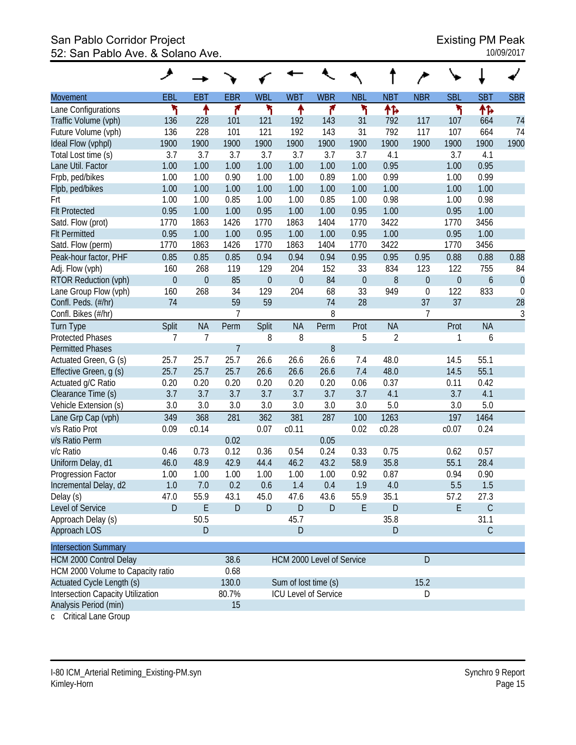#### San Pablo Corridor Project **Existing PM Peak** 52: San Pablo Ave. & Solano Ave. 10/09/2017

|                                          | ◢                |                  |                |                                                     |                  |                           |                  |                |                  |                  |                  |                  |
|------------------------------------------|------------------|------------------|----------------|-----------------------------------------------------|------------------|---------------------------|------------------|----------------|------------------|------------------|------------------|------------------|
| <b>Movement</b>                          | EBL              | <b>EBT</b>       | <b>EBR</b>     | <b>WBL</b>                                          | <b>WBT</b>       | <b>WBR</b>                | <b>NBL</b>       | <b>NBT</b>     | <b>NBR</b>       | <b>SBL</b>       | <b>SBT</b>       | <b>SBR</b>       |
| Lane Configurations                      | ۲                | ↟                | ۴              | ۲                                                   | ↟                | ۴                         | ۲                | 怍              |                  | ۲                | 怍                |                  |
| Traffic Volume (vph)                     | 136              | 228              | 101            | 121                                                 | 192              | 143                       | 31               | 792            | 117              | 107              | 664              | 74               |
| Future Volume (vph)                      | 136              | 228              | 101            | 121                                                 | 192              | 143                       | 31               | 792            | 117              | 107              | 664              | 74               |
| Ideal Flow (vphpl)                       | 1900             | 1900             | 1900           | 1900                                                | 1900             | 1900                      | 1900             | 1900           | 1900             | 1900             | 1900             | 1900             |
| Total Lost time (s)                      | 3.7              | 3.7              | 3.7            | 3.7                                                 | 3.7              | 3.7                       | 3.7              | 4.1            |                  | 3.7              | 4.1              |                  |
| Lane Util. Factor                        | 1.00             | 1.00             | 1.00           | 1.00                                                | 1.00             | 1.00                      | 1.00             | 0.95           |                  | 1.00             | 0.95             |                  |
| Frpb, ped/bikes                          | 1.00             | 1.00             | 0.90           | 1.00                                                | 1.00             | 0.89                      | 1.00             | 0.99           |                  | 1.00             | 0.99             |                  |
| Flpb, ped/bikes                          | 1.00             | 1.00             | 1.00           | 1.00                                                | 1.00             | 1.00                      | 1.00             | 1.00           |                  | 1.00             | 1.00             |                  |
| Frt                                      | 1.00             | 1.00             | 0.85           | 1.00                                                | 1.00             | 0.85                      | 1.00             | 0.98           |                  | 1.00             | 0.98             |                  |
| <b>Flt Protected</b>                     | 0.95             | 1.00             | 1.00           | 0.95                                                | 1.00             | 1.00                      | 0.95             | 1.00           |                  | 0.95             | 1.00             |                  |
| Satd. Flow (prot)                        | 1770             | 1863             | 1426           | 1770                                                | 1863             | 1404                      | 1770             | 3422           |                  | 1770             | 3456             |                  |
| <b>Flt Permitted</b>                     | 0.95             | 1.00             | 1.00           | 0.95                                                | 1.00             | 1.00                      | 0.95             | 1.00           |                  | 0.95             | 1.00             |                  |
| Satd. Flow (perm)                        | 1770             | 1863             | 1426           | 1770                                                | 1863             | 1404                      | 1770             | 3422           |                  | 1770             | 3456             |                  |
| Peak-hour factor, PHF                    | 0.85             | 0.85             | 0.85           | 0.94                                                | 0.94             | 0.94                      | 0.95             | 0.95           | 0.95             | 0.88             | 0.88             | 0.88             |
| Adj. Flow (vph)                          | 160              | 268              | 119            | 129                                                 | 204              | 152                       | 33               | 834            | 123              | 122              | 755              | 84               |
| RTOR Reduction (vph)                     | $\boldsymbol{0}$ | $\boldsymbol{0}$ | 85             | $\mathbf{0}$                                        | $\boldsymbol{0}$ | 84                        | $\boldsymbol{0}$ | 8              | $\boldsymbol{0}$ | $\boldsymbol{0}$ | $\boldsymbol{6}$ | $\theta$         |
| Lane Group Flow (vph)                    | 160              | 268              | 34             | 129                                                 | 204              | 68                        | 33               | 949            | $\boldsymbol{0}$ | 122              | 833              | $\boldsymbol{0}$ |
| Confl. Peds. (#/hr)                      | 74               |                  | 59             | 59                                                  |                  | 74                        | 28               |                | 37               | 37               |                  | 28               |
| Confl. Bikes (#/hr)                      |                  |                  | $\overline{1}$ |                                                     |                  | 8                         |                  |                | 7                |                  |                  | 3                |
| <b>Turn Type</b>                         | Split            | <b>NA</b>        | Perm           | Split                                               | <b>NA</b>        | Perm                      | Prot             | <b>NA</b>      |                  | Prot             | <b>NA</b>        |                  |
| <b>Protected Phases</b>                  | $\overline{7}$   | 7                |                | 8                                                   | 8                |                           | 5                | $\overline{2}$ |                  | 1                | 6                |                  |
| <b>Permitted Phases</b>                  |                  |                  | $\overline{7}$ |                                                     |                  | 8                         |                  |                |                  |                  |                  |                  |
| Actuated Green, G (s)                    | 25.7             | 25.7             | 25.7           | 26.6                                                | 26.6             | 26.6                      | 7.4<br>7.4       | 48.0           |                  | 14.5             | 55.1             |                  |
| Effective Green, g (s)                   | 25.7             | 25.7             | 25.7<br>0.20   | 26.6<br>0.20                                        | 26.6<br>0.20     | 26.6<br>0.20              | 0.06             | 48.0<br>0.37   |                  | 14.5<br>0.11     | 55.1<br>0.42     |                  |
| Actuated g/C Ratio<br>Clearance Time (s) | 0.20<br>3.7      | 0.20<br>3.7      | 3.7            | 3.7                                                 | 3.7              | 3.7                       | 3.7              | 4.1            |                  | 3.7              | 4.1              |                  |
|                                          | 3.0              | 3.0              | 3.0            | 3.0                                                 | 3.0              | 3.0                       | 3.0              | 5.0            |                  | 3.0              | 5.0              |                  |
| Vehicle Extension (s)                    |                  |                  |                |                                                     |                  |                           |                  |                |                  |                  |                  |                  |
| Lane Grp Cap (vph)                       | 349              | 368              | 281            | 362                                                 | 381              | 287                       | 100              | 1263           |                  | 197              | 1464             |                  |
| v/s Ratio Prot                           | 0.09             | c0.14            |                | 0.07                                                | c0.11            | 0.05                      | 0.02             | c0.28          |                  | c0.07            | 0.24             |                  |
| v/s Ratio Perm<br>v/c Ratio              | 0.46             | 0.73             | 0.02<br>0.12   | 0.36                                                | 0.54             | 0.24                      | 0.33             | 0.75           |                  | 0.62             | 0.57             |                  |
| Uniform Delay, d1                        | 46.0             | 48.9             | 42.9           | 44.4                                                | 46.2             | 43.2                      | 58.9             | 35.8           |                  | 55.1             | 28.4             |                  |
| Progression Factor                       | 1.00             | 1.00             | 1.00           | 1.00                                                | 1.00             | 1.00                      | 0.92             | 0.87           |                  | 0.94             | 0.90             |                  |
| Incremental Delay, d2                    | 1.0              | 7.0              | 0.2            | 0.6                                                 | 1.4              | 0.4                       | 1.9              | 4.0            |                  |                  | 1.5              |                  |
| Delay (s)                                | 47.0             | 55.9             | 43.1           | 45.0                                                | 47.6             | 43.6                      | 55.9             | 35.1           |                  | 5.5<br>57.2      | 27.3             |                  |
| Level of Service                         | D                | E                | D              | $\mathsf{D}%$                                       | $\mathsf D$      | $\mathsf D$               | E                | D              |                  | E                | $\mathsf C$      |                  |
| Approach Delay (s)                       |                  | 50.5             |                |                                                     | 45.7             |                           |                  | 35.8           |                  |                  | 31.1             |                  |
| Approach LOS                             |                  | $\mathsf{D}%$    |                |                                                     | $\mathsf D$      |                           |                  | D              |                  |                  | $\mathsf{C}$     |                  |
|                                          |                  |                  |                |                                                     |                  |                           |                  |                |                  |                  |                  |                  |
| <b>Intersection Summary</b>              |                  |                  |                |                                                     |                  |                           |                  |                |                  |                  |                  |                  |
| <b>HCM 2000 Control Delay</b>            |                  |                  | 38.6           |                                                     |                  | HCM 2000 Level of Service |                  |                | ${\sf D}$        |                  |                  |                  |
| HCM 2000 Volume to Capacity ratio        |                  |                  | 0.68           |                                                     |                  |                           |                  |                |                  |                  |                  |                  |
| Actuated Cycle Length (s)                |                  |                  | 130.0          | Sum of lost time (s)<br><b>ICU Level of Service</b> |                  |                           |                  |                | 15.2             |                  |                  |                  |
| Intersection Capacity Utilization        |                  |                  | 80.7%          |                                                     |                  |                           |                  |                | D                |                  |                  |                  |
| Analysis Period (min)                    |                  |                  | 15             |                                                     |                  |                           |                  |                |                  |                  |                  |                  |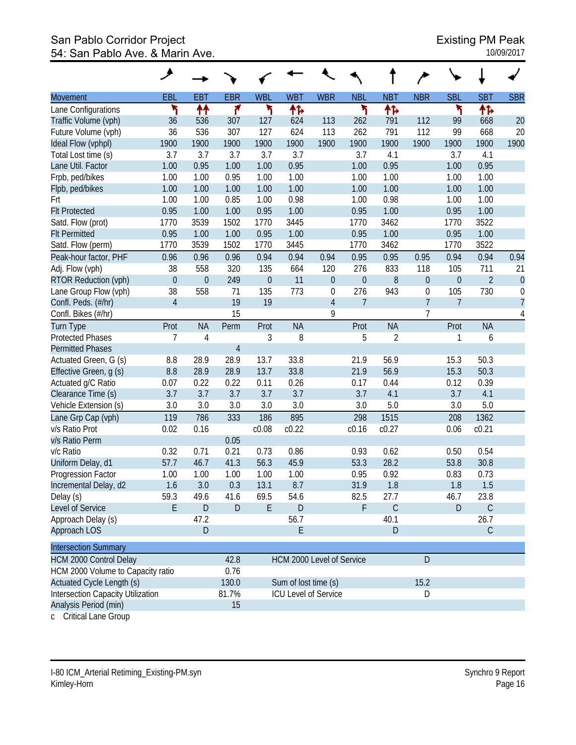#### San Pablo Corridor Project **Existing PM Peak** 54: San Pablo Ave. & Marin Ave. 10/09/2017

|                                   | خر             |               |                |                  |                             |                  |                |                |                  |                |                |                  |
|-----------------------------------|----------------|---------------|----------------|------------------|-----------------------------|------------------|----------------|----------------|------------------|----------------|----------------|------------------|
| <b>Movement</b>                   | EBL            | <b>EBT</b>    | <b>EBR</b>     | <b>WBL</b>       | <b>WBT</b>                  | <b>WBR</b>       | <b>NBL</b>     | <b>NBT</b>     | <b>NBR</b>       | <b>SBL</b>     | <b>SBT</b>     | <b>SBR</b>       |
| Lane Configurations               | ۲              | ↟↟            | ۴              | ۲                | 怍                           |                  | ۲              | 怍              |                  | ۲              | ተኈ             |                  |
| Traffic Volume (vph)              | 36             | 536           | 307            | 127              | 624                         | 113              | 262            | 791            | 112              | 99             | 668            | 20               |
| Future Volume (vph)               | 36             | 536           | 307            | 127              | 624                         | 113              | 262            | 791            | 112              | 99             | 668            | 20               |
| Ideal Flow (vphpl)                | 1900           | 1900          | 1900           | 1900             | 1900                        | 1900             | 1900           | 1900           | 1900             | 1900           | 1900           | 1900             |
| Total Lost time (s)               | 3.7            | 3.7           | 3.7            | 3.7              | 3.7                         |                  | 3.7            | 4.1            |                  | 3.7            | 4.1            |                  |
| Lane Util. Factor                 | 1.00           | 0.95          | 1.00           | 1.00             | 0.95                        |                  | 1.00           | 0.95           |                  | 1.00           | 0.95           |                  |
| Frpb, ped/bikes                   | 1.00           | 1.00          | 0.95           | 1.00             | 1.00                        |                  | 1.00           | 1.00           |                  | 1.00           | 1.00           |                  |
| Flpb, ped/bikes                   | 1.00           | 1.00          | 1.00           | 1.00             | 1.00                        |                  | 1.00           | 1.00           |                  | 1.00           | 1.00           |                  |
| Frt                               | 1.00           | 1.00          | 0.85           | 1.00             | 0.98                        |                  | 1.00           | 0.98           |                  | 1.00           | 1.00           |                  |
| <b>Flt Protected</b>              | 0.95           | 1.00          | 1.00           | 0.95             | 1.00                        |                  | 0.95           | 1.00           |                  | 0.95           | 1.00           |                  |
| Satd. Flow (prot)                 | 1770           | 3539          | 1502           | 1770             | 3445                        |                  | 1770           | 3462           |                  | 1770           | 3522           |                  |
| <b>Flt Permitted</b>              | 0.95           | 1.00          | 1.00           | 0.95             | 1.00                        |                  | 0.95           | 1.00           |                  | 0.95           | 1.00           |                  |
| Satd. Flow (perm)                 | 1770           | 3539          | 1502           | 1770             | 3445                        |                  | 1770           | 3462           |                  | 1770           | 3522           |                  |
| Peak-hour factor, PHF             | 0.96           | 0.96          | 0.96           | 0.94             | 0.94                        | 0.94             | 0.95           | 0.95           | 0.95             | 0.94           | 0.94           | 0.94             |
| Adj. Flow (vph)                   | 38             | 558           | 320            | 135              | 664                         | 120              | 276            | 833            | 118              | 105            | 711            | 21               |
| RTOR Reduction (vph)              | $\mathbf 0$    | $\mathbf 0$   | 249            | $\boldsymbol{0}$ | 11                          | $\mathbf 0$      | $\mathbf 0$    | 8              | $\overline{0}$   | $\overline{0}$ | $\overline{2}$ | $\theta$         |
| Lane Group Flow (vph)             | 38             | 558           | 71             | 135              | 773                         | $\boldsymbol{0}$ | 276            | 943            | $\boldsymbol{0}$ | 105            | 730            | $\boldsymbol{0}$ |
| Confl. Peds. (#/hr)               | $\overline{4}$ |               | 19             | 19               |                             | $\overline{4}$   | $\overline{7}$ |                | $\overline{7}$   | $\overline{7}$ |                | $\overline{7}$   |
| Confl. Bikes (#/hr)               |                |               | 15             |                  |                             | 9                |                |                | $\overline{7}$   |                |                | 4                |
| <b>Turn Type</b>                  | Prot           | <b>NA</b>     | Perm           | Prot             | <b>NA</b>                   |                  | Prot           | <b>NA</b>      |                  | Prot           | <b>NA</b>      |                  |
| <b>Protected Phases</b>           | 7              | 4             |                | 3                | 8                           |                  | 5              | $\overline{2}$ |                  | 1              | 6              |                  |
| <b>Permitted Phases</b>           |                |               | $\overline{4}$ |                  |                             |                  |                |                |                  |                |                |                  |
| Actuated Green, G (s)             | 8.8            | 28.9          | 28.9           | 13.7             | 33.8                        |                  | 21.9           | 56.9           |                  | 15.3           | 50.3           |                  |
| Effective Green, g (s)            | 8.8            | 28.9          | 28.9           | 13.7             | 33.8                        |                  | 21.9           | 56.9           |                  | 15.3           | 50.3           |                  |
| Actuated g/C Ratio                | 0.07           | 0.22          | 0.22           | 0.11             | 0.26                        |                  | 0.17           | 0.44           |                  | 0.12           | 0.39           |                  |
| Clearance Time (s)                | 3.7            | 3.7           | 3.7            | 3.7              | 3.7                         |                  | 3.7            | 4.1            |                  | 3.7            | 4.1            |                  |
| Vehicle Extension (s)             | 3.0            | 3.0           | 3.0            | 3.0              | 3.0                         |                  | 3.0            | 5.0            |                  | 3.0            | 5.0            |                  |
| Lane Grp Cap (vph)                | 119            | 786           | 333            | 186              | 895                         |                  | 298            | 1515           |                  | 208            | 1362           |                  |
| v/s Ratio Prot                    | 0.02           | 0.16          |                | c0.08            | c0.22                       |                  | c0.16          | c0.27          |                  | 0.06           | c0.21          |                  |
| v/s Ratio Perm                    |                |               | 0.05           |                  |                             |                  |                |                |                  |                |                |                  |
| v/c Ratio                         | 0.32           | 0.71          | 0.21           | 0.73             | 0.86                        |                  | 0.93           | 0.62           |                  | 0.50           | 0.54           |                  |
| Uniform Delay, d1                 | 57.7           | 46.7          | 41.3           | 56.3             | 45.9                        |                  | 53.3           | 28.2           |                  | 53.8           | 30.8           |                  |
| Progression Factor                | 1.00           | 1.00          | 1.00           | 1.00             | 1.00                        |                  | 0.95           | 0.92           |                  | 0.83           | 0.73           |                  |
| Incremental Delay, d2             | 1.6            | 3.0           | 0.3            | 13.1             | 8.7                         |                  | 31.9           | 1.8            |                  | 1.8            | 1.5            |                  |
| Delay (s)                         | 59.3           | 49.6          | 41.6           | 69.5             | 54.6                        |                  | 82.5           | 27.7           |                  | 46.7           | 23.8           |                  |
| Level of Service                  | E              | $\mathsf{D}%$ | D              | E                | $\mathsf{D}$                |                  | F              | $\mathsf C$    |                  | D              | $\mathsf C$    |                  |
| Approach Delay (s)                |                | 47.2          |                |                  | 56.7                        |                  |                | 40.1           |                  |                | 26.7           |                  |
| Approach LOS                      |                | $\mathsf{D}%$ |                |                  | E                           |                  |                | ${\sf D}$      |                  |                | $\mathsf{C}$   |                  |
| <b>Intersection Summary</b>       |                |               |                |                  |                             |                  |                |                |                  |                |                |                  |
| <b>HCM 2000 Control Delay</b>     |                |               | 42.8           |                  | HCM 2000 Level of Service   |                  | $\mathsf D$    |                |                  |                |                |                  |
| HCM 2000 Volume to Capacity ratio |                |               | 0.76           |                  |                             |                  |                |                |                  |                |                |                  |
| Actuated Cycle Length (s)         |                |               | 130.0          |                  | Sum of lost time (s)        |                  |                |                | 15.2             |                |                |                  |
| Intersection Capacity Utilization |                |               | 81.7%          |                  | <b>ICU Level of Service</b> |                  |                |                | D                |                |                |                  |
| Analysis Period (min)             |                |               | 15             |                  |                             |                  |                |                |                  |                |                |                  |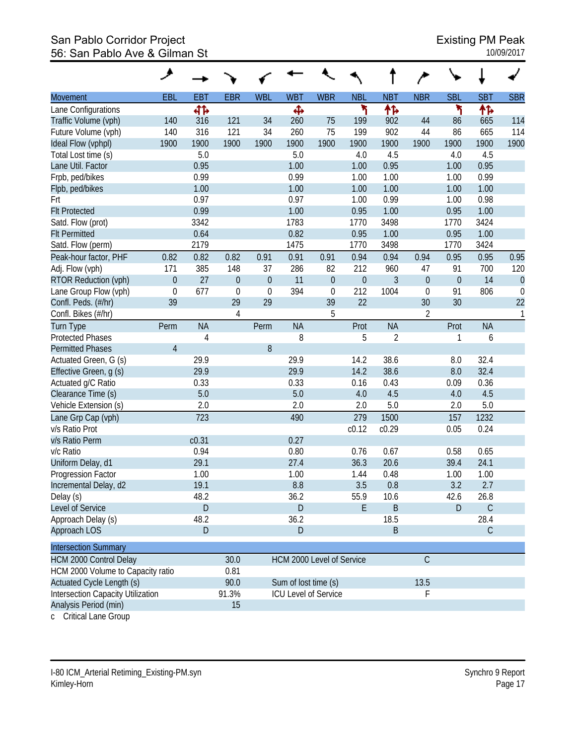#### San Pablo Corridor Project **Existing PM Peak** 56: San Pablo Ave & Gilman St

|                                          | هر             |              |                  |                                                     |                           |             |                  |                |                |                |                     |                |
|------------------------------------------|----------------|--------------|------------------|-----------------------------------------------------|---------------------------|-------------|------------------|----------------|----------------|----------------|---------------------|----------------|
| <b>Movement</b>                          | EBL            | EBT          | <b>EBR</b>       | <b>WBL</b>                                          | <b>WBT</b>                | <b>WBR</b>  | <b>NBL</b>       | <b>NBT</b>     | <b>NBR</b>     | <b>SBL</b>     | <b>SBT</b>          | <b>SBR</b>     |
| Lane Configurations                      |                | 412          |                  |                                                     | Ф                         |             | ۲                | 怍              |                | ۲              | ተኈ                  |                |
| Traffic Volume (vph)                     | 140            | 316          | 121              | 34                                                  | 260                       | 75          | 199              | 902            | 44             | 86             | 665                 | 114            |
| Future Volume (vph)                      | 140            | 316          | 121              | 34                                                  | 260                       | 75          | 199              | 902            | 44             | 86             | 665                 | 114            |
| Ideal Flow (vphpl)                       | 1900           | 1900         | 1900             | 1900                                                | 1900                      | 1900        | 1900             | 1900           | 1900           | 1900           | 1900                | 1900           |
| Total Lost time (s)                      |                | 5.0          |                  |                                                     | 5.0                       |             | 4.0              | 4.5            |                | 4.0            | 4.5                 |                |
| Lane Util. Factor                        |                | 0.95         |                  |                                                     | 1.00                      |             | 1.00             | 0.95           |                | 1.00           | 0.95                |                |
| Frpb, ped/bikes                          |                | 0.99         |                  |                                                     | 0.99                      |             | 1.00             | 1.00           |                | 1.00           | 0.99                |                |
| Flpb, ped/bikes                          |                | 1.00         |                  |                                                     | 1.00                      |             | 1.00             | 1.00           |                | 1.00           | 1.00                |                |
| Frt                                      |                | 0.97         |                  |                                                     | 0.97                      |             | 1.00             | 0.99           |                | 1.00           | 0.98                |                |
| <b>Flt Protected</b>                     |                | 0.99         |                  |                                                     | 1.00                      |             | 0.95             | 1.00           |                | 0.95           | 1.00                |                |
| Satd. Flow (prot)                        |                | 3342         |                  |                                                     | 1783                      |             | 1770             | 3498           |                | 1770           | 3424                |                |
| <b>Flt Permitted</b>                     |                | 0.64         |                  |                                                     | 0.82                      |             | 0.95             | 1.00           |                | 0.95           | 1.00                |                |
| Satd. Flow (perm)                        |                | 2179         |                  |                                                     | 1475                      |             | 1770             | 3498           |                | 1770           | 3424                |                |
| Peak-hour factor, PHF                    | 0.82           | 0.82         | 0.82             | 0.91                                                | 0.91                      | 0.91        | 0.94             | 0.94           | 0.94           | 0.95           | 0.95                | 0.95           |
| Adj. Flow (vph)                          | 171            | 385          | 148              | 37                                                  | 286                       | 82          | 212              | 960            | 47             | 91             | 700                 | 120            |
| RTOR Reduction (vph)                     | $\mathbf 0$    | 27           | $\boldsymbol{0}$ | $\theta$                                            | 11                        | $\mathbf 0$ | $\boldsymbol{0}$ | 3              | $\mathbf{0}$   | $\overline{0}$ | 14                  | $\overline{0}$ |
| Lane Group Flow (vph)                    | $\mathbf 0$    | 677          | $\mathbf 0$      | $\mathbf 0$                                         | 394                       | $\mathbf 0$ | 212              | 1004           | $\mathbf 0$    | 91             | 806                 | $\mathbf 0$    |
| Confl. Peds. (#/hr)                      | 39             |              | 29               | 29                                                  |                           | 39          | 22               |                | 30             | 30             |                     | 22             |
| Confl. Bikes (#/hr)                      |                |              | 4                |                                                     |                           | 5           |                  |                | $\overline{2}$ |                |                     | 1              |
| Turn Type                                | Perm           | <b>NA</b>    |                  | Perm                                                | <b>NA</b>                 |             | Prot             | <b>NA</b>      |                | Prot           | <b>NA</b>           |                |
| <b>Protected Phases</b>                  |                | 4            |                  |                                                     | 8                         |             | 5                | $\overline{2}$ |                | 1              | 6                   |                |
| <b>Permitted Phases</b>                  | $\overline{4}$ |              |                  | 8                                                   |                           |             |                  |                |                |                |                     |                |
| Actuated Green, G (s)                    |                | 29.9         |                  |                                                     | 29.9                      |             | 14.2             | 38.6           |                | 8.0            | 32.4                |                |
| Effective Green, g (s)                   |                | 29.9         |                  |                                                     | 29.9                      |             | 14.2             | 38.6           |                | 8.0            | 32.4                |                |
| Actuated g/C Ratio                       |                | 0.33         |                  |                                                     | 0.33                      |             | 0.16             | 0.43           |                | 0.09           | 0.36                |                |
| Clearance Time (s)                       |                | 5.0          |                  |                                                     | 5.0                       |             | 4.0              | 4.5            |                | 4.0            | 4.5                 |                |
| Vehicle Extension (s)                    |                | 2.0          |                  |                                                     | 2.0                       |             | 2.0              | 5.0            |                | 2.0            | 5.0                 |                |
| Lane Grp Cap (vph)                       |                | 723          |                  |                                                     | 490                       |             | 279              | 1500           |                | 157            | 1232                |                |
| v/s Ratio Prot                           |                |              |                  |                                                     |                           |             | c0.12            | c0.29          |                | 0.05           | 0.24                |                |
| v/s Ratio Perm                           |                | c0.31        |                  |                                                     | 0.27                      |             |                  |                |                |                |                     |                |
| v/c Ratio                                |                | 0.94         |                  |                                                     | 0.80                      |             | 0.76             | 0.67           |                | 0.58           | 0.65                |                |
| Uniform Delay, d1                        |                | 29.1         |                  |                                                     | 27.4                      |             | 36.3             | 20.6           |                | 39.4           | 24.1                |                |
| Progression Factor                       |                | 1.00         |                  |                                                     | 1.00<br>8.8               |             | 1.44             | 0.48<br>0.8    |                | 1.00<br>3.2    | 1.00<br>2.7         |                |
| Incremental Delay, d2                    |                | 19.1<br>48.2 |                  |                                                     |                           |             | 3.5<br>55.9      | 10.6           |                | 42.6           |                     |                |
| Delay (s)<br>Level of Service            |                | $\mathsf D$  |                  |                                                     | 36.2<br>$\mathsf{D}$      |             | E                |                |                | $\mathsf{D}$   | 26.8<br>$\mathsf C$ |                |
|                                          |                | 48.2         |                  |                                                     | 36.2                      |             |                  | B<br>18.5      |                |                | 28.4                |                |
| Approach Delay (s)<br>Approach LOS       |                | D            |                  |                                                     | $\mathsf{D}$              |             |                  | B              |                |                | $\mathsf{C}$        |                |
|                                          |                |              |                  |                                                     |                           |             |                  |                |                |                |                     |                |
| <b>Intersection Summary</b>              |                |              |                  |                                                     |                           |             |                  |                |                |                |                     |                |
| HCM 2000 Control Delay                   |                |              | 30.0             |                                                     | HCM 2000 Level of Service |             |                  |                | $\mathsf{C}$   |                |                     |                |
| HCM 2000 Volume to Capacity ratio        |                |              | 0.81             |                                                     |                           |             |                  |                |                |                |                     |                |
| Actuated Cycle Length (s)                |                |              | 90.0             | Sum of lost time (s)<br><b>ICU Level of Service</b> |                           |             |                  |                | 13.5           |                |                     |                |
| <b>Intersection Capacity Utilization</b> |                |              | 91.3%            |                                                     |                           |             |                  |                | F              |                |                     |                |
| Analysis Period (min)                    |                |              | 15               |                                                     |                           |             |                  |                |                |                |                     |                |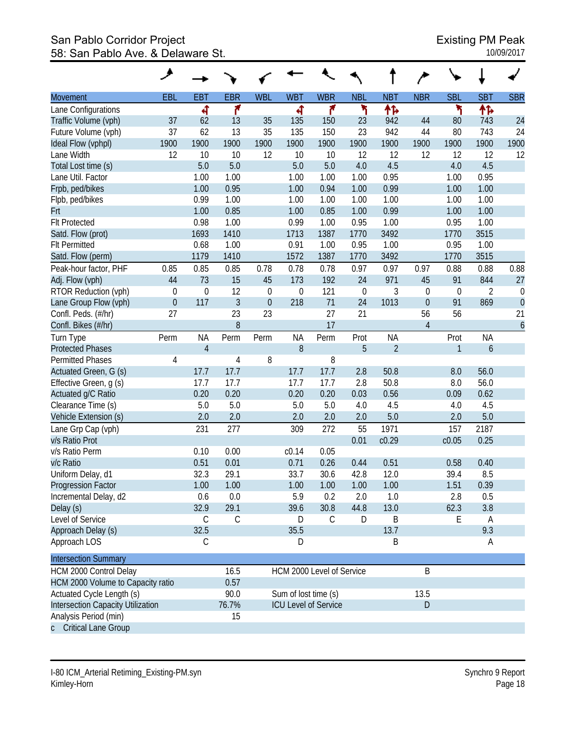#### San Pablo Corridor Project **Existing PM Peak** 58: San Pablo Ave. & Delaware St. 10/09/2017

|                                   | ᢣ                |                 |                |                  |                      |                             |                  |                |                  |                  |                  |                  |
|-----------------------------------|------------------|-----------------|----------------|------------------|----------------------|-----------------------------|------------------|----------------|------------------|------------------|------------------|------------------|
| Movement                          | EBL              | EB <sub>1</sub> | <b>EBR</b>     | <b>WBL</b>       | <b>WBT</b>           | <b>WBR</b>                  | <b>NBL</b>       | <b>NBT</b>     | <b>NBR</b>       | <b>SBL</b>       | <b>SBT</b>       | <b>SBR</b>       |
| Lane Configurations               |                  | ৰ               | ۴              |                  | 4                    | ۴                           | ۲                | ተኈ             |                  | ۲                | 怍                |                  |
| Traffic Volume (vph)              | 37               | 62              | 13             | 35               | 135                  | 150                         | 23               | 942            | 44               | 80               | 743              | 24               |
| Future Volume (vph)               | 37               | 62              | 13             | 35               | 135                  | 150                         | 23               | 942            | 44               | 80               | 743              | 24               |
| Ideal Flow (vphpl)                | 1900             | 1900            | 1900           | 1900             | 1900                 | 1900                        | 1900             | 1900           | 1900             | 1900             | 1900             | 1900             |
| Lane Width                        | 12               | 10              | 10             | 12               | 10                   | 10                          | 12               | 12             | 12               | 12               | 12               | 12               |
| Total Lost time (s)               |                  | 5.0             | 5.0            |                  | 5.0                  | 5.0                         | 4.0              | 4.5            |                  | 4.0              | 4.5              |                  |
| Lane Util. Factor                 |                  | 1.00            | 1.00           |                  | 1.00                 | 1.00                        | 1.00             | 0.95           |                  | 1.00             | 0.95             |                  |
| Frpb, ped/bikes                   |                  | 1.00            | 0.95           |                  | 1.00                 | 0.94                        | 1.00             | 0.99           |                  | 1.00             | 1.00             |                  |
| Flpb, ped/bikes                   |                  | 0.99            | 1.00           |                  | 1.00                 | 1.00                        | 1.00             | 1.00           |                  | 1.00             | 1.00             |                  |
| Frt                               |                  | 1.00            | 0.85           |                  | 1.00                 | 0.85                        | 1.00             | 0.99           |                  | 1.00             | 1.00             |                  |
| <b>Flt Protected</b>              |                  | 0.98            | 1.00           |                  | 0.99                 | 1.00                        | 0.95             | 1.00           |                  | 0.95             | 1.00             |                  |
| Satd. Flow (prot)                 |                  | 1693            | 1410           |                  | 1713                 | 1387                        | 1770             | 3492           |                  | 1770             | 3515             |                  |
| <b>Flt Permitted</b>              |                  | 0.68            | 1.00           |                  | 0.91                 | 1.00                        | 0.95             | 1.00           |                  | 0.95             | 1.00             |                  |
| Satd. Flow (perm)                 |                  | 1179            | 1410           |                  | 1572                 | 1387                        | 1770             | 3492           |                  | 1770             | 3515             |                  |
| Peak-hour factor, PHF             | 0.85             | 0.85            | 0.85           | 0.78             | 0.78                 | 0.78                        | 0.97             | 0.97           | 0.97             | 0.88             | 0.88             | 0.88             |
| Adj. Flow (vph)                   | 44               | 73              | 15             | 45               | 173                  | 192                         | 24               | 971            | 45               | 91               | 844              | 27               |
| RTOR Reduction (vph)              | $\boldsymbol{0}$ | 0               | 12             | 0                | $\mathbf 0$          | 121                         | $\boldsymbol{0}$ | 3              | $\boldsymbol{0}$ | $\boldsymbol{0}$ | $\overline{2}$   | $\boldsymbol{0}$ |
| Lane Group Flow (vph)             | $\theta$         | 117             | $\overline{3}$ | $\boldsymbol{0}$ | 218                  | 71                          | 24               | 1013           | $\boldsymbol{0}$ | 91               | 869              | $\mathbf 0$      |
| Confl. Peds. (#/hr)               | 27               |                 | 23             | 23               |                      | 27                          | 21               |                | 56               | 56               |                  | 21               |
| Confl. Bikes (#/hr)               |                  |                 | 8              |                  |                      | 17                          |                  |                | $\overline{4}$   |                  |                  | $\boldsymbol{6}$ |
| Turn Type                         | Perm             | <b>NA</b>       | Perm           | Perm             | <b>NA</b>            | Perm                        | Prot             | <b>NA</b>      |                  | Prot             | <b>NA</b>        |                  |
| <b>Protected Phases</b>           |                  | $\overline{4}$  |                |                  | $8\,$                |                             | 5                | $\overline{2}$ |                  | $\mathbf{1}$     | $\boldsymbol{6}$ |                  |
| <b>Permitted Phases</b>           | 4                |                 | 4              | 8                |                      | 8                           |                  |                |                  |                  |                  |                  |
| Actuated Green, G (s)             |                  | 17.7            | 17.7           |                  | 17.7                 | 17.7                        | 2.8              | 50.8           |                  | 8.0              | 56.0             |                  |
| Effective Green, g (s)            |                  | 17.7            | 17.7           |                  | 17.7                 | 17.7                        | 2.8              | 50.8           |                  | 8.0              | 56.0             |                  |
| Actuated g/C Ratio                |                  | 0.20            | 0.20           |                  | 0.20                 | 0.20                        | 0.03             | 0.56           |                  | 0.09             | 0.62             |                  |
| Clearance Time (s)                |                  | 5.0             | 5.0            |                  | 5.0                  | 5.0                         | 4.0              | 4.5            |                  | 4.0              | 4.5              |                  |
| Vehicle Extension (s)             |                  | 2.0             | 2.0            |                  | 2.0                  | 2.0                         | 2.0              | 5.0            |                  | 2.0              | 5.0              |                  |
|                                   |                  |                 |                |                  |                      |                             |                  |                |                  |                  |                  |                  |
| Lane Grp Cap (vph)                |                  | 231             | 277            |                  | 309                  | 272                         | 55               | 1971           |                  | 157              | 2187             |                  |
| v/s Ratio Prot                    |                  |                 |                |                  |                      |                             | 0.01             | c0.29          |                  | c0.05            | 0.25             |                  |
| v/s Ratio Perm                    |                  | 0.10            | 0.00           |                  | c0.14                | 0.05                        |                  |                |                  |                  |                  |                  |
| v/c Ratio                         |                  | 0.51            | 0.01           |                  | 0.71                 | 0.26                        | 0.44             | 0.51           |                  | 0.58             | 0.40             |                  |
| Uniform Delay, d1                 |                  | 32.3            | 29.1           |                  | 33.7                 | 30.6                        | 42.8             | 12.0           |                  | 39.4             | 8.5              |                  |
| Progression Factor                |                  | 1.00            | 1.00           |                  | 1.00                 | $1.00\,$                    | 1.00             | 1.00           |                  | 1.51             | 0.39             |                  |
| Incremental Delay, d2             |                  | 0.6             | 0.0            |                  | 5.9                  | 0.2                         | 2.0              | 1.0            |                  | 2.8              | 0.5              |                  |
| Delay (s)                         |                  | 32.9            | 29.1           |                  | 39.6                 | 30.8                        | 44.8             | 13.0           |                  | 62.3             | 3.8              |                  |
| Level of Service                  |                  | C               | $\mathsf C$    |                  | D                    | C                           | D                | Β              |                  | Ε                | A                |                  |
| Approach Delay (s)                |                  | 32.5            |                |                  | 35.5                 |                             |                  | 13.7           |                  |                  | 9.3              |                  |
| Approach LOS                      |                  | С               |                |                  | D                    |                             |                  | Β              |                  |                  | A                |                  |
| <b>Intersection Summary</b>       |                  |                 |                |                  |                      |                             |                  |                |                  |                  |                  |                  |
| HCM 2000 Control Delay            |                  |                 | 16.5           |                  |                      | HCM 2000 Level of Service   |                  |                | B                |                  |                  |                  |
| HCM 2000 Volume to Capacity ratio |                  |                 | 0.57           |                  |                      |                             |                  |                |                  |                  |                  |                  |
| Actuated Cycle Length (s)         |                  |                 | 90.0           |                  | Sum of lost time (s) |                             |                  |                | 13.5             |                  |                  |                  |
| Intersection Capacity Utilization |                  |                 | 76.7%          |                  |                      | <b>ICU Level of Service</b> |                  |                | ${\sf D}$        |                  |                  |                  |
| Analysis Period (min)             |                  |                 | 15             |                  |                      |                             |                  |                |                  |                  |                  |                  |
| c Critical Lane Group             |                  |                 |                |                  |                      |                             |                  |                |                  |                  |                  |                  |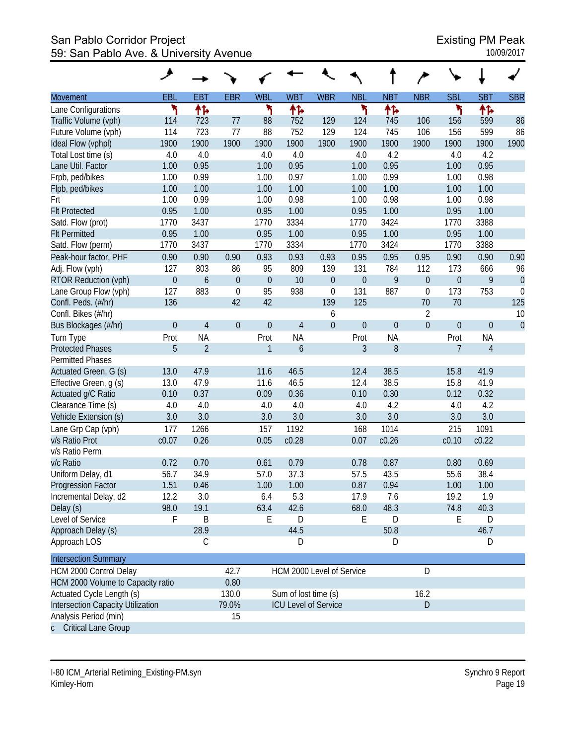# San Pablo Corridor Project<br>59: San Pablo Ave. & University Avenue<br>59: San Pablo Ave. & University Avenue 59: San Pablo Ave. & University Avenue

|                                   | ◢                |                  |             |                  |                      |                             |                  |                  |                  |                  |                |                |
|-----------------------------------|------------------|------------------|-------------|------------------|----------------------|-----------------------------|------------------|------------------|------------------|------------------|----------------|----------------|
| <b>Movement</b>                   | EBL              | EBT              | <b>EBR</b>  | <b>WBL</b>       | <b>WBT</b>           | <b>WBR</b>                  | <b>NBL</b>       | <b>NBT</b>       | <b>NBR</b>       | <b>SBL</b>       | <b>SBT</b>     | <b>SBR</b>     |
| Lane Configurations               | ۲                | 怍                |             | ۲                | 怍                    |                             | ۲                | 怍                |                  | ۲                | 怍              |                |
| Traffic Volume (vph)              | 114              | 723              | 77          | 88               | 752                  | 129                         | 124              | 745              | 106              | 156              | 599            | 86             |
| Future Volume (vph)               | 114              | 723              | 77          | 88               | 752                  | 129                         | 124              | 745              | 106              | 156              | 599            | 86             |
| Ideal Flow (vphpl)                | 1900             | 1900             | 1900        | 1900             | 1900                 | 1900                        | 1900             | 1900             | 1900             | 1900             | 1900           | 1900           |
| Total Lost time (s)               | 4.0              | 4.0              |             | 4.0              | 4.0                  |                             | 4.0              | 4.2              |                  | 4.0              | 4.2            |                |
| Lane Util. Factor                 | 1.00             | 0.95             |             | 1.00             | 0.95                 |                             | 1.00             | 0.95             |                  | 1.00             | 0.95           |                |
| Frpb, ped/bikes                   | 1.00             | 0.99             |             | 1.00             | 0.97                 |                             | 1.00             | 0.99             |                  | 1.00             | 0.98           |                |
| Flpb, ped/bikes                   | 1.00             | 1.00             |             | 1.00             | 1.00                 |                             | 1.00             | 1.00             |                  | 1.00             | 1.00           |                |
| Frt                               | 1.00             | 0.99             |             | 1.00             | 0.98                 |                             | 1.00             | 0.98             |                  | 1.00             | 0.98           |                |
| <b>Flt Protected</b>              | 0.95             | 1.00             |             | 0.95             | 1.00                 |                             | 0.95             | 1.00             |                  | 0.95             | 1.00           |                |
| Satd. Flow (prot)                 | 1770             | 3437             |             | 1770             | 3334                 |                             | 1770             | 3424             |                  | 1770             | 3388           |                |
| <b>Flt Permitted</b>              | 0.95             | 1.00             |             | 0.95             | 1.00                 |                             | 0.95             | 1.00             |                  | 0.95             | 1.00           |                |
| Satd. Flow (perm)                 | 1770             | 3437             |             | 1770             | 3334                 |                             | 1770             | 3424             |                  | 1770             | 3388           |                |
| Peak-hour factor, PHF             | 0.90             | 0.90             | 0.90        | 0.93             | 0.93                 | 0.93                        | 0.95             | 0.95             | 0.95             | 0.90             | 0.90           | 0.90           |
| Adj. Flow (vph)                   | 127              | 803              | 86          | 95               | 809                  | 139                         | 131              | 784              | 112              | 173              | 666            | 96             |
| RTOR Reduction (vph)              | $\boldsymbol{0}$ | $\boldsymbol{6}$ | $\theta$    | $\boldsymbol{0}$ | 10                   | $\boldsymbol{0}$            | $\boldsymbol{0}$ | 9                | $\boldsymbol{0}$ | $\boldsymbol{0}$ | 9              | $\theta$       |
| Lane Group Flow (vph)             | 127              | 883              | $\mathbf 0$ | 95               | 938                  | $\boldsymbol{0}$            | 131              | 887              | $\boldsymbol{0}$ | 173              | 753            | $\mathbf 0$    |
| Confl. Peds. (#/hr)               | 136              |                  | 42          | 42               |                      | 139                         | 125              |                  | 70               | 70               |                | 125            |
| Confl. Bikes (#/hr)               |                  |                  |             |                  |                      | 6                           |                  |                  | $\overline{2}$   |                  |                | 10             |
| Bus Blockages (#/hr)              | $\boldsymbol{0}$ | 4                | $\theta$    | $\theta$         | 4                    | $\boldsymbol{0}$            | $\boldsymbol{0}$ | $\boldsymbol{0}$ | $\boldsymbol{0}$ | $\boldsymbol{0}$ | $\overline{0}$ | $\overline{0}$ |
| Turn Type                         | Prot             | <b>NA</b>        |             | Prot             | <b>NA</b>            |                             | Prot             | <b>NA</b>        |                  | Prot             | <b>NA</b>      |                |
| <b>Protected Phases</b>           | 5                | $\overline{2}$   |             | $\mathbf{1}$     | $\boldsymbol{6}$     |                             | 3                | 8                |                  | $\overline{7}$   | $\overline{4}$ |                |
| <b>Permitted Phases</b>           |                  |                  |             |                  |                      |                             |                  |                  |                  |                  |                |                |
| Actuated Green, G (s)             | 13.0             | 47.9             |             | 11.6             | 46.5                 |                             | 12.4             | 38.5             |                  | 15.8             | 41.9           |                |
| Effective Green, g (s)            | 13.0             | 47.9             |             | 11.6             | 46.5                 |                             | 12.4             | 38.5             |                  | 15.8             | 41.9           |                |
| Actuated g/C Ratio                | 0.10             | 0.37             |             | 0.09             | 0.36                 |                             | 0.10             | 0.30             |                  | 0.12             | 0.32           |                |
| Clearance Time (s)                | 4.0              | 4.0              |             | 4.0              | 4.0                  |                             | 4.0              | 4.2              |                  | 4.0              | 4.2            |                |
| Vehicle Extension (s)             | 3.0              | 3.0              |             | 3.0              | 3.0                  |                             | 3.0              | 3.0              |                  | 3.0              | 3.0            |                |
| Lane Grp Cap (vph)                | 177              | 1266             |             | 157              | 1192                 |                             | 168              | 1014             |                  | 215              | 1091           |                |
| v/s Ratio Prot                    | c0.07            | 0.26             |             | 0.05             | c0.28                |                             | 0.07             | c0.26            |                  | c0.10            | c0.22          |                |
| v/s Ratio Perm                    |                  |                  |             |                  |                      |                             |                  |                  |                  |                  |                |                |
| v/c Ratio                         | 0.72             | 0.70             |             | 0.61             | 0.79                 |                             | 0.78             | 0.87             |                  | 0.80             | 0.69           |                |
| Uniform Delay, d1                 | 56.7             | 34.9             |             | 57.0             | 37.3                 |                             | 57.5             | 43.5             |                  | 55.6             | 38.4           |                |
| Progression Factor                | 1.51             | 0.46             |             | 1.00             | 1.00                 |                             | 0.87             | 0.94             |                  | 1.00             | 1.00           |                |
| Incremental Delay, d2             | 12.2             | 3.0              |             | 6.4              | 5.3                  |                             | 17.9             | 7.6              |                  | 19.2             | 1.9            |                |
| Delay (s)                         | 98.0             | 19.1             |             | 63.4             | 42.6                 |                             | 68.0             | 48.3             |                  | 74.8             | 40.3           |                |
| Level of Service                  | F                | B                |             | Ε                | D                    |                             | E                | D                |                  | Ε                | D              |                |
| Approach Delay (s)                |                  | 28.9             |             |                  | 44.5                 |                             |                  | 50.8             |                  |                  | 46.7           |                |
| Approach LOS                      |                  | С                |             |                  | D                    |                             |                  | D                |                  |                  | D              |                |
| <b>Intersection Summary</b>       |                  |                  |             |                  |                      |                             |                  |                  |                  |                  |                |                |
| HCM 2000 Control Delay            |                  |                  | 42.7        |                  |                      | HCM 2000 Level of Service   |                  |                  | D                |                  |                |                |
| HCM 2000 Volume to Capacity ratio |                  |                  | 0.80        |                  |                      |                             |                  |                  |                  |                  |                |                |
| Actuated Cycle Length (s)         |                  |                  | 130.0       |                  | Sum of lost time (s) |                             |                  |                  | 16.2             |                  |                |                |
| Intersection Capacity Utilization |                  |                  | 79.0%       |                  |                      | <b>ICU Level of Service</b> |                  |                  | $\mathsf D$      |                  |                |                |
| Analysis Period (min)             |                  |                  | 15          |                  |                      |                             |                  |                  |                  |                  |                |                |
| c Critical Lane Group             |                  |                  |             |                  |                      |                             |                  |                  |                  |                  |                |                |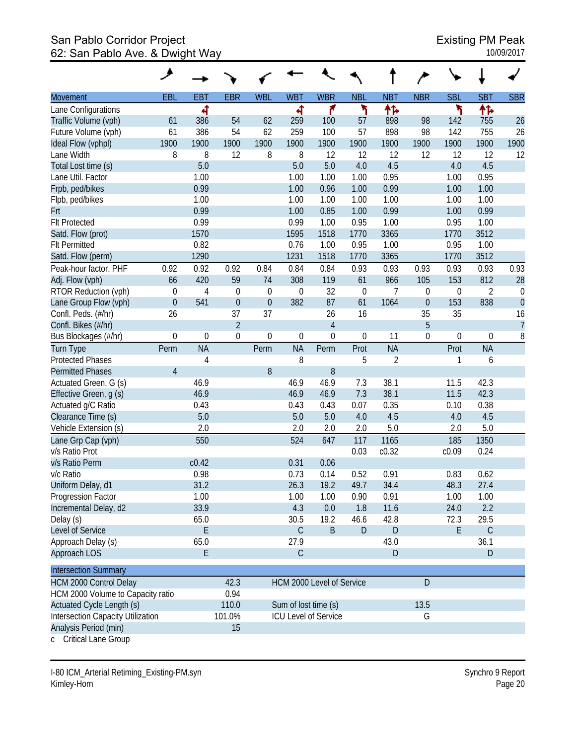# San Pablo Corridor Project<br>62: San Pablo Ave. & Dwight Way discussed by the existing PM Peak for the existing PM Peak for the existing p<br>10/09/2017 62: San Pablo Ave. & Dwight Way

|                                          | حر             |            |                  |              |                      |                           |             |                |                  |             |             |                  |
|------------------------------------------|----------------|------------|------------------|--------------|----------------------|---------------------------|-------------|----------------|------------------|-------------|-------------|------------------|
| <b>Movement</b>                          | EBL            | <b>EBT</b> | <b>EBR</b>       | <b>WBL</b>   | <b>WBT</b>           | <b>WBR</b>                | <b>NBL</b>  | <b>NBT</b>     | <b>NBR</b>       | <b>SBL</b>  | <b>SBT</b>  | <b>SBR</b>       |
| Lane Configurations                      |                | ৰ          |                  |              | 4                    | ۴                         | ۲           | 怍              |                  | ۲           | ↟β          |                  |
| Traffic Volume (vph)                     | 61             | 386        | 54               | 62           | 259                  | 100                       | 57          | 898            | 98               | 142         | 755         | 26               |
| Future Volume (vph)                      | 61             | 386        | 54               | 62           | 259                  | 100                       | 57          | 898            | 98               | 142         | 755         | 26               |
| Ideal Flow (vphpl)                       | 1900           | 1900       | 1900             | 1900         | 1900                 | 1900                      | 1900        | 1900           | 1900             | 1900        | 1900        | 1900             |
| Lane Width                               | 8              | 8          | 12               | 8            | 8                    | 12                        | 12          | 12             | 12               | 12          | 12          | 12               |
| Total Lost time (s)                      |                | 5.0        |                  |              | 5.0                  | 5.0                       | 4.0         | 4.5            |                  | 4.0         | 4.5         |                  |
| Lane Util. Factor                        |                | 1.00       |                  |              | 1.00                 | 1.00                      | 1.00        | 0.95           |                  | 1.00        | 0.95        |                  |
| Frpb, ped/bikes                          |                | 0.99       |                  |              | 1.00                 | 0.96                      | 1.00        | 0.99           |                  | 1.00        | 1.00        |                  |
| Flpb, ped/bikes                          |                | 1.00       |                  |              | 1.00                 | 1.00                      | 1.00        | 1.00           |                  | 1.00        | 1.00        |                  |
| Frt                                      |                | 0.99       |                  |              | 1.00                 | 0.85                      | 1.00        | 0.99           |                  | 1.00        | 0.99        |                  |
| <b>Flt Protected</b>                     |                | 0.99       |                  |              | 0.99                 | 1.00                      | 0.95        | 1.00           |                  | 0.95        | 1.00        |                  |
| Satd. Flow (prot)                        |                | 1570       |                  |              | 1595                 | 1518                      | 1770        | 3365           |                  | 1770        | 3512        |                  |
| <b>Flt Permitted</b>                     |                | 0.82       |                  |              | 0.76                 | 1.00                      | 0.95        | 1.00           |                  | 0.95        | 1.00        |                  |
| Satd. Flow (perm)                        |                | 1290       |                  |              | 1231                 | 1518                      | 1770        | 3365           |                  | 1770        | 3512        |                  |
| Peak-hour factor, PHF                    | 0.92           | 0.92       | 0.92             | 0.84         | 0.84                 | 0.84                      | 0.93        | 0.93           | 0.93             | 0.93        | 0.93        | 0.93             |
| Adj. Flow (vph)                          | 66             | 420        | 59               | 74           | 308                  | 119                       | 61          | 966            | 105              | 153         | 812         | 28               |
| RTOR Reduction (vph)                     | $\mathbf 0$    | 4          | $\boldsymbol{0}$ | 0            | $\mathbf 0$          | 32                        | $\mathbf 0$ | 7              | $\boldsymbol{0}$ | 0           | 2           | $\boldsymbol{0}$ |
| Lane Group Flow (vph)                    | $\overline{0}$ | 541        | $\overline{0}$   | $\mathbf 0$  | 382                  | 87                        | 61          | 1064           | $\boldsymbol{0}$ | 153         | 838         | $\mathbf 0$      |
| Confl. Peds. (#/hr)                      | 26             |            | 37               | 37           |                      | 26                        | 16          |                | 35               | 35          |             | 16               |
| Confl. Bikes (#/hr)                      |                |            | $\overline{2}$   |              |                      | $\overline{4}$            |             |                | 5                |             |             | $\overline{7}$   |
| Bus Blockages (#/hr)                     | $\mathbf 0$    | 0          | $\overline{0}$   | $\mathbf{0}$ | $\boldsymbol{0}$     | $\boldsymbol{0}$          | $\mathbf 0$ | 11             | $\overline{0}$   | 0           | $\mathbf 0$ | 8                |
| Turn Type                                | Perm           | <b>NA</b>  |                  | Perm         | <b>NA</b>            | Perm                      | Prot        | <b>NA</b>      |                  | Prot        | <b>NA</b>   |                  |
| <b>Protected Phases</b>                  |                | 4          |                  |              | 8                    |                           | 5           | $\overline{2}$ |                  | 1           | 6           |                  |
| <b>Permitted Phases</b>                  | $\overline{4}$ |            |                  | $\, 8$       |                      | 8                         |             |                |                  |             |             |                  |
| Actuated Green, G (s)                    |                | 46.9       |                  |              | 46.9                 | 46.9                      | 7.3         | 38.1           |                  | 11.5        | 42.3        |                  |
| Effective Green, g (s)                   |                | 46.9       |                  |              | 46.9                 | 46.9                      | 7.3         | 38.1           |                  | 11.5        | 42.3        |                  |
| Actuated g/C Ratio                       |                | 0.43       |                  |              | 0.43                 | 0.43                      | 0.07        | 0.35           |                  | 0.10        | 0.38        |                  |
| Clearance Time (s)                       |                | 5.0        |                  |              | 5.0                  | 5.0                       | 4.0         | 4.5            |                  | 4.0         | 4.5         |                  |
| Vehicle Extension (s)                    |                | 2.0        |                  |              | 2.0                  | 2.0                       | 2.0         | 5.0            |                  | 2.0         | 5.0         |                  |
| Lane Grp Cap (vph)                       |                | 550        |                  |              | 524                  | 647                       | 117         | 1165           |                  | 185         | 1350        |                  |
| v/s Ratio Prot                           |                |            |                  |              |                      |                           | 0.03        | c0.32          |                  | c0.09       | 0.24        |                  |
| v/s Ratio Perm                           |                | c0.42      |                  |              | 0.31                 | 0.06                      |             |                |                  |             |             |                  |
| v/c Ratio                                |                | 0.98       |                  |              | 0.73                 | 0.14                      | 0.52        | 0.91           |                  | 0.83        | 0.62        |                  |
| Uniform Delay, d1                        |                | 31.2       |                  |              | 26.3                 | 19.2                      | 49.7        | 34.4           |                  | 48.3        | 27.4        |                  |
| Progression Factor                       |                | 1.00       |                  |              | 1.00                 | 1.00                      | 0.90        | 0.91           |                  | 1.00        | 1.00        |                  |
| Incremental Delay, d2                    |                | 33.9       |                  |              | 4.3                  | 0.0                       | 1.8         | 11.6           |                  | 24.0        | 2.2         |                  |
| Delay (s)                                |                | 65.0       |                  |              | 30.5                 | 19.2                      | 46.6        | 42.8           |                  | 72.3        | 29.5        |                  |
| Level of Service                         |                | E          |                  |              | $\mathsf C$          | $\sf B$                   | ${\sf D}$   | D              |                  | $\mathsf E$ | $\mathsf C$ |                  |
| Approach Delay (s)                       |                | 65.0       |                  |              | 27.9                 |                           |             | 43.0           |                  |             | 36.1        |                  |
| Approach LOS                             |                | E          |                  |              | $\mathsf C$          |                           |             | D              |                  |             | D           |                  |
| <b>Intersection Summary</b>              |                |            |                  |              |                      |                           |             |                |                  |             |             |                  |
| HCM 2000 Control Delay                   |                |            | 42.3             |              |                      | HCM 2000 Level of Service |             |                | D                |             |             |                  |
| HCM 2000 Volume to Capacity ratio        |                |            | 0.94             |              |                      |                           |             |                |                  |             |             |                  |
| Actuated Cycle Length (s)                |                |            | 110.0            |              | Sum of lost time (s) |                           |             |                | 13.5             |             |             |                  |
| <b>Intersection Capacity Utilization</b> |                |            | 101.0%           |              |                      | ICU Level of Service      |             |                | G                |             |             |                  |
| Analysis Period (min)                    |                |            | 15               |              |                      |                           |             |                |                  |             |             |                  |

c Critical Lane Group

I-80 ICM\_Arterial Retiming\_Existing-PM.syn Synchro 9 Report<br>Kimley-Horn Page 20 Kimley-Horn Page 20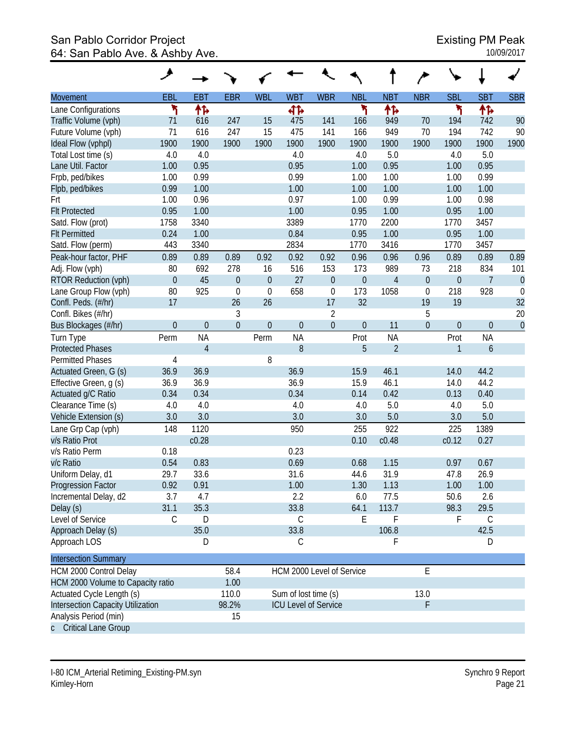# San Pablo Corridor Project **Existing PM Peak** 64: San Pablo Ave. & Ashby Ave. 10/09/2017

| EBL<br>EBT<br><b>EBR</b><br><b>WBL</b><br><b>WBT</b><br><b>WBR</b><br><b>NBL</b><br><b>NBT</b><br><b>NBR</b><br><b>SBL</b><br><b>SBT</b><br><b>Movement</b><br>۲<br>۲<br>۲<br>伟<br>怍<br>怍<br>Lane Configurations<br>412<br>247<br>Traffic Volume (vph)<br>71<br>15<br>475<br>141<br>166<br>949<br>70<br>194<br>742<br>616<br>71<br>247<br>15<br>949<br>70<br>194<br>742<br>Future Volume (vph)<br>616<br>475<br>141<br>166 | <b>SBR</b>     |
|----------------------------------------------------------------------------------------------------------------------------------------------------------------------------------------------------------------------------------------------------------------------------------------------------------------------------------------------------------------------------------------------------------------------------|----------------|
|                                                                                                                                                                                                                                                                                                                                                                                                                            |                |
|                                                                                                                                                                                                                                                                                                                                                                                                                            |                |
|                                                                                                                                                                                                                                                                                                                                                                                                                            | 90             |
|                                                                                                                                                                                                                                                                                                                                                                                                                            | 90             |
| 1900<br>1900<br>1900<br>Ideal Flow (vphpl)<br>1900<br>1900<br>1900<br>1900<br>1900<br>1900<br>1900<br>1900                                                                                                                                                                                                                                                                                                                 | 1900           |
| 4.0<br>5.0<br>5.0<br>Total Lost time (s)<br>4.0<br>4.0<br>4.0<br>4.0                                                                                                                                                                                                                                                                                                                                                       |                |
| 1.00<br>0.95<br>0.95<br>0.95<br>1.00<br>0.95<br>Lane Util. Factor<br>1.00                                                                                                                                                                                                                                                                                                                                                  |                |
| 1.00<br>0.99<br>0.99<br>1.00<br>0.99<br>Frpb, ped/bikes<br>1.00<br>1.00                                                                                                                                                                                                                                                                                                                                                    |                |
| 0.99<br>1.00<br>1.00<br>Flpb, ped/bikes<br>1.00<br>1.00<br>1.00<br>1.00                                                                                                                                                                                                                                                                                                                                                    |                |
| 0.99<br>0.96<br>0.97<br>0.98<br>1.00<br>1.00<br>1.00<br>Frt                                                                                                                                                                                                                                                                                                                                                                |                |
| 0.95<br>1.00<br>1.00<br>0.95<br>1.00<br><b>Flt Protected</b><br>1.00<br>0.95                                                                                                                                                                                                                                                                                                                                               |                |
| 3340<br>3389<br>2200<br>1770<br>3457<br>Satd. Flow (prot)<br>1758<br>1770                                                                                                                                                                                                                                                                                                                                                  |                |
| 0.24<br>1.00<br>0.95<br><b>Flt Permitted</b><br>1.00<br>0.84<br>0.95<br>1.00                                                                                                                                                                                                                                                                                                                                               |                |
| 443<br>3340<br>3416<br>1770<br>3457<br>2834<br>1770<br>Satd. Flow (perm)                                                                                                                                                                                                                                                                                                                                                   |                |
| 0.89<br>0.89<br>0.92<br>0.92<br>0.96<br>0.96<br>0.89<br>Peak-hour factor, PHF<br>0.89<br>0.92<br>0.96<br>0.89                                                                                                                                                                                                                                                                                                              | 0.89           |
| 278<br>989<br>218<br>834<br>Adj. Flow (vph)<br>80<br>692<br>16<br>516<br>153<br>173<br>73                                                                                                                                                                                                                                                                                                                                  | 101            |
| 45<br>27<br>RTOR Reduction (vph)<br>$\overline{0}$<br>$\mathbf 0$<br>$\boldsymbol{0}$<br>$\overline{4}$<br>$\boldsymbol{0}$<br>$\boldsymbol{0}$<br>$\overline{7}$<br>$\theta$<br>$\boldsymbol{0}$                                                                                                                                                                                                                          | $\overline{0}$ |
| 925<br>658<br>173<br>1058<br>218<br>80<br>$\mathbf 0$<br>$\mathbf 0$<br>$\mathbf 0$<br>928<br>Lane Group Flow (vph)<br>$\mathbf 0$                                                                                                                                                                                                                                                                                         | $\mathbf 0$    |
| 17<br>26<br>17<br>32<br>19<br>19<br>Confl. Peds. (#/hr)<br>26                                                                                                                                                                                                                                                                                                                                                              | 32             |
| Confl. Bikes (#/hr)<br>$\sqrt{2}$<br>5<br>3                                                                                                                                                                                                                                                                                                                                                                                | 20             |
| $\mathbf{0}$<br>$\overline{0}$<br>$\mathbf 0$<br>$\overline{0}$<br>$\overline{0}$<br>11<br>$\overline{0}$<br>$\overline{0}$<br>$\overline{0}$<br>Bus Blockages (#/hr)<br>$\boldsymbol{0}$<br>$\mathbf 0$                                                                                                                                                                                                                   | $\theta$       |
| <b>NA</b><br><b>NA</b><br>Prot<br><b>NA</b><br>Prot<br><b>NA</b><br>Turn Type<br>Perm<br>Perm                                                                                                                                                                                                                                                                                                                              |                |
| $\overline{2}$<br><b>Protected Phases</b><br>$\overline{4}$<br>8<br>5<br>$\mathbf{1}$<br>$\boldsymbol{6}$                                                                                                                                                                                                                                                                                                                  |                |
| <b>Permitted Phases</b><br>8<br>4                                                                                                                                                                                                                                                                                                                                                                                          |                |
| 36.9<br>36.9<br>46.1<br>14.0<br>44.2<br>Actuated Green, G (s)<br>36.9<br>15.9                                                                                                                                                                                                                                                                                                                                              |                |
| 36.9<br>36.9<br>36.9<br>15.9<br>46.1<br>14.0<br>44.2<br>Effective Green, g (s)                                                                                                                                                                                                                                                                                                                                             |                |
| 0.42<br>0.40<br>Actuated g/C Ratio<br>0.34<br>0.34<br>0.34<br>0.14<br>0.13                                                                                                                                                                                                                                                                                                                                                 |                |
| Clearance Time (s)<br>4.0<br>4.0<br>5.0<br>5.0<br>4.0<br>4.0<br>4.0                                                                                                                                                                                                                                                                                                                                                        |                |
| 3.0<br>3.0<br>5.0<br>3.0<br>5.0<br>Vehicle Extension (s)<br>3.0<br>3.0                                                                                                                                                                                                                                                                                                                                                     |                |
| 1120<br>950<br>922<br>225<br>1389<br>148<br>255<br>Lane Grp Cap (vph)                                                                                                                                                                                                                                                                                                                                                      |                |
| v/s Ratio Prot<br>c0.28<br>c0.48<br>c0.12<br>0.27<br>0.10                                                                                                                                                                                                                                                                                                                                                                  |                |
| v/s Ratio Perm<br>0.18<br>0.23                                                                                                                                                                                                                                                                                                                                                                                             |                |
| v/c Ratio<br>0.69<br>0.54<br>0.83<br>1.15<br>0.97<br>0.67<br>0.68                                                                                                                                                                                                                                                                                                                                                          |                |
| Uniform Delay, d1<br>33.6<br>31.6<br>31.9<br>26.9<br>29.7<br>44.6<br>47.8                                                                                                                                                                                                                                                                                                                                                  |                |
| 1.13<br>0.92<br>0.91<br>1.30<br>1.00<br>1.00<br>1.00<br>Progression Factor                                                                                                                                                                                                                                                                                                                                                 |                |
| 2.2<br>50.6<br>2.6<br>Incremental Delay, d2<br>3.7<br>4.7<br>6.0<br>77.5                                                                                                                                                                                                                                                                                                                                                   |                |
| 35.3<br>113.7<br>98.3<br>31.1<br>33.8<br>29.5<br>Delay (s)<br>64.1                                                                                                                                                                                                                                                                                                                                                         |                |
| Level of Service<br>Ε<br>F<br>C<br>D<br>C<br>F<br>C                                                                                                                                                                                                                                                                                                                                                                        |                |
| 35.0<br>33.8<br>106.8<br>42.5<br>Approach Delay (s)                                                                                                                                                                                                                                                                                                                                                                        |                |
| F<br>Approach LOS<br>D<br>C<br>D                                                                                                                                                                                                                                                                                                                                                                                           |                |
| <b>Intersection Summary</b>                                                                                                                                                                                                                                                                                                                                                                                                |                |
| E<br>HCM 2000 Control Delay<br>58.4<br>HCM 2000 Level of Service                                                                                                                                                                                                                                                                                                                                                           |                |
| HCM 2000 Volume to Capacity ratio<br>1.00                                                                                                                                                                                                                                                                                                                                                                                  |                |
| Actuated Cycle Length (s)<br>110.0<br>Sum of lost time (s)<br>13.0                                                                                                                                                                                                                                                                                                                                                         |                |
| Intersection Capacity Utilization<br>98.2%<br><b>ICU Level of Service</b><br>F                                                                                                                                                                                                                                                                                                                                             |                |
| Analysis Period (min)<br>15<br>Critical Lane Group<br>$\mathsf{C}$                                                                                                                                                                                                                                                                                                                                                         |                |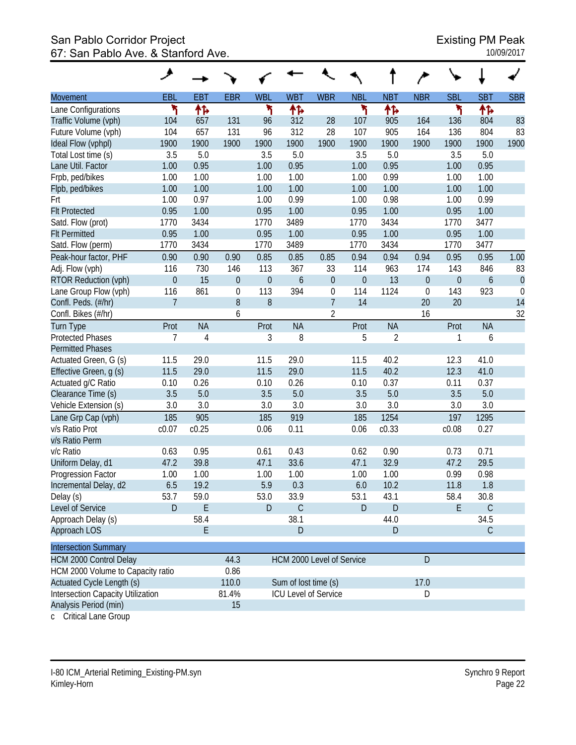#### San Pablo Corridor Project **Existing PM Peak** 67: San Pablo Ave. & Stanford Ave. 10/09/2017

|                                                                | خر               |              |                  |                  |                             |                  |                  |                |                  |                |                  |                |
|----------------------------------------------------------------|------------------|--------------|------------------|------------------|-----------------------------|------------------|------------------|----------------|------------------|----------------|------------------|----------------|
| <b>Movement</b>                                                | EBL              | EBT          | <b>EBR</b>       | <b>WBL</b>       | <b>WBT</b>                  | <b>WBR</b>       | <b>NBL</b>       | <b>NBT</b>     | <b>NBR</b>       | <b>SBL</b>     | <b>SBT</b>       | <b>SBR</b>     |
| Lane Configurations                                            | ۲                | 怍            |                  | ۲                | 怍                           |                  | ۲                | 怍              |                  | ۲              | 怍                |                |
| Traffic Volume (vph)                                           | 104              | 657          | 131              | 96               | 312                         | 28               | 107              | 905            | 164              | 136            | 804              | 83             |
| Future Volume (vph)                                            | 104              | 657          | 131              | 96               | 312                         | 28               | 107              | 905            | 164              | 136            | 804              | 83             |
| Ideal Flow (vphpl)                                             | 1900             | 1900         | 1900             | 1900             | 1900                        | 1900             | 1900             | 1900           | 1900             | 1900           | 1900             | 1900           |
| Total Lost time (s)                                            | 3.5              | 5.0          |                  | 3.5              | 5.0                         |                  | 3.5              | 5.0            |                  | 3.5            | 5.0              |                |
| Lane Util. Factor                                              | 1.00<br>1.00     | 0.95<br>1.00 |                  | 1.00<br>1.00     | 0.95                        |                  | 1.00             | 0.95<br>0.99   |                  | 1.00           | 0.95             |                |
| Frpb, ped/bikes<br>Flpb, ped/bikes                             | 1.00             | 1.00         |                  | 1.00             | 1.00<br>1.00                |                  | 1.00<br>1.00     | 1.00           |                  | 1.00<br>1.00   | 1.00<br>1.00     |                |
| Frt                                                            | 1.00             | 0.97         |                  | 1.00             | 0.99                        |                  | 1.00             | 0.98           |                  | 1.00           | 0.99             |                |
| <b>Flt Protected</b>                                           | 0.95             | 1.00         |                  | 0.95             | 1.00                        |                  | 0.95             | 1.00           |                  | 0.95           | 1.00             |                |
| Satd. Flow (prot)                                              | 1770             | 3434         |                  | 1770             | 3489                        |                  | 1770             | 3434           |                  | 1770           | 3477             |                |
| <b>Flt Permitted</b>                                           | 0.95             | 1.00         |                  | 0.95             | 1.00                        |                  | 0.95             | 1.00           |                  | 0.95           | 1.00             |                |
| Satd. Flow (perm)                                              | 1770             | 3434         |                  | 1770             | 3489                        |                  | 1770             | 3434           |                  | 1770           | 3477             |                |
| Peak-hour factor, PHF                                          | 0.90             | 0.90         | 0.90             | 0.85             | 0.85                        | 0.85             | 0.94             | 0.94           | 0.94             | 0.95           | 0.95             | 1.00           |
| Adj. Flow (vph)                                                | 116              | 730          | 146              | 113              | 367                         | 33               | 114              | 963            | 174              | 143            | 846              | 83             |
| RTOR Reduction (vph)                                           | $\boldsymbol{0}$ | 15           | $\mathbf 0$      | $\boldsymbol{0}$ | 6                           | $\mathbf 0$      | $\boldsymbol{0}$ | 13             | $\boldsymbol{0}$ | $\overline{0}$ | $\boldsymbol{6}$ | $\overline{0}$ |
| Lane Group Flow (vph)                                          | 116              | 861          | $\boldsymbol{0}$ | 113              | 394                         | $\boldsymbol{0}$ | 114              | 1124           | $\mathbf 0$      | 143            | 923              | $\mathbf 0$    |
| Confl. Peds. (#/hr)                                            | $\overline{7}$   |              | 8                | 8                |                             | $\overline{7}$   | 14               |                | 20               | 20             |                  | 14             |
| Confl. Bikes (#/hr)                                            |                  |              | 6                |                  |                             | $\overline{2}$   |                  |                | 16               |                |                  | 32             |
| <b>Turn Type</b>                                               | Prot             | <b>NA</b>    |                  | Prot             | <b>NA</b>                   |                  | Prot             | <b>NA</b>      |                  | Prot           | <b>NA</b>        |                |
| <b>Protected Phases</b>                                        | 7                | 4            |                  | 3                | 8                           |                  | 5                | $\overline{2}$ |                  | 1              | 6                |                |
| <b>Permitted Phases</b>                                        |                  |              |                  |                  |                             |                  |                  |                |                  |                |                  |                |
| Actuated Green, G (s)                                          | 11.5             | 29.0         |                  | 11.5             | 29.0                        |                  | 11.5             | 40.2           |                  | 12.3           | 41.0             |                |
| Effective Green, g (s)                                         | 11.5             | 29.0         |                  | 11.5             | 29.0                        |                  | 11.5             | 40.2           |                  | 12.3           | 41.0             |                |
| Actuated g/C Ratio                                             | 0.10             | 0.26         |                  | 0.10             | 0.26                        |                  | 0.10             | 0.37           |                  | 0.11           | 0.37             |                |
| Clearance Time (s)                                             | 3.5              | 5.0          |                  | 3.5              | 5.0                         |                  | 3.5              | 5.0            |                  | 3.5            | $5.0\,$          |                |
| Vehicle Extension (s)                                          | 3.0              | 3.0          |                  | 3.0              | 3.0                         |                  | 3.0              | 3.0            |                  | 3.0            | 3.0              |                |
| Lane Grp Cap (vph)                                             | 185              | 905          |                  | 185              | 919                         |                  | 185              | 1254           |                  | 197            | 1295             |                |
| v/s Ratio Prot                                                 | c0.07            | c0.25        |                  | 0.06             | 0.11                        |                  | 0.06             | c0.33          |                  | c0.08          | 0.27             |                |
| v/s Ratio Perm<br>v/c Ratio                                    | 0.63             | 0.95         |                  | 0.61             | 0.43                        |                  | 0.62             | 0.90           |                  | 0.73           | 0.71             |                |
| Uniform Delay, d1                                              | 47.2             | 39.8         |                  | 47.1             | 33.6                        |                  | 47.1             | 32.9           |                  | 47.2           | 29.5             |                |
| Progression Factor                                             | 1.00             | 1.00         |                  | 1.00             | 1.00                        |                  | 1.00             | 1.00           |                  | 0.99           | 0.98             |                |
| Incremental Delay, d2                                          | 6.5              | 19.2         |                  | 5.9              | 0.3                         |                  | 6.0              | 10.2           |                  | 11.8           | 1.8              |                |
| Delay (s)                                                      | 53.7             | 59.0         |                  | 53.0             | 33.9                        |                  | 53.1             | 43.1           |                  | 58.4           | 30.8             |                |
| Level of Service                                               | D                | E            |                  | D                | $\mathsf C$                 |                  | D                | $\mathsf{D}$   |                  | E              | $\mathsf C$      |                |
| Approach Delay (s)                                             |                  | 58.4         |                  |                  | 38.1                        |                  |                  | 44.0           |                  |                | 34.5             |                |
| Approach LOS                                                   |                  | E            |                  |                  | $\mathsf D$                 |                  |                  | ${\sf D}$      |                  |                | $\mathsf{C}$     |                |
|                                                                |                  |              |                  |                  |                             |                  |                  |                |                  |                |                  |                |
| <b>Intersection Summary</b>                                    |                  |              |                  |                  |                             |                  |                  |                |                  |                |                  |                |
| HCM 2000 Control Delay                                         |                  |              | 44.3             |                  | HCM 2000 Level of Service   |                  |                  |                | $\mathsf D$      |                |                  |                |
| HCM 2000 Volume to Capacity ratio<br>Actuated Cycle Length (s) |                  |              | 0.86<br>110.0    |                  | Sum of lost time (s)        |                  |                  |                | 17.0             |                |                  |                |
| <b>Intersection Capacity Utilization</b>                       |                  |              | 81.4%            |                  | <b>ICU Level of Service</b> |                  |                  |                | D                |                |                  |                |
| Analysis Period (min)                                          |                  |              | 15               |                  |                             |                  |                  |                |                  |                |                  |                |
|                                                                |                  |              |                  |                  |                             |                  |                  |                |                  |                |                  |                |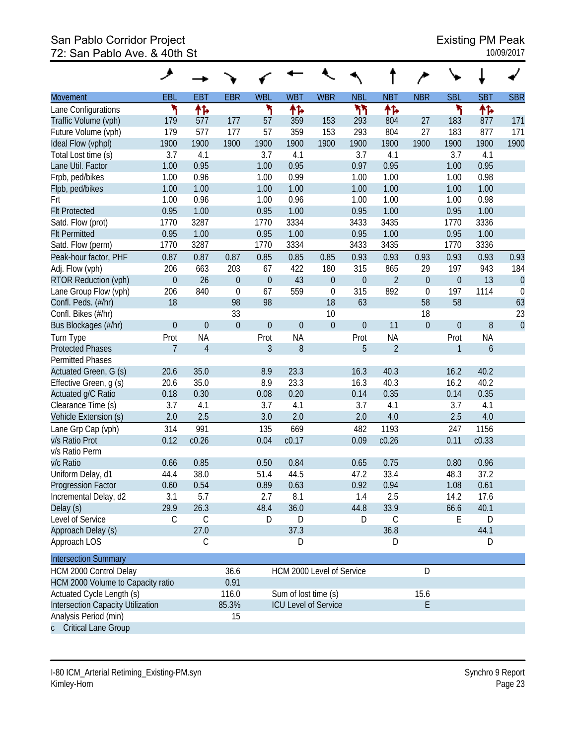# San Pablo Corridor Project<br>
72: San Pablo Ave. & 40th St 72: San Pablo Ave. & 40th St

|                                   | حر               |                |                |                  |                             |              |                  |                |                |                  |                  |             |
|-----------------------------------|------------------|----------------|----------------|------------------|-----------------------------|--------------|------------------|----------------|----------------|------------------|------------------|-------------|
| <b>Movement</b>                   | EBL              | <b>EBT</b>     | <b>EBR</b>     | <b>WBL</b>       | <b>WBT</b>                  | <b>WBR</b>   | <b>NBL</b>       | <b>NBT</b>     | <b>NBR</b>     | <b>SBL</b>       | <b>SBT</b>       | <b>SBR</b>  |
| Lane Configurations               | ۲                | 伟              |                | ۲                | ተኈ                          |              | ካካ               | ቶኈ             |                | ۲                | 怍                |             |
| Traffic Volume (vph)              | 179              | 577            | 177            | 57               | 359                         | 153          | 293              | 804            | 27             | 183              | 877              | 171         |
| Future Volume (vph)               | 179              | 577            | 177            | 57               | 359                         | 153          | 293              | 804            | 27             | 183              | 877              | 171         |
| Ideal Flow (vphpl)                | 1900             | 1900           | 1900           | 1900             | 1900                        | 1900         | 1900             | 1900           | 1900           | 1900             | 1900             | 1900        |
| Total Lost time (s)               | 3.7              | 4.1            |                | 3.7              | 4.1                         |              | 3.7              | 4.1            |                | 3.7              | 4.1              |             |
| Lane Util. Factor                 | 1.00             | 0.95           |                | 1.00             | 0.95                        |              | 0.97             | 0.95           |                | 1.00             | 0.95             |             |
| Frpb, ped/bikes                   | 1.00             | 0.96           |                | 1.00             | 0.99                        |              | 1.00             | 1.00           |                | 1.00             | 0.98             |             |
| Flpb, ped/bikes                   | 1.00             | 1.00           |                | 1.00             | 1.00                        |              | 1.00             | 1.00           |                | 1.00             | 1.00             |             |
| Frt                               | 1.00             | 0.96           |                | 1.00             | 0.96                        |              | 1.00             | 1.00           |                | 1.00             | 0.98             |             |
| <b>Flt Protected</b>              | 0.95             | 1.00           |                | 0.95             | 1.00                        |              | 0.95             | 1.00           |                | 0.95             | 1.00             |             |
| Satd. Flow (prot)                 | 1770             | 3287           |                | 1770             | 3334                        |              | 3433             | 3435           |                | 1770             | 3336             |             |
| <b>Flt Permitted</b>              | 0.95             | 1.00           |                | 0.95             | 1.00                        |              | 0.95             | 1.00           |                | 0.95             | 1.00             |             |
| Satd. Flow (perm)                 | 1770             | 3287           |                | 1770             | 3334                        |              | 3433             | 3435           |                | 1770             | 3336             |             |
| Peak-hour factor, PHF             | 0.87             | 0.87           | 0.87           | 0.85             | 0.85                        | 0.85         | 0.93             | 0.93           | 0.93           | 0.93             | 0.93             | 0.93        |
| Adj. Flow (vph)                   | 206              | 663            | 203            | 67               | 422                         | 180          | 315              | 865            | 29             | 197              | 943              | 184         |
| RTOR Reduction (vph)              | $\boldsymbol{0}$ | 26             | $\overline{0}$ | $\boldsymbol{0}$ | 43                          | $\mathbf 0$  | $\boldsymbol{0}$ | $\overline{2}$ | $\overline{0}$ | $\overline{0}$   | 13               | $\theta$    |
| Lane Group Flow (vph)             | 206              | 840            | $\overline{0}$ | 67               | 559                         | $\mathbf 0$  | 315              | 892            | $\mathbf{0}$   | 197              | 1114             | $\mathbf 0$ |
| Confl. Peds. (#/hr)               | 18               |                | 98             | 98               |                             | 18           | 63               |                | 58             | 58               |                  | 63          |
| Confl. Bikes (#/hr)               |                  |                | 33             |                  |                             | 10           |                  |                | 18             |                  |                  | 23          |
| Bus Blockages (#/hr)              | $\mathbf 0$      | $\theta$       | $\overline{0}$ | $\theta$         | $\overline{0}$              | $\mathbf{0}$ | $\mathbf 0$      | 11             | $\overline{0}$ | $\boldsymbol{0}$ | $8\,$            | $\mathbf 0$ |
| Turn Type                         | Prot             | <b>NA</b>      |                | Prot             | <b>NA</b>                   |              | Prot             | <b>NA</b>      |                | Prot             | <b>NA</b>        |             |
| <b>Protected Phases</b>           | $\overline{7}$   | $\overline{4}$ |                | 3                | 8                           |              | 5                | $\overline{2}$ |                | $\mathbf{1}$     | $\boldsymbol{6}$ |             |
| <b>Permitted Phases</b>           |                  |                |                |                  |                             |              |                  |                |                |                  |                  |             |
| Actuated Green, G (s)             | 20.6             | 35.0           |                | 8.9              | 23.3                        |              | 16.3             | 40.3           |                | 16.2             | 40.2             |             |
| Effective Green, g (s)            | 20.6             | 35.0           |                | 8.9              | 23.3                        |              | 16.3             | 40.3           |                | 16.2             | 40.2             |             |
| Actuated g/C Ratio                | 0.18             | 0.30           |                | 0.08             | 0.20                        |              | 0.14             | 0.35           |                | 0.14             | 0.35             |             |
| Clearance Time (s)                | 3.7              | 4.1            |                | 3.7              | 4.1                         |              | 3.7              | 4.1            |                | 3.7              | 4.1              |             |
| Vehicle Extension (s)             | 2.0              | 2.5            |                | 3.0              | 2.0                         |              | 2.0              | 4.0            |                | 2.5              | 4.0              |             |
| Lane Grp Cap (vph)                | 314              | 991            |                | 135              | 669                         |              | 482              | 1193           |                | 247              | 1156             |             |
| v/s Ratio Prot                    | 0.12             | c0.26          |                | 0.04             | c0.17                       |              | 0.09             | c0.26          |                | 0.11             | c0.33            |             |
| v/s Ratio Perm                    |                  |                |                |                  |                             |              |                  |                |                |                  |                  |             |
| v/c Ratio                         | 0.66             | 0.85           |                | 0.50             | 0.84                        |              | 0.65             | 0.75           |                | 0.80             | 0.96             |             |
| Uniform Delay, d1                 | 44.4             | 38.0           |                | 51.4             | 44.5                        |              | 47.2             | 33.4           |                | 48.3             | 37.2             |             |
| <b>Progression Factor</b>         | 0.60             | 0.54           |                | 0.89             | 0.63                        |              | 0.92             | 0.94           |                | 1.08             | 0.61             |             |
| Incremental Delay, d2             | 3.1              | 5.7            |                | 2.7              | 8.1                         |              | 1.4              | 2.5            |                | 14.2             | 17.6             |             |
| Delay (s)                         | 29.9             | 26.3           |                | 48.4             | 36.0                        |              | 44.8             | 33.9           |                | 66.6             | 40.1             |             |
| Level of Service                  | C                | $\mathsf C$    |                | D                | D                           |              | D                | $\mathcal{C}$  |                | Е                | D                |             |
| Approach Delay (s)                |                  | 27.0           |                |                  | 37.3                        |              |                  | 36.8           |                |                  | 44.1             |             |
| Approach LOS                      |                  | C              |                |                  | D                           |              |                  | D              |                |                  | D                |             |
| <b>Intersection Summary</b>       |                  |                |                |                  |                             |              |                  |                |                |                  |                  |             |
| HCM 2000 Control Delay            |                  |                | 36.6           |                  | HCM 2000 Level of Service   |              |                  |                | D              |                  |                  |             |
| HCM 2000 Volume to Capacity ratio |                  |                | 0.91           |                  |                             |              |                  |                |                |                  |                  |             |
| Actuated Cycle Length (s)         |                  |                | 116.0          |                  | Sum of lost time (s)        |              |                  |                | 15.6           |                  |                  |             |
| Intersection Capacity Utilization |                  |                | 85.3%          |                  | <b>ICU Level of Service</b> |              |                  |                | E              |                  |                  |             |
| Analysis Period (min)             |                  |                | 15             |                  |                             |              |                  |                |                |                  |                  |             |
| c Critical Lane Group             |                  |                |                |                  |                             |              |                  |                |                |                  |                  |             |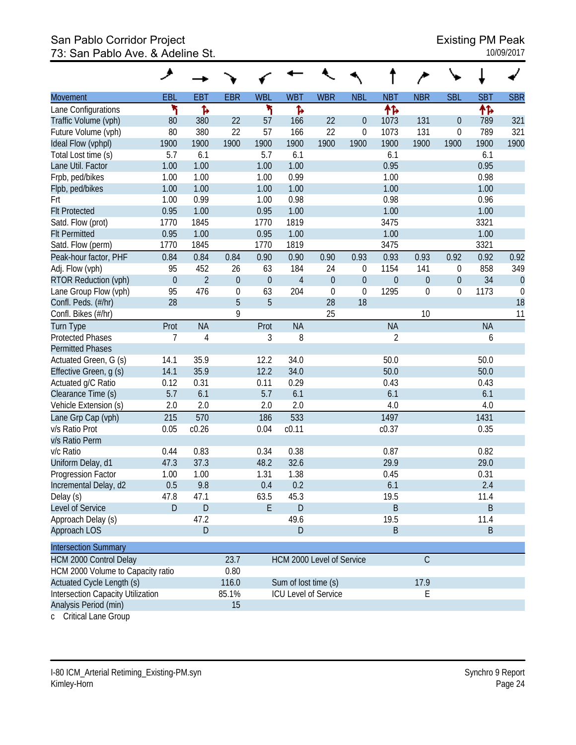# San Pablo Corridor Project Existing PM Peak 73: San Pablo Ave. & Adeline St.

|                                   | ᢣ                |                |                  |                  |                           |             |                  |                  |                  |                  |            |             |
|-----------------------------------|------------------|----------------|------------------|------------------|---------------------------|-------------|------------------|------------------|------------------|------------------|------------|-------------|
| <b>Movement</b>                   | <b>EBL</b>       | <b>EBT</b>     | <b>EBR</b>       | <b>WBL</b>       | <b>WBT</b>                | <b>WBR</b>  | <b>NBL</b>       | <b>NBT</b>       | <b>NBR</b>       | <b>SBL</b>       | <b>SBT</b> | <b>SBR</b>  |
| Lane Configurations               | ۳                | ħ              |                  | ۲                | Ъ                         |             |                  | 怍                |                  |                  | ተኈ         |             |
| Traffic Volume (vph)              | 80               | 380            | 22               | 57               | 166                       | 22          | $\theta$         | 1073             | 131              | 0                | 789        | 321         |
| Future Volume (vph)               | 80               | 380            | 22               | 57               | 166                       | 22          | $\mathbf 0$      | 1073             | 131              | 0                | 789        | 321         |
| Ideal Flow (vphpl)                | 1900             | 1900           | 1900             | 1900             | 1900                      | 1900        | 1900             | 1900             | 1900             | 1900             | 1900       | 1900        |
| Total Lost time (s)               | 5.7              | 6.1            |                  | 5.7              | 6.1                       |             |                  | 6.1              |                  |                  | 6.1        |             |
| Lane Util. Factor                 | 1.00             | 1.00           |                  | 1.00             | 1.00                      |             |                  | 0.95             |                  |                  | 0.95       |             |
| Frpb, ped/bikes                   | 1.00             | 1.00           |                  | 1.00             | 0.99                      |             |                  | 1.00             |                  |                  | 0.98       |             |
| Flpb, ped/bikes                   | 1.00             | 1.00           |                  | 1.00             | 1.00                      |             |                  | 1.00             |                  |                  | 1.00       |             |
| Frt                               | 1.00             | 0.99           |                  | 1.00             | 0.98                      |             |                  | 0.98             |                  |                  | 0.96       |             |
| <b>Flt Protected</b>              | 0.95             | 1.00           |                  | 0.95             | 1.00                      |             |                  | 1.00             |                  |                  | 1.00       |             |
| Satd. Flow (prot)                 | 1770             | 1845           |                  | 1770             | 1819                      |             |                  | 3475             |                  |                  | 3321       |             |
| <b>Flt Permitted</b>              | 0.95             | 1.00           |                  | 0.95             | 1.00                      |             |                  | 1.00             |                  |                  | 1.00       |             |
| Satd. Flow (perm)                 | 1770             | 1845           |                  | 1770             | 1819                      |             |                  | 3475             |                  |                  | 3321       |             |
| Peak-hour factor, PHF             | 0.84             | 0.84           | 0.84             | 0.90             | 0.90                      | 0.90        | 0.93             | 0.93             | 0.93             | 0.92             | 0.92       | 0.92        |
| Adj. Flow (vph)                   | 95               | 452            | 26               | 63               | 184                       | 24          | $\mathbf 0$      | 1154             | 141              | 0                | 858        | 349         |
| RTOR Reduction (vph)              | $\boldsymbol{0}$ | $\overline{2}$ | $\overline{0}$   | $\boldsymbol{0}$ | $\overline{4}$            | $\theta$    | $\boldsymbol{0}$ | $\boldsymbol{0}$ | $\boldsymbol{0}$ | $\boldsymbol{0}$ | 34         | $\theta$    |
| Lane Group Flow (vph)             | 95               | 476            | $\boldsymbol{0}$ | 63               | 204                       | $\mathbf 0$ | $\mathbf 0$      | 1295             | $\boldsymbol{0}$ | 0                | 1173       | $\mathbf 0$ |
| Confl. Peds. (#/hr)               | 28               |                | 5                | 5                |                           | 28          | 18               |                  |                  |                  |            | 18          |
| Confl. Bikes (#/hr)               |                  |                | 9                |                  |                           | 25          |                  |                  | 10               |                  |            | 11          |
| <b>Turn Type</b>                  | Prot             | <b>NA</b>      |                  | Prot             | <b>NA</b>                 |             |                  | <b>NA</b>        |                  |                  | <b>NA</b>  |             |
| <b>Protected Phases</b>           | 7                | 4              |                  | 3                | 8                         |             |                  | $\overline{2}$   |                  |                  | 6          |             |
| <b>Permitted Phases</b>           |                  |                |                  |                  |                           |             |                  |                  |                  |                  |            |             |
| Actuated Green, G (s)             | 14.1             | 35.9           |                  | 12.2             | 34.0                      |             |                  | 50.0             |                  |                  | 50.0       |             |
| Effective Green, g (s)            | 14.1             | 35.9           |                  | 12.2             | 34.0                      |             |                  | 50.0             |                  |                  | 50.0       |             |
| Actuated g/C Ratio                | 0.12             | 0.31           |                  | 0.11             | 0.29                      |             |                  | 0.43             |                  |                  | 0.43       |             |
| Clearance Time (s)                | 5.7              | 6.1            |                  | 5.7              | 6.1                       |             |                  | 6.1              |                  |                  | 6.1        |             |
| Vehicle Extension (s)             | 2.0              | 2.0            |                  | 2.0              | 2.0                       |             |                  | 4.0              |                  |                  | 4.0        |             |
| Lane Grp Cap (vph)                | 215              | 570            |                  | 186              | 533                       |             |                  | 1497             |                  |                  | 1431       |             |
| v/s Ratio Prot                    | 0.05             | c0.26          |                  | 0.04             | c0.11                     |             |                  | c0.37            |                  |                  | 0.35       |             |
| v/s Ratio Perm                    |                  |                |                  |                  |                           |             |                  |                  |                  |                  |            |             |
| v/c Ratio                         | 0.44             | 0.83           |                  | 0.34             | 0.38                      |             |                  | 0.87             |                  |                  | 0.82       |             |
| Uniform Delay, d1                 | 47.3             | 37.3           |                  | 48.2             | 32.6                      |             |                  | 29.9             |                  |                  | 29.0       |             |
| Progression Factor                | 1.00             | 1.00           |                  | 1.31             | 1.38                      |             |                  | 0.45             |                  |                  | 0.31       |             |
| Incremental Delay, d2             | 0.5              | 9.8            |                  | 0.4              | 0.2                       |             |                  | 6.1              |                  |                  | 2.4        |             |
| Delay (s)                         | 47.8             | 47.1           |                  | 63.5             | 45.3                      |             |                  | 19.5             |                  |                  | 11.4       |             |
| Level of Service                  | D                | $\mathsf D$    |                  | E                | $\mathsf D$               |             |                  | B                |                  |                  | B          |             |
| Approach Delay (s)                |                  | 47.2           |                  |                  | 49.6                      |             |                  | 19.5             |                  |                  | 11.4       |             |
| Approach LOS                      |                  | $\mathsf D$    |                  |                  | $\mathsf{D}%$             |             |                  | B                |                  |                  | B          |             |
|                                   |                  |                |                  |                  |                           |             |                  |                  |                  |                  |            |             |
| <b>Intersection Summary</b>       |                  |                |                  |                  |                           |             |                  |                  |                  |                  |            |             |
| <b>HCM 2000 Control Delay</b>     |                  |                | 23.7             |                  | HCM 2000 Level of Service |             |                  |                  | $\mathsf C$      |                  |            |             |
| HCM 2000 Volume to Capacity ratio |                  |                | 0.80             |                  |                           |             |                  |                  |                  |                  |            |             |
| Actuated Cycle Length (s)         |                  |                | 116.0            |                  | Sum of lost time (s)      |             |                  |                  | 17.9             |                  |            |             |
| Intersection Capacity Utilization |                  |                | 85.1%            |                  | ICU Level of Service      |             |                  |                  | Ε                |                  |            |             |
| Analysis Period (min)             |                  |                | 15               |                  |                           |             |                  |                  |                  |                  |            |             |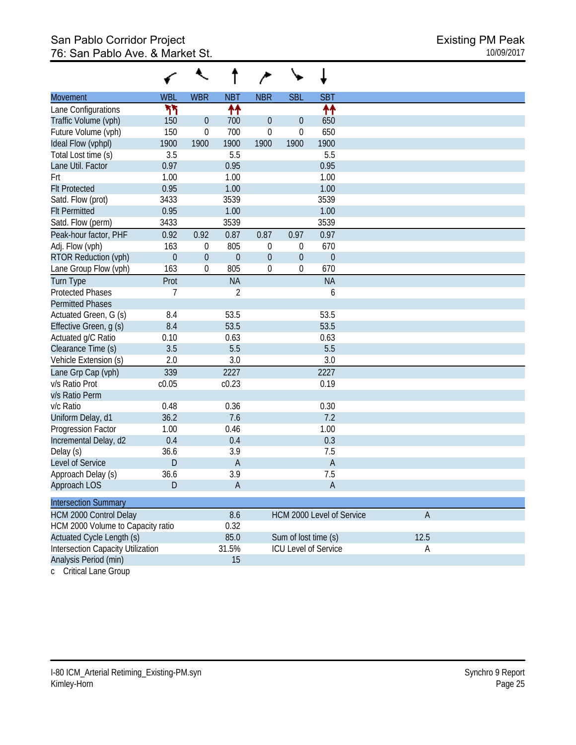| <b>Movement</b>                          | <b>WBL</b>       | <b>WBR</b>       | <b>NBT</b>                | <b>NBR</b>       | <b>SBL</b>           | <b>SBT</b>                  |             |  |
|------------------------------------------|------------------|------------------|---------------------------|------------------|----------------------|-----------------------------|-------------|--|
| Lane Configurations                      | ካካ               |                  | ተተ                        |                  |                      | ↟↟                          |             |  |
| Traffic Volume (vph)                     | 150              | $\boldsymbol{0}$ | 700                       | $\theta$         | $\overline{0}$       | 650                         |             |  |
| Future Volume (vph)                      | 150              | $\mathbf 0$      | 700                       | $\mathbf 0$      | $\mathbf 0$          | 650                         |             |  |
| Ideal Flow (vphpl)                       | 1900             | 1900             | 1900                      | 1900             | 1900                 | 1900                        |             |  |
| Total Lost time (s)                      | 3.5              |                  | 5.5                       |                  |                      | 5.5                         |             |  |
| Lane Util. Factor                        | 0.97             |                  | 0.95                      |                  |                      | 0.95                        |             |  |
| Frt                                      | 1.00             |                  | 1.00                      |                  |                      | 1.00                        |             |  |
| <b>Flt Protected</b>                     | 0.95             |                  | 1.00                      |                  |                      | 1.00                        |             |  |
| Satd. Flow (prot)                        | 3433             |                  | 3539                      |                  |                      | 3539                        |             |  |
| <b>Flt Permitted</b>                     | 0.95             |                  | 1.00                      |                  |                      | 1.00                        |             |  |
| Satd. Flow (perm)                        | 3433             |                  | 3539                      |                  |                      | 3539                        |             |  |
| Peak-hour factor, PHF                    | 0.92             | 0.92             | 0.87                      | 0.87             | 0.97                 | 0.97                        |             |  |
| Adj. Flow (vph)                          | 163              | 0                | 805                       | 0                | $\theta$             | 670                         |             |  |
| RTOR Reduction (vph)                     | $\boldsymbol{0}$ | $\boldsymbol{0}$ | $\theta$                  | $\boldsymbol{0}$ | $\theta$             | $\boldsymbol{0}$            |             |  |
| Lane Group Flow (vph)                    | 163              | 0                | 805                       | 0                | $\mathbf 0$          | 670                         |             |  |
| <b>Turn Type</b>                         | Prot             |                  | <b>NA</b>                 |                  |                      | <b>NA</b>                   |             |  |
| <b>Protected Phases</b>                  | 7                |                  | 2                         |                  |                      | 6                           |             |  |
| <b>Permitted Phases</b>                  |                  |                  |                           |                  |                      |                             |             |  |
| Actuated Green, G (s)                    | 8.4              |                  | 53.5                      |                  |                      | 53.5                        |             |  |
| Effective Green, g (s)                   | 8.4              |                  | 53.5                      |                  |                      | 53.5                        |             |  |
| Actuated g/C Ratio                       | 0.10             |                  | 0.63                      |                  |                      | 0.63                        |             |  |
| Clearance Time (s)                       | 3.5              |                  | 5.5                       |                  |                      | 5.5                         |             |  |
| Vehicle Extension (s)                    | 2.0              |                  | 3.0                       |                  |                      | 3.0                         |             |  |
| Lane Grp Cap (vph)                       | 339              |                  | 2227                      |                  |                      | 2227                        |             |  |
| v/s Ratio Prot                           | c0.05            |                  | c0.23                     |                  |                      | 0.19                        |             |  |
| v/s Ratio Perm                           |                  |                  |                           |                  |                      |                             |             |  |
| v/c Ratio                                | 0.48             |                  | 0.36                      |                  |                      | 0.30                        |             |  |
| Uniform Delay, d1                        | 36.2             |                  | 7.6                       |                  |                      | 7.2                         |             |  |
| Progression Factor                       | 1.00             |                  | 0.46                      |                  |                      | 1.00                        |             |  |
| Incremental Delay, d2                    | 0.4              |                  | 0.4                       |                  |                      | 0.3                         |             |  |
| Delay (s)                                | 36.6             |                  | 3.9                       |                  |                      | 7.5                         |             |  |
| Level of Service                         | D                |                  | $\boldsymbol{\mathsf{A}}$ |                  |                      | $\overline{A}$              |             |  |
| Approach Delay (s)                       | 36.6             |                  | 3.9                       |                  |                      | 7.5                         |             |  |
| Approach LOS                             | $\mathsf D$      |                  | A                         |                  |                      | A                           |             |  |
| <b>Intersection Summary</b>              |                  |                  |                           |                  |                      |                             |             |  |
| HCM 2000 Control Delay                   |                  |                  | 8.6                       |                  |                      | HCM 2000 Level of Service   | $\mathsf A$ |  |
| HCM 2000 Volume to Capacity ratio        |                  |                  | 0.32                      |                  |                      |                             |             |  |
| Actuated Cycle Length (s)                |                  |                  | 85.0                      |                  | Sum of lost time (s) |                             | 12.5        |  |
| <b>Intersection Capacity Utilization</b> |                  |                  | 31.5%                     |                  |                      | <b>ICU Level of Service</b> | $\mathsf A$ |  |
| Analysis Period (min)                    |                  |                  | 15                        |                  |                      |                             |             |  |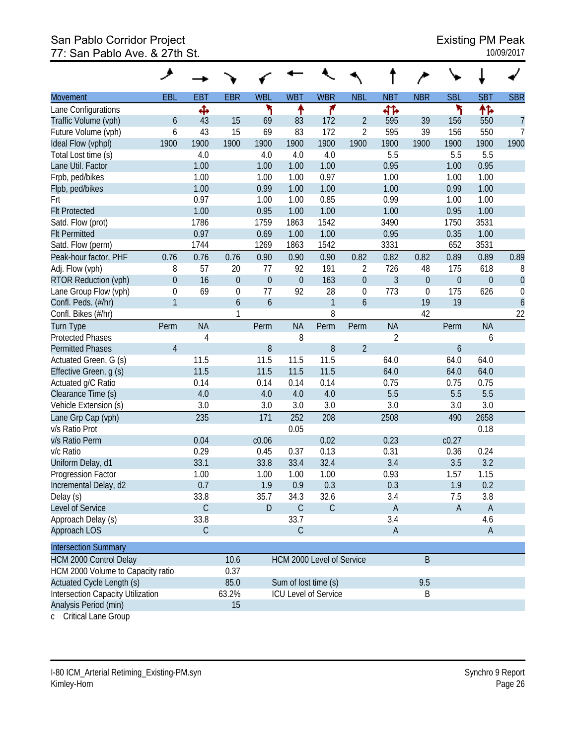#### San Pablo Corridor Project **Existing PM Peak 77: San Pablo Ave. & 27th St. 10/09/2017**

|                                          | ∕                |             |                  |            |                      |                             |                  |             |             |                  |              |                  |
|------------------------------------------|------------------|-------------|------------------|------------|----------------------|-----------------------------|------------------|-------------|-------------|------------------|--------------|------------------|
| <b>Movement</b>                          | EBL              | EBT         | <b>EBR</b>       | <b>WBL</b> | <b>WBT</b>           | <b>WBR</b>                  | <b>NBL</b>       | <b>NBT</b>  | <b>NBR</b>  | <b>SBL</b>       | <b>SBT</b>   | <b>SBR</b>       |
| Lane Configurations                      |                  | Ф           |                  | ۲          | ↟                    | ۴                           |                  | 41          |             | ۲                | 怍            |                  |
| Traffic Volume (vph)                     | 6                | 43          | 15               | 69         | 83                   | 172                         | $\overline{2}$   | 595         | 39          | 156              | 550          | $\overline{7}$   |
| Future Volume (vph)                      | 6                | 43          | 15               | 69         | 83                   | 172                         | $\overline{2}$   | 595         | 39          | 156              | 550          | $\overline{7}$   |
| Ideal Flow (vphpl)                       | 1900             | 1900        | 1900             | 1900       | 1900                 | 1900                        | 1900             | 1900        | 1900        | 1900             | 1900         | 1900             |
| Total Lost time (s)                      |                  | 4.0         |                  | 4.0        | 4.0                  | 4.0                         |                  | 5.5         |             | 5.5              | 5.5          |                  |
| Lane Util. Factor                        |                  | 1.00        |                  | 1.00       | 1.00                 | 1.00                        |                  | 0.95        |             | 1.00             | 0.95         |                  |
| Frpb, ped/bikes                          |                  | 1.00        |                  | 1.00       | 1.00                 | 0.97                        |                  | 1.00        |             | 1.00             | 1.00         |                  |
| Flpb, ped/bikes                          |                  | 1.00        |                  | 0.99       | 1.00                 | 1.00                        |                  | 1.00        |             | 0.99             | 1.00         |                  |
| Frt                                      |                  | 0.97        |                  | 1.00       | 1.00                 | 0.85                        |                  | 0.99        |             | 1.00             | 1.00         |                  |
| <b>Flt Protected</b>                     |                  | 1.00        |                  | 0.95       | 1.00                 | 1.00                        |                  | 1.00        |             | 0.95             | 1.00         |                  |
| Satd. Flow (prot)                        |                  | 1786        |                  | 1759       | 1863                 | 1542                        |                  | 3490        |             | 1750             | 3531         |                  |
| <b>Flt Permitted</b>                     |                  | 0.97        |                  | 0.69       | 1.00                 | 1.00                        |                  | 0.95        |             | 0.35             | 1.00         |                  |
| Satd. Flow (perm)                        |                  | 1744        |                  | 1269       | 1863                 | 1542                        |                  | 3331        |             | 652              | 3531         |                  |
| Peak-hour factor, PHF                    | 0.76             | 0.76        | 0.76             | 0.90       | 0.90                 | 0.90                        | 0.82             | 0.82        | 0.82        | 0.89             | 0.89         | 0.89             |
| Adj. Flow (vph)                          | 8                | 57          | 20               | 77         | 92                   | 191                         | $\overline{2}$   | 726         | 48          | 175              | 618          | 8                |
| <b>RTOR Reduction (vph)</b>              | $\overline{0}$   | 16          | $\theta$         | $\theta$   | $\mathbf{0}$         | 163                         | $\boldsymbol{0}$ | 3           | $\mathbf 0$ | $\mathbf 0$      | $\mathbf 0$  | $\theta$         |
| Lane Group Flow (vph)                    | $\boldsymbol{0}$ | 69          | $\mathbf 0$      | 77         | 92                   | 28                          | $\mathbf 0$      | 773         | $\mathbf 0$ | 175              | 626          | $\mathbf 0$      |
| Confl. Peds. (#/hr)                      | $\mathbf{1}$     |             | $\boldsymbol{6}$ | 6          |                      | $\mathbf{1}$                | 6                |             | 19          | 19               |              | $\boldsymbol{6}$ |
| Confl. Bikes (#/hr)                      |                  |             | $\mathbf{1}$     |            |                      | 8                           |                  |             | 42          |                  |              | 22               |
| <b>Turn Type</b>                         | Perm             | <b>NA</b>   |                  | Perm       | <b>NA</b>            | Perm                        | Perm             | <b>NA</b>   |             | Perm             | <b>NA</b>    |                  |
| <b>Protected Phases</b>                  |                  | 4           |                  |            | 8                    |                             |                  | 2           |             |                  | 6            |                  |
| <b>Permitted Phases</b>                  | $\overline{4}$   |             |                  | $\, 8$     |                      | 8                           | $\overline{2}$   |             |             | $\boldsymbol{6}$ |              |                  |
| Actuated Green, G (s)                    |                  | 11.5        |                  | 11.5       | 11.5                 | 11.5                        |                  | 64.0        |             | 64.0             | 64.0         |                  |
| Effective Green, g (s)                   |                  | 11.5        |                  | 11.5       | 11.5                 | 11.5                        |                  | 64.0        |             | 64.0             | 64.0         |                  |
| Actuated g/C Ratio                       |                  | 0.14        |                  | 0.14       | 0.14                 | 0.14                        |                  | 0.75        |             | 0.75             | 0.75         |                  |
| Clearance Time (s)                       |                  | 4.0         |                  | 4.0        | 4.0                  | 4.0                         |                  | 5.5         |             | 5.5              | 5.5          |                  |
| Vehicle Extension (s)                    |                  | 3.0         |                  | 3.0        | 3.0                  | 3.0                         |                  | 3.0         |             | 3.0              | 3.0          |                  |
| Lane Grp Cap (vph)                       |                  | 235         |                  | 171        | 252                  | 208                         |                  | 2508        |             | 490              | 2658         |                  |
| v/s Ratio Prot                           |                  |             |                  |            | 0.05                 |                             |                  |             |             |                  | 0.18         |                  |
| v/s Ratio Perm                           |                  | 0.04        |                  | c0.06      |                      | 0.02                        |                  | 0.23        |             | c0.27            |              |                  |
| v/c Ratio                                |                  | 0.29        |                  | 0.45       | 0.37                 | 0.13                        |                  | 0.31        |             | 0.36             | 0.24         |                  |
| Uniform Delay, d1                        |                  | 33.1        |                  | 33.8       | 33.4                 | 32.4                        |                  | 3.4         |             | 3.5              | 3.2          |                  |
| Progression Factor                       |                  | 1.00        |                  | 1.00       | 1.00                 | 1.00                        |                  | 0.93        |             | 1.57             | 1.15         |                  |
| Incremental Delay, d2                    |                  | 0.7         |                  | 1.9        | 0.9                  | 0.3                         |                  | 0.3         |             | 1.9              | 0.2          |                  |
| Delay (s)                                |                  | 33.8        |                  | 35.7       | 34.3                 | 32.6                        |                  | 3.4         |             | 7.5              | 3.8          |                  |
| Level of Service                         |                  | $\mathsf C$ |                  | D          | $\mathsf C$          | $\mathsf C$                 |                  | $\mathsf A$ |             | $\overline{A}$   | $\mathsf A$  |                  |
| Approach Delay (s)                       |                  | 33.8        |                  |            | 33.7                 |                             |                  | 3.4         |             |                  | 4.6          |                  |
| Approach LOS                             |                  | $\mathsf C$ |                  |            | C                    |                             |                  | $\mathsf A$ |             |                  | $\mathsf{A}$ |                  |
| <b>Intersection Summary</b>              |                  |             |                  |            |                      |                             |                  |             |             |                  |              |                  |
| HCM 2000 Control Delay                   |                  |             | 10.6             |            |                      | HCM 2000 Level of Service   |                  |             | B           |                  |              |                  |
| HCM 2000 Volume to Capacity ratio        |                  |             | 0.37             |            |                      |                             |                  |             |             |                  |              |                  |
| Actuated Cycle Length (s)                |                  |             | 85.0             |            | Sum of lost time (s) |                             |                  |             | 9.5         |                  |              |                  |
| <b>Intersection Capacity Utilization</b> |                  |             | 63.2%            |            |                      | <b>ICU Level of Service</b> |                  |             | Β           |                  |              |                  |
| Analysis Period (min)                    |                  |             | 15               |            |                      |                             |                  |             |             |                  |              |                  |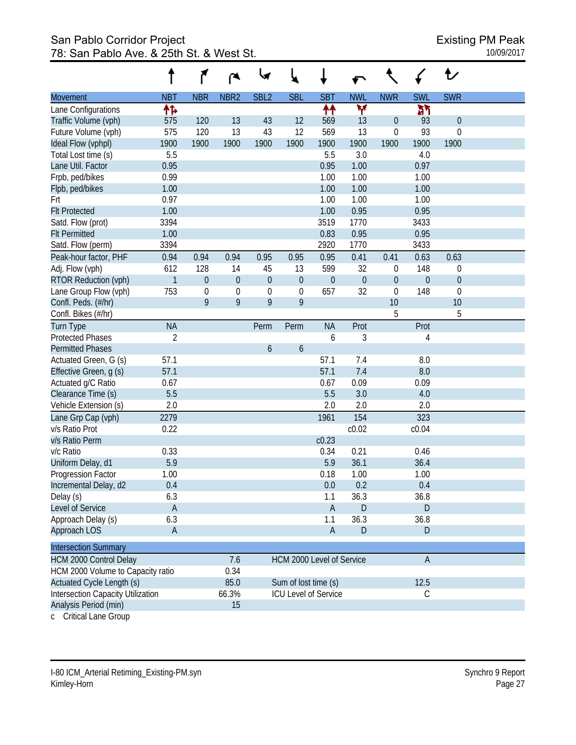# San Pablo Corridor Project<br>78: San Pablo Ave. & 25th St. & West St. Next St. Assembly that the existing PM Peak 78: San Pablo Ave. & 25th St. & West St.

|                                          |              |             |                  |                  |                      |                             |             |                  |                  | ₺                |  |
|------------------------------------------|--------------|-------------|------------------|------------------|----------------------|-----------------------------|-------------|------------------|------------------|------------------|--|
| <b>Movement</b>                          | <b>NBT</b>   | <b>NBR</b>  | NBR <sub>2</sub> | SBL <sub>2</sub> | <b>SBL</b>           | <b>SBT</b>                  | <b>NWL</b>  | <b>NWR</b>       | <b>SWL</b>       | <b>SWR</b>       |  |
| Lane Configurations                      | ተኈ           |             |                  |                  |                      | ↟↟                          | ۷           |                  | አካ               |                  |  |
| Traffic Volume (vph)                     | 575          | 120         | 13               | 43               | 12                   | 569                         | 13          | $\theta$         | 93               | $\boldsymbol{0}$ |  |
| Future Volume (vph)                      | 575          | 120         | 13               | 43               | 12                   | 569                         | 13          | $\boldsymbol{0}$ | 93               | $\boldsymbol{0}$ |  |
| Ideal Flow (vphpl)                       | 1900         | 1900        | 1900             | 1900             | 1900                 | 1900                        | 1900        | 1900             | 1900             | 1900             |  |
| Total Lost time (s)                      | 5.5          |             |                  |                  |                      | 5.5                         | 3.0         |                  | 4.0              |                  |  |
| Lane Util. Factor                        | 0.95         |             |                  |                  |                      | 0.95                        | 1.00        |                  | 0.97             |                  |  |
| Frpb, ped/bikes                          | 0.99         |             |                  |                  |                      | 1.00                        | 1.00        |                  | 1.00             |                  |  |
| Flpb, ped/bikes                          | 1.00         |             |                  |                  |                      | 1.00                        | 1.00        |                  | 1.00             |                  |  |
| Frt                                      | 0.97         |             |                  |                  |                      | 1.00                        | 1.00        |                  | 1.00             |                  |  |
| <b>Flt Protected</b>                     | 1.00         |             |                  |                  |                      | 1.00                        | 0.95        |                  | 0.95             |                  |  |
| Satd. Flow (prot)                        | 3394         |             |                  |                  |                      | 3519                        | 1770        |                  | 3433             |                  |  |
| <b>Flt Permitted</b>                     | 1.00         |             |                  |                  |                      | 0.83                        | 0.95        |                  | 0.95             |                  |  |
| Satd. Flow (perm)                        | 3394         |             |                  |                  |                      | 2920                        | 1770        |                  | 3433             |                  |  |
| Peak-hour factor, PHF                    | 0.94         | 0.94        | 0.94             | 0.95             | 0.95                 | 0.95                        | 0.41        | 0.41             | 0.63             | 0.63             |  |
| Adj. Flow (vph)                          | 612          | 128         | 14               | 45               | 13                   | 599                         | 32          | 0                | 148              | 0                |  |
| RTOR Reduction (vph)                     | $\mathbf{1}$ | $\mathbf 0$ | $\mathbf 0$      | $\theta$         | $\mathbf 0$          | $\theta$                    | $\mathbf 0$ | $\theta$         | $\boldsymbol{0}$ | $\boldsymbol{0}$ |  |
| Lane Group Flow (vph)                    | 753          | $\mathbf 0$ | $\mathbf 0$      | $\boldsymbol{0}$ | $\overline{0}$       | 657                         | 32          | $\boldsymbol{0}$ | 148              | $\boldsymbol{0}$ |  |
| Confl. Peds. (#/hr)                      |              | 9           | 9                | 9                | 9                    |                             |             | 10               |                  | 10               |  |
| Confl. Bikes (#/hr)                      |              |             |                  |                  |                      |                             |             | 5                |                  | 5                |  |
| Turn Type                                | <b>NA</b>    |             |                  | Perm             | Perm                 | <b>NA</b>                   | Prot        |                  | Prot             |                  |  |
| <b>Protected Phases</b>                  | 2            |             |                  |                  |                      | 6                           | 3           |                  | 4                |                  |  |
| <b>Permitted Phases</b>                  |              |             |                  | 6                | 6                    |                             |             |                  |                  |                  |  |
| Actuated Green, G (s)                    | 57.1         |             |                  |                  |                      | 57.1                        | 7.4         |                  | 8.0              |                  |  |
| Effective Green, g (s)                   | 57.1         |             |                  |                  |                      | 57.1                        | 7.4         |                  | 8.0              |                  |  |
| Actuated g/C Ratio                       | 0.67         |             |                  |                  |                      | 0.67                        | 0.09        |                  | 0.09             |                  |  |
| Clearance Time (s)                       | 5.5          |             |                  |                  |                      | 5.5                         | 3.0         |                  | 4.0              |                  |  |
| Vehicle Extension (s)                    | 2.0          |             |                  |                  |                      | 2.0                         | 2.0         |                  | 2.0              |                  |  |
| Lane Grp Cap (vph)                       | 2279         |             |                  |                  |                      | 1961                        | 154         |                  | 323              |                  |  |
| v/s Ratio Prot                           | 0.22         |             |                  |                  |                      |                             | c0.02       |                  | c0.04            |                  |  |
| v/s Ratio Perm                           |              |             |                  |                  |                      | c0.23                       |             |                  |                  |                  |  |
| v/c Ratio                                | 0.33         |             |                  |                  |                      | 0.34                        | 0.21        |                  | 0.46             |                  |  |
| Uniform Delay, d1                        | 5.9          |             |                  |                  |                      | 5.9                         | 36.1        |                  | 36.4             |                  |  |
| Progression Factor                       | 1.00         |             |                  |                  |                      | 0.18                        | 1.00        |                  | 1.00             |                  |  |
| Incremental Delay, d2                    | 0.4          |             |                  |                  |                      | 0.0                         | 0.2         |                  | 0.4              |                  |  |
| Delay (s)                                | 6.3          |             |                  |                  |                      | 1.1                         | 36.3        |                  | 36.8             |                  |  |
| Level of Service                         | $\mathsf A$  |             |                  |                  |                      | $\overline{A}$              | D           |                  | D                |                  |  |
| Approach Delay (s)                       | 6.3          |             |                  |                  |                      | 1.1                         | 36.3        |                  | 36.8             |                  |  |
| Approach LOS                             | $\mathsf A$  |             |                  |                  |                      | $\overline{A}$              | ${\sf D}$   |                  | D                |                  |  |
| <b>Intersection Summary</b>              |              |             |                  |                  |                      |                             |             |                  |                  |                  |  |
| <b>HCM 2000 Control Delay</b>            |              |             | 7.6              |                  |                      | HCM 2000 Level of Service   |             |                  | A                |                  |  |
| HCM 2000 Volume to Capacity ratio        |              |             | 0.34             |                  |                      |                             |             |                  |                  |                  |  |
| Actuated Cycle Length (s)                |              |             | 85.0             |                  | Sum of lost time (s) |                             |             |                  | 12.5             |                  |  |
| <b>Intersection Capacity Utilization</b> |              |             | 66.3%            |                  |                      | <b>ICU Level of Service</b> |             |                  | С                |                  |  |
| Analysis Period (min)                    |              |             | 15               |                  |                      |                             |             |                  |                  |                  |  |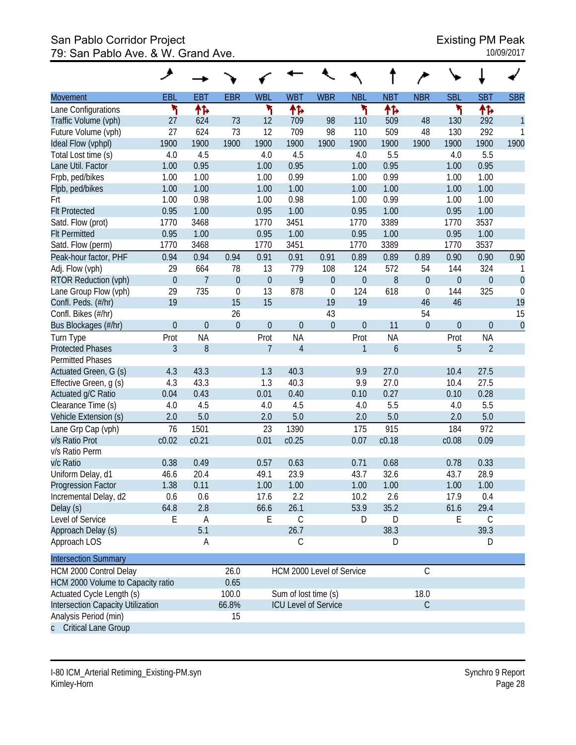# San Pablo Corridor Project<br>
79: San Pablo Ave. & W. Grand Ave. 79: San Pablo Ave. & W. Grand Ave.

|                                   | ◢              |                |                |                  |                      |                             |                  |                  |                  |             |                |                |
|-----------------------------------|----------------|----------------|----------------|------------------|----------------------|-----------------------------|------------------|------------------|------------------|-------------|----------------|----------------|
| Movement                          | EBL            | <b>EBT</b>     | <b>EBR</b>     | <b>WBL</b>       | <b>WBT</b>           | <b>WBR</b>                  | <b>NBL</b>       | <b>NBT</b>       | <b>NBR</b>       | <b>SBL</b>  | <b>SBT</b>     | <b>SBR</b>     |
| Lane Configurations               | ۲              | 怍              |                | ۲                | ተኈ                   |                             | ۲                | ተኈ               |                  | ۲           | 怍              |                |
| Traffic Volume (vph)              | 27             | 624            | 73             | 12               | 709                  | 98                          | 110              | 509              | 48               | 130         | 292            | 1              |
| Future Volume (vph)               | 27             | 624            | 73             | 12               | 709                  | 98                          | 110              | 509              | 48               | 130         | 292            | 1              |
| Ideal Flow (vphpl)                | 1900           | 1900           | 1900           | 1900             | 1900                 | 1900                        | 1900             | 1900             | 1900             | 1900        | 1900           | 1900           |
| Total Lost time (s)               | 4.0            | 4.5            |                | 4.0              | 4.5                  |                             | 4.0              | 5.5              |                  | 4.0         | 5.5            |                |
| Lane Util. Factor                 | 1.00           | 0.95           |                | 1.00             | 0.95                 |                             | 1.00             | 0.95             |                  | 1.00        | 0.95           |                |
| Frpb, ped/bikes                   | 1.00           | 1.00           |                | 1.00             | 0.99                 |                             | 1.00             | 0.99             |                  | 1.00        | 1.00           |                |
| Flpb, ped/bikes                   | 1.00           | 1.00           |                | 1.00             | 1.00                 |                             | 1.00             | 1.00             |                  | 1.00        | 1.00           |                |
| Frt                               | 1.00           | 0.98           |                | 1.00             | 0.98                 |                             | 1.00             | 0.99             |                  | 1.00        | 1.00           |                |
| <b>Flt Protected</b>              | 0.95           | 1.00           |                | 0.95             | 1.00                 |                             | 0.95             | 1.00             |                  | 0.95        | 1.00           |                |
| Satd. Flow (prot)                 | 1770           | 3468           |                | 1770             | 3451                 |                             | 1770             | 3389             |                  | 1770        | 3537           |                |
| <b>Flt Permitted</b>              | 0.95           | 1.00           |                | 0.95             | 1.00                 |                             | 0.95             | 1.00             |                  | 0.95        | 1.00           |                |
| Satd. Flow (perm)                 | 1770           | 3468           |                | 1770             | 3451                 |                             | 1770             | 3389             |                  | 1770        | 3537           |                |
| Peak-hour factor, PHF             | 0.94           | 0.94           | 0.94           | 0.91             | 0.91                 | 0.91                        | 0.89             | 0.89             | 0.89             | 0.90        | 0.90           | 0.90           |
| Adj. Flow (vph)                   | 29             | 664            | 78             | 13               | 779                  | 108                         | 124              | 572              | 54               | 144         | 324            | 1              |
| <b>RTOR Reduction (vph)</b>       | $\overline{0}$ | $\overline{7}$ | $\overline{0}$ | $\boldsymbol{0}$ | 9                    | $\boldsymbol{0}$            | $\boldsymbol{0}$ | 8                | $\boldsymbol{0}$ | $\mathbf 0$ | $\overline{0}$ | $\mathbf 0$    |
| Lane Group Flow (vph)             | 29             | 735            | $\overline{0}$ | 13               | 878                  | $\boldsymbol{0}$            | 124              | 618              | $\mathbf 0$      | 144         | 325            | $\mathbf 0$    |
| Confl. Peds. (#/hr)               | 19             |                | 15             | 15               |                      | 19                          | 19               |                  | 46               | 46          |                | 19             |
| Confl. Bikes (#/hr)               |                |                | 26             |                  |                      | 43                          |                  |                  | 54               |             |                | 15             |
| Bus Blockages (#/hr)              | $\mathbf{0}$   | $\mathbf 0$    | $\overline{0}$ | $\theta$         | $\overline{0}$       | $\overline{0}$              | $\boldsymbol{0}$ | 11               | $\overline{0}$   | $\mathbf 0$ | $\mathbf{0}$   | $\overline{0}$ |
| Turn Type                         | Prot           | <b>NA</b>      |                | Prot             | <b>NA</b>            |                             | Prot             | <b>NA</b>        |                  | Prot        | <b>NA</b>      |                |
| <b>Protected Phases</b>           | 3              | $8\,$          |                | $\overline{7}$   | $\overline{4}$       |                             | 1                | $\boldsymbol{6}$ |                  | 5           | $\overline{2}$ |                |
| <b>Permitted Phases</b>           |                |                |                |                  |                      |                             |                  |                  |                  |             |                |                |
| Actuated Green, G (s)             | 4.3            | 43.3           |                | 1.3              | 40.3                 |                             | 9.9              | 27.0             |                  | 10.4        | 27.5           |                |
| Effective Green, g (s)            | 4.3            | 43.3           |                | 1.3              | 40.3                 |                             | 9.9              | 27.0             |                  | 10.4        | 27.5           |                |
| Actuated g/C Ratio                | 0.04           | 0.43           |                | 0.01             | 0.40                 |                             | 0.10             | 0.27             |                  | 0.10        | 0.28           |                |
| Clearance Time (s)                | 4.0            | 4.5            |                | 4.0              | 4.5                  |                             | 4.0              | 5.5              |                  | 4.0         | 5.5            |                |
| Vehicle Extension (s)             | 2.0            | 5.0            |                | 2.0              | 5.0                  |                             | 2.0              | 5.0              |                  | 2.0         | 5.0            |                |
| Lane Grp Cap (vph)                | 76             | 1501           |                | 23               | 1390                 |                             | 175              | 915              |                  | 184         | 972            |                |
| v/s Ratio Prot                    | c0.02          | c0.21          |                | 0.01             | c0.25                |                             | 0.07             | c0.18            |                  | c0.08       | 0.09           |                |
| v/s Ratio Perm                    |                |                |                |                  |                      |                             |                  |                  |                  |             |                |                |
| v/c Ratio                         | 0.38           | 0.49           |                | 0.57             | 0.63                 |                             | 0.71             | 0.68             |                  | 0.78        | 0.33           |                |
| Uniform Delay, d1                 | 46.6           | 20.4           |                | 49.1             | 23.9                 |                             | 43.7             | 32.6             |                  | 43.7        | 28.9           |                |
| <b>Progression Factor</b>         | 1.38           | 0.11           |                | 1.00             | 1.00                 |                             | 1.00             | 1.00             |                  | 1.00        | 1.00           |                |
| Incremental Delay, d2             | 0.6            | 0.6            |                | 17.6             | 2.2                  |                             | 10.2             | 2.6              |                  | 17.9        | 0.4            |                |
| Delay (s)                         | 64.8           | 2.8            |                | 66.6             | 26.1                 |                             | 53.9             | 35.2             |                  | 61.6        | 29.4           |                |
| Level of Service                  | Е              | A              |                | Ε                | $\mathsf C$          |                             | D                | D                |                  | E           | $\mathsf{C}$   |                |
| Approach Delay (s)                |                | 5.1            |                |                  | 26.7                 |                             |                  | 38.3             |                  |             | 39.3           |                |
| Approach LOS                      |                | Α              |                |                  | $\mathsf C$          |                             |                  | D                |                  |             | D              |                |
| <b>Intersection Summary</b>       |                |                |                |                  |                      |                             |                  |                  |                  |             |                |                |
| HCM 2000 Control Delay            |                |                | 26.0           |                  |                      | HCM 2000 Level of Service   |                  |                  | $\mathsf C$      |             |                |                |
| HCM 2000 Volume to Capacity ratio |                |                | 0.65           |                  |                      |                             |                  |                  |                  |             |                |                |
| Actuated Cycle Length (s)         |                |                | 100.0          |                  | Sum of lost time (s) |                             |                  |                  | 18.0             |             |                |                |
| Intersection Capacity Utilization |                |                | 66.8%          |                  |                      | <b>ICU Level of Service</b> |                  |                  | $\mathcal{C}$    |             |                |                |
| Analysis Period (min)             |                |                | 15             |                  |                      |                             |                  |                  |                  |             |                |                |
| Critical Lane Group<br>C.         |                |                |                |                  |                      |                             |                  |                  |                  |             |                |                |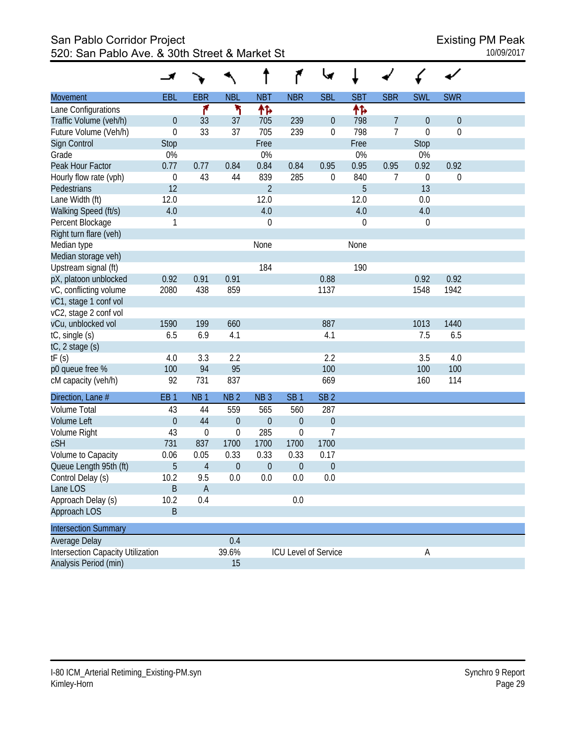# San Pablo Corridor Project<br>520: San Pablo Ave. & 30th Street & Market St<br>10/09/2017 520: San Pablo Ave. & 30th Street & Market St

| Movement                                 | EBL              | <b>EBR</b>       | <b>NBL</b>       | <b>NBT</b>       | <b>NBR</b>           | <b>SBL</b>       | <b>SBT</b> | <b>SBR</b>     | <b>SWL</b>       | <b>SWR</b>       |  |
|------------------------------------------|------------------|------------------|------------------|------------------|----------------------|------------------|------------|----------------|------------------|------------------|--|
| Lane Configurations                      |                  | ۴                | ۲                | 怍                |                      |                  | 怍          |                |                  |                  |  |
| Traffic Volume (veh/h)                   | $\boldsymbol{0}$ | 33               | 37               | 705              | 239                  | $\boldsymbol{0}$ | 798        | $\overline{7}$ | $\mathbf 0$      | $\boldsymbol{0}$ |  |
| Future Volume (Veh/h)                    | $\boldsymbol{0}$ | 33               | 37               | 705              | 239                  | $\boldsymbol{0}$ | 798        | 7              | $\mathbf{0}$     | $\boldsymbol{0}$ |  |
| Sign Control                             | <b>Stop</b>      |                  |                  | Free             |                      |                  | Free       |                | Stop             |                  |  |
| Grade                                    | 0%               |                  |                  | 0%               |                      |                  | 0%         |                | 0%               |                  |  |
| Peak Hour Factor                         | 0.77             | 0.77             | 0.84             | 0.84             | 0.84                 | 0.95             | 0.95       | 0.95           | 0.92             | 0.92             |  |
| Hourly flow rate (vph)                   | $\boldsymbol{0}$ | 43               | 44               | 839              | 285                  | 0                | 840        | 7              | $\boldsymbol{0}$ | $\boldsymbol{0}$ |  |
| Pedestrians                              | 12               |                  |                  | $\overline{2}$   |                      |                  | 5          |                | 13               |                  |  |
| Lane Width (ft)                          | 12.0             |                  |                  | 12.0             |                      |                  | 12.0       |                | 0.0              |                  |  |
| Walking Speed (ft/s)                     | 4.0              |                  |                  | 4.0              |                      |                  | 4.0        |                | 4.0              |                  |  |
| Percent Blockage                         | 1                |                  |                  | $\boldsymbol{0}$ |                      |                  | 0          |                | $\boldsymbol{0}$ |                  |  |
| Right turn flare (veh)                   |                  |                  |                  |                  |                      |                  |            |                |                  |                  |  |
| Median type                              |                  |                  |                  | None             |                      |                  | None       |                |                  |                  |  |
| Median storage veh)                      |                  |                  |                  |                  |                      |                  |            |                |                  |                  |  |
| Upstream signal (ft)                     |                  |                  |                  | 184              |                      |                  | 190        |                |                  |                  |  |
| pX, platoon unblocked                    | 0.92             | 0.91             | 0.91             |                  |                      | 0.88             |            |                | 0.92             | 0.92             |  |
| vC, conflicting volume                   | 2080             | 438              | 859              |                  |                      | 1137             |            |                | 1548             | 1942             |  |
| vC1, stage 1 conf vol                    |                  |                  |                  |                  |                      |                  |            |                |                  |                  |  |
| vC2, stage 2 conf vol                    |                  |                  |                  |                  |                      |                  |            |                |                  |                  |  |
| vCu, unblocked vol                       | 1590             | 199              | 660              |                  |                      | 887              |            |                | 1013             | 1440             |  |
| tC, single (s)                           | 6.5              | 6.9              | 4.1              |                  |                      | 4.1              |            |                | 7.5              | 6.5              |  |
| tC, 2 stage (s)                          |                  |                  |                  |                  |                      |                  |            |                |                  |                  |  |
| tF(s)                                    | 4.0              | 3.3              | 2.2              |                  |                      | 2.2              |            |                | 3.5              | 4.0              |  |
| p0 queue free %                          | 100              | 94               | 95               |                  |                      | 100              |            |                | 100              | 100              |  |
| cM capacity (veh/h)                      | 92               | 731              | 837              |                  |                      | 669              |            |                | 160              | 114              |  |
| Direction, Lane #                        | EB <sub>1</sub>  | NB <sub>1</sub>  | NB <sub>2</sub>  | NB <sub>3</sub>  | SB <sub>1</sub>      | SB <sub>2</sub>  |            |                |                  |                  |  |
| <b>Volume Total</b>                      | 43               | 44               | 559              | 565              | 560                  | 287              |            |                |                  |                  |  |
| <b>Volume Left</b>                       | $\boldsymbol{0}$ | 44               | $\mathbf 0$      | $\boldsymbol{0}$ | $\theta$             | $\boldsymbol{0}$ |            |                |                  |                  |  |
| Volume Right                             | 43               | $\boldsymbol{0}$ | $\boldsymbol{0}$ | 285              | $\boldsymbol{0}$     | $\overline{7}$   |            |                |                  |                  |  |
| <b>cSH</b>                               | 731              | 837              | 1700             | 1700             | 1700                 | 1700             |            |                |                  |                  |  |
| Volume to Capacity                       | 0.06             | 0.05             | 0.33             | 0.33             | 0.33                 | 0.17             |            |                |                  |                  |  |
| Queue Length 95th (ft)                   | $\overline{5}$   | $\sqrt{4}$       | $\theta$         | $\boldsymbol{0}$ | $\boldsymbol{0}$     | $\boldsymbol{0}$ |            |                |                  |                  |  |
| Control Delay (s)                        | 10.2             | 9.5              | 0.0              | 0.0              | 0.0                  | 0.0              |            |                |                  |                  |  |
| Lane LOS                                 | $\sf B$          | $\mathsf A$      |                  |                  |                      |                  |            |                |                  |                  |  |
| Approach Delay (s)                       | 10.2             | 0.4              |                  |                  | 0.0                  |                  |            |                |                  |                  |  |
| Approach LOS                             | B                |                  |                  |                  |                      |                  |            |                |                  |                  |  |
| <b>Intersection Summary</b>              |                  |                  |                  |                  |                      |                  |            |                |                  |                  |  |
| Average Delay                            |                  |                  | 0.4              |                  |                      |                  |            |                |                  |                  |  |
| <b>Intersection Capacity Utilization</b> |                  |                  | 39.6%            |                  | ICU Level of Service |                  |            |                | А                |                  |  |
| Analysis Period (min)                    |                  |                  | 15               |                  |                      |                  |            |                |                  |                  |  |